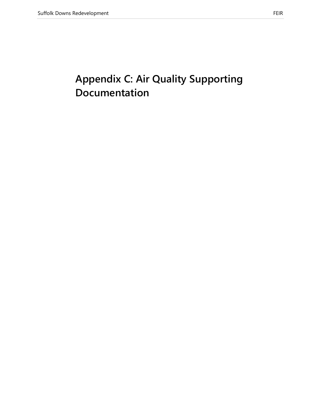# **Appendix C: Air Quality Supporting Documentation**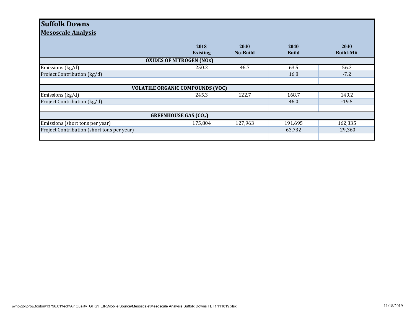## **Suffolk Downs**

**Mesoscale Analysis**

|                                            | 2018<br><b>Existing</b> | 2040<br><b>No-Build</b> | 2040<br><b>Build</b> | 2040<br><b>Build-Mit</b> |
|--------------------------------------------|-------------------------|-------------------------|----------------------|--------------------------|
| <b>OXIDES OF NITROGEN (NOx)</b>            |                         |                         |                      |                          |
| Emissions (kg/d)                           | 250.2                   | 46.7                    | 63.5                 | 56.3                     |
| Project Contribution (kg/d)                |                         |                         | 16.8                 | $-7.2$                   |
|                                            |                         |                         |                      |                          |
| <b>VOLATILE ORGANIC COMPOUNDS (VOC)</b>    |                         |                         |                      |                          |
| Emissions (kg/d)                           | 245.3                   | 122.7                   | 168.7                | 149.2                    |
| Project Contribution (kg/d)                |                         |                         | 46.0                 | $-19.5$                  |
|                                            |                         |                         |                      |                          |
| <b>GREENHOUSE GAS (CO2)</b>                |                         |                         |                      |                          |
| Emissions (short tons per year)            | 175,804                 | 127,963                 | 191,695              | 162,335                  |
| Project Contribution (short tons per year) |                         |                         | 63,732               | $-29,360$                |
|                                            |                         |                         |                      |                          |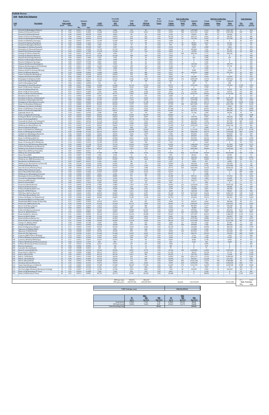|                                                                             |          | Roadway                       | Emission                  |                             |                          | Seasonall<br>Adjusted   | <b>VMT</b><br>Peak    | <b>VMT</b><br><b>Off-Peak</b> | Peak<br>Period<br><b>Factor</b> | Period<br><b>Volume</b> | Peak Traffic Data<br>Average | Adjusted                  | Period<br>Volume   | <b>Off-Peak Traffic Data</b><br>Average | Adjusted                  |                            | <b>Link Emissions</b> |
|-----------------------------------------------------------------------------|----------|-------------------------------|---------------------------|-----------------------------|--------------------------|-------------------------|-----------------------|-------------------------------|---------------------------------|-------------------------|------------------------------|---------------------------|--------------------|-----------------------------------------|---------------------------|----------------------------|-----------------------|
| <b>Description</b>                                                          | Speed    | <b>Link Length</b><br>(miles) | (g/mi)<br>NO <sub>x</sub> | <b>Factor</b><br><b>VOC</b> | <b>AADT</b><br>(veh/day) | <b>ADT</b><br>(veh/day) | (veh-miles)           | (veh-miles)                   |                                 | (vehicles)              | Delay<br>(sec)               | Delay<br>(veh-sec)        | (vehicles)         | <b>Delay</b><br>(sec)                   | <b>Delay</b><br>(veh-sec) | NO <sub>x</sub><br>(grams) |                       |
| Prescott St (Bennington/Chelsea)<br>Chelsea St (Visconti/Prescott)          | 25<br>25 | 0.02<br>0.46                  | 0.0411<br>0.0411          | 1.7265<br>0.1052            | 9,386<br>12,460          | 9,386<br>12,460         | 105<br>3,220          | 82<br>2,512                   | 0.56<br>0.56                    | 5,272<br>6,999          | 284<br>590                   | 1,497,859<br>4,131,761    | 4,114<br>5,461     | 256<br>531                              | 1,051,787<br>2,901,296    | 8<br>235                   |                       |
| Prescott St (Chelsea/Bremen)<br>Chelsea St (Prescott/Bennigton)             | 25<br>25 | 0.04<br>0.06                  | 0.0447<br>0.0461          | 0.8798<br>0.5976            | 2,023<br>19.095          | 2,023<br>19.095         | 45<br>644             | 35<br>502                     | 0.56<br>0.56                    | 1,136<br>10.726         | 21<br>24                     | 23,691<br>260.115         | 887<br>8.369       | 19<br>22                                | 16,636<br>182.651         | 4<br>53                    |                       |
| Chelsea St (Bennington/MobilGas)<br>Chelsea St (MobilGas/Saratoga           | 25<br>25 | 0.06<br>0.06                  | 0.0545<br>0.0437          | 0.5993<br>0.5971            | 13,512<br>13,189         | 13,512<br>13,189        | 455<br>445            | 355<br>347                    | 0.56<br>0.56                    | 7,590<br>7,408          | 96<br>$\Omega$               | 731,704                   | 5,922<br>5,780     | 87<br>$\Omega$                          | 513,798<br>$\Omega$       | 44<br>35                   |                       |
| Unamed St (Chelsea/Beningtor<br>Unamed St (Benington/Bremen)                | 25<br>25 | 0.03<br>0.02                  | 0.0545<br>0.0499          | 1.1643<br>1.7284            | 6,716<br>1,699           | 6,716<br>1,699          | 113<br>19             | 88<br>15                      | 0.56<br>0.56                    | 3,772<br>954            | 24<br>20                     | 88,652<br>18,803          | 2,943<br>745       | 21<br>18                                | 62,251<br>13,203          | 11<br>2                    |                       |
| Bennington St (Chelsea/Unamed<br>Bennington St (Unamed/Neptune)             | 25<br>25 | 0.07<br>0.11                  | 0.0456<br>0.0424          | 0.5168<br>0.3400            | 5,907<br>16,749          | 5,907<br>16.749         | 232<br>1,035          | 181<br>807                    | 0.56<br>0.56                    | 3,318<br>9,408          | $\mathbf{1}$<br>74           | 2,654<br>693,864          | 2,589<br>7,341     | 1<br>66                                 | 1,864<br>487,227          | 19<br>78                   |                       |
| Neptune Rd (Chelsea/Saratoga                                                | 25       | 0.02                          | 0.0621                    | 1.7309                      | 17,558                   | 17,558                  | 197                   | 154                           | 0.56                            | 9,863                   | $\overline{4}$               | 35,999                    | 7,695              | 3                                       | 25,278                    | 22                         |                       |
| Saratoga St (Chelsea/Neptune)<br>Saratoga St (Neptune/Bremen)               | 25<br>25 | 0.04<br>0.05                  | 0.0411<br>0.0526          | 0.8790<br>0.7119            | 4,046<br>14,160          | 4,046<br>14,160         | 91<br>398             | 71<br>310                     | 0.56<br>0.56                    | 2,273<br>7,954          | 400<br>$\Omega$              | 908,789<br>$\Omega$       | 1,773<br>6,206     | 360<br>$\Omega$                         | 638,146<br>$\Omega$       | $\overline{7}$<br>37       |                       |
| Neptune Rd (Saratoga/Bremen<br>Bremen St (Bennington/Neptune                | 25<br>25 | 0.02<br>0.03                  | 0.0621<br>0.0411          | 1.7309<br>1.1615            | 7,525<br>3,398           | 7,525<br>3,398          | 85<br>57              | 66<br>45                      | 0.56<br>0.56                    | 4.227<br>1,909          | $\bf{0}$<br>$\mathbf{0}$     | 423<br>$\mathbf{0}$       | 3,298<br>1,489     | $\Omega$<br>$\mathbf{0}$                | 297<br>$\mathbf{0}$       | 9<br>$\overline{4}$        |                       |
| Bremen St (Neptune/Saratoga)<br>Neptune Rd (Bremen/Bennington)              | 25<br>25 | 0.05<br>0.02                  | 0.0475<br>0.0411          | 0.7109<br>1.7265            | 2,832<br>7,363           | 2.832<br>7,363          | 80<br>83              | 62<br>65                      | 0.56<br>0.56                    | 1.591<br>4.136          | $\bf{0}$<br>35               | $\bf{0}$<br>143,520       | 1.241<br>3,227     | $\mathbf{0}$<br>31                      | $\mathbf{0}$<br>100,779   | 7<br>6                     |                       |
| Neptune Rd (Bennington/Rt1AOnRamp)                                          | 25<br>30 | 0.02<br>0.10                  | 0.0411<br>0.0571          | 1.7265<br>0.3699            | 16,263<br>7,848          | 16,263<br>7,848         | 183<br>441            | 143<br>344                    | 0.56<br>0.56                    | 9,136<br>4,409          | -9<br>$\Omega$               | 82,221<br>$\Omega$        | 7,128<br>3,440     | 8<br>$\Omega$                           | 57,735<br>$\Omega$        | 13<br>45                   |                       |
| Route 1A Onramp (Neptune)<br>Neptune Rd (Rt1A Onramp/Offramp)               | 25       | 0.02                          | 0.0411                    | 1.7265                      | 9,709                    | 9,709                   | 109                   | 85                            | 0.56                            | 5,454                   | $\mathbf{1}$                 | 3,000                     | 4,255              | $\Omega$                                | 2,106                     | 8                          |                       |
| Route 1A Offramp (Neptune)<br>Vienna St (Neptune/Bennington)                | 30<br>25 | 0.10<br>0.07                  | 0.0298<br>0.0456          | 0.3644<br>0.5168            | 11,085<br>10,033         | 11,085<br>10,033        | 623<br>395            | 486<br>308                    | 0.56<br>0.56                    | 6,227<br>5,636          | 68<br>$\bf{0}$               | 423,420<br>$\bf{0}$       | 4,858<br>4,397     | 61<br>$\mathbf{0}$                      | 297,323<br>$\mathbf{0}$   | 33<br>32                   |                       |
| Neptune Rd (Vienna/Frankfort)<br>Bennington St (Neptune/Swift)              | 25<br>30 | 0.03<br>0.18                  | 0.0817<br>0.0473          | 1.1699<br>0.2173            | 10,114<br>31,313         | 10,114<br>31,313        | 170<br>3,166          | 133<br>2,470                  | 0.56<br>0.56                    | 5,681<br>17,589         | 29<br>114                    | 162,487<br>2,004,320      | 4,433<br>13,724    | 26<br>103                               | 114,097<br>1,407,421      | 25<br>267                  |                       |
| Swift St (Saratoga/Bennington                                               | 25<br>25 | 0.04<br>0.06                  | 0.0564<br>0.0862          | 0.8822<br>0.6058            | 6,149<br>162             | 6,149<br>162            | 138<br>-5             | 108<br>$\overline{4}$         | 0.56<br>0.56                    | 3,454<br>91             | $\overline{5}$<br>4          | 16,580<br>327             | 2,695<br>71        | 4<br>$\mathbf{3}$                       | 11,643<br>230             | 14<br>$\overline{1}$       |                       |
| Swift St (Bennington/End)<br>Bennington St (Swift/Boardman)                 | 30       | 0.88                          | 0.0417                    | 0.0664                      | 32,608                   | 32,608                  | 16,119                | 12,576                        | 0.56                            | 18,317                  | 60                           | 1,097,169                 | 14,291             | 54                                      | 770,425                   | 1,198                      |                       |
| Route 1A SB (Curtis/Neptune)<br>Curtis St (Chelsea/Route1A)                 | 45<br>25 | 0.29<br>0.07                  | 0.0606<br>0.0697          | 0.1408<br>0.5216            | 13,027<br>8,010          | 13.027<br>8.010         | 2,122<br>315          | 1,656<br>246                  | 0.56<br>0.56                    | 7.318<br>4,500          | $\bf{0}$<br>24               | $\bf{0}$<br>107,541       | 5,709<br>3,511     | $\mathbf{0}$<br>22                      | $\mathbf{0}$<br>75,515    | 229<br>39                  |                       |
| Route 1A SB (U-Turn/Curtis)<br>Route 1A NB (U-Turn/Boardman)                | 45<br>45 | 0.51<br>0.21                  | 0.0514<br>0.0511          | 0.1838<br>0.0901            | 7,282<br>45,715          | 7,282<br>45,715         | 2,086<br>5,393        | 1,628<br>4,207                | 0.56<br>0.56                    | 4,091<br>25,680         | 15<br>176                    | 61,768<br>4,522,197       | 3,192<br>20,036    | 14<br>158                               | 43,373<br>3,175,458       | 191<br>491                 |                       |
| Boardman St (End/Route 1A)                                                  | 25       | 0.11                          | 0.0452                    | 0.3406                      | 4,450                    | 4,450                   | 275                   | 215                           | 0.56                            | 2,500                   | $\Omega$                     | $\Omega$                  | 1,950              | $\Omega$                                | $\Omega$                  | 22                         |                       |
| Boardman St (Route 1A/Bennington)<br>Boardman St (Bennington/Barnes)        | 25<br>25 | 0.47<br>0.09                  | 0.0439<br>0.0489          | 0.1042<br>0.4098            | 12,784<br>27,187         | 12,784<br>27,187        | 3,375<br>1,374        | 2,633<br>1,072                | 0.56<br>0.56                    | 7,181<br>15,271         | 333<br>84                    | 2,391,349<br>1,279,750    | 5,603<br>11,915    | 300<br>75                               | 1,679,190<br>898,632      | 264<br>120                 |                       |
| Bennignton St (Boardman/Crescent<br>Route 1A (Boardman/Waldemar)            | 25<br>45 | 1.10<br>0.16                  | 0.0419<br>0.0684          | 0.0625<br>0.2370            | 23,222<br>85,443         | 23,222<br>85,443        | 14,349<br>7,679       | 11,195<br>5,992               | 0.56<br>0.56                    | 13.044<br>47,996        | 37<br>180                    | 481,338<br>8,617,693      | 10,177<br>37,447   | 33<br>162                               | 337,992<br>6,051,290      | 1,070<br>935               |                       |
| Waldemar Ave (Route 1A/Wally)<br>Route 1A (Waldemar/Tomesello)              | 25<br>45 | 0.73<br>0.09                  | 0.0435<br>0.0996          | 0.0784<br>0.4069            | 3,722<br>84,311          | 3,722<br>84,311         | 1,526<br>4,262        | 1,191<br>3,326                | 0.56<br>0.56                    | 2,091<br>47,360         | 6<br>6                       | 13,276<br>293,630         | 1,631<br>36,951    | 6<br>6                                  | 9,322<br>206,185          | 118<br>756                 |                       |
| Route 1A (Tomesello/Jughandle)                                              | 45       | 0.08                          | 0.1080                    | 0.4554                      | 82,611                   | 82,611                  | 3,712                 | 2,896                         | 0.56                            | 46,405                  | 19                           | 867,779                   | 36,206             | 17                                      | 609,349                   | 714                        |                       |
| Jughandle (Route 1A)<br>Route 1A (Jughandle/Furlong)                        | 25<br>45 | 0.10<br>0.49                  | 0.0411<br>0.0435          | 0.3705<br>0.0903            | 2.508<br>86,981          | 2.508<br>86,981         | 141<br>23,941         | 110<br>18,679                 | 0.56<br>0.56                    | 1,409<br>48,860         | 41<br>$\mathbf{0}$           | 57,768<br>$\mathbf{0}$    | 1,099<br>38,121    | 37<br>$\mathbf{0}$                      | 40,564<br>$\mathbf{0}$    | 10<br>1,854                |                       |
| Furlong Dr (Route 1A/Tomesello)<br>Route 1A (Furlong/BellCir)               | 25<br>30 | 0.47<br>0.53                  | 0.0415<br>0.0478          | 0.1037<br>0.0930            | 10.033<br>69,585         | 10.033<br>69,585        | 2,649<br>20,716       | 2,067<br>16,163               | 0.56<br>0.56                    | 5.636<br>39,088         | 35<br>26                     | 199,793<br>1,024,098      | 4.397<br>30,497    | 32<br>24                                | 140,293<br>719,115        | 196<br>1,764               |                       |
| Tomesello Dr (Route 1A/ Furlong Dr)<br>Tomesello Dr (Furlong/Route145)      | 25<br>25 | 0.79<br>0.24                  | 0.0411<br>0.0411          | 0.0744<br>0.1727            | 21,118<br>25,487         | 21,118<br>25,487        | 9,372<br>3,436        | 7,312<br>2,681                | 0.56<br>0.56                    | 11,863<br>14,317        | 39<br>27                     | 466,796<br>383,696        | 9,255<br>11,170    | 35<br>24                                | 327,781<br>269,429        | 685<br>251                 |                       |
| Winthrop Ave (Beach/Route 16)                                               | 25       | 0.31                          | 0.0425                    | 0.1412                      | 20,633                   | 20,633                  | 3,593                 | 2,803                         | 0.56                            | 11,590                  | 254                          | 2,943,270                 | 9,043              | 229                                     | 2,066,746                 | 272                        |                       |
| Harris St (Route16/Beach)<br>Route 16 (Garfield Ave/Winthrop)               | 25<br>35 | 0.27<br>1.42                  | 0.0448<br>0.0417          | 0.1578<br>0.0488            | 2,508<br>68,775          | 2,508<br>68,775         | 380<br>54,859         | 297<br>42,802                 | 0.56<br>0.56                    | 1,409<br>38,633         | $\bf{0}$<br>55               | $\mathbf{0}$<br>2,113,236 | 1,099<br>30,142    | $\mathbf{0}$<br>49                      | $\mathbf{0}$<br>1,483,901 | 30<br>4,074                |                       |
| Route 16 (Washington/Garfield)<br>Garfield Ave (Washington/Route16)         | 35<br>25 | 0.32<br>0.36                  | 0.0548<br>0.0435          | 0.1332<br>0.1262            | 56,072<br>12,541         | 56,072<br>12,541        | 10,079<br>2,536       | 7,864<br>1,979                | 0.56<br>0.56                    | 31,497<br>7,045         | 89<br>65                     | 2,806,420<br>455,451      | 24,575<br>5,497    | 80<br>58                                | 1,970,650<br>319,815      | 983<br>196                 |                       |
| Webster Ave (Rt16/Jefferson                                                 | 30<br>35 | 0.08<br>0.32                  | 0.0459<br>0.0452          | 0.4524<br>0.1315            | 20,875<br>45,958         | 20,875<br>45,958        | 938<br>8,261          | 732                           | 0.56<br>0.56                    | 11,726                  | 59<br>22                     | 695,957                   | 9,149              | 53<br>20                                | 488,696                   | 77<br>665                  |                       |
| Route 16 (Winthrop/Bell Cir<br>Winthrop Ave (Rt16/Rt1A0nramp)               | 35       | 0.12                          | 0.0535                    | 0.3096                      | 65,458                   | 65,458                  | 4,412                 | 6,445<br>3,443                | 0.56                            | 25,816<br>36,770        | 69                           | 567,953<br>2,553,656      | 20,142<br>28,688   | 63                                      | 398,813<br>1,793,161      | 420                        |                       |
| Route 1A Onramp (Rt1A/Winthrop)<br>Winthrop Ave (Rt1AOnramp/NShoreRd)       | 30<br>40 | 0.14<br>0.39                  | 0.0303<br>0.0495          | 0.2676<br>0.1108            | 12,784<br>75,734         | 12.78<br>75,734         | 1.005<br>16,591       | 784<br>12,945                 | 0.56<br>0.56                    | 7,181<br>42,542         | $\bf{0}$<br>31               | $\bf{0}$<br>1,306,038     | 5.603<br>33,192    | $\mathbf{0}$<br>28                      | $\mathbf{0}$<br>917,092   | -54<br>1,462               |                       |
| N Shore Rd (Winthrop Ave/Beach St)<br>Winthrop Ave (N Shore/Tomesello)      | 30<br>40 | 0.59<br>0.05                  | 0.0436<br>0.0423          | 0.0857<br>0.7007            | 12,622<br>68,533         | 12,622<br>68,533        | 4,183<br>1,925        | 3,264<br>1,502                | 0.56<br>0.56                    | 7,090<br>38,497         | 22<br>54                     | 153,860<br>2,092,303      | 5,532<br>30,036    | 20<br>49                                | 108,040<br>1,469,202      | 325<br>145                 |                       |
| Shaws Drwy (Withrop/Tomesello)                                              | 15       | 0.07                          | 0.0497                    | 0.5317                      | $\Omega$                 | $\Omega$                |                       | $\Omega$                      | 0.56                            |                         | $\Omega$                     | $\Omega$                  | $\Omega$           | $\Omega$                                | $\mathbf{0}$              | $\mathbf{0}$               |                       |
| Withrop Ave (Tomesello/RBP)<br>Shaws Drwy (RBP)                             | 40<br>15 | 0.16<br>0.05                  | 0.0423<br>0.0497          | 0.2346<br>0.7255            | 67,400<br>1,456          | 67,400<br>1.456         | 6,058<br>41           | 4,726<br>32                   | 0.56<br>0.56                    | 37,861<br>818           | 402<br>74                    | 15,229,398<br>60.213      | 29,539<br>638      | 362<br>66                               | 10,693,987<br>42.281      | 456<br>$\overline{4}$      |                       |
| Revere Beach Pkwy (Withrop/State)<br>Winthrop Ave (RBP/Beachmont Lot)       | 40<br>25 | 0.30<br>0.13                  | 0.0436<br>0.0436          | 0.1359<br>0.2928            | 50,327<br>29,209         | 50,327<br>29,209        | 8,481<br>2,133        | 6,617<br>1,664                | 0.56<br>0.56                    | 28,270<br>16,408        | 25<br>49                     | 706,760<br>798,237        | 22,057<br>12,802   | 23<br>44                                | 496,283<br>560,517        | 659<br>166                 |                       |
| Beachmont Lot (Winthrop Ave)                                                | 15<br>25 | 0.07<br>0.09                  | 0.0497<br>0.0744          | 0.5317<br>0.4150            | 2,185<br>19,581          | 2,185<br>19,58          | 86<br>990             | 67<br>772                     | 0.56<br>0.56                    | 1,227<br>10,999         | 8<br>33                      | 9.940<br>360,220          | 957<br>8,582       | 7<br>29                                 | 6,980<br>252,945          | 8<br>131                   |                       |
| Winthrop Ave (Beachmont Lot/State Rd<br>State Rd (Winthrop/Ocean)           | 35       | 0.26                          | 0.0484                    | 0.1565                      | 10,761                   | 10,761                  | 1,572                 | 1,226                         | 0.56                            | 6,045                   | 239                          | 1,442,629                 | 4,716              |                                         | 1,013,005                 | 135                        |                       |
| State Rd (Ocean/Wintrhop Pkwy)<br>Withrop Pkwy (State/Leverett)             | 35<br>30 | 0.09<br>0.39                  | 0.0410<br>0.0425          | 0.4015<br>0.1149            | 35,197<br>21,846         | 35,197<br>21,846        | 1,779<br>4,786        | 1,388<br>3,734                | 0.56<br>0.56                    | 19,771<br>12,272        | 295<br>3                     | 5,833,465<br>34,361       | 15,426<br>9,575    | 266<br>3                                | 4,096,222<br>24,128       | 130<br>362                 |                       |
| Revere Beach Blvd (State/Beach)<br>Winthrop Ave (Bennington/Crescent)       | 30<br>25 | 0.43<br>$0.18\,$              | 0.0410<br>0.0702          | 0.1065<br>0.2257            | 21,927<br>6,635          | 21,927<br>6,635         | 5,296<br>671          | 4,132<br>523                  | 0.56<br>0.56                    | 12,317<br>3,727         | $\bf{0}$<br>$\bf{0}$         | $\bf{0}$<br>$\bf{0}$      | 9,610<br>2,908     | $\mathbf{0}$<br>$\Omega$                | $\bf{0}$<br>$\Omega$      | 387<br>84                  |                       |
| Bennington St (Crescent/Withrop)                                            | 25       | 0.06                          | 0.0783                    | 0.6041                      | 28,805                   | 28,805                  | 971                   | 757                           | 0.56                            | 16,180                  | 24                           | 389,141                   | 12,624             | 22                                      | 273,252                   | 135                        |                       |
| Crescent Ave (Bennington/Winthrop)<br>Ocean Ave (RBP/Beach)                 | 25<br>30 | 0.17<br>0.49                  | 0.0633<br>0.0418          | 0.2355<br>0.0971            | 3,156<br>34,630          | 3,156<br>34,630         | 301<br>9,532          | 235<br>7,437                  | 0.56<br>0.56                    | 1,773<br>19,453         | 11<br>17                     | 19,410<br>328,755         | 1,383<br>15,177    | 10<br>15                                | 13,629<br>230,850         | 34<br>710                  |                       |
| Beach St (Ocean/RBP)<br>Ocean Ave (Beach/Revere)                            | 25<br>30 | 0.03<br>0.74                  | 0.0411<br>0.0422          | 1.1615<br>0.0738            | 1,456<br>17,882          | 1,456<br>17,882         | 25<br>7,433           | 19<br>5,799                   | 0.56<br>0.56                    | 818<br>10,045           | $\bf{0}$<br>151              | $\mathbf{0}$<br>1,518,246 | 638<br>7,837       | $\mathbf{0}$<br>136                     | $\mathbf{0}$<br>1,066,103 | 2<br>558                   |                       |
| Beach St (N Shore/Ocean)<br>N Shore Rd (Beach/Butler Cir)                   | 25<br>30 | 0.09<br>0.24                  | 0.0518<br>0.0482          | 0.4104<br>0.1704            | 6,230<br>11,036          | 6,230<br>11,036         | 315<br>1,488          | 246<br>1,161                  | 0.56<br>0.56                    | 3,500<br>6,199          | 24<br>24                     | 83,293<br>149,098         | 2,731<br>4,837     | 21<br>22                                | 58,488<br>104,696         | 29<br>128                  |                       |
| Beach St (VFW/N Shore)                                                      | 25       | 0.32                          | 0.0495                    | 0.1392                      | 7,848                    | 7,848                   | 1,411                 | 1,101                         | 0.56                            | 4,409                   | 32                           | 140,418                   | 3,440              | 29                                      | 98,601                    | 124                        |                       |
| VFW Pkwy (Bell Cir/Beach St)<br>VFW Pkwy (Beach/Butler Cir)                 | 35<br>35 | 0.12<br>0.32                  | 0.0424<br>0.0570          | 0.3076<br>0.1336            | 44,825<br>35,262         | 44,825<br>35,262        | 3,022<br>6,338        | 2,357<br>4,945                | 0.56<br>0.56                    | 25,180<br>19,807        | 225<br>18                    | 5,675,516<br>361,486      | 19,646<br>15,454   | 203<br>16                               | 3,985,312<br>253,833      | 228<br>643                 |                       |
| N Shore Rd (Butler Cir/Wnderld Lot)<br>Wonderland MBTA Lot (N Shore Rd)     | 30<br>15 | 0.09<br>0.11                  | 0.0408<br>0.0497          | 0.4043<br>0.3556            | 44,065<br>$\bf{0}$       | 44,065<br>$\bf{0}$      | 2,228<br>$\mathbf{0}$ | 1,738<br>$\bf{0}$             | 0.56<br>0.56                    | 24,753<br>$\mathbf{0}$  | 17<br>$\bf{0}$               | 429,456<br>$\bf{0}$       | 19,312<br>$\bf{0}$ | 16<br>$\mathbf{0}$                      | 301,561<br>$\mathbf{0}$   | 162<br>$\bf{0}$            |                       |
| Wonderland MBTA Garage (N Shore Rd)                                         | 15       | 0.11                          | 0.0497                    | 0.3556                      | 10,519                   | 10,519                  | 650                   | 507                           | 0.56                            | 5,909                   | 73                           | 430,147                   | 4,610              | 66                                      | 302,046                   | 58                         |                       |
| N Shore Rd (MBTA/Revere St)<br>Revere St (N Shore/Ocean)                    | 35<br>25 | 0.35<br>0.17                  | 0.0450<br>0.0456          | 0.1224<br>0.2319            | 51,460<br>11,813         | 51,460<br>11,813        | 10,117<br>1,128       | 7,894<br>880                  | 0.56<br>0.56                    | 28,907<br>6,636         | 79<br>128                    | 2,283,631<br>849,053      | 22,553<br>5,177    | 71<br>115                               | 1,603,551<br>596,200      | 810<br>92                  |                       |
| Revere St (Ocean/RBP)<br>N Shore Rd (Revere/Lynnway)                        | 25<br>35 | 0.04<br>1.97                  | 0.0621<br>0.0419          | 0.8833<br>0.0422            | 12,703<br>53,402         | 12,703<br>53,402        | 285<br>59,095         | 223<br>46,107                 | 0.56<br>0.56                    | 7,136<br>29,998         | $7\phantom{.0}$<br>22        | 46,383<br>659,946         | 5,567<br>23,405    | 6<br>20                                 | 32,570<br>463,410         | 32<br>4,411                |                       |
| Revere St (Rt60/N Shore)<br>Route 60 (Bell Cir / Revere)                    | 25<br>40 | 0.70<br>0.51                  | 0.0419<br>0.0491          | 0.0801<br>0.0903            | 16,021<br>46,120         | 16,021<br>46,120        | 6,299<br>13,213       | 4,915<br>10,309               | 0.56<br>0.56                    | 8,999<br>25,907         | 162<br>76                    | 1,461,030<br>1,977,997    | 7,021<br>20,213    | 146<br>69                               | 1,025,926<br>1,388,937    | 470<br>1,155               |                       |
| Revere St (Rt107/Rt60)                                                      | 25       | 0.24                          | 0.0469                    | 0.1740                      | 17,234                   | 17,234                  | 2,323                 | 1,813                         | 0.56                            | 9,681                   | 21                           | 203,786                   | 7,553              | 19                                      | 143,097                   | 194                        |                       |
| Route 60 (Revere/Brown Cir)<br>Route 60 (Brown Cir/Charger St)              | 35<br>35 | 0.37<br>0.41                  | 0.0432<br>0.0439          | 0.1168<br>0.1080            | 43,320<br>50,408         | 43,320<br>50,408        | 9,004<br>11,610       | 7,025<br>9,058                | 0.56<br>0.56                    | 24,334<br>28,316        | 255<br>157                   | 6,197,963<br>4,437,095    | 18,986<br>22,092   | 229<br>141                              | 4,352,171<br>3,115,700    | 693<br>907                 |                       |
| Charger St (Malden/Rt60)<br>Charger St (Rt 60/Ward)                         | 25<br>25 | 0.40<br>0.13                  | 0.0496<br>0.0472          | 0.1180<br>0.2936            | 3,560<br>16,668          | 3,560<br>16,668         | 800<br>1,217          | 624<br>950                    | 0.56<br>0.56                    | 2,000<br>9,363          | 63<br>106                    | 125,190<br>994,805        | 1,560<br>7,305     | 56<br>96                                | 87,907<br>698,546         | 71<br>102                  |                       |
| Route 60 (Sigourney/Charger)<br>Sigourney St (Malden/Rt60)                  | 35<br>25 | 0.17<br>0.31                  | 0.0559<br>0.0418          | 0.2269<br>0.1410            | 46,525<br>4,855          | 46,525<br>4,855         | 4,443<br>845          | 3,466<br>660                  | 0.56<br>0.56                    | 26,134<br>2,727         | 21<br>43                     | 546,205<br>117,809        | 20,390<br>2,128    | 19<br>39                                | 383,542<br>82,724         | 442<br>63                  |                       |
| Sigourney St (Rt60/Retail)                                                  | 15       | 0.10                          | 0.0698                    | 0.3907                      | 15,292                   | 15,292                  | 859                   | 670                           | 0.56                            | 8,590                   | 102                          | 874,912                   | 6,702              | 92                                      | 614,358                   | 107                        |                       |
| Route 60 (Rt1/Sigourney)<br>Lynnway (RBP/N Shore SB Ramp)                   | 35<br>25 | 0.22<br>0.25                  | 0.0530<br>0.0421          | 0.1811<br>0.1673            | 51,460<br>16,263         | 51,460<br>16,263        | 6,359<br>2,284        | 4,962<br>1,782                | 0.56<br>0.56                    | 28,907<br>9,136         | 10<br>$\bf{0}$               | 284,731<br>2,741          | 22,553<br>7,128    | 9<br>$\bf{0}$                           | 199,936<br>1,924          | 600<br>171                 |                       |
| N Shore SB Ramp (Lynnway/N Shore)<br>Lynnway (SB Ramp/NB Ramps)             | 25<br>25 | 0.18<br>0.11                  | 0.0461<br>0.0411          | 0.2209<br>0.3397            | 4,450<br>15,373          | 4,450<br>15,373         | 450<br>950            | 351<br>741                    | 0.56<br>0.56                    | 2,500<br>8,636          | $7\overline{ }$<br>1         | 17,499<br>8,636           | 1,950<br>6,738     | 6<br>$\mathbf{1}$                       | 12,287<br>6,064           | 37<br>69                   |                       |
| N Shore NB Offramp (N Shore/Lynnway)<br>N Shore NB Onramp (N Shore/Lynnway) | 25<br>25 | 0.03<br>0.07                  | 0.0174<br>0.0519          | 1.1557<br>0.5180            | 809<br>13,917            | 809<br>13,917           | 14<br>547             | 11<br>427                     | 0.56<br>0.56                    | 455<br>7,818            | 11<br>$\bf{0}$               | 5,181<br>$\bf{0}$         | 355<br>6,099       | 10<br>$\mathbf{0}$                      | 3,638<br>$\mathbf{0}$     | $\bf{0}$<br>51             |                       |
| Rice Ave (Lynnway)                                                          | 25       | 0.06                          | 0.0366                    | 0.5956                      | 728                      | 728                     | 25                    | 19                            | 0.56                            | 409                     | $\mathbf{0}$                 | $\mathbf{0}$              | 319                | $\mathbf{0}$                            | $\mathbf{0}$              | $\overline{2}$             |                       |
| Lancaster Ave (Lynnway)<br>Beach St (Central/Bell Cir)                      | 25<br>25 | 0.20<br>0.34                  | 0.0420<br>0.0438          | 0.2012<br>0.1318            | 162<br>25,326            | 162<br>25,326           | 18<br>4,837           | 14<br>3,774                   | 0.56<br>0.56                    | 91<br>14,226            | $\bf{0}$<br>160              | $\bf{0}$<br>2,269,064     | 71<br>11,099       | $\mathbf{0}$<br>144                     | $\mathbf{0}$<br>1,593,322 | -1<br>377                  |                       |
| Route 60 (Ctr of Bell Cir)<br>Bell Cir (Rt1A/VFW)                           | 40<br>25 | 0.06<br>0.05                  | 0.0458<br>0.0411          | 0.5883<br>0.7095            | 38,191<br>43,126         | 38,191<br>43,126        | 1,287<br>1,211        | 1,004<br>945                  | 0.56<br>0.56                    | 21,453<br>24,225        | 2<br>$4\overline{ }$         | 38,615<br>101,746         | 16,738<br>18,901   | 2<br>4                                  | 27,115<br>71,446          | 105<br>89                  |                       |
| Bell Cir (VFW/Rt60)                                                         | 25       | 0.05                          | 0.0411                    | 0.7095                      | 30,018                   | 30,018                  | 843                   | 658                           | 0.56                            | 16,862                  | 286                          | 4,814,173                 | 13,156             | 257                                     | 3,380,482                 | 62                         |                       |
| Bell Cir (Rt 60/Beach)<br>Bell Cir (Beach/Rt1A)                             | 25<br>25 | 0.05<br>0.05                  | 0.0411<br>0.0411          | 0.7095<br>0.7095            | 27,672<br>28,238         | 27,672<br>28,238        | 777<br>793            | 606<br>619                    | 0.56<br>0.56                    | 15,544<br>15,862        | 19<br>834                    | 301,557<br>13,221,256     | 12,128<br>12,376   | 17<br>750                               | 211,751<br>9,283,883      | 57<br>58                   |                       |
| Broadway (Revere/Brown Cir)<br>Salem Tnpk (Brown Cir/Ballard)               | 30<br>55 | 0.33<br>2.29                  | 0.0462<br>0.0467          | 0.1315<br>0.0339            | 17,072<br>37,398         | 17,072<br>37,398        | 3,165<br>48,107       | 2,469<br>37,534               | 0.56<br>0.56                    | 9,590<br>21,007         | 245<br>274                   | 2,350,539<br>5,761,270    | 7,482<br>16,390    | 221<br>247                              | 1,650,534<br>4,045,528    | 260<br>3,998               |                       |
| Site Drwy Left (Winthrop)<br>Site Drwy Right (Winthrop/Beachmont Parking)   | 15<br>15 | $0.50\,$<br>0.50              | 0.0497<br>0.0497          | 0.1152<br>0.1152            | 1,214<br>12,784          | 1,214<br>12,784         | 341<br>3,591          | 266<br>2,801                  | 0.56<br>0.56                    | 682<br>7,181            | $\bf{0}$<br>60               | $\bf{0}$<br>433,387       | 532<br>5,603       | $\Omega$<br>54                          | $\Omega$<br>304,322       | 30<br>318                  |                       |
| Route 1A SB (Boardman/U-Turn)                                               | 45       | 0.21                          | 0.0514                    | 0.1838                      | 7,282                    | 7,282                   | 859                   | 670                           | 0.56                            | 4,091                   | $\bf{0}$                     | $\mathbf{0}$              | 3,192              | $\bf{0}$                                | $\mathbf{0}$              | 79                         |                       |
| Route 1A NB (Curtis/U-Turn)                                                 | 45       | 0.51                          | 0.0511                    | 0.0901                      | 45,715                   | 45,715                  | 13,097                | 10,218                        | 0.56                            | 25,680                  | $\bf{0}$                     | $\mathbf{0}$              | 20,036             | $\bf{0}$                                | $\bf{0}$                  | 1,192                      |                       |

|                 |        | <b>NOx</b> |          |        | <b>VOC</b> |          |
|-----------------|--------|------------|----------|--------|------------|----------|
|                 | EF     | Idle       | Idle     | EF     | Idle       | Idle     |
|                 | (g/s)  | (g/day)    | (kg/day) | (g/s)  | (g/day)    | (kg/day) |
| Peak Period     | 0.0001 | 7,786      | 7.79     | 0.0002 | 20,192     | 20.19    |
| Off-Peak Period | 0.0001 | 5,468      | 5.47     | 0.0002 | 14.179     | 14.18    |

| $\frac{1}{2}$             | . | <br>$\cdots$        | . | . | -----  |
|---------------------------|---|---------------------|---|---|--------|
| (Including Link)<br>Total |   | $P \cap R$<br>56.32 |   |   | 149.25 |
|                           |   |                     |   |   |        |

**338,236,090.46**

**VMT** Total (p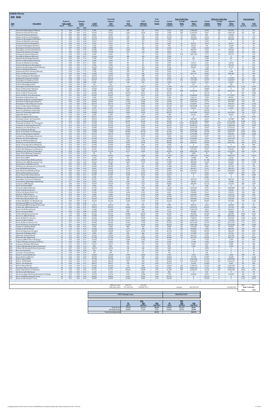|                                                       | <b>Suffolk Downs</b><br>2040 Build                                        |                                               |              |                          |                                     |                          |                                                          |                                   |                                              |                                 |                                |                                                       |                                       |                                       |                                                                  |                                       |                                                     |                           |
|-------------------------------------------------------|---------------------------------------------------------------------------|-----------------------------------------------|--------------|--------------------------|-------------------------------------|--------------------------|----------------------------------------------------------|-----------------------------------|----------------------------------------------|---------------------------------|--------------------------------|-------------------------------------------------------|---------------------------------------|---------------------------------------|------------------------------------------------------------------|---------------------------------------|-----------------------------------------------------|---------------------------|
| Link<br>No.                                           | <b>Description</b>                                                        | Roadway<br><b>Link Length</b><br><b>Speed</b> | (miles)      |                          | <b>Emission</b><br>Factor<br>(g/mi) | <b>AADT</b><br>(veh/day) | Seasonally<br><b>Adjusted</b><br><b>ADT</b><br>(veh/day) | <b>VMT</b><br>Peak<br>(veh-miles) | <b>VMT</b><br><b>Off-Peak</b><br>(veh-miles) | Peak<br>Period<br><b>Factor</b> | Period<br>Volume<br>(vehicles) | <b>Peak Traffic Data</b><br>Average<br>Delay<br>(sec) | Adjusted<br><b>Delay</b><br>(veh-sec) | Period<br><b>Volume</b><br>(vehicles) | <b>Off-Peak Traffic Data</b><br>Average<br><b>Delay</b><br>(sec) | Adjusted<br><b>Delay</b><br>(veh-sec) | <b>Link Emissions</b><br>NO <sub>x</sub><br>(grams) | <b>VOC</b><br>(grams)     |
|                                                       | Prescott St (Bennington/Chelsea)<br>Chelsea St (Visconti/Prescott)        | 25<br>25                                      | 0.02<br>0.46 | $NO_{x}$<br>0.04<br>0.04 | <b>VOC</b><br>1.73<br>0.11          | 9,305<br>12,541          | 9,305<br>12,541                                          | 105<br>3,241                      | 82<br>2,528                                  | 0.56<br>0.56                    | 5,227<br>7,045                 | 265<br>590                                            | 1,386,420<br>4,158,591                | 4,078<br>5,497                        | 239<br>531                                                       | 973,536<br>2,920,136                  | 8<br>237                                            | 321<br>607                |
|                                                       | Prescott St (Chelsea/Bremen)                                              | 25                                            | 0.04         | 0.04                     | 0.88                                | 2,023                    | 2,023                                                    | 45                                | 35                                           | 0.56                            | 1,136                          | 21                                                    | 23,691                                | 887                                   | 19                                                               | 16,636                                | $\overline{4}$                                      | 71                        |
|                                                       | Chelsea St (Prescott/Bennigton)                                           | 25                                            | 0.06         | 0.05                     | 0.60                                | 18,933                   | 18,933                                                   | 638                               | 498                                          | 0.56                            | 10,635                         | 22                                                    | 235,044                               | 8,298                                 | 20                                                               | 165,047                               | 52                                                  | 679                       |
|                                                       | Chelsea St (Bennington/MobilGas)                                          | 25                                            | 0.06         | 0.05                     | 0.60                                | 13,270                   | 13,270                                                   | 447                               | 349                                          | 0.56                            | 7,454                          | 96                                                    | 718,559                               | 5,816                                 | 87                                                               | 504,568                               | 43                                                  | 477                       |
|                                                       | Chelsea St (MobilGas/Saratoga)                                            | 25                                            | 0.06         | 0.04                     | 0.60                                | 13,027                   | 13,027                                                   | 439                               | 343                                          | 0.56                            | 7,318                          | $\bf{0}$                                              | $\bf{0}$                              | 5,709                                 | $\Omega$                                                         | $\bf{0}$                              | 34                                                  | 467                       |
|                                                       | Unamed St (Chelsea/Benington)                                             | 25                                            | 0.03         | 0.05                     | 1.16                                | 6,554                    | 6,554                                                    | 110                               | 86                                           | 0.56                            | 3,682                          | 23                                                    | 85,411                                | 2,872                                 | 21                                                               | 59,975                                | 11                                                  | 229                       |
|                                                       | Unamed St (Benington/Bremen                                               | 25                                            | 0.02         | 0.05                     | 1.73                                | 1,699                    | 1,699                                                    | 19                                | 15                                           | 0.56                            | 954                            | 20                                                    | 18,612                                | 745                                   | 18                                                               | 13,069                                | 2                                                   | 59                        |
|                                                       | Bennington St (Chelsea/Unamed)                                            | 25                                            | 0.07         | 0.05                     | 0.52                                | 5,988                    | 5,988                                                    | 235                               | 184                                          | 0.56                            | 3,363                          | 1                                                     | 2,354                                 | 2,624                                 | $\mathbf{1}$                                                     | 1,653                                 | 19                                                  | 217                       |
| 10                                                    | Bennington St (Unamed/Neptune)                                            | 25                                            | 0.11         | 0.04                     | 0.34                                | 16,506                   | 16,506                                                   | 1,020                             | 796                                          | 0.56                            | 9,272                          | 76                                                    | 705,597                               | 7,234                                 | 68                                                               | 495,466                               | 77                                                  | 617                       |
| 11                                                    |                                                                           | 25                                            | 0.02         | 0.06                     | 1.73                                | 17,558                   | 17,558                                                   | 197                               | 154                                          | 0.56                            | 9,863                          | $4\overline{ }$                                       | 35,506                                | 7,695                                 | 3                                                                | 24,932                                | 22                                                  | 608                       |
| 12                                                    | Neptune Rd (Chelsea/Saratoga)<br>Saratoga St (Chelsea/Neptune)            | 25                                            | 0.04         | 0.04                     | 0.88                                | 4,046                    | 4,046                                                    | 91                                | 71                                           | 0.56                            | 2,273                          | 470                                                   | 1,067,185                             | 1,773                                 | 423                                                              | 749,371                               | $\overline{7}$                                      | 142                       |
| 13                                                    | Saratoga St (Neptune/Bremen)                                              | 25                                            | 0.05         | 0.05                     | 0.71                                | 14,160                   | 14,160                                                   | 398                               | 310                                          | 0.56                            | 7,954                          | $\bf{0}$                                              | $\bf{0}$                              | 6,206                                 | $\mathbf{0}$                                                     | $\bf{0}$                              | 37                                                  | 504                       |
| 14                                                    | Neptune Rd (Saratoga/Bremen)                                              | 25                                            | 0.02         | 0.06                     | 1.73                                | 7,525                    | 7,525                                                    | 85                                | 66                                           | 0.56                            | 4,227                          | $\bf{0}$                                              | 423                                   | 3,298                                 | $\mathbf{0}$                                                     | 297                                   | 9                                                   | 260                       |
| 15                                                    | Bremen St (Bennington/Neptune                                             | 25                                            | 0.03         | 0.04                     | 1.16                                | 3,398                    | 3,398                                                    | 57                                | 45                                           | 0.56                            | 1,909                          | $\bf{0}$                                              | $\Omega$                              | 1,489                                 | $\Omega$                                                         | $\bf{0}$                              | $\,4\,$                                             | 118                       |
|                                                       | Bremen St (Neptune/Saratoga)                                              | 25                                            | 0.05         | 0.05                     | 0.71                                | 2,832                    | 2,832                                                    | 80                                | 62                                           | 0.56                            | 1,591                          | 22                                                    | 35,474                                | 1,241                                 | 20                                                               | 24,910                                | 7                                                   | 101                       |
| 17                                                    | Neptune Rd (Bremen/Bennington)                                            | 25                                            | 0.02         | 0.04                     | 1.73                                | 7,282                    | 7,282                                                    | 82                                | 64                                           | 0.56                            | 4,091                          | 35                                                    | 144,193                               | 3,192                                 | 32                                                               | 101,251                               | 6                                                   | 251                       |
|                                                       | Neptune Rd (Bennington/Rt1AOnRamp)                                        | 25                                            | 0.02         | 0.04                     | 1.73                                | 16,263                   | 16,263                                                   | 183                               | 143                                          | 0.56                            | 9,136                          | -9                                                    | 80,850                                | 7,128                                 | 8                                                                | 56,772                                | 13                                                  | 562                       |
| 19                                                    | Route 1A Onramp (Neptune)                                                 | 30                                            | 0.10         | 0.06                     | 0.37                                | 7,848                    | 7,848                                                    | 441                               | 344                                          | 0.56                            | 4,409                          | $\overline{0}$                                        | $\mathbf{0}$                          | 3,440                                 | $\mathbf{0}$                                                     | $\mathbf{0}$                          | 45                                                  | 290                       |
| 20                                                    | Neptune Rd (Rt1A Onramp/Offramp)                                          | 25                                            | 0.02         | 0.04                     | 1.73                                | 9,709                    | 9,709                                                    | 109                               | 85                                           | 0.56                            | 5,454                          |                                                       | 3,000                                 | 4,255                                 | $\Omega$                                                         | 2,106                                 | 8                                                   | 335                       |
|                                                       | Route 1A Offramp (Neptune)                                                | 30                                            | 0.10         | 0.03                     | 0.36                                | 11,085                   | 11,085                                                   | 623                               | 486                                          | 0.56                            | 6,227                          | 69                                                    | 427,779                               | 4,858                                 | 62                                                               | 300,383                               | 33                                                  | 404                       |
| $\frac{21}{22}$                                       | Vienna St (Neptune/Bennington)                                            | 25                                            | 0.07         | 0.05                     | 0.52                                | 10,033                   | 10,033                                                   | 395                               | 308                                          | 0.56                            | 5,636                          | $\bf{0}$                                              | $\bf{0}$                              | 4,397                                 | $\bf{0}$                                                         | $\bf{0}$                              | 32                                                  | 363                       |
|                                                       | Neptune Rd (Vienna/Frankfort)                                             | 25                                            | 0.03         | 0.08                     | 1.17                                | 10,114                   | 10,114                                                   | 170                               | 133                                          | 0.56                            | 5,681                          | 28                                                    | 161,350                               | 4,433                                 | 26                                                               | 113,299                               | 25                                                  | 355                       |
| 24                                                    | Bennington St (Neptune/Swift)                                             | 30                                            | 0.18         | 0.05                     | 0.22                                | 30,747                   | 30,747                                                   | 3,109                             | 2,426                                        | 0.56                            | 17,271                         | 101                                                   | 1,737,494                             | 13,475                                | 91                                                               | 1,220,057                             | 262                                                 | 1,203                     |
| 25                                                    | Swift St (Saratoga/Bennington)                                            | 25                                            | 0.04         | 0.06                     | 0.88                                | 6,230                    | 6,230                                                    | 140                               | 109                                          | 0.56                            | 3,500                          | $\overline{5}$                                        | 16,274                                | 2,731                                 | $4\overline{ }$                                                  | 11,427                                | 14                                                  | 220                       |
| 26                                                    | Swift St (Bennington/End)                                                 | 25                                            | 0.06         | 0.09                     | 0.61                                | 162                      | 162                                                      | - 5                               | $\overline{4}$                               | 0.56                            | 91                             | $\overline{4}$                                        | 327                                   | 71                                    | 3                                                                | 230                                   | 1                                                   | -6                        |
| 27                                                    | Bennington St (Swift/Boardman)                                            | 30                                            | 0.88         | 0.04                     | 0.07                                | 31,313                   | 31,313                                                   | 15,479                            | 12,077                                       | 0.56                            | 17,589                         | 154                                                   | 2,713,175                             | 13,724                                | 139                                                              | 1,905,174                             | 1,150                                               | 1,829                     |
| 28                                                    | Route 1A SB (Curtis/Neptune)                                              | 45                                            | 0.29         | 0.06                     | 0.14                                | 41,265                   | 41,265                                                   | 6,722                             | 5,245                                        | 0.56                            | 23,180                         | $\Omega$                                              | $\Omega$                              | 18,085                                | $\Omega$                                                         | $\Omega$                              | 725                                                 | 1,685                     |
| 29                                                    | Curtis St (Chelsea/Route1A)                                               | 25                                            | 0.07         | 0.07                     | 0.52                                | 9,709                    | 9,709                                                    | 382                               | 298                                          | 0.56                            | 5,454                          | 408                                                   | 2,223,363                             | 4,255                                 | 367                                                              | 1,561,231                             | 47                                                  | 355                       |
| 30                                                    | Route 1A SB (U-Turn/Curtis)                                               | 45                                            | 0.51         | 0.05                     | 0.18                                | 36,896                   | 36,896                                                   | 10,570                            | 8,247                                        | 0.56                            | 20,726                         | $\bf{0}$                                              | $\bf{0}$                              | 16,170                                | $\bf{0}$                                                         | $\bf{0}$                              | 967                                                 | 3,458                     |
| 31                                                    | Route 1A NB (U-Turn/Boardman)                                             | 45                                            | 0.21         | 0.05                     | 0.09                                | 43,207                   | 43,207                                                   | 5,097                             | 3,977                                        | 0.56                            | 24,271                         | 163                                                   | 3,948,849                             | 18,936                                | 146                                                              | 2,772,857                             | 464                                                 | 818                       |
| 32                                                    | Boardman St (End/Route 1A)                                                | 25                                            | 0.11         | 0.05                     | 0.34                                | 4.450                    | 4,450                                                    | 275                               | 215                                          | 0.56                            | 2,500                          | 51                                                    | 128,114                               | 1,950                                 | 46                                                               | 89,961                                | 22                                                  | 167                       |
| 33                                                    | Boardman St (Route 1A/Bennington)                                         | 25                                            | 0.47         | 0.04                     | 0.10                                | 13,270                   | 13,270                                                   | 3,503                             | 2,733                                        | 0.56                            | 7,454                          | 414                                                   | 3,082,947                             | 5,816                                 | 372                                                              | 2,164,826                             | 274                                                 | 650                       |
| 34                                                    | Boardman St (Bennington/Barnes)                                           | 25                                            | 0.09         | 0.05                     | 0.41                                | 26,863                   | 26,863                                                   | 1,358                             | 1,060                                        | 0.56                            | 15,090                         | 81                                                    | 1,220,754                             | 11,773                                | 73                                                               | 857,206                               | 118                                                 | 991                       |
| 35                                                    | Bennignton St (Boardman/Crescent)                                         | 25                                            | 1.10         | 0.04                     | 0.06                                | 20,714                   | 20,714                                                   | 12,799                            | 9,986                                        | 0.56                            | 11,635                         | 53                                                    | 612,604                               | 9,078                                 | 47                                                               | 430,167                               | 955                                                 | 1,423                     |
| 36                                                    | Route 1A (Boardman/Waldemar)                                              | 45                                            | 0.16         | 0.07                     | 0.24                                | 77,918                   | 77,918                                                   | 7,003                             | 5,464                                        | 0.56                            | 43,769                         | 202                                                   | 8,823,858                             | 34,149                                | 181                                                              | 6,196,057                             | 853                                                 | 2,955                     |
| 37                                                    | Waldemar Ave (Route 1A/Wally                                              | 25                                            | 0.73         | 0.04                     | 0.08                                | 3,479                    | 3,479                                                    | 1,427                             | 1,113                                        | 0.56                            | 1,954                          | 8                                                     | 16,221                                | 1,525                                 | $7\overline{ }$                                                  | 11,391                                | 110                                                 | 199                       |
| 38                                                    | Route 1A (Waldemar/Tomesello)                                             | 45                                            | 0.09         | 0.10                     | 0.41                                | 77,676                   | 77,676                                                   | 3,927                             | 3,064                                        | 0.56                            | 43,633                         | $\bf{0}$                                              | $\bf{0}$                              | 34,043                                | $\bf{0}$                                                         | $\bf{0}$                              | 697                                                 | 2,845                     |
| 39                                                    | Route 1A (Tomesello/Jughandle)                                            | 45                                            | 0.08         | 0.11                     | 0.46                                | 85,848                   | 85,848                                                   | 3,858                             | 3,010                                        | 0.56                            | 48,223                         | 96                                                    | 4,631,849                             | 37,625                                | 86                                                               | 3,252,455                             | 742                                                 | 3,127                     |
| 40                                                    | Jughandle (Route 1A)                                                      | 25                                            | 0.10         | 0.04                     | 0.37                                | 2,508                    | 2,508                                                    | 141                               | 110                                          | 0.56                            | 1,409                          | 31                                                    | 44,101                                | 1,099                                 | 28                                                               | 30,967                                | 10                                                  | 93                        |
| 41                                                    | Route 1A (Jughandle/Furlong)                                              | 45                                            | 0.49         | 0.04                     | 0.09                                | 90,217                   | 90,217                                                   | 24,832                            | 19,374                                       | 0.56                            | 50,678                         | $\bf{0}$                                              | $\mathbf{0}$                          | 39,539                                | $\mathbf{0}$                                                     | $\bf{0}$                              | 1,923                                               | 3,991                     |
| 42                                                    | Furlong Dr (Route 1A/Tomesello)                                           | 25                                            | 0.47         | 0.04                     | 0.10                                | 10,519                   | 10,519                                                   | 2,777                             | 2,167                                        | 0.56                            | 5.909                          | 35                                                    | 209,460                               | 4,610                                 | 32                                                               | 147,082                               | 205                                                 | 513                       |
| 43                                                    | Route 1A (Furlong/BellCir)                                                | 30                                            | 0.53         | 0.05                     | 0.09                                | 70,394                   | 70,394                                                   | 20,957                            | 16,351                                       | 0.56                            | 39,542                         | 67                                                    | 2,665,145                             | 30,851                                | 61                                                               | 1,871,448                             | 1,785                                               | 3,471                     |
| 44                                                    | Tomesello Dr (Route 1A/Furlong Dr)                                        | 25                                            | 0.79         | 0.04                     | 0.07                                | 21,442                   | 21,442                                                   | 9,515                             | 7,424                                        | 0.56                            | 12,044                         | 2,507                                                 | 30,200,897                            | 9,397                                 | 2,257                                                            | 21,206,879                            | 696                                                 | 1,260                     |
| 45                                                    | Tomesello Dr (Furlong/Route145)                                           | 25                                            | 0.24         | 0.04                     | 0.17                                | 47,010                   | 47,010                                                   | 6,338                             | 4,945                                        | 0.56                            | 26,407                         | 153                                                   | 4,028,376                             | 20,603                                | 137                                                              | 2,828,700                             | 463                                                 | 1,949                     |
| 46                                                    | Winthrop Ave (Beach/Route 16)                                             | 25                                            | 0.31         | 0.04                     | 0.14                                | 19,095                   | 19,095                                                   | 3,325                             | 2,594                                        | 0.56                            | 10,726                         | 421                                                   | 4,514,739                             | 8,369                                 | 379                                                              | 3,170,221                             | 252                                                 | 836                       |
| 47                                                    | Harris St (Route16/Beach)                                                 | 25                                            | 0.27         | 0.04                     | 0.16                                | 10,600                   | 10,600                                                   | 1,608                             | 1,254                                        | 0.56                            | 5,954                          | 504                                                   | 3,002,631                             | 4,645                                 | 454                                                              | 2,108,428                             | 128                                                 | 452                       |
| 48                                                    | Route 16 (Garfield Ave/Winthrop)                                          | 35                                            | 1.42         | 0.04                     | 0.05                                | 73,468                   | 73,468                                                   | 58,602                            | 45,723                                       | 0.56                            | 41,269                         | 149                                                   | 6,157,386                             | 32,199                                | 134                                                              | 4,323,677                             | 4,352                                               | 5,094                     |
| 49                                                    | Route 16 (Washington/Garfield)                                            | 35                                            | 0.32         | 0.05                     | 0.13                                | 58,176                   | 58,176                                                   | 10,457                            | 8,159                                        | 0.56                            | 32,679                         | 39                                                    | 1,274,486                             | 25,497                                | 35                                                               | 894,936                               | 1,020                                               | 2,480                     |
| 50                                                    | Garfield Ave (Washington/Route16)                                         | 25                                            | 0.36         | 0.04                     | 0.13                                | 12,541                   | 12,541                                                   | 2,536                             | 1,979                                        | 0.56                            | 7,045                          | 212                                                   | 1,494,923                             | 5,497                                 | 191                                                              | 1,049,725                             | 196                                                 | 570                       |
| 51                                                    | Webster Ave (Rt16/Jefferson)                                              | 30                                            | 0.08         | 0.05                     | 0.45                                | 21,523                   | 21,523                                                   | 967                               | 755                                          | 0.56                            | 12,090                         | 225                                                   | 2,724,463                             | 9,433                                 | 203                                                              | 1,913,101                             | 79                                                  | 779                       |
| 52                                                    | Route 16 (Winthrop/Bell Cir)                                              | 35                                            | 0.32         | 0.05                     | 0.13                                | 36,653                   | 36,653                                                   | 6,589                             | 5,140                                        | 0.56                            | 20,589                         | 20                                                    | 407,667                               | 16,064                                | 18                                                               | 286,261                               | 531                                                 | 1,543                     |
| 53                                                    | Winthrop Ave (Rt16/Rt1A0nramp)                                            | 35                                            | 0.12         | 0.05                     | 0.31                                | 69,180                   | 69,180                                                   | 4,663                             | 3,638                                        | 0.56                            | 38,860                         | 249                                                   | 9,685,967                             | 30,320                                | 224                                                              | 6,801,425                             | 444                                                 | 2,570                     |
| 54                                                    |                                                                           | 30                                            | 0.14         | 0.03                     | 0.27                                | 13,593                   | 13,593                                                   | 1,069                             | 834                                          | 0.56                            | 7,636                          | $\bf{0}$                                              | $\mathbf{0}$                          | 5,958                                 | $\bf{0}$                                                         | $\bf{0}$                              | 58                                                  | 509                       |
| 55                                                    | Route 1A Onramp (Rt1A/Winthrop)<br>Winthrop Ave (Rt1AOnramp/NShoreRd)     | 40                                            | 0.39         | 0.05                     | 0.11                                | 83,340                   | 83,340                                                   | 18,258                            | 14,245                                       | 0.56                            | 46,814                         | 382                                                   | 17,869,034                            | 36,525                                | 344                                                              | 12,547,523                            | 1,609                                               | 3,602                     |
| 56                                                    | N Shore Rd (Winthrop Ave/Beach St)                                        | 30                                            | 0.59         | 0.04                     | 0.09                                | 12,541                   | 12,541                                                   | 4,156                             | 3,243                                        | 0.56                            | 7,045                          | 39                                                    | 275,455                               | 5,497                                 | 35                                                               | 193,423                               | 323                                                 | 634                       |
| 57                                                    | Winthrop Ave (N Shore/Tomesello)                                          | 40                                            | 0.05         | 0.04                     | 0.70                                | 77,514                   | 77,514                                                   | 2,177                             | 1,699                                        | 0.56                            | 43,542                         | 138                                                   | 6,026,196                             | 33,972                                | 125                                                              | 4,231,557                             | 164                                                 | 2,716                     |
| 58                                                    | Shaws Drwy (Withrop/Tomesello)                                            | 15                                            | 0.07         | 0.05                     | 0.53                                | 81                       | 81                                                       | -3                                | -2                                           | 0.56                            | 45                             | 23                                                    | 1,045                                 | 35                                    | 21                                                               | 734                                   | $\bf{0}$                                            | 3                         |
| 59                                                    | Withrop Ave (Tomesello/RBP)                                               | 40                                            | 0.16         | 0.04                     | 0.23                                | 66,995                   | 66,995                                                   | 6,021                             | 4,698                                        | 0.56                            | 37,633                         | 154                                                   | 5,786,116                             | 29,362                                | 138                                                              | 4,062,974                             | 453                                                 | 2,514                     |
| $\frac{60}{61}$                                       | Shaws Drwy (RBP)                                                          | 15                                            | 0.05         | 0.05                     | 0.73                                | 1,618                    | 1,618                                                    | 45                                | 35                                           | 0.56                            | 909                            | 36                                                    | 33,088                                | 709                                   | 33                                                               | 23,234                                | $\overline{4}$                                      | 59                        |
|                                                       | Revere Beach Pkwy (Withrop/State)                                         | 40                                            | 0.30         | 0.04                     | 0.14                                | 48,709                   | 48,709                                                   | 8,208                             | 6,404                                        | 0.56                            | 27,361                         | 19                                                    | 526,707                               | 21,348                                | 17                                                               | 369,850                               | 638                                                 | 1,986                     |
| 62<br>63                                              | Winthrop Ave (RBP/Beachmont Lot)                                          | 25<br>15                                      | 0.13<br>0.07 | 0.04                     | 0.29                                | 30,423                   | 30,423                                                   | 2,222<br>86                       | 1,733<br>67                                  | 0.56                            | 17,090<br>1,227                | 52<br>17                                              | 889,509                               | 13,333                                | 47                                                               | 624,607                               | 173<br>8                                            | 1,158<br>81               |
|                                                       | Beachmont Lot (Winthrop Ave)<br>Winthrop Ave (Beachmont Lot/State Rd)     | 25                                            | 0.09         | 0.05<br>0.07             | 0.53<br>0.41                        | 2,185<br>20,309          | 2,185<br>20,309                                          | 1,027                             | 801                                          | 0.56<br>0.56                    | 11,408                         | 28                                                    | 20,616<br>322,851                     | 957<br>8,901                          | 15<br>25                                                         | 14,477<br>226,704                     | 136                                                 | 758                       |
|                                                       | State Rd (Winthrop/Ocean)                                                 | 35                                            | 0.26         | 0.05                     | 0.16                                | 8,010                    | 8,010                                                    | 1,170                             | 913                                          | 0.56                            | 4,500                          | 89                                                    | 401,817                               | 3,511                                 | 80                                                               | 282,153                               | 101                                                 | 326                       |
|                                                       | State Rd (Ocean/Wintrhop Pkwy)                                            | 35                                            | 0.09         | 0.04                     | 0.40                                | 34,630                   | 34,630                                                   | 1,751                             | 1,366                                        | 0.56                            | 19,453                         | 295                                                   | 5,731,811                             | 15,177                                | 265                                                              | 4,024,842                             | 128                                                 | 1,251                     |
| $\frac{64}{65}$<br>$\frac{65}{67}$<br>$\frac{67}{68}$ | Withrop Pkwy (State/Leverett)                                             | 30                                            | 0.39         | 0.04                     | 0.11                                | 21,280                   | 21,280                                                   | 4,662                             | 3,637                                        | 0.56                            | 11,954                         | $\overline{\mathbf{3}}$                               | 31,677                                | 9,326                                 | 2                                                                | 22,243                                | 352                                                 | 954                       |
|                                                       | Revere Beach Blvd (State/Beach                                            | 30                                            | 0.43         | 0.04                     | 0.11                                | 21,927                   | 21,927                                                   | 5,296                             | 4,132                                        | 0.56                            | 12,317                         | $\bf{0}$                                              | $\mathbf{0}$                          | 9,610                                 | $\bf{0}$                                                         | $\mathbf{0}$                          | 387                                                 | 1,005                     |
| 69                                                    | Winthrop Ave (Bennington/Crescent)                                        | 25                                            | 0.18         | 0.07                     | 0.23                                | 6,392                    | 6,392                                                    | 646                               | 504                                          | 0.56                            | 3,591                          | $\overline{0}$                                        | $\bf{0}$                              | 2,801                                 | $\mathbf{0}$                                                     | $\bf{0}$                              | 81                                                  | 260                       |
| 70                                                    | Bennington St (Crescent/Withrop)                                          | 25                                            | 0.06         | 0.08                     | 0.60                                | 26,701                   | 26,701                                                   | 900                               | 702                                          | 0.56                            | 14,999                         | 46                                                    | 695,193                               | 11,702                                | 42                                                               | 488,160                               | 125                                                 | 968                       |
| 71                                                    | Crescent Ave (Bennington/Winthrop)                                        | 25                                            | 0.17         | 0.06                     | 0.24                                | 2,994                    | 2,994                                                    | 286                               | 223                                          | 0.56                            | 1,682                          | 11                                                    | 18,919                                | 1,312                                 | 10 <sup>10</sup>                                                 | 13,285                                | 32                                                  | 120                       |
| $\frac{72}{73}$                                       | Ocean Ave (RBP/Beach)                                                     | 30                                            | 0.49         | 0.04                     | 0.10                                | 33,579                   | 33,579                                                   | 9,242                             | 7,211                                        | 0.56                            | 18,862                         | 16                                                    | 308,395                               | 14,716                                | 15                                                               | 216,553                               | 688                                                 | 1,597                     |
|                                                       | Beach St (Ocean/RBP)                                                      | 25                                            | 0.03         | 0.04                     | 1.16                                | 1,456                    | 1,456                                                    | 25                                | 19                                           | 0.56                            | 818                            | $\bf{0}$                                              | $\bf{0}$                              | 638                                   | $\bf{0}$                                                         | $\bf{0}$                              | 2                                                   | 51                        |
| 74                                                    | Ocean Ave (Beach/Revere)                                                  | 30                                            | 0.74         | 0.04                     | 0.07                                | 21,765                   | 21,765                                                   | 9,047                             | 7,059                                        | 0.56                            | 12,226                         | 126                                                   | 1,543,567                             | 9,539                                 | 114                                                              | 1,083,883                             | 680                                                 | 1,188                     |
| 75                                                    | Beach St (N Shore/Ocean)                                                  | 25                                            | 0.09         | 0.05                     | 0.41                                | 6,230                    | 6,230                                                    | 315                               | 246                                          | 0.56                            | 3,500                          | 24                                                    | 82,943                                | 2,731                                 | 21                                                               | 58,242                                | 29                                                  | 230                       |
| 76                                                    | N Shore Rd (Beach/Butler Cir)                                             | 30                                            | 0.24         | 0.05                     | 0.17                                | 11,894                   | 11,894                                                   | 1,604                             | 1,251                                        | 0.56                            | 6,681                          | 28                                                    | 190,082                               | 5,213                                 | 26                                                               | 133,474                               | 138                                                 | 486                       |
| 77                                                    | Beach St (VFW/N Shore)                                                    | 25                                            | 0.32         | 0.05                     | 0.14                                | 7,848                    | 7,848                                                    | 1,411                             | 1,101                                        | 0.56                            | 4,409                          | 37                                                    | 164,446                               | 3,440                                 | 34                                                               | 115,473                               | 124                                                 | 350                       |
| 78                                                    | VFW Pkwy (Bell Cir/Beach St                                               | 35                                            | 0.12         | 0.04                     | 0.31                                | 40,942                   | 40,942                                                   | 2,760                             | 2,153                                        | 0.56                            | 22,998                         | 111                                                   | 2,552,791                             | 17,943                                | 100                                                              | 1,792,553                             | 208                                                 | 1,511                     |
| 79                                                    | VFW Pkwy (Beach/Butler Cir)                                               | 35                                            | 0.32         | 0.06                     | 0.13                                | 33,659                   | 33,659                                                   | 6,050                             | 4,721                                        | 0.56                            | 18,908                         | 18                                                    | 346,008                               | 14,752                                | 16                                                               | 242,965                               | 614                                                 | 1,439                     |
| $\begin{array}{c} 80 \\ 81 \end{array}$               | N Shore Rd (Butler Cir/Wnderld Lot)                                       | 30                                            | 0.09         | 0.04                     | 0.40                                | 43,126                   | 43,126                                                   | 2,180<br>$\mathbf{0}$             | 1,701                                        | 0.56                            | 24,225                         | 17                                                    | 409,407                               | 18,901                                | 15                                                               | 287,483                               | 158                                                 | 1,569                     |
| 82                                                    | Wonderland MBTA Lot (N Shore Rd)<br>Wonderland MBTA Garage (N Shore Rd)   | 15<br>15                                      | 0.11<br>0.11 | 0.05<br>0.05             | 0.36<br>0.36                        | $\bf{0}$<br>10,519       | $\bf{0}$<br>10,519                                       | 650                               | $\bf{0}$<br>507                              | 0.56<br>0.56                    | $\bf{0}$<br>5,909              | $\bf{0}$<br>73                                        | $\bf{0}$<br>430,147                   | $\mathbf{0}$<br>4,610                 | $\bf{0}$<br>66                                                   | $\bf{0}$<br>302,046                   | $\mathbf{0}$<br>58                                  | $\bf{0}$<br>411           |
|                                                       | N Shore Rd (MBTA/Revere St)                                               | 35                                            | 0.35         | 0.04                     | 0.12                                | 50,975                   | 50,975                                                   | 10,022                            | 7,819                                        | 0.56                            | 28,634                         | 36                                                    | 1,019,371                             | 22,341                                | 32                                                               | 715,796                               | 802                                                 | 2,184                     |
|                                                       | Revere St (N Shore/Ocean)                                                 | 25                                            | 0.17         | 0.05                     | 0.23                                | 11,004                   | 11,004                                                   | 1,051                             | 820                                          | 0.56                            | 6,181                          | 195                                                   | 1,203,192                             | 4,823                                 | 175                                                              | 844,874                               | 85                                                  | 434                       |
| 83<br>84<br>85<br>86<br>87<br>88                      | Revere St (Ocean/RBP)                                                     | 25                                            | 0.04         | 0.06                     | 0.88                                | 12,703                   | 12,703                                                   | 285                               | 223                                          | 0.56                            | 7,136                          | 6                                                     | 45,669                                | 5,567                                 | 6                                                                | 32,068                                | 32                                                  | 449                       |
|                                                       | N Shore Rd (Revere/Lynnway)                                               | 35                                            | 1.97         | 0.04                     | 0.04                                | 53,321                   | 53,321                                                   | 59,006                            | 46,037                                       | 0.56                            | 29,952                         | 13                                                    | 402,856                               | 23,369                                | 12                                                               | 282,883                               | 4,404                                               | 4,433                     |
|                                                       | Revere St (Rt60/N Shore)                                                  | 25                                            | 0.70         | 0.04                     | 0.08                                | 13,108                   | 13,108                                                   | 5,154                             | 4,021                                        | 0.56                            | 7,363                          | 742                                                   | 5,461,529                             | 5,745                                 | 668                                                              | 3,835,051                             | 384                                                 | 735                       |
|                                                       | Route 60 (Bell Cir / Revere)                                              | 40                                            | 0.51         | 0.05                     | 0.09                                | 44,259                   | 44,259                                                   | 12,679                            | 9,893                                        | 0.56                            | 24,862                         | 30                                                    | 740,876                               | 19,397                                | 27                                                               | 520,238                               | 1,108                                               | 2,038                     |
| 89                                                    | Revere St (Rt107/Rt60)                                                    | 25                                            | 0.24         | 0.05                     | 0.17                                | 15,778                   | 15,778                                                   | 2,127                             | 1,660                                        | 0.56                            | 8,863                          | 124                                                   | 1,100,773                             | 6,915                                 | 112                                                              | 772,956                               | 178                                                 | 659                       |
| 90                                                    | Route 60 (Revere/Brown Cir)                                               | 35                                            | 0.37         | 0.04                     | 0.12                                | 44,583                   | 44,583                                                   | 9,266                             | 7,230                                        | 0.56                            | 25,043                         | 240                                                   | 6,011,668                             | 19,539                                | 216                                                              | 4,221,355                             | 713                                                 | 1,927                     |
| 91                                                    | Route 60 (Brown Cir/Charger St)                                           | 35                                            | 0.41         | 0.04                     | 0.11                                | 50,473                   | 50,473                                                   | 11,624                            | 9,070                                        | 0.56                            | 28,352                         | 159                                                   | 4,505,168                             | 22,121                                | 143                                                              | 3,163,500                             | 908                                                 | 2,236                     |
| 92                                                    | Charger St (Malden/Rt60)                                                  | 25                                            | 0.40         | 0.05                     | 0.12                                | 3,560                    | 3,560                                                    | 800                               | 624                                          | 0.56                            | 2,000                          | 63                                                    | 125,190                               | 1,560                                 | 56                                                               | 87,907                                | 71                                                  | 168                       |
| 93                                                    | Charger St (Rt 60/Ward)                                                   | 25                                            | 0.13         | 0.05                     | 0.29                                | 16,668                   | 16,668                                                   | 1,217                             | 950                                          | 0.56                            | 9,363                          | 106                                                   | 994,805                               | 7,305                                 | 96                                                               | 698,546                               | 102                                                 | 636                       |
| 94                                                    | Route 60 (Sigourney/Charger)                                              | 35                                            | 0.17         | 0.06                     | 0.23                                | 46,848                   | 46,848                                                   | 4,474                             | 3,490                                        | 0.56                            | 26,316                         | 21                                                    | 550,005                               | 20,532                                | 19                                                               | 386,210                               | 445                                                 | 1,807                     |
|                                                       | Sigourney St (Malden/Rt60)                                                | 25                                            | 0.31         | 0.04                     | 0.14                                | 4,855                    | 4,855                                                    | 845                               | 660                                          | 0.56                            | 2,727                          | 43                                                    | 117,809                               | 2,128                                 | 39                                                               | 82,724                                | 63                                                  | 212                       |
| 95<br>96<br>97                                        | Sigourney St (Rt60/Retail)                                                | 15                                            | 0.10         | 0.07                     | 0.39                                | 15,292                   | 15,292                                                   | 859                               | 670                                          | 0.56                            | 8,590                          | 102                                                   | 874,912                               | 6,702                                 | 92                                                               | 614,358                               | 107                                                 | 597                       |
|                                                       | Route 60 (Rt1/Sigourney)                                                  | 35                                            | 0.22         | 0.05                     | 0.18                                | 51,784                   | 51,784                                                   | 6,399                             | 4,993                                        | 0.56                            | 29,089                         | 10                                                    | 287,976                               | 22,695                                | 9                                                                | 202,215                               | 604                                                 | 2,063                     |
| 98                                                    | Lynnway (RBP/N Shore SB Ramp)                                             | 25                                            | 0.25         | 0.04                     | 0.17                                | 16,263                   | 16,263                                                   | 2,284                             | 1,782                                        | 0.56                            | 9,136                          | $\bf{0}$                                              | 2,741                                 | 7,128                                 | $\bf{0}$                                                         | 1,924                                 | 171                                                 | 680                       |
| 99                                                    | N Shore SB Ramp (Lynnway/N Shore)                                         | 25                                            | 0.18         | 0.05                     | 0.22                                | 4,450                    | 4,450                                                    | 450                               | 351                                          | 0.56                            | 2,500                          | $7\phantom{.0}$                                       | 17,499                                | 1,950                                 | 6                                                                | 12,287                                | 37                                                  | 177                       |
| 100                                                   | Lynnway (SB Ramp/NB Ramps)                                                | 25                                            | 0.11         | 0.04                     | 0.34                                | 15,211                   | 15,211                                                   | 940                               | 733                                          | 0.56                            | 8,545                          | -1                                                    | 8,545                                 | 6,667                                 | 1                                                                | 6,000                                 | 69                                                  | 568                       |
| 101                                                   | N Shore NB Offramp (N Shore/Lynnway)                                      | 25                                            | 0.03         | 0.02                     | 1.16                                | 809                      | 809                                                      | 14                                | 11                                           | 0.56                            | 455                            | 11                                                    | 5,181                                 | 355                                   | 10                                                               | 3,638                                 | $\mathbf{0}$                                        | 28                        |
| 102                                                   | N Shore NB Onramp (N Shore/Lynnway)                                       | 25                                            | 0.07         | 0.05                     | 0.52                                | 13,674                   | 13,674                                                   | 538                               | 420                                          | 0.56                            | 7,681                          | $\bf{0}$                                              | $\bf{0}$                              | 5,993                                 | 0                                                                | $\bf{0}$                              | 50                                                  | 496                       |
| 103                                                   | Rice Ave (Lynnway)                                                        | 25                                            | 0.06         | 0.04                     | 0.60                                | 728                      | 728                                                      | 25                                | 19                                           | 0.56                            | 409                            | $\overline{0}$                                        | $\bf{0}$                              | 319                                   | $\mathbf{0}$                                                     | $\mathbf{0}$                          | 2                                                   | 26                        |
| 104                                                   | Lancaster Ave (Lynnway)                                                   | 25                                            | 0.20         | 0.04                     | 0.20                                | 243                      | 243                                                      | 27                                | 21                                           | 0.56                            | 136                            | $\bf{0}$                                              | $\bf{0}$                              | 106                                   | $\bf{0}$                                                         | $\bf{0}$                              | 2                                                   | 10                        |
| 105                                                   | Beach St (Central/Bell Cir)                                               | 25                                            | 0.34         | 0.04                     | 0.13                                | 16,668                   | 16,668                                                   | 3,183                             | 2,484                                        | 0.56                            | 9,363                          | $\bf{0}$                                              | 3,745                                 | 7,305                                 | $\bf{0}$                                                         | 2,630                                 | 248                                                 | 747                       |
| 106                                                   | Route 60 (Ctr of Bell Cir)                                                | 40                                            | 0.06         | 0.05                     | 0.59                                | 35,359                   | 35,359                                                   | 1,192                             | 930                                          | 0.56                            | 19,862                         | 2                                                     | 37,738                                | 15,497                                | 2                                                                | 26,499                                | 97                                                  | 1,248                     |
| 107                                                   | Bell Cir (Rt1A/VFW)                                                       | 25                                            | 0.05         | 0.04                     | 0.71                                | 39,728                   | 39,728                                                   | 1,116                             | 871                                          | 0.56                            | 22,316                         | 66                                                    | 1,466,184                             | 17,412                                | 59                                                               | 1,029,545                             | 82                                                  | 1,409                     |
| 108                                                   | Bell Cir (VFW/Rt60)                                                       | 25                                            | 0.05         | 0.04                     | 0.71                                | 30,018                   | 30,018                                                   | 843                               | 658                                          | 0.56                            | 16,862                         | 115                                                   | 1,944,218                             | 13,156                                | 104                                                              | 1,365,217                             | 62                                                  | 1,065                     |
| 109                                                   | Bell Cir (Rt 60/Beach)                                                    | 25                                            | 0.05         | 0.04                     | 0.71                                | 28,077                   | 28,077                                                   | 789                               | 615                                          | 0.56                            | 15,771                         | 1                                                     | 14,194                                | 12,305                                | 1                                                                | 9,967                                 | 58                                                  | 996                       |
| 110                                                   | Bell Cir (Beach/Rt1A)                                                     | 25                                            | 0.05         | 0.04                     | 0.71                                | 26,458                   | 26,458                                                   | 743                               | 580                                          | 0.56                            | 14,862                         | 120                                                   | 1,784,976                             | 11,596                                | 108                                                              | 1,253,399                             | 54                                                  | 939                       |
| 111                                                   | Broadway (Revere/Brown Cir)                                               | 30                                            | 0.33         | 0.05                     | 0.13                                | 17,687                   | 17,687                                                   | 3,279                             | 2,558                                        | 0.56                            | 9,936                          | 285                                                   | 2,828,154                             | 7,752                                 | 256                                                              | 1,985,912                             | 269                                                 | 767                       |
| 112                                                   | Salem Tnpk (Brown Cir/Ballard)                                            | 55                                            | 2.29         | 0.05                     | 0.03                                | 37,721                   | 37,721                                                   | 48,523                            | 37,859                                       | 0.56                            | 21,189                         | 295                                                   | 6,246,567<br>$\bf{0}$                 | 16,532                                | 265<br>$\mathbf{0}$                                              | 4,386,300<br>$\bf{0}$                 | 4,033                                               | 2,931                     |
| 113<br>114                                            | Site Drwy Left (Winthrop)<br>Site Drwy Right (Winthrop/Beachmont Parking) | 15<br>15                                      | 0.50<br>0.50 | 0.05<br>0.05             | 0.12<br>0.12                        | 1,214<br>13,270          | 1,214<br>13,270                                          | 341<br>3,727                      | 266<br>2,908                                 | 0.56<br>0.56                    | 682<br>7,454                   | $\bf{0}$<br>60                                        | 449,845                               | 532<br>5,816                          | 54                                                               | 315,878                               | 30<br>330                                           | 70<br>765                 |
| 115                                                   | Route 1A SB (Boardman/U-Turn)                                             | 45                                            | 0.21         | 0.05                     | 0.18                                | 36,896                   | 36,896                                                   | 4,352                             | 3,396                                        | 0.56                            | 20,726                         | $\boldsymbol{0}$                                      | $\mathbf{0}$                          | 16,170                                | $\mathbf{0}$                                                     | $\bf{0}$                              | 398                                                 | 1,424                     |
| 116                                                   | Route 1A NB (Curtis/U-Turn)                                               | 45                                            | 0.51         | 0.05                     | 0.09                                | 43,854                   | 43,854                                                   | 12,564                            | 9,802                                        | 0.56                            | 24,634                         | $\bf{0}$                                              | $\mathbf{0}$                          | 19,220                                | $\bf{0}$                                                         | $\bf{0}$                              | 1,143                                               | 2,015                     |
|                                                       |                                                                           |                                               |              |                          |                                     |                          |                                                          |                                   |                                              |                                 |                                |                                                       |                                       |                                       |                                                                  |                                       |                                                     |                           |
|                                                       |                                                                           |                                               |              |                          |                                     |                          | VMT (per day)<br>VMT (per year)                          | 540,177<br>197,164,519            | 421,454<br>153,830,757.1                     |                                 |                                | Arterial                                              | 187,765,314                           |                                       |                                                                  | 131,847,619                           | 44.8                                                | 120.2<br>Daily Total (kg) |
|                                                       |                                                                           |                                               |              |                          |                                     |                          |                                                          |                                   |                                              |                                 |                                |                                                       |                                       |                                       |                                                                  |                                       | NO <sub>x</sub>                                     | <b>VOC</b>                |

|                        | (g/s)  | (g/day) | (kg/day) | (g/s)  | (g/day) | (kg/day) |
|------------------------|--------|---------|----------|--------|---------|----------|
| Peak Period            | 0.0001 | 10,978  | 10.98    | 0.0002 | 28.470  | 28.47    |
| Off-Peak Period        | 0.0001 | 7,709   | 7.71     | 0.0002 | 19.992  | 19.99    |
| Total (Including Link) |        |         | 63.52    |        |         | 168.70   |

| VMT Total (per year)                |      |                                           |                                  | 350,995,276.54                            |           |
|-------------------------------------|------|-------------------------------------------|----------------------------------|-------------------------------------------|-----------|
|                                     |      |                                           |                                  |                                           |           |
|                                     |      |                                           |                                  |                                           |           |
|                                     | NOx  |                                           |                                  | <b>VOC</b>                                |           |
| EF<br>the company of the company of | Idle | Idle<br>the company of the company of the | EF<br><b>Sales Street Street</b> | Idle<br>the company of the company of the | Idle<br>. |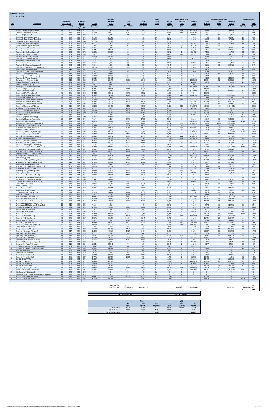|             | <b>Suffolk Downs</b><br>2040 No Build                                       |                                                   |                                                                    |                          |                                                   |                                   |                                       |                                 |                                       |                                                              |                                       |                                       |                                                                  |                                       |                            |                                                |
|-------------|-----------------------------------------------------------------------------|---------------------------------------------------|--------------------------------------------------------------------|--------------------------|---------------------------------------------------|-----------------------------------|---------------------------------------|---------------------------------|---------------------------------------|--------------------------------------------------------------|---------------------------------------|---------------------------------------|------------------------------------------------------------------|---------------------------------------|----------------------------|------------------------------------------------|
| Link<br>No. | <b>Description</b>                                                          | Roadway<br><b>Link Length</b><br>(miles)<br>Speed | <b>Emission</b><br><b>Factor</b><br>(g/mi)<br>$NO_x$<br><b>VOC</b> | <b>AADT</b><br>(veh/day) | Seasonally<br>Adjusted<br><b>ADT</b><br>(veh/day) | <b>VMT</b><br>Peak<br>(veh-miles) | <b>VMT</b><br>Off-Peak<br>(veh-miles) | Peak<br>Period<br><b>Factor</b> | Period<br><b>Volume</b><br>(vehicles) | <b>Peak Traffic Data</b><br>Average<br><b>Delay</b><br>(sec) | Adjusted<br><b>Delay</b><br>(veh-sec) | Period<br><b>Volume</b><br>(vehicles) | <b>Off-Peak Traffic Data</b><br>Average<br><b>Delay</b><br>(sec) | Adjusted<br><b>Delay</b><br>(veh-sec) | NO <sub>x</sub><br>(grams) | <b>Link Emissions</b><br><b>VOC</b><br>(grams) |
|             | Prescott St (Bennington/Chelsea)<br>Chelsea St (Visconti/Prescott)          | 0.02<br>25<br>25<br>0.46                          | 0.04<br>1.73<br>0.04<br>0.11                                       | 8,415<br>11,570          | 8,415<br>11,570                                   | 95<br>2,990                       | 74<br>2,333                           | 0.56<br>0.56                    | 4,727<br>6,499                        | 224<br>514                                                   | 1,058,822<br>3,341,701                | 3,688<br>5,071                        | 202<br>463                                                       | 743,498<br>2,346,521                  | 7<br>219                   | 291<br>560                                     |
|             | Prescott St (Chelsea/Bremen)<br>Chelsea St (Prescott/Bennigton              | 25<br>0.04<br>25<br>0.06                          | 0.04<br>0.88<br>0.05<br>0.60                                       | 1,376<br>17,720          | 1,376<br>17,720                                   | 31<br>597                         | 24<br>466                             | 0.56<br>0.56                    | 773<br>9,954                          | 21<br>18                                                     | 15,956<br>175,186                     | 603<br>7,766                          | 19<br>$16\,$                                                     | 11,204<br>123,014                     | 2<br>49                    | 48<br>635                                      |
|             | Chelsea St (Bennington/MobilGas)<br>Chelsea St (MobilGas/Saratoga)          | 25<br>0.06<br>25<br>0.06                          | 0.60<br>0.05<br>0.04<br>0.60                                       | 12,865<br>12,703         | 12,865<br>12,703                                  | 434<br>428                        | 338<br>334                            | 0.56<br>0.56                    | 7,227<br>7,136                        | 84<br>$\bf{0}$                                               | 608,125<br>$\bf{0}$                   | 5,638<br>5,567                        | 76<br>$\bf{0}$                                                   | 427,022<br>$\bf{0}$                   | 42<br>33                   | 463<br>455                                     |
|             | Unamed St (Chelsea/Benington)<br>Unamed St (Benington/Bremen                | 25<br>0.03<br>25<br>0.02                          | 0.05<br>1.16<br>0.05<br>1.73                                       | 6,473<br>1,699           | 6,473<br>1.699                                    | 109<br>19                         | 85<br>15                              | 0.56<br>0.56                    | 3,636<br>954                          | 22<br>18                                                     | 78,175<br>17,276                      | 2,837<br>745                          | 19<br>16                                                         | 54,894<br>12,131                      | 11<br>2                    | 226<br>59                                      |
|             | Bennington St (Chelsea/Unamed)<br>Bennington St (Unamed/Neptune)            | 25<br>0.07<br>25<br>0.11                          | 0.52<br>0.05<br>0.04<br>0.34                                       | 5,178<br>14,241          | 5,178<br>14,241                                   | 204<br>880                        | 159<br>687                            | 0.56<br>0.56                    | 2,909<br>7,999                        | 34                                                           | 2,327<br>273,578                      | 2,270<br>6,241                        | -1<br>31                                                         | 1,634<br>192,104                      | 17<br>66                   | 187<br>533                                     |
| 11          | Neptune Rd (Chelsea/Saratoga)<br>Saratoga St (Chelsea/Neptune)              | 25<br>0.02<br>25<br>0.04                          | 0.06<br>1.73<br>0.04<br>0.88                                       | 16,506<br>3,641          | 16,506<br>3,641                                   | 185<br>82                         | 145<br>64                             | 0.56<br>0.56                    | 9,272<br>2,045                        | $\overline{4}$<br>239                                        | 32,452<br>488,619                     | 7,234<br>1,596                        | 3<br>215                                                         | 22,788<br>343,105                     | 21<br>6                    | 571<br>128                                     |
| 13<br>14    | Saratoga St (Neptune/Bremen)<br>Neptune Rd (Saratoga/Bremen)                | 25<br>0.05<br>25<br>0.02                          | 0.71<br>0.05<br>0.06<br>1.73                                       | 13,189<br>7,120          | 13,189<br>7,120                                   | 370<br>80                         | 289<br>62                             | 0.56<br>0.56                    | 7,408<br>4,000                        | $\Omega$<br>$\bf{0}$                                         | $\overline{0}$<br>600                 | 5,780<br>3,121                        | $\Omega$<br>$\bf{0}$                                             | $\mathbf{0}$<br>421                   | 35<br>9                    | 469<br>246                                     |
| 15          | Bremen St (Bennington/Neptune)<br>Bremen St (Neptune/Saratoga)              | 25<br>0.03<br>25<br>0.05                          | 0.04<br>1.16<br>0.05<br>0.71                                       | 3,075<br>2,832           | 3,075<br>2,832                                    | 52<br>80                          | 40<br>62                              | 0.56<br>0.56                    | 1,727<br>1,591                        | $\Omega$<br>21                                               | $\Omega$<br>33,884                    | 1,348<br>1,241                        | $\Omega$<br>19                                                   | $\mathbf{0}$<br>23,793                | $\overline{4}$<br>7        | 107<br>101                                     |
| 18          | Neptune Rd (Bremen/Bennington<br>Neptune Rd (Bennington/Rt1AOnRamp)         | 25<br>0.02<br>25<br>0.02                          | 0.04<br>1.73<br>0.04<br>1.73                                       | 7,201<br>16,263          | 7,201<br>16,263                                   | 81<br>183                         | 63<br>143                             | 0.56<br>0.56                    | 4,045<br>9,136                        | 35<br>9                                                      | 142,591<br>80,850                     | 3,156<br>7,128                        | 32<br>8                                                          | 100,126<br>56,772                     | 6<br>13                    | 249<br>562                                     |
| 20          | Route 1A Onramp (Neptune)<br>Neptune Rd (Rt1A Onramp/Offramp)               | 30<br>0.10<br>25<br>0.02                          | 0.06<br>0.37<br>1.73<br>0.04                                       | 7,848<br>9,709           | 7,848<br>9,709                                    | 441<br>109                        | 344<br>85                             | 0.56<br>0.56                    | 4,409<br>5,454                        | $\Omega$                                                     | $\mathbf{0}$<br>3,000                 | 3,440<br>4,255                        | $\mathbf{0}$<br>$\Omega$                                         | $\mathbf{0}$<br>2,106                 | 45<br>8                    | 290<br>335                                     |
| 2.1         | Route 1A Offramp (Neptune)<br>Vienna St (Neptune/Bennington                 | 30<br>0.10<br>25<br>0.07                          | 0.03<br>0.36<br>0.05<br>0.52                                       | 11,085<br>10,033         | 11,085<br>10,033                                  | 623<br>395                        | 486<br>308                            | 0.56<br>0.56                    | 6,227<br>5,636                        | 69<br>$\Omega$                                               | 427,779<br>$\bf{0}$                   | 4,858<br>4,397                        | 62<br>$\bf{0}$                                                   | 300,383<br>$\bf{0}$                   | 33<br>32                   | 404<br>363                                     |
| 23<br>24    | Neptune Rd (Vienna/Frankfort)<br>Bennington St (Neptune/Swift)              | 25<br>0.03<br>30<br>0.18                          | 0.08<br>1.17<br>0.05<br>0.22                                       | 10,114<br>29,695         | 10,114<br>29,695                                  | 170<br>3,002                      | 133<br>2,343                          | 0.56<br>0.56                    | 5,681<br>16,680                       | 28<br>68                                                     | 161,350<br>1,137,607                  | 4,433<br>13,014                       | 26<br>61                                                         | 113,299<br>798,820                    | 25<br>253                  | 355<br>1,162                                   |
| 25          | Swift St (Saratoga/Bennington)<br>Swift St (Bennington/End)                 | 25<br>0.04<br>25<br>0.06                          | 0.06<br>0.88<br>0.09<br>0.61                                       | 6,149<br>162             | 6,149<br>162                                      | 138<br>5                          | 108<br>4                              | 0.56<br>0.56                    | 3,454<br>91                           | 5<br>$\overline{4}$                                          | 15,890<br>327                         | 2,695<br>71                           | $4\overline{ }$<br>3                                             | 11,158<br>230                         | 14<br>-1                   | 217<br>6                                       |
| 28          | Bennington St (Swift/Boardman)<br>Route 1A SB (Curtis/Neptune)              | 30<br>0.88<br>45<br>0.29                          | 0.04<br>0.07<br>0.06<br>0.14                                       | 27,510<br>34,711         | 27,510<br>34,711                                  | 13,599<br>5,655                   | 10,610<br>4,412                       | 0.56<br>0.56                    | 15,453<br>19,498                      | 92                                                           | 1,425,565<br>$\bf{0}$                 | 12,057<br>15,213                      | 83<br>$\Omega$                                                   | 1,001,023<br>$\mathbf{0}$             | 1,011<br>610               | 1,607<br>1,417                                 |
| 29<br>30    | Curtis St (Chelsea/Route1A)                                                 | 25<br>0.07<br>45<br>0.51                          | 0.07<br>0.52<br>0.05<br>0.18                                       | 9,709<br>30,342          | 9,709<br>30,342                                   | 382                               | 298<br>6,782                          | 0.56<br>0.56                    | 5,454<br>17,044                       | 225<br>$\Omega$                                              | 1,228,808<br>$\mathbf{0}$             | 4,255<br>13,298                       | 203<br>$\bf{0}$                                                  | 862,861<br>$\mathbf{0}$               | 47<br>796                  | 355<br>2,844                                   |
| 31          | Route 1A SB (U-Turn/Curtis)<br>Route 1A NB (U-Turn/Boardman)                | 45<br>0.21                                        | 0.05<br>0.09                                                       | 41,184                   | 41,184                                            | 8,692<br>4,858                    | 3,790                                 | 0.56                            | 23,134                                | 145                                                          | 3,361,438                             | 18,050                                | 131                                                              | 2,360,380                             | 442                        | 779                                            |
| 32<br>33    | Boardman St (End/Route 1A)<br>Boardman St (Route 1A/Bennington)             | 25<br>0.11<br>25<br>0.47                          | 0.05<br>0.34<br>0.04<br>0.10                                       | 4,450<br>11,732          | 4,450<br>11,732                                   | 275<br>3,097                      | 215<br>2,417                          | 0.56<br>0.56                    | 2,500<br>6,590                        | 51<br>414                                                    | 128,114<br>2,730,719                  | 1,950<br>5,142                        | 46<br>373                                                        | 89,961<br>1,917,494                   | 22<br>242                  | 167<br>575                                     |
| 34          | Boardman St (Bennington/Barnes)<br>Bennignton St (Boardman/Crescent         | 25<br>0.09<br>25<br>1.10                          | 0.41<br>0.05<br>0.04<br>0.06                                       | 26,216<br>17,234         | 26,216<br>17,234                                  | 1,325<br>10,649                   | 1,034<br>8,309                        | 0.56<br>0.56                    | 14,726<br>9,681                       | 67<br>53                                                     | 981,492<br>509,706                    | 11,489<br>7,553                       | 60<br>47                                                         | 689,198<br>357,912                    | 115<br>794                 | 967<br>1,184                                   |
|             | Route 1A (Boardman/Waldemar)<br>Waldemar Ave (Route 1A/Wally)               | 45<br>0.16<br>25<br>0.73                          | 0.24<br>0.07<br>0.04<br>0.08                                       | 68,452<br>3,398          | 68,452<br>3,398                                   | 6,152<br>1,394                    | 4,800<br>1,087                        | 0.56<br>0.56                    | 38,451<br>1,909                       | 142<br>8                                                     | 5,460,097<br>15,940                   | 30,000<br>1,489                       | 128<br>8                                                         | 3,834,046<br>11,193                   | 749<br>108                 | 2,596<br>195                                   |
| 38<br>39    | Route 1A (Waldemar/Tomesello)<br>Route 1A (Tomesello/Jughandle)             | 45<br>0.09<br>45<br>0.08                          | 0.10<br>0.41<br>0.11<br>0.46                                       | 68,290<br>62,788         | 68,290<br>62,788                                  | 3,452<br>2,822                    | 2,694<br>2,201                        | 0.56<br>0.56                    | 38,360<br>35,270                      | $\bf{0}$<br>12                                               | $\bf{0}$<br>410,894                   | 29,929<br>27,518                      | $\mathbf{0}$<br>$10\,$                                           | $\bf{0}$<br>288,527                   | 612<br>542                 | 2,501<br>2,287                                 |
| 40          | Jughandle (Route 1A)<br>Route 1A (Jughandle/Furlong)                        | 25<br>0.10<br>45<br>0.49                          | 0.04<br>0.37<br>0.04<br>0.09                                       | 2,427<br>66,995          | 2,427<br>66,995                                   | 136<br>18,440                     | 106<br>14,387                         | 0.56<br>0.56                    | 1,364<br>37,633                       | 31<br>$\mathbf{0}$                                           | 42,542<br>$\bf 0$                     | 1,064<br>29,362                       | 28<br>$\bf{0}$                                                   | 29,873<br>$\bf{0}$                    | 10<br>1,428                | 90<br>2,964                                    |
| 42<br>43    | Furlong Dr (Route 1A/Tomesello)<br>Route 1A (Furlong/BellCir)               | 25<br>0.47<br>30<br>0.53                          | 0.04<br>0.10<br>0.05<br>0.09                                       | 9,467<br>56,072          | 9,467<br>56,072                                   | 2,499<br>16,694                   | 1.950<br>13,025                       | 0.56<br>0.56                    | 5,318<br>31,497                       | 35<br>64                                                     | 188,514<br>2,017,409                  | 4,149<br>24,575                       | 32<br>58                                                         | 132,373<br>1,416,612                  | 184<br>1,422               | 461<br>2,765                                   |
| 44<br>45    | Tomesello Dr (Route 1A/ Furlong Dr)<br>Tomesello Dr (Furlong/Route145)      | 25<br>0.79<br>25<br>0.24                          | 0.04<br>0.07<br>0.04<br>0.17                                       | 6,716<br>17,315          | 6,716<br>17,315                                   | 2,980<br>2,334                    | 2,325<br>1,821                        | 0.56<br>0.56                    | 3,772<br>9,726                        | 2,507<br>86                                                  | 9,459,149<br>835,018                  | 2,943<br>7,589                        | 2,257<br>77                                                      | 6,642,155<br>586,344                  | 218<br>171                 | 395<br>718                                     |
| 46<br>47    | Winthrop Ave (Beach/Route 16)<br>Harris St (Route16/Beach)                  | 25<br>0.31<br>25<br>0.27                          | 0.04<br>0.14<br>0.04<br>0.16                                       | 11,975<br>4,450          | 11,975<br>4,450                                   | 2,085<br>675                      | 1,627<br>527                          | 0.56<br>0.56                    | 6,727<br>2,500                        | 155<br>49                                                    | 1,043,987<br>121,365                  | 5,248<br>1,950                        | 140<br>44                                                        | 733,081<br>85,222                     | 158<br>54                  | 524<br>190                                     |
| 48<br>49    | Route 16 (Garfield Ave/Winthrop)                                            | 35<br>1.42<br>35<br>0.32                          | 0.04<br>0.05<br>0.13<br>0.05                                       | 63,273<br>50,732         | 63,273<br>50,732                                  | 50,470<br>9,119                   | 39,378<br>7,115                       | 0.56<br>0.56                    | 35,543<br>28,498                      | 62<br>28                                                     | 2,205,414<br>786,535                  | 27,731<br>22,234                      | 56<br>25                                                         | 1,548,628<br>552,300                  | 3,748<br>890               | 4,387<br>2,163                                 |
| 50          | Route 16 (Washington/Garfield)<br>Garfield Ave (Washington/Route16)         | 25<br>0.36                                        | 0.04<br>0.13                                                       | 12,541                   | 12,541                                            | 2,536                             | 1.979                                 | 0.56                            | 7.045                                 | 211                                                          | 1,487,173                             | 5,497                                 | 190                                                              | 1,044,284                             | 196                        | 570                                            |
| 51          | Webster Ave (Rt16/Jefferson)<br>Route 16 (Winthrop/Bell Cir)                | 30<br>0.08<br>35<br>0.32                          | 0.05<br>0.45<br>0.05<br>0.13                                       | 21,523<br>26,296         | 21,523<br>26,296                                  | 967<br>4,727                      | 755<br>3,688                          | 0.56<br>0.56                    | 12,090<br>14,772                      | 221<br>17                                                    | 2,671,872<br>249,639                  | 9,433<br>11,525                       | 199<br>15                                                        | 1,876,171<br>175,295                  | 79<br>381                  | 779<br>1,107                                   |
| 53          | Winthrop Ave (Rt16/Rt1AOnramp)<br>Route 1A Onramp (Rt1A/Winthrop)           | 35<br>0.12<br>30<br>0.14                          | 0.05<br>0.31<br>0.03<br>0.27                                       | 49,518<br>7,039          | 49,518<br>7,039                                   | 3,338<br>554                      | 2,604<br>432                          | 0.56<br>0.56                    | 27,816<br>3,954                       | 94<br>$\Omega$                                               | 2,610,522<br>$\Omega$                 | 21,702<br>3,085                       | 84<br>$\Omega$                                                   | 1,833,092<br>$\Omega$                 | 318<br>30                  | 1,839<br>264                                   |
| 55          | Winthrop Ave (Rt1AOnramp/NShoreRd)<br>N Shore Rd (Winthrop Ave/Beach St)    | 40<br>0.39<br>30<br>0.59                          | 0.05<br>0.11<br>0.04<br>0.09                                       | 54,778<br>13,027         | 54,778<br>13,027                                  | 12,000<br>4,317                   | 9,363<br>3,368                        | 0.56<br>0.56                    | 30,770<br>7,318                       | 118<br>38                                                    | 3,626,268<br>278,434                  | 24,007<br>5,709                       | 106<br>34                                                        | 2,546,343<br>195,515                  | 1,058<br>335               | 2,368<br>659                                   |
| 57          | Winthrop Ave (N Shore/Tomesello)<br>Shaws Drwy (Withrop/Tomesello)          | 40<br>0.05<br>15<br>0.07                          | 0.04<br>0.70<br>0.05<br>0.53                                       | 43,126<br>81             | 43,126<br>81                                      | 1,211<br>$\overline{3}$           | 945<br>2                              | 0.56<br>0.56                    | 24,225<br>45                          | 23<br>23                                                     | 551,125<br>1,025                      | 18,901<br>35                          | 20<br>20                                                         | 386,997<br>720                        | 91<br>$\mathbf{0}$         | 1,511<br>$\overline{\mathbf{3}}$               |
|             | Withrop Ave (Tomesello/RBP)<br>Shaws Drwy (RBP)                             | 40<br>0.16<br>15<br>0.05                          | 0.23<br>0.04<br>0.05<br>0.73                                       | 45,634<br>1,618          | 45,634<br>1,618                                   | 4,101<br>45                       | 3,200<br>35                           | 0.56<br>0.56                    | 25,634<br>909                         | 48<br>33                                                     | 1,226,599<br>30,270                   | 20,000<br>709                         | 43<br>30                                                         | 861,310<br>21,256                     | 309<br>$\overline{4}$      | 1,713<br>59                                    |
| 61          | Revere Beach Pkwy (Withrop/State)<br>Winthrop Ave (RBP/Beachmont Lot)       | 40<br>0.30<br>25<br>0.13                          | 0.04<br>0.14<br>0.04<br>0.29                                       | 31,960<br>19,662         | 31,960<br>19,662                                  | 5,386<br>1,436                    | 4,202<br>1,120                        | 0.56<br>0.56                    | 17,953<br>11,045                      | 15<br>14                                                     | 267,501<br>152,415                    | 14,007<br>8,617                       | 13<br>12                                                         | 187,837<br>107,025                    | 418<br>112                 | 1,303<br>748                                   |
| 64          | Beachmont Lot (Winthrop Ave)<br>Winthrop Ave (Beachmont Lot/State Rd)       | 15<br>0.07<br>25<br>0.09                          | 0.05<br>0.53<br>0.07<br>0.41                                       | 2,185<br>18,124          | 2,185<br>18,124                                   | 916                               | 67<br>715                             | 0.56<br>0.56                    | 1,227<br>10,181                       | 24                                                           | 9,817<br>239,762                      | 957<br>7,943                          | 21                                                               | 6,894<br>168,359                      | 121                        | 81<br>677                                      |
| 65<br>66    | State Rd (Winthrop/Ocean)<br>State Rd (Ocean/Wintrhop Pkwy)                 | 35<br>0.26<br>35<br>0.09                          | 0.05<br>0.16<br>0.04<br>0.40                                       | 6,311<br>30,018          | 6,311<br>30,018                                   | 922<br>1,518                      | 719<br>1,184                          | 0.56<br>0.56                    | 3,545<br>16,862                       | 38<br>167                                                    | 135,248<br>2,820,212                  | 2,766<br>13,156                       | 34<br>151                                                        | 94,970<br>1,980,335                   | 79<br>111                  | 257<br>1,085                                   |
| 67<br>68    | Withrop Pkwy (State/Leverett)<br>Revere Beach Blvd (State/Beach)            | 30<br>0.39<br>30<br>0.43                          | 0.04<br>0.11<br>0.11<br>0.04                                       | 21,280<br>17,315         | 21,280<br>17,315                                  | 4,662<br>4,182                    | 3,637<br>3,263                        | 0.56<br>0.56                    | 11,954<br>9,726                       | 3<br>$\Omega$                                                | 31,677<br>$\bf{0}$                    | 9,326<br>7,589                        | $\overline{2}$<br>$\bf{0}$                                       | 22,243<br>$\overline{0}$              | 352<br>306                 | 954<br>793                                     |
| 69<br>70    | Winthrop Ave (Bennington/Crescent)<br>Bennington St (Crescent/Withrop)      | 25<br>0.18<br>25<br>0.06                          | 0.07<br>0.23<br>0.08<br>0.60                                       | 6,392<br>21,442          | 6,392<br>21,442                                   | 646<br>723                        | 504<br>564                            | 0.56<br>0.56                    | 3,591<br>12,044                       | $\mathbf{0}$<br>25                                           | $\bf{0}$<br>298,703                   | 2,801<br>9,397                        | $\mathbf{0}$<br>22                                               | $\bf{0}$<br>209,747                   | 81<br>101                  | 260<br>777                                     |
| 71          | Crescent Ave (Bennington/Winthrop)                                          | 25<br>0.17<br>30<br>0.49                          | 0.06<br>0.24<br>0.04<br>0.10                                       | 2,994<br>19,257          | 2,994<br>19,257                                   | 286<br>5,300                      | 223<br>4,136                          | 0.56<br>0.56                    | 1,682<br>10,817                       | 8<br>14                                                      | 14,042<br>147,656                     | 1,312<br>8,440                        | 8<br>12                                                          | 9,860<br>103,683                      | 32<br>395                  | 120<br>916                                     |
| 72<br>73    | Ocean Ave (RBP/Beach)<br>Beach St (Ocean/RBP)                               | 25<br>0.03                                        | 0.04<br>1.16                                                       | 1,456                    | 1,456                                             | 25                                | 19                                    | 0.56                            | 818                                   | $\mathbf{0}$                                                 | $\bf{0}$                              | 638                                   | $\bf{0}$                                                         | $\mathbf{0}$                          | $\overline{2}$             | 51                                             |
| 74<br>75    | Ocean Ave (Beach/Revere)<br>Beach St (N Shore/Ocean)                        | 30<br>0.74<br>25<br>0.09                          | 0.04<br>0.07<br>0.05<br>0.41                                       | 13,351<br>6,149          | 13,351<br>6,149                                   | 5,550<br>311                      | 4,330<br>243                          | 0.56<br>0.56                    | 7,499<br>3,454                        | 22<br>18                                                     | 167,611<br>61,313                     | 5,851<br>2,695                        | 20<br>16                                                         | 117,696<br>43,054                     | 417<br>29                  | 729<br>227                                     |
| 76          | N Shore Rd (Beach/Butler Cir)<br>Beach St (VFW/N Shore)                     | 30<br>0.24<br>25<br>0.32                          | 0.05<br>0.17<br>0.05<br>0.14                                       | 11,004<br>7,687          | 11,004<br>7,687                                   | 1,484<br>1,382                    | 1,157<br>1,078                        | 0.56<br>0.56                    | 6,181<br>4,318                        | 28<br>35                                                     | 172,768<br>151,772                    | 4,823<br>3,369                        | 25<br>32                                                         | 121,316<br>106,573                    | 127<br>122                 | 450<br>342                                     |
| 78<br>79    | VFW Pkwy (Bell Cir/Beach St)<br>VFW Pkwy (Beach/Butler Cir)                 | 35<br>0.12<br>35<br>0.32                          | 0.04<br>0.31<br>0.06<br>0.13                                       | 40,942<br>33,659         | 40,942<br>33,659                                  | 2,760<br>6,050                    | 2,153<br>4,721                        | 0.56<br>0.56                    | 22,998<br>18,908                      | 62<br>18                                                     | 1,435,082<br>339,390                  | 17,943<br>14,752                      | 56<br>16                                                         | 1,007,706<br>238,318                  | 208<br>614                 | 1,511<br>1,439                                 |
| 80<br>81    | N Shore Rd (Butler Cir/Wnderld Lot)<br>Wonderland MBTA Lot (N Shore Rd)     | 30<br>0.09<br>15<br>0.11                          | 0.04<br>0.40<br>0.05<br>0.36                                       | 41,265<br>$\bf{0}$       | 41,265<br>$\bf{0}$                                | 2,086<br>$\mathbf{0}$             | 1,628<br>$\bf{0}$                     | 0.56<br>0.56                    | 23,180<br>$\bf{0}$                    | 15<br>$\bf{0}$                                               | 352,335<br>$\bf{0}$                   | 18,085<br>$\bf{0}$                    | 14<br>$\bf{0}$                                                   | 247,407<br>$\mathbf{0}$               | 151<br>$\bf{0}$            | 1,502<br>$\bf{0}$                              |
| 82<br>83    | Wonderland MBTA Garage (N Shore Rd)<br>N Shore Rd (MBTA/Revere St)          | 15<br>0.11<br>35<br>0.35                          | 0.05<br>0.36<br>0.04<br>0.12                                       | 9,062<br>49,680          | 9,062<br>49,680                                   | 560<br>9,767                      | 437<br>7,621                          | 0.56<br>0.56                    | 5,090<br>27,907                       | 34<br>33                                                     | 170,531<br>911,157                    | 3,972<br>21,773                       | 30<br>29                                                         | 119,746<br>639,809                    | 50<br>782                  | 354<br>2,128                                   |
| 84<br>85    | Revere St (N Shore/Ocean)<br>Revere St (Ocean/RBP)                          | 25<br>0.17<br>25<br>0.04                          | 0.05<br>0.23<br>0.88<br>0.06                                       | 7,363<br>8,253           | 7,363<br>8,253                                    | 703<br>185                        | 549<br>145                            | 0.56<br>0.56                    | 4,136<br>4,636                        | 54<br>6                                                      | 224,586<br>25,498                     | 3,227<br>3,617                        | 49<br>5                                                          | 157,703<br>17,904                     | 57<br>21                   | 290<br>292                                     |
| 86          | N Shore Rd (Revere/Lynnway)<br>Revere St (Rt60/N Shore)                     | 35<br>1.97<br>25<br>0.70                          | 0.04<br>0.04<br>0.04<br>0.08                                       | 51,217<br>11,813         | 51,217<br>11,813                                  | 56,678<br>4,645                   | 44,221<br>3,624                       | 0.56<br>0.56                    | 28,770<br>6,636                       | 14<br>275                                                    | 407,101<br>1,823,855                  | 22,447<br>5,177                       | 13<br>247                                                        | 285,864<br>1,280,699                  | 4,230<br>346               | 4,258<br>662                                   |
| 88<br>89    | Route 60 (Bell Cir / Revere)<br>Revere St (Rt107/Rt60)                      | 40<br>0.51<br>25<br>0.24                          | 0.05<br>0.09<br>0.05<br>0.17                                       | 38,676<br>9,709          | 38,676<br>9,709                                   | 11,080<br>1,309                   | 8,645<br>1,021                        | 0.56<br>0.56                    | 21,725<br>5,454                       | 26<br>30                                                     | 567,035<br>166,077                    | 16,951<br>4,255                       | 23<br>27                                                         | 398,169<br>116,618                    | 969<br>109                 | 1,781<br>405                                   |
| 90<br>91    | Route 60 (Revere/Brown Cir)<br>Route 60 (Brown Cir/Charger St)              | 35<br>0.37<br>35<br>0.41                          | 0.04<br>0.12<br>0.04<br>0.11                                       | 44,340<br>49,178         | 44,340<br>49,178                                  | 9,216<br>11,326                   | 7,190<br>8,837                        | 0.56<br>0.56                    | 24,907<br>27,625                      | 235<br>133                                                   | 5,845,684<br>3,669,982                | 19,433<br>21,553                      | 211<br>120                                                       | 4,104,802<br>2,577,038                | 709<br>885                 | 1,917<br>2,178                                 |
| 92<br>93    | Charger St (Malden/Rt60)<br>Charger St (Rt 60/Ward)                         | 25<br>0.40<br>25<br>0.13                          | 0.05<br>0.12<br>0.05<br>0.29                                       | 3,560<br>15,697          | 3,560<br>15,697                                   | 800<br>1,146                      | 624<br>894                            | 0.56<br>0.56                    | 2,000<br>8,817                        | 63<br>86                                                     | 125,190<br>756,538                    | 1,560<br>6,880                        | 56<br>77                                                         | 87,907<br>531,236                     | 71<br>96                   | 168<br>599                                     |
| 94<br>95    | Route 60 (Sigourney/Charger<br>Sigourney St (Malden/Rt60)                   | 35<br>0.17<br>25<br>0.31                          | 0.06<br>0.23<br>0.04<br>0.14                                       | 46,363<br>4,855          | 46,363<br>4,855                                   | 4,427<br>845                      | 3,454<br>660                          | 0.56<br>0.56                    | 26,043<br>2,727                       | 21<br>43                                                     | 550,816<br>117,809                    | 20,319<br>2,128                       | 19<br>39                                                         | 386,780<br>82,724                     | 440<br>63                  | 1,788<br>212                                   |
| 96<br>97    | Sigourney St (Rt60/Retail)                                                  | 15<br>0.10<br>35<br>0.22                          | 0.07<br>0.39<br>0.05<br>0.18                                       | 15,292<br>51,298         | 15,292<br>51,298                                  | 859<br>6,339                      | 670<br>4,946                          | 0.56<br>0.56                    | 8,590<br>28,816                       | 102<br>10                                                    | 874,912<br>283,836                    | 6,702<br>22,483                       | 92<br>9                                                          | 614,358<br>199,308                    | 107<br>598                 | 597<br>2,044                                   |
| 98          | Route 60 (Rt1/Sigourney)<br>Lynnway (RBP/N Shore SB Ramp)                   | 25<br>0.25                                        | 0.04<br>0.17                                                       | 13,593                   | 13,593                                            | 1,909                             | 1,489                                 | 0.56                            | 7,636                                 | $\bf{0}$                                                     | 2,291                                 | 5,958                                 | $\bf{0}$                                                         | 1,609                                 | 143                        | 569                                            |
| 99<br>100   | N Shore SB Ramp (Lynnway/N Shore)<br>Lynnway (SB Ramp/NB Ramps)             | 25<br>0.18<br>25<br>0.11                          | 0.05<br>0.22<br>0.04<br>0.34                                       | 3,641<br>12,541          | 3,641<br>12,541                                   | 368<br>775                        | 287<br>605                            | 0.56<br>0.56                    | 2,045<br>7,045                        | 6                                                            | 12,476<br>6,693                       | 1,596<br>5,497                        | 5<br>$\overline{1}$                                              | 8,761<br>4,700                        | 30<br>57                   | 145<br>469                                     |
| 101<br>102  | N Shore NB Offramp (N Shore/Lynnway)<br>N Shore NB Onramp (N Shore/Lynnway) | 25<br>0.03<br>25<br>0.07                          | 0.02<br>1.16<br>0.52<br>0.05                                       | 809<br>11,004            | 809<br>11,004                                     | 14<br>433                         | 11<br>338                             | 0.56<br>0.56                    | 455<br>6,181                          | 11<br>$\mathbf{0}$                                           | 4,772<br>$\mathbf{0}$                 | 355<br>4,823                          | 9<br>$\bf{0}$                                                    | 3,351<br>$\mathbf{0}$                 | $\mathbf{0}$<br>40         | 28<br>399                                      |
| 103<br>104  | Rice Ave (Lynnway)<br>Lancaster Ave (Lynnway)                               | 25<br>0.06<br>25<br>0.20                          | 0.04<br>0.60<br>0.04<br>0.20                                       | 728<br>243               | 728<br>243                                        | 25<br>27                          | 19<br>21                              | 0.56<br>0.56                    | 409<br>136                            | $\Omega$<br>$\Omega$                                         | $\mathbf{0}$<br>$\Omega$              | 319<br>106                            | $\Omega$<br>$\Omega$                                             | $\mathbf{0}$<br>$\Omega$              | 2<br>$\overline{2}$        | 26<br>10                                       |
| 105<br>106  | Beach St (Central/Bell Cir)<br>Route 60 (Ctr of Bell Cir)                   | 25<br>0.34<br>40<br>0.06                          | 0.04<br>0.13<br>0.05<br>0.59                                       | 13,917<br>29,776         | 13,917<br>29,776                                  | 2,658<br>1,004                    | 2,074<br>783                          | 0.56<br>0.56                    | 7,818<br>16,726                       | $\mathbf 0$<br>$\mathbf{1}$                                  | 1,954<br>22,580                       | 6,099<br>13,050                       | $\bf{0}$<br>1                                                    | 1,372<br>15,856                       | 207<br>82                  | 624<br>1,051                                   |
| 107<br>108  | Bell Cir (Rt1A/VFW)<br>Bell Cir (VFW/Rt60)                                  | 25<br>0.05<br>25<br>0.05                          | 0.04<br>0.71<br>0.04<br>0.71                                       | 35,359<br>26,458         | 35,359<br>26,458                                  | 993<br>743                        | 775<br>580                            | 0.56<br>0.56                    | 19,862<br>14,862                      | 45<br>85                                                     | 883,859<br>1,258,847                  | 15,497<br>11,596                      | 40<br>76                                                         | 620,640<br>883,954                    | 73<br>54                   | 1,254<br>939                                   |
| 109<br>110  | Bell Cir (Rt 60/Beach)<br>Bell Cir (Beach/Rt1A)                             | 25<br>0.05<br>25<br>0.05                          | 0.04<br>0.71<br>0.04<br>0.71                                       | 25,326<br>23,707         | 25,326<br>23,707                                  | 711<br>666                        | 555<br>520                            | 0.56<br>0.56                    | 14,226<br>13,317                      | 1<br>37                                                      | 15,649<br>488,737                     | 11,099<br>10,390                      | $\mathbf{1}$<br>33                                               | 10,988<br>343,188                     | 52<br>49                   | 898<br>841                                     |
| 111<br>112  | Broadway (Revere/Brown Cir)<br>Salem Tnpk (Brown Cir/Ballard)               | 30<br>0.33<br>55<br>2.29                          | 0.05<br>0.13<br>0.05<br>0.03                                       | 17,380<br>36,945         | 17,380<br>36,945                                  | 3,222<br>47,524                   | 2,514<br>37,079                       | 0.56<br>0.56                    | 9,763<br>20,753                       | 284<br>280                                                   | 2,777,038<br>5,807,683                | 7,617<br>16,192                       | 256<br>252                                                       | 1,950,019<br>4,078,118                | 265<br>3,950               | 754<br>2,871                                   |
| 113<br>114  | Site Drwy Left (Winthrop)<br>Site Drwy Right (Winthrop/Beachmont Parking)   | 15<br>0.50<br>15<br>0.50                          | 0.12<br>0.05<br>0.05<br>0.12                                       | $\bf{0}$<br>$\bf{0}$     | $\bf{0}$<br>$\bf{0}$                              | $\overline{0}$<br>$\bf{0}$        | $\bf{0}$<br>$\bf{0}$                  | 0.56<br>0.56                    | $\overline{0}$<br>$\bf{0}$            | $\Omega$<br>$\bf{0}$                                         | $\Omega$<br>$\bf{0}$                  | $\Omega$<br>$\bf{0}$                  | $\mathbf{0}$<br>$\bf{0}$                                         | $\mathbf{0}$<br>$\bf{0}$              | $\mathbf{0}$<br>$\bf{0}$   | $\bf{0}$<br>$\bf{0}$                           |
| 115<br>116  | Route 1A SB (Boardman/U-Turn)<br>Route 1A NB (Curtis/U-Turn)                | 45<br>0.21<br>45<br>0.51                          | 0.05<br>$0.18\,$<br>0.05<br>0.09                                   | 30,342<br>41,184         | 30,342<br>41,184                                  | 3,579<br>11,799                   | 2,793<br>9,205                        | 0.56<br>0.56                    | 17,044<br>23,134                      | $\bf{0}$<br>$\bf{0}$                                         | $\mathbf{0}$<br>$\boldsymbol{0}$      | 13,298<br>18,050                      | $\bf{0}$<br>$\mathbf{0}$                                         | $\bf{0}$<br>$\bf{0}$                  | 328<br>1,074               | 1,171<br>1,893                                 |
|             |                                                                             |                                                   |                                                                    |                          |                                                   |                                   |                                       |                                 |                                       |                                                              |                                       |                                       |                                                                  |                                       |                            |                                                |
|             |                                                                             |                                                   |                                                                    |                          | VMT (per day)                                     | 455,415                           | 355,321                               |                                 |                                       |                                                              |                                       |                                       |                                                                  |                                       | 37.9                       | 99.9                                           |
|             |                                                                             |                                                   |                                                                    |                          | VMT (per year)                                    | 166,226,373                       | 129,692,344.8                         |                                 |                                       | Arterial                                                     | 88,382,218                            |                                       |                                                                  | 62,061,436                            | NO <sub>X</sub>            | Daily Total (kg)<br><b>VOC</b>                 |

|                        |        | NOx     |          |        | <b>VOC</b> |          |
|------------------------|--------|---------|----------|--------|------------|----------|
|                        | EF     | Idle    | Idle     | EF     | Idle       | Idle     |
|                        | (g/s)  | (g/day) | (kg/day) | (g/s)  | (g/day)    | (kg/day) |
| Peak Period            | 0.0001 | 5,168   | 5.17     | 0.0002 | 13,401     | 13.40    |
| Off-Peak Period        | 0.0001 | 3.629   | 3.63     | 0.0002 | 9.410      | 9.41     |
| Total (Including Link) |        |         | 46.65    |        |            | 122.67   |

**VMT Total (per year)**

**295,918,717.89**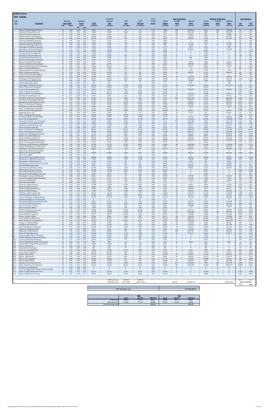| 2018 Existing<br>Link                                            |                                                                               |          | Roadway                       |                 | <b>Emission</b>                |                          | Seasonally<br>Adjusted  | <b>VMT</b>            | <b>VMT</b>              | Peak<br>Period | <b>Period</b>          | <b>Peak Traffic Data</b><br>Average | Adjusted                     | Period                 | <b>Off-Peak Traffic Data</b><br>Average | Adjusted                       |                                | <b>Link Emissions</b> |
|------------------------------------------------------------------|-------------------------------------------------------------------------------|----------|-------------------------------|-----------------|--------------------------------|--------------------------|-------------------------|-----------------------|-------------------------|----------------|------------------------|-------------------------------------|------------------------------|------------------------|-----------------------------------------|--------------------------------|--------------------------------|-----------------------|
| No.                                                              | <b>Description</b>                                                            | Type     | <b>Link Length</b><br>(miles) | NO <sub>x</sub> | Factor<br>(g/mi)<br><b>VOC</b> | <b>AADT</b><br>(veh/day) | <b>ADT</b><br>(veh/day) | Peak<br>(veh-miles)   | Off-Peak<br>(veh-miles) | Factor         | Volume<br>(vehicles)   | <b>Delay</b><br>(sec)               | <b>Delay</b><br>(veh-sec)    | Volume<br>(vehicles)   | Delay<br>(sec)                          | Delay<br>(veh-sec)             | NO <sub>x</sub><br>(grams)     | $VOC$<br>(grams)      |
| Chelsea St (Visconti/Prescott)                                   | Prescott St (Bennington/Chelsea)                                              | 25<br>25 | 0.02<br>0.46                  | 0.26<br>0.26    | 3.81<br>0.24                   | 8,010<br>11.085          | 8,010<br>11.085         | 90<br>2,864           | 70<br>2,235             | 0.56<br>0.56   | 4,500<br>6,227         | 228<br>342                          | 1,025,916<br>2,131,421       | 3,511<br>4,858         | 205<br>308                              | 720,392<br>1,496,670           | 42<br>1,343                    | 610<br>1.237          |
| Prescott St (Chelsea/Bremen)                                     | Chelsea St (Prescott/Bennigton)                                               | 25<br>25 | 0.04<br>0.06                  | 0.28<br>0.29    | 1.95<br>1.33                   | 1,376<br>16,830          | 1,376<br>16,830         | 31<br>567             | 24<br>443               | 0.56<br>0.56   | 773<br>9,454           | $20\,$<br>14                        | 15,221<br>128,099            | 603<br>7,376           | 18<br>12                                | 10,688<br>89,950               | 15<br>291                      | 107<br>1,340          |
|                                                                  | Chelsea St (Bennington/MobilGas)<br>Chelsea St (MobilGas/Saratoga)            | 25<br>25 | 0.06<br>0.06                  | 0.32<br>0.28    | 1.33<br>1.33                   | 12,299<br>7,039          | 12,299<br>7,039         | 415<br>237            | 323<br>185              | 0.56<br>0.56   | 6,909<br>3,954         | 53<br>$\mathbf{0}$                  | 369,261<br>$\mathbf{0}$      | 5,390<br>3.085         | 48<br>$\bf{0}$                          | 259,292<br>$\mathbf{0}$        | 236<br>116                     | 983<br>560            |
|                                                                  | Unamed St (Chelsea/Benington)<br>Unamed St (Benington/Bremen                  | 25<br>25 | 0.03<br>0.02                  | 0.32<br>0.30    | 2.58<br>3.82                   | 6,230<br>1,618           | 6,230<br>1,618          | 105<br>18             | 82<br>14                | 0.56<br>0.56   | 3,500<br>909           | 19<br>18                            | 67,194<br>16,180             | 2,731<br>709           | 17<br>16                                | 47,184<br>11,362               | 60<br>10                       | 481<br>124            |
|                                                                  | Bennington St (Chelsea/Unamed<br>Bennington St (Unamed/Neptune)               | 25<br>25 | 0.07<br>0.11                  | 0.28<br>0.27    | 1.15<br>0.76                   | 4,936<br>13,593          | 4,936<br>13,593         | 194<br>840            | 151<br>655              | 0.56<br>0.56   | 2,772<br>7,636         | 30                                  | 2,218<br>229,836             | 2,163<br>5,958         | 1<br>27                                 | 1,557<br>161,389               | 98<br>403                      | 397<br>1,136          |
| Saratoga St (Chelsea/Neptune)                                    | Neptune Rd (Chelsea/Saratoga)                                                 | 25<br>25 | 0.02<br>0.04                  | 0.35<br>0.26    | 3.82<br>1.95                   | 15,859<br>3,398          | 15,859<br>3,398         | 178<br>76             | 139<br>60               | 0.56<br>0.56   | 8,908<br>1.909         | $\mathbf{0}$<br>$\mathbf{0}$        | $\Omega$<br>$\bf{0}$         | 6,950<br>1,489         | $\mathbf{0}$<br>$\overline{0}$          | $\overline{0}$<br>$\mathbf{0}$ | 111<br>36                      | 1,213<br>264          |
| Saratoga St (Neptune/Bremen                                      |                                                                               | 25       | 0.05                          | 0.31            | 1.58                           | 12,541                   | 12,541                  | 352                   | 275                     | 0.56           | 7,045                  | $\mathbf{0}$                        | $\mathbf{0}$                 | 5,497                  | $\Omega$                                | $\mathbf{0}$                   | 196                            | 991                   |
|                                                                  | Neptune Rd (Saratoga/Bremen)<br>Bremen St (Bennington/Neptune                 | 25<br>25 | 0.02<br>0.03                  | 0.35<br>0.26    | 3.82<br>2.57                   | 6,958<br>2,913           | 6,958<br>2,913          | 78<br>49              | 61<br>38                | 0.56<br>0.56   | 3,909<br>1,636         | $\mathbf{0}$<br>$\mathbf{0}$        | 586<br>$\Omega$              | 3,050<br>1,277         | $\Omega$<br>$\Omega$                    | 412<br>$\mathbf{0}$            | 49<br>23                       | 532<br>224            |
|                                                                  | Bremen St (Neptune/Saratoga)<br>Neptune Rd (Bremen/Bennington)                | 25<br>25 | 0.05<br>0.02                  | 0.29<br>0.26    | 1.58<br>3.81                   | 2,751<br>6,878           | 2,751<br>6,878          | 77<br>77              | 60<br>60                | 0.56<br>0.56   | 1.545<br>3,863         | 21<br>36                            | 33,070<br>138,500            | 1,206<br>3,014         | 19<br>32                                | 23,222<br>97,254               | 40<br>36                       | 217<br>524            |
| Route 1A Onramp (Neptune)                                        | Neptune Rd (Bennington/Rt1AOnRamp)                                            | 25<br>30 | 0.02<br>0.10                  | 0.26<br>0.33    | 3.81<br>0.83                   | 15,616<br>7,444          | 15,616<br>7,444         | 175<br>418            | 137<br>326              | 0.56<br>0.56   | 8,772<br>4,181         | 10<br>$\mathbf{0}$                  | 84,211<br>$\Omega$           | 6,844<br>3,262         | -9<br>$\Omega$                          | 59,133<br>$\mathbf{0}$         | 82<br>243                      | 1,190<br>616          |
|                                                                  | Neptune Rd (Rt1A Onramp/Offramp)                                              | 25<br>30 | 0.02<br>0.10                  | 0.26<br>0.18    | 3.81<br>0.81                   | 9,305<br>10,519          | 9,305<br>10,519         | 105<br>591            | 82<br>461               | 0.56<br>0.56   | 5,227<br>5,909         | $\mathbf{1}$<br>65                  | 7,318<br>382,287             | 4,078<br>4,610         | $\overline{1}$<br>58                    | 5,138<br>268,439               | 49<br>193                      | 709<br>852            |
| Route 1A Offramp (Neptune)                                       | Vienna St (Neptune/Bennington)                                                | 25       | 0.07                          | 0.28            | 1.15                           | 9,548                    | 9,548                   | 375                   | 293                     | 0.56           | 5,363                  | $\mathbf{0}$                        | $\bf{0}$                     | 4,184                  | $\mathbf{0}$                            | $\bf{0}$                       | 190                            | 768                   |
|                                                                  | Neptune Rd (Vienna/Frankfort)<br>Bennington St (Neptune/Swift)                | 25<br>30 | 0.03<br>0.18                  | 0.43<br>0.28    | 2.59<br>0.49                   | 9,629<br>28,319          | 9,629<br>28,319         | 162<br>2,863          | 127<br>2,234            | 0.56<br>0.56   | 5,409<br>15,908        | 29<br>67                            | 154,958<br>1,062,640         | 4,220<br>12,411        | 26<br>60                                | 108,810<br>746,179             | 125<br>1,426                   | 749<br>2,499          |
| Swift St (Saratoga/Bennington<br>Swift St (Bennington/End)       |                                                                               | 25<br>25 | 0.04<br>0.06                  | 0.33<br>0.45    | 1.96<br>1.35                   | 5,907<br>162             | 5,907<br>162            | 133<br>5              | 104<br>4                | 0.56<br>0.56   | 3,318<br>91            | 5<br>$4\phantom{.0}$                | 16,092<br>332                | 2,589<br>71            | 4<br>3                                  | 11,300<br>233                  | 77<br>4                        | 462<br>13             |
| Route 1A SB (Curtis/ Neptune                                     | Bennington St (Swift/Boardman)                                                | 30<br>45 | 0.88<br>0.29                  | 0.25<br>0.30    | 0.16<br>0.32                   | 24,435<br>31,637         | 24,435<br>31,637        | 12,079<br>5,154       | 9,424<br>4,021          | 0.56<br>0.56   | 13,726<br>17,771       | 105<br>$\mathbf{0}$                 | 1,443,304<br>$\mathbf{0}$    | 10,709<br>13,865       | 95<br>$\bf{0}$                          | 1,013,479<br>$\overline{0}$    | 5,381<br>2,731                 | 3,371<br>2,947        |
| Curtis St (Chelsea/Route1A)                                      |                                                                               | 25       | 0.07                          | 0.38            | 1.16                           | 8,819                    | 8,819                   | 347                   | 271                     | 0.56           | 4,954                  | 71                                  | 353,478                      | 3,865                  | 64                                      | 248,210                        | 238                            | 719                   |
| Route 1A SB (U-Turn/Curtis)                                      | Route 1A NB (U-Turn/Boardman)                                                 | 45<br>45 | 0.51<br>0.21                  | 0.26<br>0.26    | 0.41<br>0.21                   | 27,672<br>38,514         | 27,672<br>38,514        | 7,928<br>4,543        | 6,185<br>3,545          | 0.56<br>0.56   | 15,544<br>21,635       | $\mathbf{0}$<br>83                  | $\mathbf{0}$<br>1,784,854    | 12,128<br>16,880       | $\bf{0}$<br>74                          | $\mathbf{0}$<br>1,253,313      | 3,703<br>2,112                 | 5,841<br>1,680        |
| Boardman St (End/Route 1A)                                       | Boardman St (Route 1A/Bennington                                              | 25<br>25 | 0.11<br>0.47                  | 0.28<br>0.28    | 0.76<br>0.24                   | 4,207<br>11,247          | 4,207<br>11,247         | 260<br>2,969          | 203<br>2,317            | 0.56<br>0.56   | 2,363<br>6,318         | 53<br>831                           | 124,672<br>5,247,135         | 1,844<br>4,929         | 47<br>747                               | 87,544<br>3,684,505            | 131<br>1,464                   | 352<br>1,274          |
|                                                                  | Boardman St (Bennington/Barnes<br>Bennignton St (Boardman/Crescent            | 25<br>25 | 0.09<br>1.10                  | 0.30<br>0.27    | 0.91<br>0.15                   | 25,487<br>16,749         | 25,487<br>16,749        | 1,289<br>10,349       | 1,005<br>8,075          | 0.56<br>0.56   | 14,317<br>9,408        | 51<br>54                            | 725,872<br>509,931           | 11,170<br>7,341        | 46<br>49                                | 509,703<br>358,070             | 684<br>4,915                   | 2,098<br>2,741        |
|                                                                  | Route 1A (Boardman/Waldemar)                                                  | 45<br>25 | 0.16<br>0.73                  | 0.33<br>0.27    | 0.53<br>0.18                   | 67,481<br>3.236          | 67,481<br>3,236         | 6.065<br>1,327        | 4,732<br>1,035          | 0.56<br>0.56   | 37,906<br>1.818        | 17<br>9                             | 659,564<br>15,726            | 29,575<br>1,418        | 16<br>8                                 | 463,142<br>11,043              | 3,513<br>648                   | 5,773<br>435          |
|                                                                  | Waldemar Ave (Route 1A/Wally)<br>Route 1A (Waldemar/Tomesello                 | 45       | 0.09                          | 0.44            | 0.92                           | 67,481                   | 67,481                  | 3,412                 | 2,662                   | 0.56           | 37,906                 | $\mathbf{0}$                        | $\mathbf{0}$                 | 29,575                 | $\bf{0}$                                | $\bf{0}$                       | 2,660                          | 5,564                 |
| Jughandle (Route 1A)                                             | Route 1A (Tomesello/Jughandle)                                                | 45<br>25 | 0.08<br>0.10                  | 0.47<br>0.26    | 1.03<br>0.83                   | 62,464<br>2,266          | 62,464<br>2.266         | 2,807<br>127          | 2,190<br>99             | 0.56<br>0.56   | 35,088<br>1,273        | $26\,$<br>30                        | 905,271<br>37,797            | 27,376<br>993          | 23<br>27                                | 635,676<br>26,541              | 2,335<br>60                    | 5,123<br>187          |
| Route 1A (Jughandle/Furlong)                                     | Furlong Dr (Route 1A/Tomesello)                                               | 45<br>25 | 0.49<br>0.47                  | 0.23<br>0.26    | 0.21<br>0.24                   | 66,348<br>8,496          | 66,348<br>8,496         | 18,262<br>2,243       | 14,248<br>1,750         | 0.56<br>0.56   | 37,270<br>4,772        | $\mathbf{0}$<br>37                  | $\Omega$<br>177,531          | 29,078<br>3,723        | $\mathbf{0}$<br>33                      | $\overline{0}$<br>124,661      | 7,468<br>1,058                 | 6,719<br>956          |
| Route 1A (Furlong/BellCir)                                       | Tomesello Dr (Route 1A/ Furlong Dr)                                           | 30<br>25 | 0.53<br>0.79                  | 0.28<br>0.26    | 0.22<br>0.17                   | 50,408<br>5,826          | 50,408<br>5,826         | 15,007<br>2,585       | 11,709<br>2,017         | 0.56<br>0.56   | 28,316<br>3,272        | 56<br>599                           | 1,578,609<br>1,961,185       | 22,092<br>2,553        | 50<br>539                               | 1,108,489<br>1,377,131         | 7,543<br>1,213                 | 5,793<br>805          |
|                                                                  | Tomesello Dr (Furlong/Route145)                                               | 25       | 0.24                          | 0.26            | 0.39                           | 16,263                   | 16,263                  | 2,193                 | 1,711                   | 0.56           | 9,136                  | 73                                  | 668,727                      | 7,128                  | 66                                      | 469,576                        | 1,028                          | 1,527                 |
| Harris St (Route16/Beach)                                        | Winthrop Ave (Beach/Route 16)                                                 | 25<br>25 | 0.31<br>0.27                  | 0.27<br>0.28    | 0.32<br>0.36                   | 11,409<br>4,207          | 11,409<br>4,207         | 1,987<br>638          | 1,550<br>498            | 0.56<br>0.56   | 6,409<br>2,363         | 34<br>53                            | 217,571<br>124,317           | 5,000<br>1,844         | 31<br>$47\,$                            | 152,777<br>87,295              | 956<br>320                     | 1,139<br>408          |
|                                                                  | Route 16 (Garfield Ave/Winthrop)<br>Route 16 (Washington/Garfield)            | 35<br>35 | 1.42<br>0.32                  | 0.24<br>0.30    | 0.12<br>0.31                   | 60,441<br>48,386         | 60,441<br>48,386        | 48,211<br>8,697       | 37,615<br>6,786         | 0.56<br>0.56   | 33,952<br>27,180       | 55<br>33                            | 1,882,625<br>888,773         | 26,490<br>21,206       | 50<br>29                                | 1,321,967<br>624,090           | 20,315<br>4,582                | 10,042<br>4,731       |
| Webster Ave (Rt16/Jefferson)                                     | Garfield Ave (Washington/Route16)                                             | 25<br>30 | 0.36<br>0.08                  | 0.27<br>0.27    | 0.29<br>1.01                   | 11,975<br>20,552         | 11,975<br>20,552        | 2,422<br>924          | 1,889<br>721            | 0.56<br>0.56   | 6,727<br>11,545        | 48<br>39                            | 323,219<br>445,041           | 5,248<br>9,007         | 43<br>35                                | 226,962<br>312,505             | 1,182<br>449                   | 1,247<br>1,656        |
| Route 16 (Winthrop/Bell Cir)                                     |                                                                               | 35<br>35 | 0.32<br>0.12                  | 0.25<br>0.29    | 0.30<br>0.69                   | 24,355<br>47,172         | 24,355<br>47,172        | 4,378<br>3,180        | 3,416<br>2,481          | 0.56<br>0.56   | 13,681                 | 17<br>84                            | 228,468<br>2,237,741         | 10,674<br>20,674       | 15<br>76                                | 160,429<br>1,571,328           | 1,974<br>1,643                 | 2,336<br>3,924        |
|                                                                  | Winthrop Ave (Rt16/Rt1A0nramp<br>Route 1A Onramp (Rt1A/Winthrop)              | 30       | 0.14                          | 0.19            | 0.60                           | 6,716                    | 6,716                   | 528                   | 412                     | 0.56           | 26,498<br>3,772        | $\bf{0}$                            | $\mathbf{0}$                 | 2.943                  | $\mathbf{0}$                            | $\overline{0}$                 | 176                            | 561                   |
|                                                                  | Winthrop Ave (Rt1AOnramp/NShoreRd)<br>N Shore Rd (Winthrop Ave/Beach St)      | 40<br>30 | 0.39<br>0.59                  | 0.26<br>0.26    | 0.25<br>0.20                   | 51,703<br>12,460         | 51,703<br>12,460        | 11,327<br>4.130       | 8,837<br>3,222          | 0.56<br>0.56   | 29,043<br>6.999        | 84<br>37                            | 2,433,809<br>261.429         | 22,660<br>5,461        | 75<br>34                                | 1,709,006<br>183.573           | 5,269<br>1,913                 | 5,118<br>1.468        |
|                                                                  | Winthrop Ave (N Shore/Tomesello)<br>Shaws Drwy (Withrop/Tomesello)            | 40<br>15 | 0.05<br>0.07                  | 0.23<br>0.32    | 1.55<br>1.18                   | 40,456<br>$\Omega$       | 40,456                  | 1,136<br>$\Omega$     | 887<br>$\Omega$         | 0.56<br>0.56   | 22,725<br>$\Omega$     | 18                                  | 404,512<br>$\Omega$          | 17,731<br>$\Omega$     | 16<br>$\theta$                          | 284,046<br>$\Omega$            | 466<br>$\Omega$                | 3,136<br>$\Omega$     |
| Withrop Ave (Tomesello/RBP)<br>Shaws Drwy (RBP                   |                                                                               | 40<br>15 | 0.16<br>0.05                  | 0.23<br>0.32    | 0.52<br>1.61                   | 42,883<br>$\mathbf{0}$   | 42,883<br>$\Omega$      | 3,854<br>$\mathbf{0}$ | 3,007<br>$\mathbf{0}$   | 0.56<br>0.56   | 24,089<br>$\mathbf{0}$ | 39<br>$\mathbf{0}$                  | 946,695<br>$\mathbf{0}$      | 18,795<br>$\mathbf{0}$ | 35<br>$\bf{0}$                          | 664,763<br>$\mathbf{0}$        | 1,582<br>$\mathbf{0}$          | 3,600<br>$\bf{0}$     |
|                                                                  | Revere Beach Pkwy (Withrop/State)<br>Winthrop Ave (RBP/Beachmont Lot)         | 40<br>25 | 0.30<br>0.13                  | 0.24<br>0.28    | 0.31<br>0.66                   | 28,886<br>19,095         | 28,886<br>19,095        | 4,868<br>1,394        | 3,798<br>1.088          | 0.56<br>0.56   | 16,226<br>10.726       | 5<br>14                             | 83,564<br>154,996            | 12,660<br>8,369        | 5<br>13                                 | 58,678<br>108,837              | 2,046<br>683                   | 2,668<br>1,628        |
|                                                                  | Beachmont Lot (Winthrop Ave)                                                  | 15       | 0.07                          | 0.32            | 1.18                           | 2,104                    | 2,104                   | 83                    | 65                      | 0.56           | 1,182                  | 8                                   | 9,749                        | 922                    | 7                                       | 6,846                          | 47                             | 174                   |
| State Rd (Winthrop/Ocean                                         | Winthrop Ave (Beachmont Lot/State Rd)                                         | 25<br>35 | 0.09<br>0.26                  | 0.40<br>0.27    | 0.93<br>0.36                   | 16,911<br>5,421          | 16,911<br>5,421         | 855<br>792            | 667<br>618              | 0.56<br>0.56   | 9,499<br>3,045         | 23<br>30                            | 213,732<br>89,834            | 7,411<br>2,376         | 20                                      | 150,082<br>63,081              | 616<br>378                     | 1,417<br>501          |
|                                                                  | State Rd (Ocean/Wintrhop Pkwy)<br>Withrop Pkwy (State/Leverett)               | 35<br>30 | 0.09<br>0.39                  | 0.23<br>0.25    | 0.89<br>0.26                   | 26,620<br>18,448         | 26,620<br>18,448        | 1,346<br>4,041        | 1,050<br>3,153          | 0.56<br>0.56   | 14,953<br>10,363       | 11<br>$\mathbf{0}$                  | 160,001<br>$\mathbf{0}$      | 11,667<br>8,085        | 10<br>$\mathbf{0}$                      | 112,351<br>$\bf{0}$            | 559<br>1,832                   | 2,139<br>1,898        |
|                                                                  | Revere Beach Blvd (State/Beach)<br>Winthrop Ave (Bennington/Crescent)         | 30<br>25 | 0.43<br>0.18                  | 0.25<br>0.39    | 0.24<br>0.51                   | 15,778<br>5,907          | 15,778<br>5,907         | 3,811<br>597          | 2,973<br>466            | 0.56<br>0.56   | 8,863<br>3,318         | $\bf{0}$<br>$\mathbf{0}$            | $\mathbf{0}$<br>$\mathbf{0}$ | 6,915<br>2,589         | $\bf{0}$<br>$\overline{0}$              | $\bf{0}$<br>$\mathbf{0}$       | 1,676<br>411                   | 1,662<br>547          |
|                                                                  | Bennington St (Crescent/Withrop)                                              | 25       | 0.06                          | 0.42            | 1.35                           | 18,610                   | 18,610                  | 627                   | 489                     | 0.56           | 10,454                 | 18<br>$7\overline{ }$               | 190,780                      | 8,156                  | 16<br>$7\phantom{.0}$                   | 133,964                        | 468                            | 1,505                 |
| Ocean Ave (RBP/Beach)                                            | Crescent Ave (Bennington/Winthrop)                                            | 25<br>30 | 0.17<br>0.49                  | 0.35<br>0.25    | 0.53<br>0.22                   | 2,751<br>15,535          | 2,751<br>15,535         | 263<br>4,276          | 205<br>3,336            | 0.56<br>0.56   | 1,545<br>8,727         | 14                                  | 11,358<br>119,554            | 1,206<br>6,809         | 12                                      | 7,976<br>83,950                | 166<br>1,911                   | 250<br>1,707          |
| Beach St (Ocean/RBP)<br>Ocean Ave (Beach/Revere)                 |                                                                               | 25<br>30 | 0.03<br>0.74                  | 0.26<br>0.25    | 2.57<br>0.17                   | 1,376<br>11,328          | 1,376<br>11,328         | 23<br>4,709           | 18<br>3,674             | 0.56<br>0.56   | 773<br>6,363           | $\bf{0}$<br>5                       | $\bf{0}$<br>34,361           | 603<br>4,965           | $\bf{0}$<br>5                           | $\mathbf{0}$<br>24,128         | 11<br>2,123                    | 106<br>1,451          |
| Beach St (N Shore/Ocean)<br>N Shore Rd (Beach/Butler Cir)        |                                                                               | 25<br>30 | 0.09<br>0.24                  | 0.31<br>0.28    | 0.92<br>0.39                   | 5,826<br>10,535          | 5,826<br>10,535         | 295<br>1,420          | 230<br>1,108            | 0.56<br>0.56   | 3,272<br>5,918         | 16<br>22                            | 53,505<br>128,414            | 2,553<br>4,617         | 15<br>20                                | 37,571<br>90,172               | 162<br>719                     | 481<br>979            |
| Beach St (VFW/N Shore)<br>VFW Pkwy (Bell Cir/Beach St)           |                                                                               | 25<br>35 | 0.32<br>0.12                  | 0.30<br>0.24    | 0.32<br>0.69                   | 7,444<br>37,543          | 7,444<br>37,543         | 1,338<br>2,531        | 1,044<br>1,974          | 0.56<br>0.56   | 4,181<br>21,089        | 35<br>48                            | 144,261<br>1,019,662         | 3,262<br>16,454        | $31\,$<br>44                            | 101,299<br>716,000             | 716<br>1,080                   | 761<br>3,093          |
| VFW Pkwy (Beach/Butler Cir)                                      |                                                                               | 35       | 0.32                          | 0.31            | 0.31                           | 30,682                   | 30,682                  | 5,515                 | 4,303                   | 0.56           | 17,235                 | 16                                  | 272,312                      | 13,447                 | 14                                      | 191,216                        | 3,002                          | 3,013                 |
|                                                                  | N Shore Rd (Butler Cir/Wnderld Lot)<br>Wonderland MBTA Lot (N Shore Rd)       | 30<br>15 | 0.09<br>0.11                  | 0.25<br>0.32    | 0.90<br>0.79                   | 37,770<br>$\mathbf{0}$   | 37,770<br>$\mathbf{0}$  | 1,909<br>$\mathbf{0}$ | 1,490<br>$\mathbf{0}$   | 0.56<br>0.56   | 21,216<br>$\mathbf{0}$ | 14<br>$\mathbf{0}$                  | 291,726<br>$\mathbf{0}$      | 16,553<br>$\mathbf{0}$ | 12<br>$\mathbf{0}$                      | 204,848<br>$\mathbf{0}$        | 836<br>$\mathbf{0}$            | 3,060<br>$\mathbf{0}$ |
| N Shore Rd (MBTA/Revere St)                                      | Wonderland MBTA Garage (N Shore Rd)                                           | 15<br>35 | 0.11<br>0.35                  | 0.32<br>0.25    | 0.79<br>0.28                   | 8,334<br>45,554          | 8,334<br>45,554         | 515<br>8,956          | 402<br>6,988            | 0.56<br>0.56   | 4,681<br>25,589        | 36<br>23                            | 166,191<br>592,381           | 3,653<br>19,965        | 32<br>21                                | 116,698<br>415,966             | 293<br>4,009                   | 729<br>4,457          |
| Revere St (N Shore/Ocean)<br>Revere St (Ocean/RBP)               |                                                                               | 25<br>25 | 0.17<br>0.04                  | 0.28<br>0.35    | 0.52<br>1.96                   | 6,958<br>7,929           | 6,958<br>7,929          | 664<br>178            | 518<br>139              | 0.56<br>0.56   | 3,909<br>4,454         | 46<br>$\bf{0}$                      | 180,585<br>$\bf{0}$          | 3,050<br>3,475         | 42<br>$\bf{0}$                          | 126,806<br>$\bf{0}$            | 337<br>111                     | 618<br>621            |
| N Shore Rd (Revere/Lynnway)<br>Revere St (Rt60/N Shore)          |                                                                               | 35<br>25 | 1.97<br>0.70                  | 0.24<br>0.27    | 0.10<br>0.19                   | 46,848<br>11,328         | 46,848<br>11,328        | 51,843<br>4,454       | 40,448<br>3,475         | 0.56<br>0.56   | 26,316<br>6,363        | 14<br>165                           | 365,793<br>1,050,868         | 20,532<br>4,965        | 13<br>149                               | 256,857<br>737,913             | 21,922<br>2,115                | 9,458<br>1,487        |
| Route 60 (Bell Cir / Revere)                                     |                                                                               | 40       | 0.51                          | 0.26            | 0.21                           | 36,977                   | 36,977                  | 10,593                | 8,265                   | 0.56           | 20,771                 | 36                                  | 753,988                      | 16,206                 | 33                                      | 529,446                        | 4,894                          | 3,934                 |
| Revere St (Rt107/Rt60)<br>Route 60 (Revere/Brown Cir)            |                                                                               | 25<br>35 | 0.24<br>0.37                  | 0.29<br>0.24    | 0.40<br>0.27                   | 9,386<br>46,703          | 9,386<br>46,703         | 1,265<br>9,707        | 987<br>7,573            | 0.56<br>0.56   | 5,272<br>26,234        | $46\,$<br>183                       | 242,526<br>4,808,731         | 4,114<br>20,468        | 41<br>165                               | 170,300<br>3,376,660           | 656<br>4,211                   | 890<br>4,614          |
| Charger St (Malden/Rt60)                                         | Route 60 (Brown Cir/Charger St)                                               | 35<br>25 | 0.41<br>0.40                  | 0.25<br>0.30    | 0.25<br>0.27                   | 47,010<br>3,398          | 47,010<br>3,398         | 10,827<br>764         | 8,447<br>596            | 0.56<br>0.56   | 26,407<br>1,909        | 100<br>60                           | 2,638,052<br>114,536         | 20,603<br>1,489        | 90<br>54                                | 1,852,423<br>80,426            | 4,751<br>409                   | 4,775<br>371          |
| Charger St (Rt 60/Ward)<br>Route 60 (Sigourney/Charger)          |                                                                               | 25<br>35 | 0.13<br>0.17                  | 0.29<br>0.30    | 0.66<br>0.51                   | 15,131<br>45,230         | 15,131<br>45,230        | 1,105<br>4,319        | 862<br>3,370            | 0.56<br>0.56   | 8,499<br>25,407        | 79<br>18                            | 671,870<br>466,219           | 6,631<br>19,823        | 71<br>17                                | 471,783<br>327,376             | 575<br>2,311                   | 1,295<br>3,936        |
| Sigourney St (Malden/Rt60)<br>Sigourney St (Rt60/Retail)         |                                                                               | 25<br>15 | 0.31<br>0.10                  | 0.27<br>0.42    | 0.32<br>0.88                   | 4,612<br>14,645          | 4,612<br>14,645         | 803<br>823            | 627<br>642              | 0.56<br>0.56   | 2,591<br>8,227         | 43<br>104                           | 111,400<br>854,743           | 2,021<br>6,419         | 39<br>94                                | 78,224<br>600,195              | 381<br>622                     | 460<br>1,285          |
| Route 60 (Rt1/Sigourney)                                         |                                                                               | 35       | 0.22                          | 0.29            | 0.41                           | 49,842                   | 49,842                  | 6,159                 | 4,806                   | 0.56           | 27,998                 | 10                                  | 270,178                      | 21,844                 | 9                                       | 189,717                        | 3,155                          | 4,500                 |
|                                                                  | Lynnway (RBP/N Shore SB Ramp)<br>N Shore SB Ramp (Lynnway/N Shore)            | 25<br>25 | 0.25<br>0.18                  | 0.27<br>0.29    | 0.38<br>0.50                   | 13,593<br>3,641          | 13,593<br>3,641         | 1,909<br>368          | 1,489<br>287            | 0.56<br>0.56   | 7,636<br>2,045         | $\bf{0}$<br>$\bf{0}$                | $\bf{0}$<br>$\bf{0}$         | 5,958<br>1,596         | $\bf{0}$<br>$\bf{0}$                    | $\bf{0}$<br>$\bf{0}$           | 913<br>189                     | 1,290<br>327          |
| 100<br>101                                                       | Lynnway (SB Ramp/NB Ramps)<br>N Shore NB Offramp (N Shore/Lynnway)            | 25<br>25 | 0.11<br>0.03                  | 0.26<br>0.11    | 0.76<br>2.55                   | 12,541<br>809            | 12,541<br>809           | 775<br>14             | 605<br>11               | 0.56<br>0.56   | 7,045<br>455           | $\bf{0}$<br>12                      | $\bf{0}$<br>5,636            | 5,497<br>355           | $\bf{0}$<br>11                          | $\mathbf{0}$<br>3,957          | 363<br>$\overline{\mathbf{3}}$ | 1,046<br>62           |
| 102<br>103<br>Rice Ave (Lynnway)                                 | N Shore NB Onramp (N Shore/Lynnway)                                           | 25<br>25 | 0.07<br>0.06                  | 0.31<br>0.24    | 1.15<br>1.32                   | 11,004<br>728            | 11,004<br>728           | 433<br>25             | 338<br>19               | 0.56<br>0.56   | 6,181<br>409           | $\mathbf{0}$<br>$\bf{0}$            | $\Omega$<br>$\bf{0}$         | 4,823<br>319           | $\bf{0}$<br>$\bf{0}$                    | $\mathbf{0}$<br>$\bf{0}$       | 239<br>11                      | 888<br>58             |
| 104<br>Lancaster Ave (Lynnway)<br>105                            |                                                                               | 25<br>25 | 0.20<br>0.34                  | 0.27            | 0.45                           | 243                      | 243                     | 27                    | 21                      | 0.56<br>0.56   | 136                    | $\bf{0}$<br>$\mathbf{0}$            | $\mathbf{0}$                 | 106                    | $\bf{0}$<br>$\mathbf{0}$                | $\mathbf{0}$                   | 13                             | 22<br>1,328           |
| Beach St (Central/Bell Cir)<br>Route 60 (Ctr of Bell Cir)<br>106 |                                                                               | 40       | 0.06                          | 0.28<br>0.25    | 0.30<br>1.30                   | 12,946<br>26,782         | 12,946<br>26,782        | 2,473<br>903          | 1,929<br>704            | 0.56           | 7,272<br>15,044        | 1                                   | 1,454<br>14,292              | 5,674<br>11,738        | 1                                       | 1,021<br>10,036                | 1,216<br>394                   | 2,095                 |
| 107<br>Bell Cir (Rt1A/VFW)<br>108<br>Bell Cir (VFW/Rt60)         |                                                                               | 25<br>25 | 0.05<br>0.05                  | 0.26<br>0.26    | 1.57<br>1.57                   | 32,769<br>24,355         | 32,769<br>24,355        | 920<br>684            | 718<br>534              | 0.56<br>0.56   | 18,408<br>13,681       | 52<br>55                            | 949,831<br>748,334           | 14,362<br>10,674       | 46<br>49                                | 666,965<br>525,475             | 432<br>321                     | 2,576<br>1,915        |
| 109<br>Bell Cir (Rt 60/Beach)<br>110<br>Bell Cir (Beach/Rt1A)    |                                                                               | 25<br>25 | 0.05<br>0.05                  | 0.26<br>0.26    | 1.57<br>1.57                   | 23,384<br>22,089         | 23,384<br>22,089        | 657<br>620            | 512<br>484              | 0.56<br>0.56   | 13,135<br>12,408       | $\mathbf{1}$<br>27                  | 14,449<br>335,018            | 10,248<br>9,681        | 1<br>24                                 | 10,146<br>235,248              | 308<br>291                     | 1,838<br>1,737        |
| 111<br>112                                                       | Broadway (Revere/Brown Cir)                                                   | 30<br>55 | 0.33<br>2.29                  | 0.27<br>0.23    | 0.30<br>0.08                   | 16,668<br>35,342         | 16,668<br>35,342        | 3,090<br>45,463       | 2,411<br>35,471         | 0.56<br>0.56   | 9,363<br>19,853        | 272<br>253                          | 2,545,296<br>5,020,803       | 7,305                  | 245<br>228                              | 1,787,291                      | 1,509<br>18,886                | 1,656                 |
| 113<br>Site Drwy Left (Winthrop)                                 | Salem Tnpk (Brown Cir/Ballard)                                                | 15       | 0.50                          | 0.00            | 0.00                           | $\mathbf{0}$             | $\Omega$                | $\Omega$              | $\Omega$                | 0.56           | $\mathbf{0}$           | $\bf 0$                             | $\Omega$                     | 15,490<br>$\mathbf{0}$ | $\bf{0}$                                | 3,525,576<br>$\bf{0}$          | $\bf{0}$                       | 6,665<br>$\bf{0}$     |
| 114<br>115                                                       | Site Drwy Right (Winthrop/Beachmont Parking)<br>Route 1A SB (Boardman/U-Turn) | 15<br>45 | 0.50<br>0.21                  | 0.00<br>0.26    | 0.00<br>0.41                   | $\mathbf{0}$<br>27,672   | $\Omega$<br>27,672      | $\mathbf{0}$<br>3,264 | $\Omega$<br>2,547       | 0.56<br>0.56   | $\mathbf{0}$<br>15,544 | $\bf{0}$<br>$\bf{0}$                | $\mathbf{0}$<br>$\mathbf{0}$ | $\mathbf{0}$<br>12,128 | $\bf{0}$<br>$\mathbf{0}$                | $\bf{0}$<br>$\bf{0}$           | $\mathbf{0}$<br>1,525          | $\mathbf{0}$<br>2,405 |
| Route 1A NB (Curtis/U-Turn)<br>116                               |                                                                               | 45       | 0.51                          | 0.26            | 0.21                           | 38,514                   | 38,514                  | 11,034                | 8,609                   | 0.56           | 21,635                 | $\mathbf{0}$                        | $\mathbf{0}$                 | 16,880                 | $\bf{0}$                                | $\mathbf{0}$                   | 5,129                          | 4,080                 |
|                                                                  |                                                                               |          |                               |                 |                                |                          | VMT (per day)           | 427,762               | 333,746                 |                |                        |                                     |                              |                        |                                         |                                | 197.1                          | 214.5                 |
|                                                                  |                                                                               |          |                               |                 |                                |                          | VMT (per year)          | 156,133,027           | 121,817,362.4           |                |                        | Arterial                            | 58,354,174                   |                        |                                         | 40,975,933                     |                                | Daily Total (kg)      |
|                                                                  |                                                                               |          |                               |                 |                                |                          |                         |                       |                         |                |                        |                                     |                              |                        |                                         |                                | NO <sub>X</sub>                | <b>VOC</b>            |
|                                                                  |                                                                               |          |                               |                 |                                |                          |                         | VMT Total (per year)  |                         |                |                        |                                     | 277,950,389.25               |                        |                                         |                                |                                |                       |

|                        |        | <b>NOx</b> |          |        | <b>VOC</b> |          |
|------------------------|--------|------------|----------|--------|------------|----------|
|                        | (g/s)  | (g/day)    | (kg/day) | (g/s)  | (g/day)    | (kg/day) |
| Peak Period            | 0.0005 | 31,193     | 31.19    | 0.0003 | 18.072     | 18.07    |
| Off-Peak Period        | 0.0005 | 21.904     | 21.90    | 0.0003 | 12.690     | 12.69    |
| Total (Including Link) |        |            | 250.24   |        |            | 245.29   |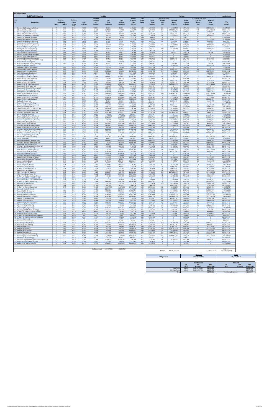| <b>Description</b><br>Prescott St (Bennington/Chelsea)<br>Chelsea St (Visconti/Prescott)<br>Prescott St (Chelsea/Bremen)<br>Chelsea St (Prescott/Bennigton)<br>Chelsea St (Bennington/MobilGas)<br>Chelsea St (MobilGas/Saratoga)<br>Unamed St (Chelsea/Benington<br>Unamed St (Benington/Bremen)<br>Bennington St (Chelsea/Unamed)<br>Bennington St (Unamed/Neptune)<br>11 Neptune Rd (Chelsea/Saratoga)<br>Saratoga St (Chelsea/Neptune<br>13 Saratoga St (Neptune/Bremen)<br>14 Neptune Rd (Saratoga/Bremen)<br>15 Bremen St (Bennington/Neptune)<br>Bremen St (Neptune/Saratoga)<br>17 Neptune Rd (Bremen/Bennington)<br>18 Neptune Rd (Bennington/Rt1AOnRamp)<br>19 Route 1A Onramp (Neptune)<br>20 Neptune Rd (Rt1A Onramp/Offramp)<br>21 Route 1A Offramp (Neptune)<br>22 Vienna St (Neptune/Bennington<br>23 Neptune Rd (Vienna/Frankfort)<br>24 Bennington St (Neptune/Swift)<br>25 Swift St (Saratoga/Bennington)<br>Swift St (Bennington/End)<br>27 Bennington St (Swift/Boardman)<br>Route 1A SB (Curtis/Neptune)<br>29 Curtis St (Chelsea/Route1A)<br>30 Route 1A SB (U-Turn/Curtis)<br>31 Route 1A NB (U-Turn/Boardman<br>32 Boardman St (End/Route 1A)<br>33 Boardman St (Route 1A/Bennington)<br>34 Boardman St (Bennington/Barnes)<br>35 Bennignton St (Boardman/Crescent)<br>36 Route 1A (Boardman/Waldemar)<br>37 Waldemar Ave (Route 1A/Wally)<br>38 Route 1A (Waldemar/Tomesello<br>39 Route 1A (Tomesello/Jughandle)<br>40 Jughandle (Route 1A)<br>41 Route 1A (Jughandle/Furlong)<br>42 Furlong Dr (Route 1A/Tomesello)<br>43 Route 1A (Furlong/BellCir)<br>44 Tomesello Dr (Route 1A/ Furlong Dr)<br>45 Tomesello Dr (Furlong/Route145)<br>46 Winthrop Ave (Beach/Route 16)<br>47 Harris St (Route16/Beach)<br>48 Route 16 (Garfield Ave/Winthrop<br>49 Route 16 (Washington/Garfield)<br>Garfield Ave (Washington/Route16)<br>51 Webster Ave (Rt16/Jefferson)<br>Route 16 (Winthrop/Bell Cir)<br>53 Winthrop Ave (Rt16/Rt1A0nramp)<br>54 Route 1A Onramp (Rt1A/Winthrop)<br>55 Winthrop Ave (Rt1A0nramp/NShoreRd)<br>N Shore Rd (Winthrop Ave/Beach St)<br>57 Winthrop Ave (N Shore/Tomesello)<br>Shaws Drwy (Withrop/Tomesello)<br>59 Withrop Ave (Tomesello/RBP)<br>Shaws Drwy (RBP)<br>61 Revere Beach Pkwy (Withrop/State)<br>Winthrop Ave (RBP/Beachmont Lot)<br>63 Beachmont Lot (Winthrop Ave)<br>Winthrop Ave (Beachmont Lot/State Rd)<br>65 State Rd (Winthrop/Ocean)<br>State Rd (Ocean/Wintrhop Pkwy<br>67 Withrop Pkwy (State/Leverett)<br>Revere Beach Blvd (State/Beach)<br>69 Winthrop Ave (Bennington/Crescent)<br>Bennington St (Crescent/Withrop)<br>71 Crescent Ave (Bennington/Winthrop<br>72 Ocean Ave (RBP/Beach)<br>73 Beach St (Ocean/RBP)<br>Ocean Ave (Beach/Revere<br>75 Beach St (N Shore/Ocean)<br>76 N Shore Rd (Beach/Butler Cir)<br>77 Beach St (VFW/N Shore)<br>78 VFW Pkwy (Bell Cir/Beach St)<br>79 VFW Pkwy (Beach/Butler Cir)<br>80 N Shore Rd (Butler Cir/Wnderld Lot) | <b>Speed</b><br>25<br>25<br>25<br>25<br>25<br>25<br>25<br>25<br>25<br>25<br>25<br>25<br>25<br>25<br>25<br>25<br>25<br>25<br>30<br>25<br>30<br>25<br>25<br>30<br>25<br>25<br>30<br>45<br>25<br>45<br>45<br>25<br>25<br>25<br>25<br>45<br>25<br>45<br>45<br>25<br>45<br>25<br>30<br>25<br>25<br>25<br>25<br>35<br>35<br>25<br>30<br>35 | Roadway<br><b>Link Length</b><br>(miles)<br>0.02<br>0.46<br>0.04<br>0.06<br>0.06<br>0.06<br>0.03<br>0.02<br>0.07<br>0.11<br>0.02<br>0.04<br>0.05<br>0.02<br>0.03<br>0.05<br>0.02<br>0.02<br>0.1<br>0.02<br>0.1<br>0.07<br>0.03<br>0.18<br>0.04<br>0.06<br>0.88<br>0.29<br>0.07<br>0.51<br>0.21<br>0.11<br>0.47<br>0.09<br>1.1<br>0.16<br>0.73<br>0.09<br>0.08<br>0.1<br>0.49<br>0.47<br>0.53<br>0.79<br>0.24<br>0.31 | Emission<br><b>Factor</b><br>$(g/\text{mi})$<br>CO <sub>2</sub><br>295.2<br>295.2<br>307.2<br>311.0<br>328.9<br>303.5<br>328.9<br>319.9<br>309.0<br>299.7<br>346.3<br>295.2<br>325.3<br>346.3<br>295.2<br>314.4<br>295.2<br>295.2<br>317.8<br>295.2<br>224.2<br>309.0<br>398.5<br>287.8<br>333.5<br>409.2<br>268.4<br>271.5<br>368.7<br>250.8<br>250.0<br>308.2<br>304.3<br>317.0<br>297.4<br>286.3<br>302.2<br>348.2<br>364.9<br>295.2 | <b>AADT</b><br>(veh/day)<br>9,386<br>12.460<br>2,023<br>19.095<br>13,512<br>13,189<br>6,716<br>1.699<br>5,907<br>16.749<br>17,558<br>4,046<br>14,160<br>7,525<br>3,398<br>2.832<br>7,363<br>16,263<br>7,848<br>9,709<br>11,085<br>10.033<br>10.114<br>31,313<br>6,149<br>162<br>32,608<br>13,027<br>8.010<br>7,282<br>45,715<br>4.450<br>12,784<br>27,187<br>23,222 | Seasonall<br>Adjusted<br>ADT<br>(veh/day)<br>9,386<br>12.460<br>2,023<br>19,095<br>13,512<br>13,189<br>6.716<br>1.699<br>5,907<br>16.749<br>17,558<br>4,046<br>14,160<br>7,525<br>3,398<br>2.832<br>7,363<br>16,263<br>7.848<br>9,709<br>11,085<br>10.033<br>10.114<br>31,313<br>6,149<br>162<br>32,608<br>13,027<br>8,010<br>7,282<br>45,715<br>4.450 | <b>VMT</b><br>Peak<br>(veh-miles)<br>38,488<br>1,175,204<br>16,590<br>234,908<br>166,227<br>162,246<br>41,308<br>6.968<br>84,773<br>377,744<br>71,999<br>33,179<br>145,159<br>30.857<br>20,903<br>29.032<br>30,193<br>66,690<br>160,919<br>39,815<br>227,277<br>143.997<br>62,211<br>1,155,628<br>50,432<br>1,991<br>5,883,317<br>774.566 | <b>VMT</b><br>Off-Peak<br>(veh-miles)<br>30,029<br>916.912<br>12,943<br>183,279<br>129,693<br>126,587<br>32.229<br>5.436<br>66,141<br>294.722<br>56,174<br>25,887<br>113,255<br>24,075<br>16,309<br>22,651<br>23,557<br>52,033<br>125,551<br>31,064<br>177,325<br>112.349<br>48,538<br>901,638<br>39,348<br>1,553 | Annual<br>Weekday<br><b>Trips</b><br>(veh/yr)<br>3,425,824<br>4.548.077<br>738,324<br>6,969,780<br>4,932,005<br>4,813,873<br>2,451,236<br>620,192<br>2,155,906<br>6,113,324<br>6,408,653<br>1,476,648<br>5,168,269<br>2,746,566<br>1,240,385<br>1.033.654<br>2,687,500<br>5,936,126<br>2,864,698<br>3,543,956<br>4,046,016<br>3,662,088<br>3,691,621<br>11,429,258<br>2,244,505 | Peak<br>Period<br><b>Factor</b><br>0.56<br>0.56<br>0.56<br>0.56<br>0.56<br>0.56<br>0.56<br>0.56<br>0.56<br>0.56<br>0.56<br>0.56<br>0.56<br>0.56<br>0.56<br>0.56<br>0.56<br>0.56<br>0.56<br>0.56<br>0.56<br>0.56<br>0.56<br>0.56 | Period<br><b>Volume</b><br>(vehicles)<br>1,924,388<br>2.554.790<br>414,739<br>3,915,133<br>2,770,454<br>2,704,096<br>1,376,932<br>348.381<br>1,211,037<br>3.434.036<br>3,599,932<br>829,477<br>2,903,171<br>1,542,828<br>696,761<br>580.634<br>1,509,649<br>3,334,499<br>1.609.186<br>1,990,746<br>2,272,768<br>2,057,104 | <b>Peak Traffic Data</b><br>Average<br><b>Delay</b><br>(sec)<br>284<br>590<br>21<br>24<br>96<br>$\bf{0}$<br>24<br>20<br>74<br>$\overline{4}$<br>400<br>$\bf{0}$<br>$\mathbf{0}$<br>$\bf{0}$<br>$\Omega$<br>35<br>9<br>$\mathbf{0}$<br>-1<br>68 | Adjusted<br><b>Delay</b><br>(veh-sec)<br>546,718,502<br>1.508.092.750<br>8,647,302<br>94.941.982<br>267,071,812<br>$\bf{0}$<br>32,357,913<br>6.863.096<br>968.830<br>253.260.184<br>13,139,751<br>331,708,008<br>$\mathbf{0}$<br>154,283<br>$\bf{0}$<br>$\Omega$<br>52,384,815<br>30,010,492<br>$\mathbf{0}$<br>1,094,910<br>154,548,227 | Period<br><b>Volume</b><br>(vehicles)<br>1,501,436<br>1.993.286<br>323.585<br>3.054.647<br>2,161,551<br>2,109,777<br>1.074.304<br>271.812<br>944.869<br>2.679.287<br>2,808,722<br>647,171<br>2,265,098<br>1,203,738<br>543,624<br>453.020<br>1,177,851<br>2,601,627<br>1,255,512<br>1,553,210<br>1,773,248 | <b>Off-Peak Traffic Data</b><br>Average<br><b>Delay</b><br>(sec)<br>256<br>531<br>19<br>22<br>87<br>$\bf{0}$<br>21<br>18<br>$\mathbf{1}$<br>66<br>$\overline{\mathbf{3}}$<br>360<br>$\bf{0}$<br>$\bf{0}$<br>$\mathbf{0}$<br>$\Omega$<br>31<br>8<br>$\mathbf{0}$<br>$\bf{0}$<br>61 | Adjusted<br><b>Delay</b><br>(veh-sec)<br>383,902,282<br>1.058.973.213<br>6,072,081<br>66.667.661<br>187,536,141<br>$\Omega$<br>22,721,522<br>4,819,223<br>680,306<br>177,837,703<br>9,226,650<br>232,923,270<br>$\Omega$<br>108,336<br>$\bf{0}$<br>$\Omega$<br>36,784,287<br>21,073,178<br>$\ddot{\mathbf{0}}$<br>768,839<br>108,522,790<br>$\Omega$ | CO <sub>2</sub><br>(grams)<br>20,227,915<br>617,646,996<br>9,073,782<br>130,075,609<br>97,330,663<br>87,647,639<br>24.186.936<br>3.967.556<br>46,633,118<br>201,547,736<br>44,383,451<br>17,437,888<br>84,057,237<br>19,021,479<br>10,985,850<br>16.249.658<br>15,868,451<br>35,050,095<br>91,045,244<br>20,925,430<br>90,692,259<br>79,212,420 |
|---------------------------------------------------------------------------------------------------------------------------------------------------------------------------------------------------------------------------------------------------------------------------------------------------------------------------------------------------------------------------------------------------------------------------------------------------------------------------------------------------------------------------------------------------------------------------------------------------------------------------------------------------------------------------------------------------------------------------------------------------------------------------------------------------------------------------------------------------------------------------------------------------------------------------------------------------------------------------------------------------------------------------------------------------------------------------------------------------------------------------------------------------------------------------------------------------------------------------------------------------------------------------------------------------------------------------------------------------------------------------------------------------------------------------------------------------------------------------------------------------------------------------------------------------------------------------------------------------------------------------------------------------------------------------------------------------------------------------------------------------------------------------------------------------------------------------------------------------------------------------------------------------------------------------------------------------------------------------------------------------------------------------------------------------------------------------------------------------------------------------------------------------------------------------------------------------------------------------------------------------------------------------------------------------------------------------------------------------------------------------------------------------------------------------------------------------------------------------------------------------------------------------------------------------------------------------------------------------------------------------------------------------------------------------------------------------------------------------------------------------------------------------------------------------------------------------------------------------------------------------------------------------------------------------------------|--------------------------------------------------------------------------------------------------------------------------------------------------------------------------------------------------------------------------------------------------------------------------------------------------------------------------------------|----------------------------------------------------------------------------------------------------------------------------------------------------------------------------------------------------------------------------------------------------------------------------------------------------------------------------------------------------------------------------------------------------------------------|-----------------------------------------------------------------------------------------------------------------------------------------------------------------------------------------------------------------------------------------------------------------------------------------------------------------------------------------------------------------------------------------------------------------------------------------|---------------------------------------------------------------------------------------------------------------------------------------------------------------------------------------------------------------------------------------------------------------------------------------------------------------------------------------------------------------------|--------------------------------------------------------------------------------------------------------------------------------------------------------------------------------------------------------------------------------------------------------------------------------------------------------------------------------------------------------|-------------------------------------------------------------------------------------------------------------------------------------------------------------------------------------------------------------------------------------------------------------------------------------------------------------------------------------------|-------------------------------------------------------------------------------------------------------------------------------------------------------------------------------------------------------------------------------------------------------------------------------------------------------------------|---------------------------------------------------------------------------------------------------------------------------------------------------------------------------------------------------------------------------------------------------------------------------------------------------------------------------------------------------------------------------------|---------------------------------------------------------------------------------------------------------------------------------------------------------------------------------------------------------------------------------|---------------------------------------------------------------------------------------------------------------------------------------------------------------------------------------------------------------------------------------------------------------------------------------------------------------------------|------------------------------------------------------------------------------------------------------------------------------------------------------------------------------------------------------------------------------------------------|------------------------------------------------------------------------------------------------------------------------------------------------------------------------------------------------------------------------------------------------------------------------------------------------------------------------------------------|------------------------------------------------------------------------------------------------------------------------------------------------------------------------------------------------------------------------------------------------------------------------------------------------------------|-----------------------------------------------------------------------------------------------------------------------------------------------------------------------------------------------------------------------------------------------------------------------------------|------------------------------------------------------------------------------------------------------------------------------------------------------------------------------------------------------------------------------------------------------------------------------------------------------------------------------------------------------|-------------------------------------------------------------------------------------------------------------------------------------------------------------------------------------------------------------------------------------------------------------------------------------------------------------------------------------------------|
|                                                                                                                                                                                                                                                                                                                                                                                                                                                                                                                                                                                                                                                                                                                                                                                                                                                                                                                                                                                                                                                                                                                                                                                                                                                                                                                                                                                                                                                                                                                                                                                                                                                                                                                                                                                                                                                                                                                                                                                                                                                                                                                                                                                                                                                                                                                                                                                                                                                                                                                                                                                                                                                                                                                                                                                                                                                                                                                                       |                                                                                                                                                                                                                                                                                                                                      |                                                                                                                                                                                                                                                                                                                                                                                                                      |                                                                                                                                                                                                                                                                                                                                                                                                                                         |                                                                                                                                                                                                                                                                                                                                                                     |                                                                                                                                                                                                                                                                                                                                                        |                                                                                                                                                                                                                                                                                                                                           |                                                                                                                                                                                                                                                                                                                   |                                                                                                                                                                                                                                                                                                                                                                                 |                                                                                                                                                                                                                                 |                                                                                                                                                                                                                                                                                                                           |                                                                                                                                                                                                                                                |                                                                                                                                                                                                                                                                                                                                          |                                                                                                                                                                                                                                                                                                            |                                                                                                                                                                                                                                                                                   |                                                                                                                                                                                                                                                                                                                                                      |                                                                                                                                                                                                                                                                                                                                                 |
|                                                                                                                                                                                                                                                                                                                                                                                                                                                                                                                                                                                                                                                                                                                                                                                                                                                                                                                                                                                                                                                                                                                                                                                                                                                                                                                                                                                                                                                                                                                                                                                                                                                                                                                                                                                                                                                                                                                                                                                                                                                                                                                                                                                                                                                                                                                                                                                                                                                                                                                                                                                                                                                                                                                                                                                                                                                                                                                                       |                                                                                                                                                                                                                                                                                                                                      |                                                                                                                                                                                                                                                                                                                                                                                                                      |                                                                                                                                                                                                                                                                                                                                                                                                                                         |                                                                                                                                                                                                                                                                                                                                                                     |                                                                                                                                                                                                                                                                                                                                                        |                                                                                                                                                                                                                                                                                                                                           |                                                                                                                                                                                                                                                                                                                   |                                                                                                                                                                                                                                                                                                                                                                                 |                                                                                                                                                                                                                                 |                                                                                                                                                                                                                                                                                                                           |                                                                                                                                                                                                                                                |                                                                                                                                                                                                                                                                                                                                          |                                                                                                                                                                                                                                                                                                            |                                                                                                                                                                                                                                                                                   |                                                                                                                                                                                                                                                                                                                                                      |                                                                                                                                                                                                                                                                                                                                                 |
|                                                                                                                                                                                                                                                                                                                                                                                                                                                                                                                                                                                                                                                                                                                                                                                                                                                                                                                                                                                                                                                                                                                                                                                                                                                                                                                                                                                                                                                                                                                                                                                                                                                                                                                                                                                                                                                                                                                                                                                                                                                                                                                                                                                                                                                                                                                                                                                                                                                                                                                                                                                                                                                                                                                                                                                                                                                                                                                                       |                                                                                                                                                                                                                                                                                                                                      |                                                                                                                                                                                                                                                                                                                                                                                                                      |                                                                                                                                                                                                                                                                                                                                                                                                                                         |                                                                                                                                                                                                                                                                                                                                                                     |                                                                                                                                                                                                                                                                                                                                                        |                                                                                                                                                                                                                                                                                                                                           |                                                                                                                                                                                                                                                                                                                   |                                                                                                                                                                                                                                                                                                                                                                                 |                                                                                                                                                                                                                                 |                                                                                                                                                                                                                                                                                                                           |                                                                                                                                                                                                                                                |                                                                                                                                                                                                                                                                                                                                          |                                                                                                                                                                                                                                                                                                            |                                                                                                                                                                                                                                                                                   |                                                                                                                                                                                                                                                                                                                                                      |                                                                                                                                                                                                                                                                                                                                                 |
|                                                                                                                                                                                                                                                                                                                                                                                                                                                                                                                                                                                                                                                                                                                                                                                                                                                                                                                                                                                                                                                                                                                                                                                                                                                                                                                                                                                                                                                                                                                                                                                                                                                                                                                                                                                                                                                                                                                                                                                                                                                                                                                                                                                                                                                                                                                                                                                                                                                                                                                                                                                                                                                                                                                                                                                                                                                                                                                                       |                                                                                                                                                                                                                                                                                                                                      |                                                                                                                                                                                                                                                                                                                                                                                                                      |                                                                                                                                                                                                                                                                                                                                                                                                                                         |                                                                                                                                                                                                                                                                                                                                                                     |                                                                                                                                                                                                                                                                                                                                                        |                                                                                                                                                                                                                                                                                                                                           |                                                                                                                                                                                                                                                                                                                   |                                                                                                                                                                                                                                                                                                                                                                                 |                                                                                                                                                                                                                                 |                                                                                                                                                                                                                                                                                                                           |                                                                                                                                                                                                                                                |                                                                                                                                                                                                                                                                                                                                          |                                                                                                                                                                                                                                                                                                            |                                                                                                                                                                                                                                                                                   |                                                                                                                                                                                                                                                                                                                                                      |                                                                                                                                                                                                                                                                                                                                                 |
|                                                                                                                                                                                                                                                                                                                                                                                                                                                                                                                                                                                                                                                                                                                                                                                                                                                                                                                                                                                                                                                                                                                                                                                                                                                                                                                                                                                                                                                                                                                                                                                                                                                                                                                                                                                                                                                                                                                                                                                                                                                                                                                                                                                                                                                                                                                                                                                                                                                                                                                                                                                                                                                                                                                                                                                                                                                                                                                                       |                                                                                                                                                                                                                                                                                                                                      |                                                                                                                                                                                                                                                                                                                                                                                                                      |                                                                                                                                                                                                                                                                                                                                                                                                                                         |                                                                                                                                                                                                                                                                                                                                                                     |                                                                                                                                                                                                                                                                                                                                                        |                                                                                                                                                                                                                                                                                                                                           |                                                                                                                                                                                                                                                                                                                   |                                                                                                                                                                                                                                                                                                                                                                                 |                                                                                                                                                                                                                                 |                                                                                                                                                                                                                                                                                                                           |                                                                                                                                                                                                                                                |                                                                                                                                                                                                                                                                                                                                          |                                                                                                                                                                                                                                                                                                            |                                                                                                                                                                                                                                                                                   |                                                                                                                                                                                                                                                                                                                                                      |                                                                                                                                                                                                                                                                                                                                                 |
|                                                                                                                                                                                                                                                                                                                                                                                                                                                                                                                                                                                                                                                                                                                                                                                                                                                                                                                                                                                                                                                                                                                                                                                                                                                                                                                                                                                                                                                                                                                                                                                                                                                                                                                                                                                                                                                                                                                                                                                                                                                                                                                                                                                                                                                                                                                                                                                                                                                                                                                                                                                                                                                                                                                                                                                                                                                                                                                                       |                                                                                                                                                                                                                                                                                                                                      |                                                                                                                                                                                                                                                                                                                                                                                                                      |                                                                                                                                                                                                                                                                                                                                                                                                                                         |                                                                                                                                                                                                                                                                                                                                                                     |                                                                                                                                                                                                                                                                                                                                                        |                                                                                                                                                                                                                                                                                                                                           |                                                                                                                                                                                                                                                                                                                   |                                                                                                                                                                                                                                                                                                                                                                                 |                                                                                                                                                                                                                                 |                                                                                                                                                                                                                                                                                                                           |                                                                                                                                                                                                                                                |                                                                                                                                                                                                                                                                                                                                          |                                                                                                                                                                                                                                                                                                            |                                                                                                                                                                                                                                                                                   |                                                                                                                                                                                                                                                                                                                                                      |                                                                                                                                                                                                                                                                                                                                                 |
|                                                                                                                                                                                                                                                                                                                                                                                                                                                                                                                                                                                                                                                                                                                                                                                                                                                                                                                                                                                                                                                                                                                                                                                                                                                                                                                                                                                                                                                                                                                                                                                                                                                                                                                                                                                                                                                                                                                                                                                                                                                                                                                                                                                                                                                                                                                                                                                                                                                                                                                                                                                                                                                                                                                                                                                                                                                                                                                                       |                                                                                                                                                                                                                                                                                                                                      |                                                                                                                                                                                                                                                                                                                                                                                                                      |                                                                                                                                                                                                                                                                                                                                                                                                                                         |                                                                                                                                                                                                                                                                                                                                                                     |                                                                                                                                                                                                                                                                                                                                                        |                                                                                                                                                                                                                                                                                                                                           |                                                                                                                                                                                                                                                                                                                   |                                                                                                                                                                                                                                                                                                                                                                                 |                                                                                                                                                                                                                                 |                                                                                                                                                                                                                                                                                                                           |                                                                                                                                                                                                                                                |                                                                                                                                                                                                                                                                                                                                          |                                                                                                                                                                                                                                                                                                            |                                                                                                                                                                                                                                                                                   |                                                                                                                                                                                                                                                                                                                                                      |                                                                                                                                                                                                                                                                                                                                                 |
|                                                                                                                                                                                                                                                                                                                                                                                                                                                                                                                                                                                                                                                                                                                                                                                                                                                                                                                                                                                                                                                                                                                                                                                                                                                                                                                                                                                                                                                                                                                                                                                                                                                                                                                                                                                                                                                                                                                                                                                                                                                                                                                                                                                                                                                                                                                                                                                                                                                                                                                                                                                                                                                                                                                                                                                                                                                                                                                                       |                                                                                                                                                                                                                                                                                                                                      |                                                                                                                                                                                                                                                                                                                                                                                                                      |                                                                                                                                                                                                                                                                                                                                                                                                                                         |                                                                                                                                                                                                                                                                                                                                                                     |                                                                                                                                                                                                                                                                                                                                                        |                                                                                                                                                                                                                                                                                                                                           |                                                                                                                                                                                                                                                                                                                   |                                                                                                                                                                                                                                                                                                                                                                                 |                                                                                                                                                                                                                                 |                                                                                                                                                                                                                                                                                                                           |                                                                                                                                                                                                                                                |                                                                                                                                                                                                                                                                                                                                          |                                                                                                                                                                                                                                                                                                            |                                                                                                                                                                                                                                                                                   |                                                                                                                                                                                                                                                                                                                                                      |                                                                                                                                                                                                                                                                                                                                                 |
|                                                                                                                                                                                                                                                                                                                                                                                                                                                                                                                                                                                                                                                                                                                                                                                                                                                                                                                                                                                                                                                                                                                                                                                                                                                                                                                                                                                                                                                                                                                                                                                                                                                                                                                                                                                                                                                                                                                                                                                                                                                                                                                                                                                                                                                                                                                                                                                                                                                                                                                                                                                                                                                                                                                                                                                                                                                                                                                                       |                                                                                                                                                                                                                                                                                                                                      |                                                                                                                                                                                                                                                                                                                                                                                                                      |                                                                                                                                                                                                                                                                                                                                                                                                                                         |                                                                                                                                                                                                                                                                                                                                                                     |                                                                                                                                                                                                                                                                                                                                                        |                                                                                                                                                                                                                                                                                                                                           |                                                                                                                                                                                                                                                                                                                   |                                                                                                                                                                                                                                                                                                                                                                                 |                                                                                                                                                                                                                                 |                                                                                                                                                                                                                                                                                                                           |                                                                                                                                                                                                                                                |                                                                                                                                                                                                                                                                                                                                          |                                                                                                                                                                                                                                                                                                            |                                                                                                                                                                                                                                                                                   |                                                                                                                                                                                                                                                                                                                                                      |                                                                                                                                                                                                                                                                                                                                                 |
|                                                                                                                                                                                                                                                                                                                                                                                                                                                                                                                                                                                                                                                                                                                                                                                                                                                                                                                                                                                                                                                                                                                                                                                                                                                                                                                                                                                                                                                                                                                                                                                                                                                                                                                                                                                                                                                                                                                                                                                                                                                                                                                                                                                                                                                                                                                                                                                                                                                                                                                                                                                                                                                                                                                                                                                                                                                                                                                                       |                                                                                                                                                                                                                                                                                                                                      |                                                                                                                                                                                                                                                                                                                                                                                                                      |                                                                                                                                                                                                                                                                                                                                                                                                                                         |                                                                                                                                                                                                                                                                                                                                                                     |                                                                                                                                                                                                                                                                                                                                                        |                                                                                                                                                                                                                                                                                                                                           |                                                                                                                                                                                                                                                                                                                   |                                                                                                                                                                                                                                                                                                                                                                                 |                                                                                                                                                                                                                                 |                                                                                                                                                                                                                                                                                                                           |                                                                                                                                                                                                                                                |                                                                                                                                                                                                                                                                                                                                          |                                                                                                                                                                                                                                                                                                            |                                                                                                                                                                                                                                                                                   |                                                                                                                                                                                                                                                                                                                                                      |                                                                                                                                                                                                                                                                                                                                                 |
|                                                                                                                                                                                                                                                                                                                                                                                                                                                                                                                                                                                                                                                                                                                                                                                                                                                                                                                                                                                                                                                                                                                                                                                                                                                                                                                                                                                                                                                                                                                                                                                                                                                                                                                                                                                                                                                                                                                                                                                                                                                                                                                                                                                                                                                                                                                                                                                                                                                                                                                                                                                                                                                                                                                                                                                                                                                                                                                                       |                                                                                                                                                                                                                                                                                                                                      |                                                                                                                                                                                                                                                                                                                                                                                                                      |                                                                                                                                                                                                                                                                                                                                                                                                                                         |                                                                                                                                                                                                                                                                                                                                                                     |                                                                                                                                                                                                                                                                                                                                                        |                                                                                                                                                                                                                                                                                                                                           |                                                                                                                                                                                                                                                                                                                   |                                                                                                                                                                                                                                                                                                                                                                                 |                                                                                                                                                                                                                                 |                                                                                                                                                                                                                                                                                                                           |                                                                                                                                                                                                                                                |                                                                                                                                                                                                                                                                                                                                          |                                                                                                                                                                                                                                                                                                            |                                                                                                                                                                                                                                                                                   |                                                                                                                                                                                                                                                                                                                                                      |                                                                                                                                                                                                                                                                                                                                                 |
|                                                                                                                                                                                                                                                                                                                                                                                                                                                                                                                                                                                                                                                                                                                                                                                                                                                                                                                                                                                                                                                                                                                                                                                                                                                                                                                                                                                                                                                                                                                                                                                                                                                                                                                                                                                                                                                                                                                                                                                                                                                                                                                                                                                                                                                                                                                                                                                                                                                                                                                                                                                                                                                                                                                                                                                                                                                                                                                                       |                                                                                                                                                                                                                                                                                                                                      |                                                                                                                                                                                                                                                                                                                                                                                                                      |                                                                                                                                                                                                                                                                                                                                                                                                                                         |                                                                                                                                                                                                                                                                                                                                                                     |                                                                                                                                                                                                                                                                                                                                                        |                                                                                                                                                                                                                                                                                                                                           |                                                                                                                                                                                                                                                                                                                   |                                                                                                                                                                                                                                                                                                                                                                                 |                                                                                                                                                                                                                                 |                                                                                                                                                                                                                                                                                                                           |                                                                                                                                                                                                                                                |                                                                                                                                                                                                                                                                                                                                          |                                                                                                                                                                                                                                                                                                            |                                                                                                                                                                                                                                                                                   |                                                                                                                                                                                                                                                                                                                                                      |                                                                                                                                                                                                                                                                                                                                                 |
|                                                                                                                                                                                                                                                                                                                                                                                                                                                                                                                                                                                                                                                                                                                                                                                                                                                                                                                                                                                                                                                                                                                                                                                                                                                                                                                                                                                                                                                                                                                                                                                                                                                                                                                                                                                                                                                                                                                                                                                                                                                                                                                                                                                                                                                                                                                                                                                                                                                                                                                                                                                                                                                                                                                                                                                                                                                                                                                                       |                                                                                                                                                                                                                                                                                                                                      |                                                                                                                                                                                                                                                                                                                                                                                                                      |                                                                                                                                                                                                                                                                                                                                                                                                                                         |                                                                                                                                                                                                                                                                                                                                                                     |                                                                                                                                                                                                                                                                                                                                                        |                                                                                                                                                                                                                                                                                                                                           |                                                                                                                                                                                                                                                                                                                   |                                                                                                                                                                                                                                                                                                                                                                                 |                                                                                                                                                                                                                                 |                                                                                                                                                                                                                                                                                                                           |                                                                                                                                                                                                                                                |                                                                                                                                                                                                                                                                                                                                          |                                                                                                                                                                                                                                                                                                            |                                                                                                                                                                                                                                                                                   |                                                                                                                                                                                                                                                                                                                                                      |                                                                                                                                                                                                                                                                                                                                                 |
|                                                                                                                                                                                                                                                                                                                                                                                                                                                                                                                                                                                                                                                                                                                                                                                                                                                                                                                                                                                                                                                                                                                                                                                                                                                                                                                                                                                                                                                                                                                                                                                                                                                                                                                                                                                                                                                                                                                                                                                                                                                                                                                                                                                                                                                                                                                                                                                                                                                                                                                                                                                                                                                                                                                                                                                                                                                                                                                                       |                                                                                                                                                                                                                                                                                                                                      |                                                                                                                                                                                                                                                                                                                                                                                                                      |                                                                                                                                                                                                                                                                                                                                                                                                                                         |                                                                                                                                                                                                                                                                                                                                                                     |                                                                                                                                                                                                                                                                                                                                                        |                                                                                                                                                                                                                                                                                                                                           |                                                                                                                                                                                                                                                                                                                   |                                                                                                                                                                                                                                                                                                                                                                                 |                                                                                                                                                                                                                                 |                                                                                                                                                                                                                                                                                                                           | $\mathbf{0}$                                                                                                                                                                                                                                   | $\Omega$                                                                                                                                                                                                                                                                                                                                 | 1.604.984                                                                                                                                                                                                                                                                                                  | $\Omega$                                                                                                                                                                                                                                                                          |                                                                                                                                                                                                                                                                                                                                                      |                                                                                                                                                                                                                                                                                                                                                 |
|                                                                                                                                                                                                                                                                                                                                                                                                                                                                                                                                                                                                                                                                                                                                                                                                                                                                                                                                                                                                                                                                                                                                                                                                                                                                                                                                                                                                                                                                                                                                                                                                                                                                                                                                                                                                                                                                                                                                                                                                                                                                                                                                                                                                                                                                                                                                                                                                                                                                                                                                                                                                                                                                                                                                                                                                                                                                                                                                       |                                                                                                                                                                                                                                                                                                                                      |                                                                                                                                                                                                                                                                                                                                                                                                                      |                                                                                                                                                                                                                                                                                                                                                                                                                                         |                                                                                                                                                                                                                                                                                                                                                                     |                                                                                                                                                                                                                                                                                                                                                        |                                                                                                                                                                                                                                                                                                                                           |                                                                                                                                                                                                                                                                                                                   |                                                                                                                                                                                                                                                                                                                                                                                 |                                                                                                                                                                                                                                 | 2,073,693                                                                                                                                                                                                                                                                                                                 | 29                                                                                                                                                                                                                                             | 59,307,633                                                                                                                                                                                                                                                                                                                               | 1,617,927                                                                                                                                                                                                                                                                                                  | 26                                                                                                                                                                                                                                                                                | 41.645.446                                                                                                                                                                                                                                                                                                                                           | 44,132,586                                                                                                                                                                                                                                                                                                                                      |
|                                                                                                                                                                                                                                                                                                                                                                                                                                                                                                                                                                                                                                                                                                                                                                                                                                                                                                                                                                                                                                                                                                                                                                                                                                                                                                                                                                                                                                                                                                                                                                                                                                                                                                                                                                                                                                                                                                                                                                                                                                                                                                                                                                                                                                                                                                                                                                                                                                                                                                                                                                                                                                                                                                                                                                                                                                                                                                                                       |                                                                                                                                                                                                                                                                                                                                      |                                                                                                                                                                                                                                                                                                                                                                                                                      |                                                                                                                                                                                                                                                                                                                                                                                                                                         |                                                                                                                                                                                                                                                                                                                                                                     |                                                                                                                                                                                                                                                                                                                                                        |                                                                                                                                                                                                                                                                                                                                           |                                                                                                                                                                                                                                                                                                                   |                                                                                                                                                                                                                                                                                                                                                                                 | 0.56                                                                                                                                                                                                                            | 6,420,155<br>1,260,806                                                                                                                                                                                                                                                                                                    | 114<br>- 5                                                                                                                                                                                                                                     | 731,576,662<br>6,051,867                                                                                                                                                                                                                                                                                                                 | 5,009,103<br>983.700                                                                                                                                                                                                                                                                                       | 103<br>$4\overline{ }$                                                                                                                                                                                                                                                            | 513,708,516<br>4,249,583                                                                                                                                                                                                                                                                                                                             | 592,154,362<br>29,937,439                                                                                                                                                                                                                                                                                                                       |
|                                                                                                                                                                                                                                                                                                                                                                                                                                                                                                                                                                                                                                                                                                                                                                                                                                                                                                                                                                                                                                                                                                                                                                                                                                                                                                                                                                                                                                                                                                                                                                                                                                                                                                                                                                                                                                                                                                                                                                                                                                                                                                                                                                                                                                                                                                                                                                                                                                                                                                                                                                                                                                                                                                                                                                                                                                                                                                                                       |                                                                                                                                                                                                                                                                                                                                      |                                                                                                                                                                                                                                                                                                                                                                                                                      |                                                                                                                                                                                                                                                                                                                                                                                                                                         |                                                                                                                                                                                                                                                                                                                                                                     |                                                                                                                                                                                                                                                                                                                                                        |                                                                                                                                                                                                                                                                                                                                           |                                                                                                                                                                                                                                                                                                                   | 59,066<br>11,901,785                                                                                                                                                                                                                                                                                                                                                            | 0.56<br>0.56                                                                                                                                                                                                                    | 33,179<br>6,685,588                                                                                                                                                                                                                                                                                                       | $\overline{4}$<br>60                                                                                                                                                                                                                           | 119.445<br>400,466,707                                                                                                                                                                                                                                                                                                                   | 25,887<br>5,216,197                                                                                                                                                                                                                                                                                        | -3<br>54                                                                                                                                                                                                                                                                          | 83.873<br>281,205,195                                                                                                                                                                                                                                                                                                                                | 1,450,323<br>2,811,142,218                                                                                                                                                                                                                                                                                                                      |
|                                                                                                                                                                                                                                                                                                                                                                                                                                                                                                                                                                                                                                                                                                                                                                                                                                                                                                                                                                                                                                                                                                                                                                                                                                                                                                                                                                                                                                                                                                                                                                                                                                                                                                                                                                                                                                                                                                                                                                                                                                                                                                                                                                                                                                                                                                                                                                                                                                                                                                                                                                                                                                                                                                                                                                                                                                                                                                                                       |                                                                                                                                                                                                                                                                                                                                      |                                                                                                                                                                                                                                                                                                                                                                                                                      |                                                                                                                                                                                                                                                                                                                                                                                                                                         |                                                                                                                                                                                                                                                                                                                                                                     |                                                                                                                                                                                                                                                                                                                                                        |                                                                                                                                                                                                                                                                                                                                           | 4,590,254<br>604,328                                                                                                                                                                                                                                                                                              | 4,754,807                                                                                                                                                                                                                                                                                                                                                                       | 0.56                                                                                                                                                                                                                            | 2.670.917                                                                                                                                                                                                                                                                                                                 | $\Omega$                                                                                                                                                                                                                                       | $\Omega$                                                                                                                                                                                                                                                                                                                                 | 2.083.890                                                                                                                                                                                                                                                                                                  | $\Omega$                                                                                                                                                                                                                                                                          | $\Omega$                                                                                                                                                                                                                                                                                                                                             | 374,387,370                                                                                                                                                                                                                                                                                                                                     |
|                                                                                                                                                                                                                                                                                                                                                                                                                                                                                                                                                                                                                                                                                                                                                                                                                                                                                                                                                                                                                                                                                                                                                                                                                                                                                                                                                                                                                                                                                                                                                                                                                                                                                                                                                                                                                                                                                                                                                                                                                                                                                                                                                                                                                                                                                                                                                                                                                                                                                                                                                                                                                                                                                                                                                                                                                                                                                                                                       |                                                                                                                                                                                                                                                                                                                                      |                                                                                                                                                                                                                                                                                                                                                                                                                      |                                                                                                                                                                                                                                                                                                                                                                                                                                         |                                                                                                                                                                                                                                                                                                                                                                     |                                                                                                                                                                                                                                                                                                                                                        | 114,966<br>761,460                                                                                                                                                                                                                                                                                                                        | 89,698<br>594,103                                                                                                                                                                                                                                                                                                 | 2,923,764<br>2,657,967                                                                                                                                                                                                                                                                                                                                                          | 0.56<br>0.56                                                                                                                                                                                                                    | 1,642,365<br>1,493,059                                                                                                                                                                                                                                                                                                    | 24<br>15                                                                                                                                                                                                                                       | 39,252,529<br>22,545,195                                                                                                                                                                                                                                                                                                                 | 1.281.398<br>1,164,908                                                                                                                                                                                                                                                                                     | 22<br>14                                                                                                                                                                                                                                                                          | 27,562,878<br>15,831,094                                                                                                                                                                                                                                                                                                                             | 75,459,414<br>339,926,182                                                                                                                                                                                                                                                                                                                       |
|                                                                                                                                                                                                                                                                                                                                                                                                                                                                                                                                                                                                                                                                                                                                                                                                                                                                                                                                                                                                                                                                                                                                                                                                                                                                                                                                                                                                                                                                                                                                                                                                                                                                                                                                                                                                                                                                                                                                                                                                                                                                                                                                                                                                                                                                                                                                                                                                                                                                                                                                                                                                                                                                                                                                                                                                                                                                                                                                       |                                                                                                                                                                                                                                                                                                                                      |                                                                                                                                                                                                                                                                                                                                                                                                                      |                                                                                                                                                                                                                                                                                                                                                                                                                                         |                                                                                                                                                                                                                                                                                                                                                                     |                                                                                                                                                                                                                                                                                                                                                        | 1,968,350                                                                                                                                                                                                                                                                                                                                 | 1,535,736                                                                                                                                                                                                                                                                                                         | 16,686,125                                                                                                                                                                                                                                                                                                                                                                      | 0.56                                                                                                                                                                                                                            | 9,373,095                                                                                                                                                                                                                                                                                                                 | 176                                                                                                                                                                                                                                            | 1,650,601,943                                                                                                                                                                                                                                                                                                                            | 7,313,031                                                                                                                                                                                                                                                                                                  | 158                                                                                                                                                                                                                                                                               | 1,159,042,268                                                                                                                                                                                                                                                                                                                                        | 876,042,597                                                                                                                                                                                                                                                                                                                                     |
|                                                                                                                                                                                                                                                                                                                                                                                                                                                                                                                                                                                                                                                                                                                                                                                                                                                                                                                                                                                                                                                                                                                                                                                                                                                                                                                                                                                                                                                                                                                                                                                                                                                                                                                                                                                                                                                                                                                                                                                                                                                                                                                                                                                                                                                                                                                                                                                                                                                                                                                                                                                                                                                                                                                                                                                                                                                                                                                                       |                                                                                                                                                                                                                                                                                                                                      |                                                                                                                                                                                                                                                                                                                                                                                                                      |                                                                                                                                                                                                                                                                                                                                                                                                                                         |                                                                                                                                                                                                                                                                                                                                                                     | 12,784                                                                                                                                                                                                                                                                                                                                                 | 100.367<br>1,231,940                                                                                                                                                                                                                                                                                                                      | 78.308<br>961.178                                                                                                                                                                                                                                                                                                 | 1,624,313<br>4.666.209                                                                                                                                                                                                                                                                                                                                                          | 0.56<br>0.56                                                                                                                                                                                                                    | 912.425<br>2,621,149                                                                                                                                                                                                                                                                                                      | $\bf{0}$<br>333                                                                                                                                                                                                                                | $\bf{0}$<br>872.842.468                                                                                                                                                                                                                                                                                                                  | 711.888<br>2.045.060                                                                                                                                                                                                                                                                                       | $\mathbf{0}$<br>300                                                                                                                                                                                                                                                               | $\Omega$<br>612,904,473                                                                                                                                                                                                                                                                                                                              | 55.066.491<br>667.342.510                                                                                                                                                                                                                                                                                                                       |
|                                                                                                                                                                                                                                                                                                                                                                                                                                                                                                                                                                                                                                                                                                                                                                                                                                                                                                                                                                                                                                                                                                                                                                                                                                                                                                                                                                                                                                                                                                                                                                                                                                                                                                                                                                                                                                                                                                                                                                                                                                                                                                                                                                                                                                                                                                                                                                                                                                                                                                                                                                                                                                                                                                                                                                                                                                                                                                                                       |                                                                                                                                                                                                                                                                                                                                      |                                                                                                                                                                                                                                                                                                                                                                                                                      |                                                                                                                                                                                                                                                                                                                                                                                                                                         |                                                                                                                                                                                                                                                                                                                                                                     | 27,187                                                                                                                                                                                                                                                                                                                                                 | 501,668                                                                                                                                                                                                                                                                                                                                   | 391,409                                                                                                                                                                                                                                                                                                           | 9,923,076                                                                                                                                                                                                                                                                                                                                                                       | 0.56                                                                                                                                                                                                                            | 5.574.088                                                                                                                                                                                                                                                                                                                 | 84                                                                                                                                                                                                                                             | 467.108.580                                                                                                                                                                                                                                                                                                                              | 4,348,988                                                                                                                                                                                                                                                                                                  | 75                                                                                                                                                                                                                                                                                | 328,000,697                                                                                                                                                                                                                                                                                                                                          | 283.087.497                                                                                                                                                                                                                                                                                                                                     |
|                                                                                                                                                                                                                                                                                                                                                                                                                                                                                                                                                                                                                                                                                                                                                                                                                                                                                                                                                                                                                                                                                                                                                                                                                                                                                                                                                                                                                                                                                                                                                                                                                                                                                                                                                                                                                                                                                                                                                                                                                                                                                                                                                                                                                                                                                                                                                                                                                                                                                                                                                                                                                                                                                                                                                                                                                                                                                                                                       |                                                                                                                                                                                                                                                                                                                                      |                                                                                                                                                                                                                                                                                                                                                                                                                      |                                                                                                                                                                                                                                                                                                                                                                                                                                         | 85,443                                                                                                                                                                                                                                                                                                                                                              | 23,222<br>85,443                                                                                                                                                                                                                                                                                                                                       | 5,237,320<br>2,802,970                                                                                                                                                                                                                                                                                                                    | 4,086,237<br>2,186,920                                                                                                                                                                                                                                                                                            | 8,475,961<br>31,186,811                                                                                                                                                                                                                                                                                                                                                         | 0.56<br>0.56                                                                                                                                                                                                                    | 4,761,200<br>17,518,562                                                                                                                                                                                                                                                                                                   | 37<br>180                                                                                                                                                                                                                                      | 175,688,288<br>3,145,457,893                                                                                                                                                                                                                                                                                                             | 3.714.761<br>13.668.249                                                                                                                                                                                                                                                                                    | 33<br>162                                                                                                                                                                                                                                                                         | 123,367,207<br>2,208,720,684                                                                                                                                                                                                                                                                                                                         | 2,773,258,193<br>1,428,443,293                                                                                                                                                                                                                                                                                                                  |
|                                                                                                                                                                                                                                                                                                                                                                                                                                                                                                                                                                                                                                                                                                                                                                                                                                                                                                                                                                                                                                                                                                                                                                                                                                                                                                                                                                                                                                                                                                                                                                                                                                                                                                                                                                                                                                                                                                                                                                                                                                                                                                                                                                                                                                                                                                                                                                                                                                                                                                                                                                                                                                                                                                                                                                                                                                                                                                                                       |                                                                                                                                                                                                                                                                                                                                      |                                                                                                                                                                                                                                                                                                                                                                                                                      |                                                                                                                                                                                                                                                                                                                                                                                                                                         | 3,722                                                                                                                                                                                                                                                                                                                                                               | 3,722                                                                                                                                                                                                                                                                                                                                                  | 557,077                                                                                                                                                                                                                                                                                                                                   | 434,640                                                                                                                                                                                                                                                                                                           | 1,358,516                                                                                                                                                                                                                                                                                                                                                                       | 0.56<br>0.56                                                                                                                                                                                                                    | 763,119<br>17.286.309                                                                                                                                                                                                                                                                                                     | 6                                                                                                                                                                                                                                              | 4,845,807                                                                                                                                                                                                                                                                                                                                | 595,397<br>13.487.041                                                                                                                                                                                                                                                                                      | 6                                                                                                                                                                                                                                                                                 | 3,402,695                                                                                                                                                                                                                                                                                                                                            | 299,718,590<br>964.445.967                                                                                                                                                                                                                                                                                                                      |
|                                                                                                                                                                                                                                                                                                                                                                                                                                                                                                                                                                                                                                                                                                                                                                                                                                                                                                                                                                                                                                                                                                                                                                                                                                                                                                                                                                                                                                                                                                                                                                                                                                                                                                                                                                                                                                                                                                                                                                                                                                                                                                                                                                                                                                                                                                                                                                                                                                                                                                                                                                                                                                                                                                                                                                                                                                                                                                                                       |                                                                                                                                                                                                                                                                                                                                      |                                                                                                                                                                                                                                                                                                                                                                                                                      |                                                                                                                                                                                                                                                                                                                                                                                                                                         | 84,311<br>82,611                                                                                                                                                                                                                                                                                                                                                    | 84,311<br>82,611                                                                                                                                                                                                                                                                                                                                       | 1,555,768<br>1,355,034                                                                                                                                                                                                                                                                                                                    | 1,213,834<br>1,057,218                                                                                                                                                                                                                                                                                            | 30,773,350<br>30,153,158                                                                                                                                                                                                                                                                                                                                                        | 0.56                                                                                                                                                                                                                            | 16,937,928                                                                                                                                                                                                                                                                                                                | 6<br>19                                                                                                                                                                                                                                        | 107,175,115<br>316,739,259                                                                                                                                                                                                                                                                                                               | 13,215,229                                                                                                                                                                                                                                                                                                 | 6<br>17                                                                                                                                                                                                                                                                           | 75.257.689<br>222,412,309                                                                                                                                                                                                                                                                                                                            | 880,122,453                                                                                                                                                                                                                                                                                                                                     |
|                                                                                                                                                                                                                                                                                                                                                                                                                                                                                                                                                                                                                                                                                                                                                                                                                                                                                                                                                                                                                                                                                                                                                                                                                                                                                                                                                                                                                                                                                                                                                                                                                                                                                                                                                                                                                                                                                                                                                                                                                                                                                                                                                                                                                                                                                                                                                                                                                                                                                                                                                                                                                                                                                                                                                                                                                                                                                                                                       |                                                                                                                                                                                                                                                                                                                                      |                                                                                                                                                                                                                                                                                                                                                                                                                      | 232.2                                                                                                                                                                                                                                                                                                                                                                                                                                   | 2,508<br>86.981                                                                                                                                                                                                                                                                                                                                                     | 2,508<br>86,981                                                                                                                                                                                                                                                                                                                                        | 51,428<br>8,738,544                                                                                                                                                                                                                                                                                                                       | 40,125<br>6,817,945                                                                                                                                                                                                                                                                                               | 915,522<br>31,747,938                                                                                                                                                                                                                                                                                                                                                           | 0.56<br>0.56                                                                                                                                                                                                                    | 514,276<br>17.833.764                                                                                                                                                                                                                                                                                                     | 41<br>$\Omega$                                                                                                                                                                                                                                 | 21,085,315<br>$\mathbf{0}$                                                                                                                                                                                                                                                                                                               | 401,246<br>13.914.174                                                                                                                                                                                                                                                                                      | 37<br>$\Omega$                                                                                                                                                                                                                                                                    | 14,805,975<br>$\Omega$                                                                                                                                                                                                                                                                                                                               | 27,028,678<br>3,611,677,125                                                                                                                                                                                                                                                                                                                     |
|                                                                                                                                                                                                                                                                                                                                                                                                                                                                                                                                                                                                                                                                                                                                                                                                                                                                                                                                                                                                                                                                                                                                                                                                                                                                                                                                                                                                                                                                                                                                                                                                                                                                                                                                                                                                                                                                                                                                                                                                                                                                                                                                                                                                                                                                                                                                                                                                                                                                                                                                                                                                                                                                                                                                                                                                                                                                                                                                       |                                                                                                                                                                                                                                                                                                                                      |                                                                                                                                                                                                                                                                                                                                                                                                                      | 296.1                                                                                                                                                                                                                                                                                                                                                                                                                                   | 10,033                                                                                                                                                                                                                                                                                                                                                              | 10.033                                                                                                                                                                                                                                                                                                                                                 | 966,839                                                                                                                                                                                                                                                                                                                                   | 754,342                                                                                                                                                                                                                                                                                                           | 3,662,088                                                                                                                                                                                                                                                                                                                                                                       | 0.56                                                                                                                                                                                                                            | 2,057,104                                                                                                                                                                                                                                                                                                                 | 35                                                                                                                                                                                                                                             | 72,924,334                                                                                                                                                                                                                                                                                                                               | 1,604,984                                                                                                                                                                                                                                                                                                  | 32                                                                                                                                                                                                                                                                                | 51,207,007                                                                                                                                                                                                                                                                                                                                           | 509,682,021                                                                                                                                                                                                                                                                                                                                     |
|                                                                                                                                                                                                                                                                                                                                                                                                                                                                                                                                                                                                                                                                                                                                                                                                                                                                                                                                                                                                                                                                                                                                                                                                                                                                                                                                                                                                                                                                                                                                                                                                                                                                                                                                                                                                                                                                                                                                                                                                                                                                                                                                                                                                                                                                                                                                                                                                                                                                                                                                                                                                                                                                                                                                                                                                                                                                                                                                       |                                                                                                                                                                                                                                                                                                                                      |                                                                                                                                                                                                                                                                                                                                                                                                                      | 289.3<br>295.2                                                                                                                                                                                                                                                                                                                                                                                                                          | 69,585<br>21,118                                                                                                                                                                                                                                                                                                                                                    | 69,585<br>21.118                                                                                                                                                                                                                                                                                                                                       | 7,561,516<br>3,420,599                                                                                                                                                                                                                                                                                                                    | 5,899,610<br>2.668.803                                                                                                                                                                                                                                                                                            | 25,398,350<br>7.708.104                                                                                                                                                                                                                                                                                                                                                         | 0.56<br>0.56                                                                                                                                                                                                                    | 14,267,011<br>4.329.872                                                                                                                                                                                                                                                                                                   | 26<br>39                                                                                                                                                                                                                                       | 373,795,691<br>170.380.462                                                                                                                                                                                                                                                                                                               | 11,131,339<br>3.378.232                                                                                                                                                                                                                                                                                    | 24<br>35                                                                                                                                                                                                                                                                          | 262,476,976<br>119.640.085                                                                                                                                                                                                                                                                                                                           | 3,894,710,251<br>1,797,753,358                                                                                                                                                                                                                                                                                                                  |
|                                                                                                                                                                                                                                                                                                                                                                                                                                                                                                                                                                                                                                                                                                                                                                                                                                                                                                                                                                                                                                                                                                                                                                                                                                                                                                                                                                                                                                                                                                                                                                                                                                                                                                                                                                                                                                                                                                                                                                                                                                                                                                                                                                                                                                                                                                                                                                                                                                                                                                                                                                                                                                                                                                                                                                                                                                                                                                                                       |                                                                                                                                                                                                                                                                                                                                      |                                                                                                                                                                                                                                                                                                                                                                                                                      | 295.2                                                                                                                                                                                                                                                                                                                                                                                                                                   | 25.487                                                                                                                                                                                                                                                                                                                                                              | 25.487                                                                                                                                                                                                                                                                                                                                                 | 1,254,170                                                                                                                                                                                                                                                                                                                                 | 978,522                                                                                                                                                                                                                                                                                                           | 9,302,884                                                                                                                                                                                                                                                                                                                                                                       | 0.56                                                                                                                                                                                                                            | 5,225,708                                                                                                                                                                                                                                                                                                                 | 27                                                                                                                                                                                                                                             | 140,048,963                                                                                                                                                                                                                                                                                                                              | 4,077,177                                                                                                                                                                                                                                                                                                  | 24                                                                                                                                                                                                                                                                                | 98.341.498                                                                                                                                                                                                                                                                                                                                           | 659.151.213                                                                                                                                                                                                                                                                                                                                     |
|                                                                                                                                                                                                                                                                                                                                                                                                                                                                                                                                                                                                                                                                                                                                                                                                                                                                                                                                                                                                                                                                                                                                                                                                                                                                                                                                                                                                                                                                                                                                                                                                                                                                                                                                                                                                                                                                                                                                                                                                                                                                                                                                                                                                                                                                                                                                                                                                                                                                                                                                                                                                                                                                                                                                                                                                                                                                                                                                       |                                                                                                                                                                                                                                                                                                                                      | 0.27                                                                                                                                                                                                                                                                                                                                                                                                                 | 299.9<br>307.4                                                                                                                                                                                                                                                                                                                                                                                                                          | 20,633<br>2.508                                                                                                                                                                                                                                                                                                                                                     | 20,633<br>2.508                                                                                                                                                                                                                                                                                                                                        | 1,311,404<br>138,855                                                                                                                                                                                                                                                                                                                      | 1,023,177<br>108.336                                                                                                                                                                                                                                                                                              | 7,530,906<br>915,522                                                                                                                                                                                                                                                                                                                                                            | 0.56<br>0.56                                                                                                                                                                                                                    | 4,230,335<br>514,276                                                                                                                                                                                                                                                                                                      | 254<br>$\mathbf{0}$                                                                                                                                                                                                                            | 1,074,293,494<br>$\mathbf{0}$                                                                                                                                                                                                                                                                                                            | 3,300,571<br>401.246                                                                                                                                                                                                                                                                                       | 229<br>$\overline{0}$                                                                                                                                                                                                                                                             | 754,362,113<br>$\Omega$                                                                                                                                                                                                                                                                                                                              | 700,100,144<br>75.980.263                                                                                                                                                                                                                                                                                                                       |
|                                                                                                                                                                                                                                                                                                                                                                                                                                                                                                                                                                                                                                                                                                                                                                                                                                                                                                                                                                                                                                                                                                                                                                                                                                                                                                                                                                                                                                                                                                                                                                                                                                                                                                                                                                                                                                                                                                                                                                                                                                                                                                                                                                                                                                                                                                                                                                                                                                                                                                                                                                                                                                                                                                                                                                                                                                                                                                                                       |                                                                                                                                                                                                                                                                                                                                      | 1.42                                                                                                                                                                                                                                                                                                                                                                                                                 | 250.6                                                                                                                                                                                                                                                                                                                                                                                                                                   | 68,775                                                                                                                                                                                                                                                                                                                                                              | 68,775                                                                                                                                                                                                                                                                                                                                                 | 20,023,584                                                                                                                                                                                                                                                                                                                                | 15,622,705                                                                                                                                                                                                                                                                                                        | 25,103,021                                                                                                                                                                                                                                                                                                                                                                      | 0.56                                                                                                                                                                                                                            | 14,101,116                                                                                                                                                                                                                                                                                                                | 55                                                                                                                                                                                                                                             | 771,331,025                                                                                                                                                                                                                                                                                                                              | 11,001,905                                                                                                                                                                                                                                                                                                 | 49                                                                                                                                                                                                                                                                                | 541,623,778                                                                                                                                                                                                                                                                                                                                          | 8,932,734,082                                                                                                                                                                                                                                                                                                                                   |
|                                                                                                                                                                                                                                                                                                                                                                                                                                                                                                                                                                                                                                                                                                                                                                                                                                                                                                                                                                                                                                                                                                                                                                                                                                                                                                                                                                                                                                                                                                                                                                                                                                                                                                                                                                                                                                                                                                                                                                                                                                                                                                                                                                                                                                                                                                                                                                                                                                                                                                                                                                                                                                                                                                                                                                                                                                                                                                                                       |                                                                                                                                                                                                                                                                                                                                      | 0.32<br>0.36                                                                                                                                                                                                                                                                                                                                                                                                         | 287.2<br>302.3                                                                                                                                                                                                                                                                                                                                                                                                                          | 56,072<br>12.541                                                                                                                                                                                                                                                                                                                                                    | 56,072<br>12.541                                                                                                                                                                                                                                                                                                                                       | 3,678,898<br>925.697                                                                                                                                                                                                                                                                                                                      | 2,870,332<br>722,243                                                                                                                                                                                                                                                                                              | 20,466,345<br>4.577.610                                                                                                                                                                                                                                                                                                                                                         | 0.56<br>0.56                                                                                                                                                                                                                    | 11,496,557<br>2.571.380                                                                                                                                                                                                                                                                                                   | 89<br>65                                                                                                                                                                                                                                       | 1,024,343,195<br>166,239,711                                                                                                                                                                                                                                                                                                             | 8,969,788<br>2.006.230                                                                                                                                                                                                                                                                                     | 80<br>58                                                                                                                                                                                                                                                                          | 719,287,328<br>116,732,476                                                                                                                                                                                                                                                                                                                           | 1,881,252,070<br>498.094.248                                                                                                                                                                                                                                                                                                                    |
|                                                                                                                                                                                                                                                                                                                                                                                                                                                                                                                                                                                                                                                                                                                                                                                                                                                                                                                                                                                                                                                                                                                                                                                                                                                                                                                                                                                                                                                                                                                                                                                                                                                                                                                                                                                                                                                                                                                                                                                                                                                                                                                                                                                                                                                                                                                                                                                                                                                                                                                                                                                                                                                                                                                                                                                                                                                                                                                                       |                                                                                                                                                                                                                                                                                                                                      | 0.08<br>0.32                                                                                                                                                                                                                                                                                                                                                                                                         | 283.6<br>261.0                                                                                                                                                                                                                                                                                                                                                                                                                          | 20,875<br>45,958                                                                                                                                                                                                                                                                                                                                                    | 20,875<br>45,958                                                                                                                                                                                                                                                                                                                                       | 342,408<br>3,015,316                                                                                                                                                                                                                                                                                                                      | 267,152<br>2,352,596                                                                                                                                                                                                                                                                                              | 7,619,505<br>16,774,724                                                                                                                                                                                                                                                                                                                                                         | 0.56<br>0.56                                                                                                                                                                                                                    | 4,280,103<br>9.422.863                                                                                                                                                                                                                                                                                                    | 59<br>22                                                                                                                                                                                                                                       | 254.024.133<br>207.302.989                                                                                                                                                                                                                                                                                                               | 3,339,402<br>7,351,861                                                                                                                                                                                                                                                                                     | 53<br>20                                                                                                                                                                                                                                                                          | 178,374,143<br>145,566,851                                                                                                                                                                                                                                                                                                                           | 172,843,909<br>1,400,771,675                                                                                                                                                                                                                                                                                                                    |
|                                                                                                                                                                                                                                                                                                                                                                                                                                                                                                                                                                                                                                                                                                                                                                                                                                                                                                                                                                                                                                                                                                                                                                                                                                                                                                                                                                                                                                                                                                                                                                                                                                                                                                                                                                                                                                                                                                                                                                                                                                                                                                                                                                                                                                                                                                                                                                                                                                                                                                                                                                                                                                                                                                                                                                                                                                                                                                                                       | 35                                                                                                                                                                                                                                                                                                                                   | 0.12                                                                                                                                                                                                                                                                                                                                                                                                                 | 283.8                                                                                                                                                                                                                                                                                                                                                                                                                                   | 65,458                                                                                                                                                                                                                                                                                                                                                              | 65,458                                                                                                                                                                                                                                                                                                                                                 | 1,610,513                                                                                                                                                                                                                                                                                                                                 | 1,256,547                                                                                                                                                                                                                                                                                                         | 23,892,169                                                                                                                                                                                                                                                                                                                                                                      | 0.56                                                                                                                                                                                                                            | 13,420,944                                                                                                                                                                                                                                                                                                                | 69                                                                                                                                                                                                                                             | 932,084,573                                                                                                                                                                                                                                                                                                                              | 10,471,225                                                                                                                                                                                                                                                                                                 | 63                                                                                                                                                                                                                                                                                | 654,503,905                                                                                                                                                                                                                                                                                                                                          | 813,791,205                                                                                                                                                                                                                                                                                                                                     |
|                                                                                                                                                                                                                                                                                                                                                                                                                                                                                                                                                                                                                                                                                                                                                                                                                                                                                                                                                                                                                                                                                                                                                                                                                                                                                                                                                                                                                                                                                                                                                                                                                                                                                                                                                                                                                                                                                                                                                                                                                                                                                                                                                                                                                                                                                                                                                                                                                                                                                                                                                                                                                                                                                                                                                                                                                                                                                                                                       | 30<br>40                                                                                                                                                                                                                                                                                                                             | 0.14<br>0.39                                                                                                                                                                                                                                                                                                                                                                                                         | 226.4<br>257.3                                                                                                                                                                                                                                                                                                                                                                                                                          | 12,784<br>75,734                                                                                                                                                                                                                                                                                                                                                    | 12,784<br>75,734                                                                                                                                                                                                                                                                                                                                       | 366.961<br>6,055,849                                                                                                                                                                                                                                                                                                                      | 286,308<br>4,724,865                                                                                                                                                                                                                                                                                              | 4,666,209<br>27,642,856                                                                                                                                                                                                                                                                                                                                                         | 0.56<br>0.56                                                                                                                                                                                                                    | 2.621.149<br>15,527,817                                                                                                                                                                                                                                                                                                   | $\bf{0}$<br>31                                                                                                                                                                                                                                 | $\bf{0}$<br>476,703,974                                                                                                                                                                                                                                                                                                                  | 2.045.060<br>12,115,039                                                                                                                                                                                                                                                                                    | $\overline{0}$<br>28                                                                                                                                                                                                                                                              | $\Omega$<br>334,738,522                                                                                                                                                                                                                                                                                                                              | 147,899,678<br>2,773,463,105                                                                                                                                                                                                                                                                                                                    |
|                                                                                                                                                                                                                                                                                                                                                                                                                                                                                                                                                                                                                                                                                                                                                                                                                                                                                                                                                                                                                                                                                                                                                                                                                                                                                                                                                                                                                                                                                                                                                                                                                                                                                                                                                                                                                                                                                                                                                                                                                                                                                                                                                                                                                                                                                                                                                                                                                                                                                                                                                                                                                                                                                                                                                                                                                                                                                                                                       | 30                                                                                                                                                                                                                                                                                                                                   | 0.59                                                                                                                                                                                                                                                                                                                                                                                                                 | 274.9                                                                                                                                                                                                                                                                                                                                                                                                                                   | 12,622                                                                                                                                                                                                                                                                                                                                                              | 12,622                                                                                                                                                                                                                                                                                                                                                 | 1,526,902                                                                                                                                                                                                                                                                                                                                 | 1,191,312                                                                                                                                                                                                                                                                                                         | 4,607,143                                                                                                                                                                                                                                                                                                                                                                       | 0.56                                                                                                                                                                                                                            | 2,587,969                                                                                                                                                                                                                                                                                                                 | 22                                                                                                                                                                                                                                             | 56,158,937                                                                                                                                                                                                                                                                                                                               | 2,019,173                                                                                                                                                                                                                                                                                                  | 20                                                                                                                                                                                                                                                                                | 39,434,451                                                                                                                                                                                                                                                                                                                                           | 747,223,292                                                                                                                                                                                                                                                                                                                                     |
|                                                                                                                                                                                                                                                                                                                                                                                                                                                                                                                                                                                                                                                                                                                                                                                                                                                                                                                                                                                                                                                                                                                                                                                                                                                                                                                                                                                                                                                                                                                                                                                                                                                                                                                                                                                                                                                                                                                                                                                                                                                                                                                                                                                                                                                                                                                                                                                                                                                                                                                                                                                                                                                                                                                                                                                                                                                                                                                                       | 40<br>15                                                                                                                                                                                                                                                                                                                             | 0.05<br>0.07                                                                                                                                                                                                                                                                                                                                                                                                         | 239.2<br>387.0                                                                                                                                                                                                                                                                                                                                                                                                                          | 68,533<br>$\mathbf{0}$                                                                                                                                                                                                                                                                                                                                              | 68,533<br>$\theta$                                                                                                                                                                                                                                                                                                                                     | 702,567<br>$\overline{0}$                                                                                                                                                                                                                                                                                                                 | 548,154<br>$\bf{0}$                                                                                                                                                                                                                                                                                               | 25,014,422<br>$\overline{0}$                                                                                                                                                                                                                                                                                                                                                    | 0.56<br>0.56                                                                                                                                                                                                                    | 14,051,347<br>$\mathbf{0}$                                                                                                                                                                                                                                                                                                | 54<br>$\overline{0}$                                                                                                                                                                                                                           | 763.690.709<br>$\bf{0}$                                                                                                                                                                                                                                                                                                                  | 10.963.075<br>$\overline{0}$                                                                                                                                                                                                                                                                               | 49<br>$\bf{0}$                                                                                                                                                                                                                                                                    | 536,258,797<br>$\mathbf{0}$                                                                                                                                                                                                                                                                                                                          | 299,215,014<br>$\bf{0}$                                                                                                                                                                                                                                                                                                                         |
|                                                                                                                                                                                                                                                                                                                                                                                                                                                                                                                                                                                                                                                                                                                                                                                                                                                                                                                                                                                                                                                                                                                                                                                                                                                                                                                                                                                                                                                                                                                                                                                                                                                                                                                                                                                                                                                                                                                                                                                                                                                                                                                                                                                                                                                                                                                                                                                                                                                                                                                                                                                                                                                                                                                                                                                                                                                                                                                                       | 40                                                                                                                                                                                                                                                                                                                                   | 0.16                                                                                                                                                                                                                                                                                                                                                                                                                 | 239.2                                                                                                                                                                                                                                                                                                                                                                                                                                   | 67,400                                                                                                                                                                                                                                                                                                                                                              | 67,400                                                                                                                                                                                                                                                                                                                                                 | 2,211,055                                                                                                                                                                                                                                                                                                                                 | 1,725,099                                                                                                                                                                                                                                                                                                         | 24.600.960                                                                                                                                                                                                                                                                                                                                                                      | 0.56                                                                                                                                                                                                                            | 13,819,093                                                                                                                                                                                                                                                                                                                | 402                                                                                                                                                                                                                                            | 5,558,730,287                                                                                                                                                                                                                                                                                                                            | 10,781,867                                                                                                                                                                                                                                                                                                 | 362                                                                                                                                                                                                                                                                               | 3,903,305,331                                                                                                                                                                                                                                                                                                                                        | 941,663,276                                                                                                                                                                                                                                                                                                                                     |
|                                                                                                                                                                                                                                                                                                                                                                                                                                                                                                                                                                                                                                                                                                                                                                                                                                                                                                                                                                                                                                                                                                                                                                                                                                                                                                                                                                                                                                                                                                                                                                                                                                                                                                                                                                                                                                                                                                                                                                                                                                                                                                                                                                                                                                                                                                                                                                                                                                                                                                                                                                                                                                                                                                                                                                                                                                                                                                                                       | 15<br>40                                                                                                                                                                                                                                                                                                                             | 0.05<br>0.3                                                                                                                                                                                                                                                                                                                                                                                                          | 387.0<br>242.4                                                                                                                                                                                                                                                                                                                                                                                                                          | 1.456<br>50,327                                                                                                                                                                                                                                                                                                                                                     | 1.456<br>50,327                                                                                                                                                                                                                                                                                                                                        | 14.931<br>3,095,610                                                                                                                                                                                                                                                                                                                       | 11.649<br>2,415,242                                                                                                                                                                                                                                                                                               | 531,593<br>18,369,504                                                                                                                                                                                                                                                                                                                                                           | 0.56<br>0.56                                                                                                                                                                                                                    | 298.612<br>10,318,699                                                                                                                                                                                                                                                                                                     | 74<br>25                                                                                                                                                                                                                                       | 21.977.833<br>257,967,468                                                                                                                                                                                                                                                                                                                | 232.982<br>8,050,806                                                                                                                                                                                                                                                                                       | 66<br>23                                                                                                                                                                                                                                                                          | 15.432.696<br>181,143,128                                                                                                                                                                                                                                                                                                                            | 10.285.428<br>1,335,870,695                                                                                                                                                                                                                                                                                                                     |
|                                                                                                                                                                                                                                                                                                                                                                                                                                                                                                                                                                                                                                                                                                                                                                                                                                                                                                                                                                                                                                                                                                                                                                                                                                                                                                                                                                                                                                                                                                                                                                                                                                                                                                                                                                                                                                                                                                                                                                                                                                                                                                                                                                                                                                                                                                                                                                                                                                                                                                                                                                                                                                                                                                                                                                                                                                                                                                                                       | 25                                                                                                                                                                                                                                                                                                                                   | 0.13                                                                                                                                                                                                                                                                                                                                                                                                                 | 303.0                                                                                                                                                                                                                                                                                                                                                                                                                                   | 29,209                                                                                                                                                                                                                                                                                                                                                              | 29,209                                                                                                                                                                                                                                                                                                                                                 | 778,547                                                                                                                                                                                                                                                                                                                                   | 607,435                                                                                                                                                                                                                                                                                                           | 10,661,400                                                                                                                                                                                                                                                                                                                                                                      | 0.56                                                                                                                                                                                                                            | 5,988,827                                                                                                                                                                                                                                                                                                                 | 49                                                                                                                                                                                                                                             | 291,356,422                                                                                                                                                                                                                                                                                                                              | 4,672,574                                                                                                                                                                                                                                                                                                  | 44                                                                                                                                                                                                                                                                                | 204,588,641                                                                                                                                                                                                                                                                                                                                          | 419,903,526                                                                                                                                                                                                                                                                                                                                     |
|                                                                                                                                                                                                                                                                                                                                                                                                                                                                                                                                                                                                                                                                                                                                                                                                                                                                                                                                                                                                                                                                                                                                                                                                                                                                                                                                                                                                                                                                                                                                                                                                                                                                                                                                                                                                                                                                                                                                                                                                                                                                                                                                                                                                                                                                                                                                                                                                                                                                                                                                                                                                                                                                                                                                                                                                                                                                                                                                       | 15<br>25                                                                                                                                                                                                                                                                                                                             | 0.07<br>0.09                                                                                                                                                                                                                                                                                                                                                                                                         | 387.0<br>380.6                                                                                                                                                                                                                                                                                                                                                                                                                          | 2,185<br>19,581                                                                                                                                                                                                                                                                                                                                                     | 2,185<br>19,581                                                                                                                                                                                                                                                                                                                                        | 31,354<br>361,320                                                                                                                                                                                                                                                                                                                         | 24,463<br>281,908                                                                                                                                                                                                                                                                                                 | 797,390<br>7,146,978                                                                                                                                                                                                                                                                                                                                                            | 0.56<br>0.56                                                                                                                                                                                                                    | 447,918<br>4,014,671                                                                                                                                                                                                                                                                                                      | 8<br>33                                                                                                                                                                                                                                        | 3,628,134<br>131,480,461                                                                                                                                                                                                                                                                                                                 | 349,472<br>3,132,307                                                                                                                                                                                                                                                                                       | 7<br>29                                                                                                                                                                                                                                                                           | 2,547,653<br>92,324,750                                                                                                                                                                                                                                                                                                                              | 21,599,463<br>244,839,019                                                                                                                                                                                                                                                                                                                       |
|                                                                                                                                                                                                                                                                                                                                                                                                                                                                                                                                                                                                                                                                                                                                                                                                                                                                                                                                                                                                                                                                                                                                                                                                                                                                                                                                                                                                                                                                                                                                                                                                                                                                                                                                                                                                                                                                                                                                                                                                                                                                                                                                                                                                                                                                                                                                                                                                                                                                                                                                                                                                                                                                                                                                                                                                                                                                                                                                       | 35<br>35                                                                                                                                                                                                                                                                                                                             | 0.26<br>0.09                                                                                                                                                                                                                                                                                                                                                                                                         | 270.3<br>248.6                                                                                                                                                                                                                                                                                                                                                                                                                          | 10,761<br>35.197                                                                                                                                                                                                                                                                                                                                                    | 10,761<br>35.197                                                                                                                                                                                                                                                                                                                                       | 573,667<br>649.481                                                                                                                                                                                                                                                                                                                        | 447,583<br>506.735                                                                                                                                                                                                                                                                                                | 3,927,884<br>12.846.840                                                                                                                                                                                                                                                                                                                                                         | 0.56<br>0.56                                                                                                                                                                                                                    | 2,206,410<br>7.216.453                                                                                                                                                                                                                                                                                                    | 239<br>295                                                                                                                                                                                                                                     | 526,559,713<br>2.129.214.544                                                                                                                                                                                                                                                                                                             | 1,721,475<br>5.630.387                                                                                                                                                                                                                                                                                     | 215<br>266                                                                                                                                                                                                                                                                        | 369,746,907<br>1,495,121,017                                                                                                                                                                                                                                                                                                                         | 276,071,768<br>287.392.801                                                                                                                                                                                                                                                                                                                      |
|                                                                                                                                                                                                                                                                                                                                                                                                                                                                                                                                                                                                                                                                                                                                                                                                                                                                                                                                                                                                                                                                                                                                                                                                                                                                                                                                                                                                                                                                                                                                                                                                                                                                                                                                                                                                                                                                                                                                                                                                                                                                                                                                                                                                                                                                                                                                                                                                                                                                                                                                                                                                                                                                                                                                                                                                                                                                                                                                       | 30                                                                                                                                                                                                                                                                                                                                   | 0.39                                                                                                                                                                                                                                                                                                                                                                                                                 | 271.3                                                                                                                                                                                                                                                                                                                                                                                                                                   | 21,846                                                                                                                                                                                                                                                                                                                                                              | 21,846                                                                                                                                                                                                                                                                                                                                                 | 1,746,879                                                                                                                                                                                                                                                                                                                                 | 1,362,942                                                                                                                                                                                                                                                                                                         | 7,973,901                                                                                                                                                                                                                                                                                                                                                                       | 0.56                                                                                                                                                                                                                            | 4,479,178                                                                                                                                                                                                                                                                                                                 | $\overline{\mathbf{3}}$                                                                                                                                                                                                                        | 12,541,698                                                                                                                                                                                                                                                                                                                               | 3,494,723                                                                                                                                                                                                                                                                                                  | $\overline{\mathbf{3}}$                                                                                                                                                                                                                                                           | 8,806,701                                                                                                                                                                                                                                                                                                                                            | 843,582,896                                                                                                                                                                                                                                                                                                                                     |
|                                                                                                                                                                                                                                                                                                                                                                                                                                                                                                                                                                                                                                                                                                                                                                                                                                                                                                                                                                                                                                                                                                                                                                                                                                                                                                                                                                                                                                                                                                                                                                                                                                                                                                                                                                                                                                                                                                                                                                                                                                                                                                                                                                                                                                                                                                                                                                                                                                                                                                                                                                                                                                                                                                                                                                                                                                                                                                                                       | 30<br>25                                                                                                                                                                                                                                                                                                                             | 0.43<br>0.18                                                                                                                                                                                                                                                                                                                                                                                                         | 266.2<br>369.6                                                                                                                                                                                                                                                                                                                                                                                                                          | 21,927<br>6,635                                                                                                                                                                                                                                                                                                                                                     | 21,927<br>6,635                                                                                                                                                                                                                                                                                                                                        | 1,933,180<br>244,862                                                                                                                                                                                                                                                                                                                      | 1,508,296<br>191,045                                                                                                                                                                                                                                                                                              | 8,003,434<br>2,421,703                                                                                                                                                                                                                                                                                                                                                          | 0.56<br>0.56                                                                                                                                                                                                                    | 4,495,767<br>1,360,343                                                                                                                                                                                                                                                                                                    | $\bf{0}$<br>$\mathbf{0}$                                                                                                                                                                                                                       | $\bf{0}$<br>$\mathbf{0}$                                                                                                                                                                                                                                                                                                                 | 3,507,666<br>1,061,360                                                                                                                                                                                                                                                                                     | $\bf{0}$<br>$\mathbf{0}$                                                                                                                                                                                                                                                          | $\mathbf{0}$<br>$\Omega$                                                                                                                                                                                                                                                                                                                             | 916,233,091<br>161,125,583                                                                                                                                                                                                                                                                                                                      |
|                                                                                                                                                                                                                                                                                                                                                                                                                                                                                                                                                                                                                                                                                                                                                                                                                                                                                                                                                                                                                                                                                                                                                                                                                                                                                                                                                                                                                                                                                                                                                                                                                                                                                                                                                                                                                                                                                                                                                                                                                                                                                                                                                                                                                                                                                                                                                                                                                                                                                                                                                                                                                                                                                                                                                                                                                                                                                                                                       | 25                                                                                                                                                                                                                                                                                                                                   | 0.06                                                                                                                                                                                                                                                                                                                                                                                                                 | 389.5                                                                                                                                                                                                                                                                                                                                                                                                                                   | 28,805                                                                                                                                                                                                                                                                                                                                                              | 28,805                                                                                                                                                                                                                                                                                                                                                 | 354.353                                                                                                                                                                                                                                                                                                                                   | 276.471                                                                                                                                                                                                                                                                                                           | 10,513,736                                                                                                                                                                                                                                                                                                                                                                      | 0.56                                                                                                                                                                                                                            | 5,905,879                                                                                                                                                                                                                                                                                                                 | 24                                                                                                                                                                                                                                             | 142,036,390                                                                                                                                                                                                                                                                                                                              | 4.607.857                                                                                                                                                                                                                                                                                                  | 22                                                                                                                                                                                                                                                                                | 99,737,057                                                                                                                                                                                                                                                                                                                                           | 245,725,990                                                                                                                                                                                                                                                                                                                                     |
|                                                                                                                                                                                                                                                                                                                                                                                                                                                                                                                                                                                                                                                                                                                                                                                                                                                                                                                                                                                                                                                                                                                                                                                                                                                                                                                                                                                                                                                                                                                                                                                                                                                                                                                                                                                                                                                                                                                                                                                                                                                                                                                                                                                                                                                                                                                                                                                                                                                                                                                                                                                                                                                                                                                                                                                                                                                                                                                                       | 25<br>30                                                                                                                                                                                                                                                                                                                             | 0.17<br>0.49                                                                                                                                                                                                                                                                                                                                                                                                         | 349.2<br>269.0                                                                                                                                                                                                                                                                                                                                                                                                                          | 3,156<br>34.630                                                                                                                                                                                                                                                                                                                                                     | 3,156<br>34.630                                                                                                                                                                                                                                                                                                                                        | 109.989<br>3.479.160                                                                                                                                                                                                                                                                                                                      | 85,815<br>2,714,494                                                                                                                                                                                                                                                                                               | 1,151,786<br>12.640.109                                                                                                                                                                                                                                                                                                                                                         | 0.56<br>0.56                                                                                                                                                                                                                    | 646,992<br>7.100.326                                                                                                                                                                                                                                                                                                      | 11<br>17                                                                                                                                                                                                                                       | 7,084,566<br>119,995,517                                                                                                                                                                                                                                                                                                                 | 504,793<br>5.539.783                                                                                                                                                                                                                                                                                       | 10 <sup>10</sup><br>15                                                                                                                                                                                                                                                            | 4,974,738<br>84,260,095                                                                                                                                                                                                                                                                                                                              | 68.368.959<br>1.666.130.722                                                                                                                                                                                                                                                                                                                     |
|                                                                                                                                                                                                                                                                                                                                                                                                                                                                                                                                                                                                                                                                                                                                                                                                                                                                                                                                                                                                                                                                                                                                                                                                                                                                                                                                                                                                                                                                                                                                                                                                                                                                                                                                                                                                                                                                                                                                                                                                                                                                                                                                                                                                                                                                                                                                                                                                                                                                                                                                                                                                                                                                                                                                                                                                                                                                                                                                       | 25                                                                                                                                                                                                                                                                                                                                   | 0.03                                                                                                                                                                                                                                                                                                                                                                                                                 | 295.2                                                                                                                                                                                                                                                                                                                                                                                                                                   | 1,456                                                                                                                                                                                                                                                                                                                                                               | 1,456                                                                                                                                                                                                                                                                                                                                                  | 8,958                                                                                                                                                                                                                                                                                                                                     | 6,989                                                                                                                                                                                                                                                                                                             | 531,593                                                                                                                                                                                                                                                                                                                                                                         | 0.56                                                                                                                                                                                                                            | 298,612                                                                                                                                                                                                                                                                                                                   | $\mathbf{0}$                                                                                                                                                                                                                                   | $\mathbf{0}$                                                                                                                                                                                                                                                                                                                             | 232,982                                                                                                                                                                                                                                                                                                    | $\Omega$                                                                                                                                                                                                                                                                          | $\mathbf{0}$                                                                                                                                                                                                                                                                                                                                         | 4,708,221                                                                                                                                                                                                                                                                                                                                       |
|                                                                                                                                                                                                                                                                                                                                                                                                                                                                                                                                                                                                                                                                                                                                                                                                                                                                                                                                                                                                                                                                                                                                                                                                                                                                                                                                                                                                                                                                                                                                                                                                                                                                                                                                                                                                                                                                                                                                                                                                                                                                                                                                                                                                                                                                                                                                                                                                                                                                                                                                                                                                                                                                                                                                                                                                                                                                                                                                       | 30<br>25                                                                                                                                                                                                                                                                                                                             | 0.74<br>0.09                                                                                                                                                                                                                                                                                                                                                                                                         | 270.3<br>323.1                                                                                                                                                                                                                                                                                                                                                                                                                          | 17,882<br>6,230                                                                                                                                                                                                                                                                                                                                                     | 17,882<br>6,230                                                                                                                                                                                                                                                                                                                                        | 2,713,055<br>114,966                                                                                                                                                                                                                                                                                                                      | 2,116,767<br>89,698                                                                                                                                                                                                                                                                                               | 6,526,785<br>2,274,038                                                                                                                                                                                                                                                                                                                                                          | 0.56<br>0.56                                                                                                                                                                                                                    | 3,666,290<br>1,277,395                                                                                                                                                                                                                                                                                                    | 151<br>24                                                                                                                                                                                                                                      | 554,159,743<br>30,402,005                                                                                                                                                                                                                                                                                                                | 2,860,495<br>996,643                                                                                                                                                                                                                                                                                       | 136<br>21                                                                                                                                                                                                                                                                         | 389,127,475<br>21,348,096                                                                                                                                                                                                                                                                                                                            | 1,305,533,22<br>66,131,990                                                                                                                                                                                                                                                                                                                      |
|                                                                                                                                                                                                                                                                                                                                                                                                                                                                                                                                                                                                                                                                                                                                                                                                                                                                                                                                                                                                                                                                                                                                                                                                                                                                                                                                                                                                                                                                                                                                                                                                                                                                                                                                                                                                                                                                                                                                                                                                                                                                                                                                                                                                                                                                                                                                                                                                                                                                                                                                                                                                                                                                                                                                                                                                                                                                                                                                       | 30                                                                                                                                                                                                                                                                                                                                   | 0.24                                                                                                                                                                                                                                                                                                                                                                                                                 | 290.7                                                                                                                                                                                                                                                                                                                                                                                                                                   | 11,036                                                                                                                                                                                                                                                                                                                                                              | 11,036                                                                                                                                                                                                                                                                                                                                                 | 543,075                                                                                                                                                                                                                                                                                                                                   | 423,716                                                                                                                                                                                                                                                                                                           | 4,028,296                                                                                                                                                                                                                                                                                                                                                                       | 0.56                                                                                                                                                                                                                            | 2.262.814                                                                                                                                                                                                                                                                                                                 | 24                                                                                                                                                                                                                                             | 54,420,684                                                                                                                                                                                                                                                                                                                               | 1,765,482                                                                                                                                                                                                                                                                                                  | 22                                                                                                                                                                                                                                                                                | 38,213,861                                                                                                                                                                                                                                                                                                                                           | 281,009,121                                                                                                                                                                                                                                                                                                                                     |
|                                                                                                                                                                                                                                                                                                                                                                                                                                                                                                                                                                                                                                                                                                                                                                                                                                                                                                                                                                                                                                                                                                                                                                                                                                                                                                                                                                                                                                                                                                                                                                                                                                                                                                                                                                                                                                                                                                                                                                                                                                                                                                                                                                                                                                                                                                                                                                                                                                                                                                                                                                                                                                                                                                                                                                                                                                                                                                                                       | 25<br>35                                                                                                                                                                                                                                                                                                                             | 0.32<br>0.12                                                                                                                                                                                                                                                                                                                                                                                                         | 318.4<br>252.5                                                                                                                                                                                                                                                                                                                                                                                                                          | 7,848<br>44,825                                                                                                                                                                                                                                                                                                                                                     | 7,848<br>44,825                                                                                                                                                                                                                                                                                                                                        | 514,940<br>1,102,873                                                                                                                                                                                                                                                                                                                      | 401,764<br>860,478                                                                                                                                                                                                                                                                                                | 2,864,698<br>16,361,263                                                                                                                                                                                                                                                                                                                                                         | 0.56<br>0.56                                                                                                                                                                                                                    | 1,609,186<br>9.190.609                                                                                                                                                                                                                                                                                                    | 32<br>225                                                                                                                                                                                                                                      | 51,252,578<br>2,071,563,377                                                                                                                                                                                                                                                                                                              | 1,255,512<br>7.170.653                                                                                                                                                                                                                                                                                     | 29<br>203                                                                                                                                                                                                                                                                         | 35,989,237<br>1,454,638,731                                                                                                                                                                                                                                                                                                                          | 291,886,910<br>495.760.991                                                                                                                                                                                                                                                                                                                      |
|                                                                                                                                                                                                                                                                                                                                                                                                                                                                                                                                                                                                                                                                                                                                                                                                                                                                                                                                                                                                                                                                                                                                                                                                                                                                                                                                                                                                                                                                                                                                                                                                                                                                                                                                                                                                                                                                                                                                                                                                                                                                                                                                                                                                                                                                                                                                                                                                                                                                                                                                                                                                                                                                                                                                                                                                                                                                                                                                       | 35                                                                                                                                                                                                                                                                                                                                   | 0.32<br>0.09                                                                                                                                                                                                                                                                                                                                                                                                         | 292.9                                                                                                                                                                                                                                                                                                                                                                                                                                   | 35,262                                                                                                                                                                                                                                                                                                                                                              | 35,262                                                                                                                                                                                                                                                                                                                                                 | 2,313,512                                                                                                                                                                                                                                                                                                                                 | 1,805,037                                                                                                                                                                                                                                                                                                         | 12,870,466                                                                                                                                                                                                                                                                                                                                                                      | 0.56<br>0.56                                                                                                                                                                                                                    | 7,229,725                                                                                                                                                                                                                                                                                                                 | 18<br>17                                                                                                                                                                                                                                       | 131,942,480                                                                                                                                                                                                                                                                                                                              | 5.640.741                                                                                                                                                                                                                                                                                                  | 16                                                                                                                                                                                                                                                                                | 92,649,177                                                                                                                                                                                                                                                                                                                                           | 1.206.456.987                                                                                                                                                                                                                                                                                                                                   |
| 81 Wonderland MBTA Lot (N Shore Rd)                                                                                                                                                                                                                                                                                                                                                                                                                                                                                                                                                                                                                                                                                                                                                                                                                                                                                                                                                                                                                                                                                                                                                                                                                                                                                                                                                                                                                                                                                                                                                                                                                                                                                                                                                                                                                                                                                                                                                                                                                                                                                                                                                                                                                                                                                                                                                                                                                                                                                                                                                                                                                                                                                                                                                                                                                                                                                                   | 30<br>15                                                                                                                                                                                                                                                                                                                             | 0.11                                                                                                                                                                                                                                                                                                                                                                                                                 | 265.5<br>387.0                                                                                                                                                                                                                                                                                                                                                                                                                          | 44,065<br>$\bf{0}$                                                                                                                                                                                                                                                                                                                                                  | 44,065<br>$\overline{0}$                                                                                                                                                                                                                                                                                                                               | 813,120<br>$\bf{0}$                                                                                                                                                                                                                                                                                                                       | 634,409<br>$\bf{0}$                                                                                                                                                                                                                                                                                               | 16,083,653<br>$\bf{0}$                                                                                                                                                                                                                                                                                                                                                          | 0.56                                                                                                                                                                                                                            | 9,034,668<br>$\mathbf{0}$                                                                                                                                                                                                                                                                                                 | $\bf{0}$                                                                                                                                                                                                                                       | 156,751,485<br>$\bf{0}$                                                                                                                                                                                                                                                                                                                  | 7,048,985<br>$\bf{0}$                                                                                                                                                                                                                                                                                      | 16<br>$\bf{0}$                                                                                                                                                                                                                                                                    | 110,069,904<br>$\bf{0}$                                                                                                                                                                                                                                                                                                                              | 384,368,729<br>$\mathbf{0}$                                                                                                                                                                                                                                                                                                                     |
| 82 Wonderland MBTA Garage (N Shore Rd)<br>83 N Shore Rd (MBTA/Revere St)                                                                                                                                                                                                                                                                                                                                                                                                                                                                                                                                                                                                                                                                                                                                                                                                                                                                                                                                                                                                                                                                                                                                                                                                                                                                                                                                                                                                                                                                                                                                                                                                                                                                                                                                                                                                                                                                                                                                                                                                                                                                                                                                                                                                                                                                                                                                                                                                                                                                                                                                                                                                                                                                                                                                                                                                                                                              | 15<br>35                                                                                                                                                                                                                                                                                                                             | 0.11<br>0.35                                                                                                                                                                                                                                                                                                                                                                                                         | 387.0<br>259.7                                                                                                                                                                                                                                                                                                                                                                                                                          | 10,519<br>51,460                                                                                                                                                                                                                                                                                                                                                    | 10,519<br>51,460                                                                                                                                                                                                                                                                                                                                       | 237,231<br>3,692,833                                                                                                                                                                                                                                                                                                                      | 185,091<br>2,881,205                                                                                                                                                                                                                                                                                              | 3,839,285<br>18,782,966                                                                                                                                                                                                                                                                                                                                                         | 0.56<br>0.56                                                                                                                                                                                                                    | 2,156,641<br>10,550,952                                                                                                                                                                                                                                                                                                   | 73<br>79                                                                                                                                                                                                                                       | 157,003,480<br>833.525.240                                                                                                                                                                                                                                                                                                               | 1,682,644<br>8.232.014                                                                                                                                                                                                                                                                                     | 66<br>71                                                                                                                                                                                                                                                                          | 110,246,853<br>585,296,164                                                                                                                                                                                                                                                                                                                           | 163,424,558<br>1.707.375.389                                                                                                                                                                                                                                                                                                                    |
| 84 Revere St (N Shore/Ocean)                                                                                                                                                                                                                                                                                                                                                                                                                                                                                                                                                                                                                                                                                                                                                                                                                                                                                                                                                                                                                                                                                                                                                                                                                                                                                                                                                                                                                                                                                                                                                                                                                                                                                                                                                                                                                                                                                                                                                                                                                                                                                                                                                                                                                                                                                                                                                                                                                                                                                                                                                                                                                                                                                                                                                                                                                                                                                                          | 25                                                                                                                                                                                                                                                                                                                                   | 0.17                                                                                                                                                                                                                                                                                                                                                                                                                 | 309.3                                                                                                                                                                                                                                                                                                                                                                                                                                   | 11,813                                                                                                                                                                                                                                                                                                                                                              | 11,813                                                                                                                                                                                                                                                                                                                                                 | 411,753                                                                                                                                                                                                                                                                                                                                   | 321,256                                                                                                                                                                                                                                                                                                           | 4,311,813                                                                                                                                                                                                                                                                                                                                                                       | 0.56                                                                                                                                                                                                                            | 2,422,074                                                                                                                                                                                                                                                                                                                 | 128                                                                                                                                                                                                                                            | 309,904,366                                                                                                                                                                                                                                                                                                                              | 1,889,739                                                                                                                                                                                                                                                                                                  | 115                                                                                                                                                                                                                                                                               | 217,612,890                                                                                                                                                                                                                                                                                                                                          | 226,686,230                                                                                                                                                                                                                                                                                                                                     |
| 85 Revere St (Ocean/RBP)<br>86 N Shore Rd (Revere/Lynnway)                                                                                                                                                                                                                                                                                                                                                                                                                                                                                                                                                                                                                                                                                                                                                                                                                                                                                                                                                                                                                                                                                                                                                                                                                                                                                                                                                                                                                                                                                                                                                                                                                                                                                                                                                                                                                                                                                                                                                                                                                                                                                                                                                                                                                                                                                                                                                                                                                                                                                                                                                                                                                                                                                                                                                                                                                                                                            | 25<br>35                                                                                                                                                                                                                                                                                                                             | 0.04<br>1.97                                                                                                                                                                                                                                                                                                                                                                                                         | 346.3<br>251.1                                                                                                                                                                                                                                                                                                                                                                                                                          | 12.703<br>53,402                                                                                                                                                                                                                                                                                                                                                    | 12,703<br>53,402                                                                                                                                                                                                                                                                                                                                       | 104.182<br>21,569,730                                                                                                                                                                                                                                                                                                                     | 81,285<br>16,829,031                                                                                                                                                                                                                                                                                              | 4.636.676<br>19,491,757                                                                                                                                                                                                                                                                                                                                                         | 0.56<br>0.56                                                                                                                                                                                                                    | 2.604.559<br>10,949,102                                                                                                                                                                                                                                                                                                   | 22                                                                                                                                                                                                                                             | 16,929,634<br>240,880,234                                                                                                                                                                                                                                                                                                                | 2.032.117<br>8,542,656                                                                                                                                                                                                                                                                                     | 6<br>20                                                                                                                                                                                                                                                                           | 11,887,882<br>169,144,580                                                                                                                                                                                                                                                                                                                            | 64,223,058<br>9,641,558,737                                                                                                                                                                                                                                                                                                                     |
| 87 Revere St (Rt60/N Shore)                                                                                                                                                                                                                                                                                                                                                                                                                                                                                                                                                                                                                                                                                                                                                                                                                                                                                                                                                                                                                                                                                                                                                                                                                                                                                                                                                                                                                                                                                                                                                                                                                                                                                                                                                                                                                                                                                                                                                                                                                                                                                                                                                                                                                                                                                                                                                                                                                                                                                                                                                                                                                                                                                                                                                                                                                                                                                                           | 25                                                                                                                                                                                                                                                                                                                                   | 0.7                                                                                                                                                                                                                                                                                                                                                                                                                  | 297.4                                                                                                                                                                                                                                                                                                                                                                                                                                   | 16,021                                                                                                                                                                                                                                                                                                                                                              | 16,021                                                                                                                                                                                                                                                                                                                                                 | 2,299,311                                                                                                                                                                                                                                                                                                                                 | 1,793,958                                                                                                                                                                                                                                                                                                         | 5,847,527                                                                                                                                                                                                                                                                                                                                                                       | 0.56                                                                                                                                                                                                                            | 3,284,730                                                                                                                                                                                                                                                                                                                 | 162                                                                                                                                                                                                                                            | 533,275,991                                                                                                                                                                                                                                                                                                                              | 2,562,797                                                                                                                                                                                                                                                                                                  | 146                                                                                                                                                                                                                                                                               | 374,463,036                                                                                                                                                                                                                                                                                                                                          | 1,217,297,312                                                                                                                                                                                                                                                                                                                                   |
| 88 Route 60 (Bell Cir / Revere)<br>89 Revere St (Rt107/Rt60)                                                                                                                                                                                                                                                                                                                                                                                                                                                                                                                                                                                                                                                                                                                                                                                                                                                                                                                                                                                                                                                                                                                                                                                                                                                                                                                                                                                                                                                                                                                                                                                                                                                                                                                                                                                                                                                                                                                                                                                                                                                                                                                                                                                                                                                                                                                                                                                                                                                                                                                                                                                                                                                                                                                                                                                                                                                                          | 40<br>25                                                                                                                                                                                                                                                                                                                             | 0.51<br>0.24                                                                                                                                                                                                                                                                                                                                                                                                         | 256.2<br>313.3                                                                                                                                                                                                                                                                                                                                                                                                                          | 46,120<br>17,234                                                                                                                                                                                                                                                                                                                                                    | 46,120<br>17,234                                                                                                                                                                                                                                                                                                                                       | 4.822.582<br>848,058                                                                                                                                                                                                                                                                                                                      | 3,762,651<br>661,668                                                                                                                                                                                                                                                                                              | 16.833.790<br>6,290,522                                                                                                                                                                                                                                                                                                                                                         | 0.56<br>0.56                                                                                                                                                                                                                    | 9.456.042<br>3,533,574                                                                                                                                                                                                                                                                                                    | 76<br>21                                                                                                                                                                                                                                       | 721.968.826<br>74,381,726                                                                                                                                                                                                                                                                                                                | 7,377,748<br>2,756,948                                                                                                                                                                                                                                                                                     | 69<br>19                                                                                                                                                                                                                                                                          | 506.961.953<br>52,230,379                                                                                                                                                                                                                                                                                                                            | 2.199.368.283<br>472,967,981                                                                                                                                                                                                                                                                                                                    |
| 90 Route 60 (Revere/Brown Cir)                                                                                                                                                                                                                                                                                                                                                                                                                                                                                                                                                                                                                                                                                                                                                                                                                                                                                                                                                                                                                                                                                                                                                                                                                                                                                                                                                                                                                                                                                                                                                                                                                                                                                                                                                                                                                                                                                                                                                                                                                                                                                                                                                                                                                                                                                                                                                                                                                                                                                                                                                                                                                                                                                                                                                                                                                                                                                                        | 35                                                                                                                                                                                                                                                                                                                                   | 0.37                                                                                                                                                                                                                                                                                                                                                                                                                 | 254.9                                                                                                                                                                                                                                                                                                                                                                                                                                   | 43,320                                                                                                                                                                                                                                                                                                                                                              | 43,320                                                                                                                                                                                                                                                                                                                                                 | 3,286,356                                                                                                                                                                                                                                                                                                                                 | 2,564,065                                                                                                                                                                                                                                                                                                         | 15,811,950                                                                                                                                                                                                                                                                                                                                                                      | 0.56                                                                                                                                                                                                                            | 8,882,044                                                                                                                                                                                                                                                                                                                 | 255                                                                                                                                                                                                                                            | 2,262,256,579                                                                                                                                                                                                                                                                                                                            | 6,929,906                                                                                                                                                                                                                                                                                                  | 229                                                                                                                                                                                                                                                                               | 1,588,542,295                                                                                                                                                                                                                                                                                                                                        | 1,491,560,159                                                                                                                                                                                                                                                                                                                                   |
| 91 Route 60 (Brown Cir/Charger St)<br>92 Charger St (Malden/Rt60)                                                                                                                                                                                                                                                                                                                                                                                                                                                                                                                                                                                                                                                                                                                                                                                                                                                                                                                                                                                                                                                                                                                                                                                                                                                                                                                                                                                                                                                                                                                                                                                                                                                                                                                                                                                                                                                                                                                                                                                                                                                                                                                                                                                                                                                                                                                                                                                                                                                                                                                                                                                                                                                                                                                                                                                                                                                                     | 35<br>25                                                                                                                                                                                                                                                                                                                             | 0.41<br>0.4                                                                                                                                                                                                                                                                                                                                                                                                          | 256.6<br>318.6                                                                                                                                                                                                                                                                                                                                                                                                                          | 50.408<br>3,560                                                                                                                                                                                                                                                                                                                                                     | 50.408<br>3,560                                                                                                                                                                                                                                                                                                                                        | 4,237,468<br>291,976                                                                                                                                                                                                                                                                                                                      | 3,306,137<br>227,804                                                                                                                                                                                                                                                                                              | 18,399,037<br>1,299,450                                                                                                                                                                                                                                                                                                                                                         | 0.56<br>0.56                                                                                                                                                                                                                    | 10,335,288<br>729,940                                                                                                                                                                                                                                                                                                     | 157<br>63                                                                                                                                                                                                                                      | 1,619,539,674<br>45,694,250                                                                                                                                                                                                                                                                                                              | 8.063.749<br>569,510                                                                                                                                                                                                                                                                                       | 141<br>56                                                                                                                                                                                                                                                                         | 1,137,230,539<br>32,086,214                                                                                                                                                                                                                                                                                                                          | 1,936,001,922<br>165,614,957                                                                                                                                                                                                                                                                                                                    |
| 93 Charger St (Rt 60/Ward)                                                                                                                                                                                                                                                                                                                                                                                                                                                                                                                                                                                                                                                                                                                                                                                                                                                                                                                                                                                                                                                                                                                                                                                                                                                                                                                                                                                                                                                                                                                                                                                                                                                                                                                                                                                                                                                                                                                                                                                                                                                                                                                                                                                                                                                                                                                                                                                                                                                                                                                                                                                                                                                                                                                                                                                                                                                                                                            | 25<br>35                                                                                                                                                                                                                                                                                                                             | 0.13<br>0.17                                                                                                                                                                                                                                                                                                                                                                                                         | 313.8<br>289.9                                                                                                                                                                                                                                                                                                                                                                                                                          | 16,668                                                                                                                                                                                                                                                                                                                                                              | 16,668                                                                                                                                                                                                                                                                                                                                                 | 444,268                                                                                                                                                                                                                                                                                                                                   | 346,625                                                                                                                                                                                                                                                                                                           | 6,083,791                                                                                                                                                                                                                                                                                                                                                                       | 0.56<br>0.56                                                                                                                                                                                                                    | 3,417,447<br>9.538.990                                                                                                                                                                                                                                                                                                    | 106                                                                                                                                                                                                                                            | 363,103,727                                                                                                                                                                                                                                                                                                                              | 2,666,344                                                                                                                                                                                                                                                                                                  | 96<br>19                                                                                                                                                                                                                                                                          | 254,969,146<br>139.992.768                                                                                                                                                                                                                                                                                                                           | 248,154,804<br>837.007.441                                                                                                                                                                                                                                                                                                                      |
| 94 Route 60 (Sigourney/Charger)<br>95 Sigourney St (Malden/Rt60)                                                                                                                                                                                                                                                                                                                                                                                                                                                                                                                                                                                                                                                                                                                                                                                                                                                                                                                                                                                                                                                                                                                                                                                                                                                                                                                                                                                                                                                                                                                                                                                                                                                                                                                                                                                                                                                                                                                                                                                                                                                                                                                                                                                                                                                                                                                                                                                                                                                                                                                                                                                                                                                                                                                                                                                                                                                                      | 25                                                                                                                                                                                                                                                                                                                                   | 0.31                                                                                                                                                                                                                                                                                                                                                                                                                 | 297.1                                                                                                                                                                                                                                                                                                                                                                                                                                   | 46,525<br>4.855                                                                                                                                                                                                                                                                                                                                                     | 46,525<br>4,855                                                                                                                                                                                                                                                                                                                                        | 1,621,628<br>308,566                                                                                                                                                                                                                                                                                                                      | 1,265,219<br>240,748                                                                                                                                                                                                                                                                                              | 16,981,455<br>1.771.978                                                                                                                                                                                                                                                                                                                                                         | 0.56                                                                                                                                                                                                                            | 995,373                                                                                                                                                                                                                                                                                                                   | 21<br>43                                                                                                                                                                                                                                       | 199,364,891<br>43,000.108                                                                                                                                                                                                                                                                                                                | 7,442,465<br>776,605                                                                                                                                                                                                                                                                                       | 39                                                                                                                                                                                                                                                                                | 30.194.404                                                                                                                                                                                                                                                                                                                                           | 163,197,040                                                                                                                                                                                                                                                                                                                                     |
| Sigourney St (Rt60/Retail)<br>97 Route 60 (Rt1/Sigourney)                                                                                                                                                                                                                                                                                                                                                                                                                                                                                                                                                                                                                                                                                                                                                                                                                                                                                                                                                                                                                                                                                                                                                                                                                                                                                                                                                                                                                                                                                                                                                                                                                                                                                                                                                                                                                                                                                                                                                                                                                                                                                                                                                                                                                                                                                                                                                                                                                                                                                                                                                                                                                                                                                                                                                                                                                                                                             | 15<br>35                                                                                                                                                                                                                                                                                                                             | 0.1<br>0.22                                                                                                                                                                                                                                                                                                                                                                                                          | 455.3<br>282.1                                                                                                                                                                                                                                                                                                                                                                                                                          | 15,292<br>51,460                                                                                                                                                                                                                                                                                                                                                    | 15,292<br>51,460                                                                                                                                                                                                                                                                                                                                       | 313,542<br>2,321,210                                                                                                                                                                                                                                                                                                                      | 244,631<br>1,811,043                                                                                                                                                                                                                                                                                              | 5,581,730<br>18,782,966                                                                                                                                                                                                                                                                                                                                                         | 0.56<br>0.56                                                                                                                                                                                                                    | 3,135,425<br>10,550,952                                                                                                                                                                                                                                                                                                   | 102<br>10                                                                                                                                                                                                                                      | 319,342,989<br>103,926,881                                                                                                                                                                                                                                                                                                               | 2,446,306<br>8,232,014                                                                                                                                                                                                                                                                                     | 92<br>9                                                                                                                                                                                                                                                                           | 224,240,632<br>72,976,800                                                                                                                                                                                                                                                                                                                            | 254,151,252<br>1,165,783,607                                                                                                                                                                                                                                                                                                                    |
| 98 Lynnway (RBP/N Shore SB Ramp)                                                                                                                                                                                                                                                                                                                                                                                                                                                                                                                                                                                                                                                                                                                                                                                                                                                                                                                                                                                                                                                                                                                                                                                                                                                                                                                                                                                                                                                                                                                                                                                                                                                                                                                                                                                                                                                                                                                                                                                                                                                                                                                                                                                                                                                                                                                                                                                                                                                                                                                                                                                                                                                                                                                                                                                                                                                                                                      | 25                                                                                                                                                                                                                                                                                                                                   | 0.25                                                                                                                                                                                                                                                                                                                                                                                                                 | 299.1                                                                                                                                                                                                                                                                                                                                                                                                                                   | 16.263                                                                                                                                                                                                                                                                                                                                                              | 16,263                                                                                                                                                                                                                                                                                                                                                 | 833,625                                                                                                                                                                                                                                                                                                                                   | 650,407                                                                                                                                                                                                                                                                                                           | 5,936,126                                                                                                                                                                                                                                                                                                                                                                       | 0.56                                                                                                                                                                                                                            | 3.334.499                                                                                                                                                                                                                                                                                                                 | $\overline{0}$                                                                                                                                                                                                                                 | 1.000.350                                                                                                                                                                                                                                                                                                                                | 2.601.627                                                                                                                                                                                                                                                                                                  | $\mathbf{0}$                                                                                                                                                                                                                                                                      | 702,439                                                                                                                                                                                                                                                                                                                                              | 443,816,860                                                                                                                                                                                                                                                                                                                                     |
| 99 N Shore SB Ramp (Lynnway/N Shore)<br>100 Lynnway (SB Ramp/NB Ramps)                                                                                                                                                                                                                                                                                                                                                                                                                                                                                                                                                                                                                                                                                                                                                                                                                                                                                                                                                                                                                                                                                                                                                                                                                                                                                                                                                                                                                                                                                                                                                                                                                                                                                                                                                                                                                                                                                                                                                                                                                                                                                                                                                                                                                                                                                                                                                                                                                                                                                                                                                                                                                                                                                                                                                                                                                                                                | 25<br>25                                                                                                                                                                                                                                                                                                                             | 0.18<br>0.11                                                                                                                                                                                                                                                                                                                                                                                                         | 311.0<br>295.2                                                                                                                                                                                                                                                                                                                                                                                                                          | 4,450<br>15,373                                                                                                                                                                                                                                                                                                                                                     | 4,450<br>15,373                                                                                                                                                                                                                                                                                                                                        | 164,237<br>346,722                                                                                                                                                                                                                                                                                                                        | 128,140<br>270,517                                                                                                                                                                                                                                                                                                | 1,624,313<br>5,611,263                                                                                                                                                                                                                                                                                                                                                          | 0.56<br>0.56                                                                                                                                                                                                                    | 912,425<br>3,152,014                                                                                                                                                                                                                                                                                                      | -1                                                                                                                                                                                                                                             | 6,386,976<br>3,152,014                                                                                                                                                                                                                                                                                                                   | 711,888<br>2.459.249                                                                                                                                                                                                                                                                                       | 6<br>-1                                                                                                                                                                                                                                                                           | 4,484,894<br>2.213.324                                                                                                                                                                                                                                                                                                                               | 90,942,526<br>182,225,772                                                                                                                                                                                                                                                                                                                       |
| 101 N Shore NB Offramp (N Shore/Lynnway)                                                                                                                                                                                                                                                                                                                                                                                                                                                                                                                                                                                                                                                                                                                                                                                                                                                                                                                                                                                                                                                                                                                                                                                                                                                                                                                                                                                                                                                                                                                                                                                                                                                                                                                                                                                                                                                                                                                                                                                                                                                                                                                                                                                                                                                                                                                                                                                                                                                                                                                                                                                                                                                                                                                                                                                                                                                                                              | 25                                                                                                                                                                                                                                                                                                                                   | 0.03                                                                                                                                                                                                                                                                                                                                                                                                                 | 184.6                                                                                                                                                                                                                                                                                                                                                                                                                                   | 809                                                                                                                                                                                                                                                                                                                                                                 | 809                                                                                                                                                                                                                                                                                                                                                    | 4,977                                                                                                                                                                                                                                                                                                                                     | 3,883                                                                                                                                                                                                                                                                                                             | 295,330                                                                                                                                                                                                                                                                                                                                                                         | 0.56                                                                                                                                                                                                                            | 165,895                                                                                                                                                                                                                                                                                                                   | 11                                                                                                                                                                                                                                             | 1,891,208                                                                                                                                                                                                                                                                                                                                | 129.434                                                                                                                                                                                                                                                                                                    | 10 <sup>°</sup>                                                                                                                                                                                                                                                                   | 1,327,995                                                                                                                                                                                                                                                                                                                                            | 1,635,438                                                                                                                                                                                                                                                                                                                                       |
| 102 N Shore NB Onramp (N Shore/Lynnway)<br>103 Rice Ave (Lynnway)                                                                                                                                                                                                                                                                                                                                                                                                                                                                                                                                                                                                                                                                                                                                                                                                                                                                                                                                                                                                                                                                                                                                                                                                                                                                                                                                                                                                                                                                                                                                                                                                                                                                                                                                                                                                                                                                                                                                                                                                                                                                                                                                                                                                                                                                                                                                                                                                                                                                                                                                                                                                                                                                                                                                                                                                                                                                     | 25<br>25                                                                                                                                                                                                                                                                                                                             | 0.07<br>0.06                                                                                                                                                                                                                                                                                                                                                                                                         | 323.6<br>280.4                                                                                                                                                                                                                                                                                                                                                                                                                          | 13,917<br>728                                                                                                                                                                                                                                                                                                                                                       | 13,917<br>728                                                                                                                                                                                                                                                                                                                                          | 199,738<br>8,958                                                                                                                                                                                                                                                                                                                          | 155,839<br>6,989                                                                                                                                                                                                                                                                                                  | 5,079,670<br>265,797                                                                                                                                                                                                                                                                                                                                                            | 0.56<br>0.56                                                                                                                                                                                                                    | 2,853,402<br>149,306                                                                                                                                                                                                                                                                                                      | $\mathbf{0}$<br>$\mathbf{0}$                                                                                                                                                                                                                   | $\mathbf{0}$<br>$\mathbf{0}$                                                                                                                                                                                                                                                                                                             | 2,226,268<br>116,491                                                                                                                                                                                                                                                                                       | $\bf{0}$<br>$\mathbf{0}$                                                                                                                                                                                                                                                          | $\bf{0}$<br>$\mathbf{0}$                                                                                                                                                                                                                                                                                                                             | 115,056,559<br>4,471,657                                                                                                                                                                                                                                                                                                                        |
| 104 Lancaster Ave (Lynnway)                                                                                                                                                                                                                                                                                                                                                                                                                                                                                                                                                                                                                                                                                                                                                                                                                                                                                                                                                                                                                                                                                                                                                                                                                                                                                                                                                                                                                                                                                                                                                                                                                                                                                                                                                                                                                                                                                                                                                                                                                                                                                                                                                                                                                                                                                                                                                                                                                                                                                                                                                                                                                                                                                                                                                                                                                                                                                                           | 25                                                                                                                                                                                                                                                                                                                                   | 0.2                                                                                                                                                                                                                                                                                                                                                                                                                  | 298.0                                                                                                                                                                                                                                                                                                                                                                                                                                   | 162                                                                                                                                                                                                                                                                                                                                                                 | 162                                                                                                                                                                                                                                                                                                                                                    | 6.636                                                                                                                                                                                                                                                                                                                                     | 5,177                                                                                                                                                                                                                                                                                                             | 59,066                                                                                                                                                                                                                                                                                                                                                                          | 0.56                                                                                                                                                                                                                            | 33.179                                                                                                                                                                                                                                                                                                                    | $\overline{0}$                                                                                                                                                                                                                                 | $\mathbf{0}$                                                                                                                                                                                                                                                                                                                             | 25,887                                                                                                                                                                                                                                                                                                     | $\mathbf{0}$                                                                                                                                                                                                                                                                      | $\Omega$                                                                                                                                                                                                                                                                                                                                             | 3,520,483                                                                                                                                                                                                                                                                                                                                       |
| 105 Beach St (Central/Bell Cir)<br>106 Route 60 (Ctr of Bell Cir)                                                                                                                                                                                                                                                                                                                                                                                                                                                                                                                                                                                                                                                                                                                                                                                                                                                                                                                                                                                                                                                                                                                                                                                                                                                                                                                                                                                                                                                                                                                                                                                                                                                                                                                                                                                                                                                                                                                                                                                                                                                                                                                                                                                                                                                                                                                                                                                                                                                                                                                                                                                                                                                                                                                                                                                                                                                                     | 25<br>40                                                                                                                                                                                                                                                                                                                             | 0.34<br>0.06                                                                                                                                                                                                                                                                                                                                                                                                         | 303.8<br>248.1                                                                                                                                                                                                                                                                                                                                                                                                                          | 25,326<br>38,191                                                                                                                                                                                                                                                                                                                                                    | 25,326<br>38,191                                                                                                                                                                                                                                                                                                                                       | 1,765,460<br>469,816                                                                                                                                                                                                                                                                                                                      | 1,377,438<br>366,558                                                                                                                                                                                                                                                                                              | 9,243,818<br>13,939,560                                                                                                                                                                                                                                                                                                                                                         | 0.56<br>0.56                                                                                                                                                                                                                    | 5,192,528<br>7,830,267                                                                                                                                                                                                                                                                                                    | 160<br><sup>2</sup>                                                                                                                                                                                                                            | 828,208,290<br>14,094,480                                                                                                                                                                                                                                                                                                                | 4,051,290<br>6,109,293                                                                                                                                                                                                                                                                                     | 144<br>-2                                                                                                                                                                                                                                                                         | 581,562,635<br>9,897,055                                                                                                                                                                                                                                                                                                                             | 954,840,169<br>207,463,859                                                                                                                                                                                                                                                                                                                      |
| 107 Bell Cir (Rt1A/VFW)                                                                                                                                                                                                                                                                                                                                                                                                                                                                                                                                                                                                                                                                                                                                                                                                                                                                                                                                                                                                                                                                                                                                                                                                                                                                                                                                                                                                                                                                                                                                                                                                                                                                                                                                                                                                                                                                                                                                                                                                                                                                                                                                                                                                                                                                                                                                                                                                                                                                                                                                                                                                                                                                                                                                                                                                                                                                                                               | 25                                                                                                                                                                                                                                                                                                                                   | 0.05                                                                                                                                                                                                                                                                                                                                                                                                                 | 295.2                                                                                                                                                                                                                                                                                                                                                                                                                                   | 43,126                                                                                                                                                                                                                                                                                                                                                              | 43.126                                                                                                                                                                                                                                                                                                                                                 | 442,111                                                                                                                                                                                                                                                                                                                                   | 344,942                                                                                                                                                                                                                                                                                                           | 15,741,071                                                                                                                                                                                                                                                                                                                                                                      | 0.56                                                                                                                                                                                                                            | 8.842.229                                                                                                                                                                                                                                                                                                                 | $\overline{4}$                                                                                                                                                                                                                                 | 37.137.362                                                                                                                                                                                                                                                                                                                               | 6.898.842                                                                                                                                                                                                                                                                                                  | $\overline{4}$                                                                                                                                                                                                                                                                    | 26.077.621                                                                                                                                                                                                                                                                                                                                           | 232,358,662                                                                                                                                                                                                                                                                                                                                     |
| 108 Bell Cir (VFW/Rt60)<br>109 Bell Cir (Rt 60/Beach)                                                                                                                                                                                                                                                                                                                                                                                                                                                                                                                                                                                                                                                                                                                                                                                                                                                                                                                                                                                                                                                                                                                                                                                                                                                                                                                                                                                                                                                                                                                                                                                                                                                                                                                                                                                                                                                                                                                                                                                                                                                                                                                                                                                                                                                                                                                                                                                                                                                                                                                                                                                                                                                                                                                                                                                                                                                                                 | 25                                                                                                                                                                                                                                                                                                                                   | 0.05<br>0.05                                                                                                                                                                                                                                                                                                                                                                                                         | 295.2<br>295.2                                                                                                                                                                                                                                                                                                                                                                                                                          | 30,018<br>27,672                                                                                                                                                                                                                                                                                                                                                    | 30.018<br>27,672                                                                                                                                                                                                                                                                                                                                       | 307.736<br>283,681                                                                                                                                                                                                                                                                                                                        | 240,100<br>221,332                                                                                                                                                                                                                                                                                                | 10,956,730<br>10,100,274                                                                                                                                                                                                                                                                                                                                                        | 0.56<br>0.56                                                                                                                                                                                                                    | 6,154,722<br>5,673,625                                                                                                                                                                                                                                                                                                    | 286<br>19                                                                                                                                                                                                                                      | 1,757,173,198<br>110,068,332                                                                                                                                                                                                                                                                                                             | 4.802.008<br>4,426,649                                                                                                                                                                                                                                                                                     | 257<br>17                                                                                                                                                                                                                                                                         | 1,233,875,931<br>77,289,288                                                                                                                                                                                                                                                                                                                          | 161,735,579<br>149,093,175                                                                                                                                                                                                                                                                                                                      |
| 110 Bell Cir (Beach/Rt1A)                                                                                                                                                                                                                                                                                                                                                                                                                                                                                                                                                                                                                                                                                                                                                                                                                                                                                                                                                                                                                                                                                                                                                                                                                                                                                                                                                                                                                                                                                                                                                                                                                                                                                                                                                                                                                                                                                                                                                                                                                                                                                                                                                                                                                                                                                                                                                                                                                                                                                                                                                                                                                                                                                                                                                                                                                                                                                                             |                                                                                                                                                                                                                                                                                                                                      | 0.05                                                                                                                                                                                                                                                                                                                                                                                                                 | 295.2                                                                                                                                                                                                                                                                                                                                                                                                                                   | 28.238                                                                                                                                                                                                                                                                                                                                                              | 28,238                                                                                                                                                                                                                                                                                                                                                 | 289.488                                                                                                                                                                                                                                                                                                                                   | 225.863                                                                                                                                                                                                                                                                                                           | 10.307.005                                                                                                                                                                                                                                                                                                                                                                      | 0.56                                                                                                                                                                                                                            | 5.789.752                                                                                                                                                                                                                                                                                                                 | 834                                                                                                                                                                                                                                            | 4,825,758,444                                                                                                                                                                                                                                                                                                                            | 4.517.253                                                                                                                                                                                                                                                                                                  | 750                                                                                                                                                                                                                                                                               | 3.388.617.128                                                                                                                                                                                                                                                                                                                                        | 152.144.790                                                                                                                                                                                                                                                                                                                                     |
| 111 Broadway (Revere/Brown Cir)<br>112 Salem Tnpk (Brown Cir/Ballard)                                                                                                                                                                                                                                                                                                                                                                                                                                                                                                                                                                                                                                                                                                                                                                                                                                                                                                                                                                                                                                                                                                                                                                                                                                                                                                                                                                                                                                                                                                                                                                                                                                                                                                                                                                                                                                                                                                                                                                                                                                                                                                                                                                                                                                                                                                                                                                                                                                                                                                                                                                                                                                                                                                                                                                                                                                                                 | 25<br>25                                                                                                                                                                                                                                                                                                                             | 0.33<br>2.29                                                                                                                                                                                                                                                                                                                                                                                                         | 284.4<br>223.4                                                                                                                                                                                                                                                                                                                                                                                                                          | 17,072<br>37,398                                                                                                                                                                                                                                                                                                                                                    | 17,072<br>37,398                                                                                                                                                                                                                                                                                                                                       | 1,155,130<br>17,559,008                                                                                                                                                                                                                                                                                                                   | 901,250<br>13,699,805                                                                                                                                                                                                                                                                                             | 6,231,456<br>13,650,137                                                                                                                                                                                                                                                                                                                                                         | 0.56<br>0.56                                                                                                                                                                                                                    | 3,500,395<br>7,667,689                                                                                                                                                                                                                                                                                                    | 245<br>274                                                                                                                                                                                                                                     | 857,946,713<br>2,102,863,707                                                                                                                                                                                                                                                                                                             | 2,731,061<br>5,982,448                                                                                                                                                                                                                                                                                     | 221<br>247                                                                                                                                                                                                                                                                        | 602,444,768<br>1,476,617,625                                                                                                                                                                                                                                                                                                                         | 584,782,195<br>6,982,440,717                                                                                                                                                                                                                                                                                                                    |
| 113 Site Drwy Left (Winthrop)                                                                                                                                                                                                                                                                                                                                                                                                                                                                                                                                                                                                                                                                                                                                                                                                                                                                                                                                                                                                                                                                                                                                                                                                                                                                                                                                                                                                                                                                                                                                                                                                                                                                                                                                                                                                                                                                                                                                                                                                                                                                                                                                                                                                                                                                                                                                                                                                                                                                                                                                                                                                                                                                                                                                                                                                                                                                                                         | 30<br>55                                                                                                                                                                                                                                                                                                                             | 0.5                                                                                                                                                                                                                                                                                                                                                                                                                  | 387.0                                                                                                                                                                                                                                                                                                                                                                                                                                   | 1,214                                                                                                                                                                                                                                                                                                                                                               | 1,214                                                                                                                                                                                                                                                                                                                                                  | 124,422                                                                                                                                                                                                                                                                                                                                   | 97,076                                                                                                                                                                                                                                                                                                            | 442,994                                                                                                                                                                                                                                                                                                                                                                         | 0.56                                                                                                                                                                                                                            | 248,843                                                                                                                                                                                                                                                                                                                   | $\bf{0}$                                                                                                                                                                                                                                       | $\Omega$                                                                                                                                                                                                                                                                                                                                 | 194,151                                                                                                                                                                                                                                                                                                    | $\bf{0}$<br>54                                                                                                                                                                                                                                                                    | $\Omega$                                                                                                                                                                                                                                                                                                                                             | 85,711,902<br>902.832.032                                                                                                                                                                                                                                                                                                                       |
| 114 Site Drwy Right (Winthrop/Beachmont Parking)<br>115 Route 1A SB (Boardman/U-Turn)                                                                                                                                                                                                                                                                                                                                                                                                                                                                                                                                                                                                                                                                                                                                                                                                                                                                                                                                                                                                                                                                                                                                                                                                                                                                                                                                                                                                                                                                                                                                                                                                                                                                                                                                                                                                                                                                                                                                                                                                                                                                                                                                                                                                                                                                                                                                                                                                                                                                                                                                                                                                                                                                                                                                                                                                                                                 | 15                                                                                                                                                                                                                                                                                                                                   | 0.5<br>0.21                                                                                                                                                                                                                                                                                                                                                                                                          | 387.0<br>250.8                                                                                                                                                                                                                                                                                                                                                                                                                          | 12,784<br>7,282                                                                                                                                                                                                                                                                                                                                                     | 12,784<br>7,282                                                                                                                                                                                                                                                                                                                                        | 1,310,574<br>313,542                                                                                                                                                                                                                                                                                                                      | 1,022,530<br>244,631                                                                                                                                                                                                                                                                                              | 4,666,209<br>2,657,967                                                                                                                                                                                                                                                                                                                                                          | 0.56<br>0.56                                                                                                                                                                                                                    | 2,621,149<br>1,493,059                                                                                                                                                                                                                                                                                                    | 60<br>$\bf{0}$                                                                                                                                                                                                                                 | 158,186,315<br>$\bf{0}$                                                                                                                                                                                                                                                                                                                  | 2,045,060<br>1,164,908                                                                                                                                                                                                                                                                                     | $\bf{0}$                                                                                                                                                                                                                                                                          | 111,077,432<br>$\bf{0}$                                                                                                                                                                                                                                                                                                                              | 139,969,605                                                                                                                                                                                                                                                                                                                                     |
| 116 Route 1A NB (Curtis/U-Turn)                                                                                                                                                                                                                                                                                                                                                                                                                                                                                                                                                                                                                                                                                                                                                                                                                                                                                                                                                                                                                                                                                                                                                                                                                                                                                                                                                                                                                                                                                                                                                                                                                                                                                                                                                                                                                                                                                                                                                                                                                                                                                                                                                                                                                                                                                                                                                                                                                                                                                                                                                                                                                                                                                                                                                                                                                                                                                                       | 15<br>45                                                                                                                                                                                                                                                                                                                             |                                                                                                                                                                                                                                                                                                                                                                                                                      | 250.0                                                                                                                                                                                                                                                                                                                                                                                                                                   | 45,715                                                                                                                                                                                                                                                                                                                                                              | 45,715                                                                                                                                                                                                                                                                                                                                                 | 4,780,278                                                                                                                                                                                                                                                                                                                                 | 3,729,646                                                                                                                                                                                                                                                                                                         | 16,686,125                                                                                                                                                                                                                                                                                                                                                                      | 0.56                                                                                                                                                                                                                            | 9,373,095                                                                                                                                                                                                                                                                                                                 | $\mathbf{0}$                                                                                                                                                                                                                                   | $\bf{0}$                                                                                                                                                                                                                                                                                                                                 | 7,313,031                                                                                                                                                                                                                                                                                                  | $\overline{0}$                                                                                                                                                                                                                                                                    | $\Omega$                                                                                                                                                                                                                                                                                                                                             | 2,127,532,022                                                                                                                                                                                                                                                                                                                                   |
|                                                                                                                                                                                                                                                                                                                                                                                                                                                                                                                                                                                                                                                                                                                                                                                                                                                                                                                                                                                                                                                                                                                                                                                                                                                                                                                                                                                                                                                                                                                                                                                                                                                                                                                                                                                                                                                                                                                                                                                                                                                                                                                                                                                                                                                                                                                                                                                                                                                                                                                                                                                                                                                                                                                                                                                                                                                                                                                                       | 45                                                                                                                                                                                                                                                                                                                                   | 0.51                                                                                                                                                                                                                                                                                                                                                                                                                 |                                                                                                                                                                                                                                                                                                                                                                                                                                         |                                                                                                                                                                                                                                                                                                                                                                     |                                                                                                                                                                                                                                                                                                                                                        |                                                                                                                                                                                                                                                                                                                                           |                                                                                                                                                                                                                                                                                                                   |                                                                                                                                                                                                                                                                                                                                                                                 |                                                                                                                                                                                                                                 |                                                                                                                                                                                                                                                                                                                           |                                                                                                                                                                                                                                                |                                                                                                                                                                                                                                                                                                                                          |                                                                                                                                                                                                                                                                                                            |                                                                                                                                                                                                                                                                                   |                                                                                                                                                                                                                                                                                                                                                      |                                                                                                                                                                                                                                                                                                                                                 |
|                                                                                                                                                                                                                                                                                                                                                                                                                                                                                                                                                                                                                                                                                                                                                                                                                                                                                                                                                                                                                                                                                                                                                                                                                                                                                                                                                                                                                                                                                                                                                                                                                                                                                                                                                                                                                                                                                                                                                                                                                                                                                                                                                                                                                                                                                                                                                                                                                                                                                                                                                                                                                                                                                                                                                                                                                                                                                                                                       |                                                                                                                                                                                                                                                                                                                                      |                                                                                                                                                                                                                                                                                                                                                                                                                      |                                                                                                                                                                                                                                                                                                                                                                                                                                         |                                                                                                                                                                                                                                                                                                                                                                     |                                                                                                                                                                                                                                                                                                                                                        |                                                                                                                                                                                                                                                                                                                                           |                                                                                                                                                                                                                                                                                                                   |                                                                                                                                                                                                                                                                                                                                                                                 |                                                                                                                                                                                                                                 |                                                                                                                                                                                                                                                                                                                           |                                                                                                                                                                                                                                                |                                                                                                                                                                                                                                                                                                                                          |                                                                                                                                                                                                                                                                                                            |                                                                                                                                                                                                                                                                                   |                                                                                                                                                                                                                                                                                                                                                      |                                                                                                                                                                                                                                                                                                                                                 |
|                                                                                                                                                                                                                                                                                                                                                                                                                                                                                                                                                                                                                                                                                                                                                                                                                                                                                                                                                                                                                                                                                                                                                                                                                                                                                                                                                                                                                                                                                                                                                                                                                                                                                                                                                                                                                                                                                                                                                                                                                                                                                                                                                                                                                                                                                                                                                                                                                                                                                                                                                                                                                                                                                                                                                                                                                                                                                                                                       |                                                                                                                                                                                                                                                                                                                                      |                                                                                                                                                                                                                                                                                                                                                                                                                      |                                                                                                                                                                                                                                                                                                                                                                                                                                         |                                                                                                                                                                                                                                                                                                                                                                     | VMT (per year)                                                                                                                                                                                                                                                                                                                                         | 189,997,304                                                                                                                                                                                                                                                                                                                               | 148,238,787                                                                                                                                                                                                                                                                                                       |                                                                                                                                                                                                                                                                                                                                                                                 |                                                                                                                                                                                                                                 |                                                                                                                                                                                                                                                                                                                           | Arterial                                                                                                                                                                                                                                       | 48,607,181,126                                                                                                                                                                                                                                                                                                                           |                                                                                                                                                                                                                                                                                                            |                                                                                                                                                                                                                                                                                   | 34,131,655,862                                                                                                                                                                                                                                                                                                                                       | 99,376.49<br>Total (tons/year)                                                                                                                                                                                                                                                                                                                  |



**VMT per year**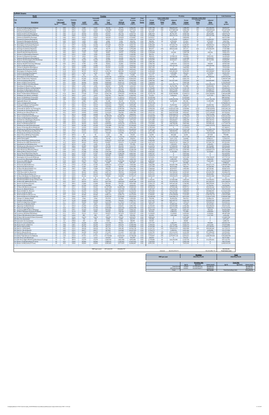| <b>Emission</b><br>Roadway<br><b>Description</b><br><b>Link Length</b><br><b>Factor</b><br><b>Speed</b><br>(miles)<br>$(g/\text{mi})$<br>CO <sub>2</sub><br>25<br>0.02<br>295.2<br>Prescott St (Bennington/Chelsea)<br>Chelsea St (Visconti/Prescott)<br>25<br>0.46<br>295.2<br>25<br>Prescott St (Chelsea/Bremen)<br>0.04<br>307.2<br>25<br>0.06<br>311.0<br>Chelsea St (Prescott/Bennigton)<br>Chelsea St (Bennington/MobilGas)<br>25<br>0.06<br>328.9<br>Chelsea St (MobilGas/Saratoga)<br>25<br>0.06<br>303.5<br>25<br>0.03<br>328.9<br>Unamed St (Chelsea/Benington)<br>25<br>Unamed St (Benington/Bremen)<br>0.02<br>319.9<br>Bennington St (Chelsea/Unamed)<br>25<br>0.07<br>309.0<br>25<br>0.11<br>299.7<br>Bennington St (Unamed/Neptune)<br>Neptune Rd (Chelsea/Saratoga)<br>25<br>0.02<br>346.3<br>25<br>0.04<br>295.2<br>Saratoga St (Chelsea/Neptune<br>25<br>0.05<br>3 Saratoga St (Neptune/Bremen)<br>325.3<br>25<br>4 Neptune Rd (Saratoga/Bremen)<br>0.02<br>346.3<br>25<br>0.03<br>295.2<br>15 Bremen St (Bennington/Neptune)<br>25<br>0.05<br>314.4<br>Bremen St (Neptune/Saratoga)<br>7 Neptune Rd (Bremen/Bennington)<br>25<br>0.02<br>295.2<br>25<br>0.02<br>295.2<br>8 Neptune Rd (Bennington/Rt1AOnRamp)<br>30<br>0.1<br>317.8<br>9 Route 1A Onramp (Neptune)<br>25<br>0.02<br>295.2<br>Neptune Rd (Rt1A Onramp/Offramp)<br>30<br>0.1<br>224.2<br>21 Route 1A Offramp (Neptune)<br>25<br>0.07<br>309.0<br>22 Vienna St (Neptune/Bennington<br>23 Neptune Rd (Vienna/Frankfort)<br>25<br>398.5<br>0.03<br>30<br>287.8<br>24 Bennington St (Neptune/Swift)<br>0.18<br>25<br>333.5<br>25 Swift St (Saratoga/Bennington)<br>0.04<br>25<br>0.06<br>409.2<br>26 Swift St (Bennington/End)<br>27 Bennington St (Swift/Boardman)<br>30<br>0.88<br>268.4<br>45<br>28 Route 1A SB (Curtis/Neptune<br>0.29<br>271.5<br>29 Curtis St (Chelsea/Route1A)<br>25<br>368.7<br>0.07<br>30 Route 1A SB (U-Turn/Curtis)<br>45<br>0.51<br>250.8<br>31 Route 1A NB (U-Turn/Boardman)<br>45<br>0.21<br>250.0<br>25<br>0.11<br>308.2<br>32 Boardman St (End/Route 1A)<br>25<br>33 Boardman St (Route 1A/Bennington)<br>0.47<br>304.3<br>25<br>0.09<br>317.0<br>34 Boardman St (Bennington/Barnes)<br>25<br>35 Bennignton St (Boardman/Crescent)<br>297.4<br>1.1<br>36 Route 1A (Boardman/Waldemar)<br>45<br>0.16<br>286.3<br>37 Waldemar Ave (Route 1A/Wally)<br>25<br>0.73<br>302.2<br>45<br>0.09<br>348.2<br>38 Route 1A (Waldemar/Tomesello)<br>45<br>39 Route 1A (Tomesello/Jughandle)<br>0.08<br>364.9<br>25<br>0.1<br>295.2<br>40 Jughandle (Route 1A)<br>41 Route 1A (Jughandle/Furlong)<br>45<br>232.2<br>0.49<br>25<br>42 Furlong Dr (Route 1A/Tomesello)<br>0.47<br>296.1<br>43 Route 1A (Furlong/BellCir)<br>30<br>0.53<br>289.3<br>25<br>0.79<br>295.2<br>44 Tomesello Dr (Route 1A/ Furlong Dr)<br>25<br>0.24<br>295.2<br>45 Tomesello Dr (Furlong/Route145)<br>25<br>0.31<br>299.9<br>46 Winthrop Ave (Beach/Route 16)<br>47 Harris St (Route16/Beach)<br>25<br>0.27<br>307.4<br>35<br>250.6<br>48 Route 16 (Garfield Ave/Winthrop<br>1.42<br>49 Route 16 (Washington/Garfield)<br>35<br>287.2<br>0.32<br>25<br>0.36<br>302.3<br>50 Garfield Ave (Washington/Route16)<br>30<br>0.08<br>283.6<br>51 Webster Ave (Rt16/Jefferson)<br>35<br>Route 16 (Winthrop/Bell Cir)<br>0.32<br>261.0<br>53 Winthrop Ave (Rt16/Rt1A0nramp<br>35<br>0.12<br>283.8<br>30<br>0.14<br>226.4<br>54 Route 1A Onramp (Rt1A/Winthrop)<br>55 Winthrop Ave (Rt1AOnramp/NShoreRd)<br>40<br>0.39<br>257.3<br>56 N Shore Rd (Winthrop Ave/Beach St)<br>30<br>0.59<br>274.9<br>40<br>0.05<br>57 Winthrop Ave (N Shore/Tomesello)<br>239.2<br>15<br>58 Shaws Drwy (Withrop/Tomesello)<br>0.07<br>387.0<br>59 Withrop Ave (Tomesello/RBP)<br>40<br>0.16<br>239.2<br>15<br>0.05<br>387.0<br>60 Shaws Drwy (RBP)<br>61 Revere Beach Pkwy (Withrop/State)<br>40<br>0.3<br>242.4<br>62 Winthrop Ave (RBP/Beachmont Lot)<br>25<br>0.13<br>303.0<br>15<br>387.0<br>63 Beachmont Lot (Winthrop Ave)<br>0.07<br>25<br>64 Winthrop Ave (Beachmont Lot/State Rd)<br>0.09<br>380.6<br>65 State Rd (Winthrop/Ocean)<br>35<br>0.26<br>270.3<br>35<br>0.09<br>248.6<br>66 State Rd (Ocean/Wintrhop Pkwy)<br>67 Withrop Pkwy (State/Leverett)<br>30<br>0.39<br>271.3<br>30<br>0.43<br>68 Revere Beach Blvd (State/Beach)<br>266.2<br>25<br>0.18<br>369.6<br>69 Winthrop Ave (Bennington/Crescent<br>25<br>0.06<br>389.5<br>Bennington St (Crescent/Withrop)<br>25<br>0.17<br>349.2<br>71 Crescent Ave (Bennington/Winthrop<br>30<br>0.49<br>269.0<br>72 Ocean Ave (RBP/Beach)<br>73 Beach St (Ocean/RBP)<br>25<br>0.03<br>295.2<br>74 Ocean Ave (Beach/Rever<br>30<br>0.74<br>270.3<br>25<br>75 Beach St (N Shore/Ocean)<br>323.1<br>0.09<br>76 N Shore Rd (Beach/Butler Cir)<br>30<br>0.24<br>290.7<br>25<br>77 Beach St (VFW/N Shore)<br>0.32<br>318.4<br>35<br>78 VFW Pkwy (Bell Cir/Beach St)<br>0.12<br>252.5<br>79 VFW Pkwy (Beach/Butler Cir)<br>35<br>0.32<br>292.9<br>80 N Shore Rd (Butler Cir/Wnderld Lot)<br>30<br>0.09<br>265.5<br>81 Wonderland MBTA Lot (N Shore Rd)<br>15<br>0.11<br>387.0<br>82 Wonderland MBTA Garage (N Shore Rd)<br>15<br>0.11<br>387.0<br>35<br>83 N Shore Rd (MBTA/Revere St)<br>0.35<br>259.7<br>84 Revere St (N Shore/Ocean)<br>25<br>0.17<br>309.3<br>85 Revere St (Ocean/RBP)<br>25<br>0.04<br>346.3<br>86 N Shore Rd (Revere/Lynnway)<br>35<br>1.97<br>251.1<br>87 Revere St (Rt60/N Shore)<br>25<br>0.7<br>297.4<br>40<br>88 Route 60 (Bell Cir / Revere)<br>0.51<br>256.2<br>89 Revere St (Rt107/Rt60)<br>25<br>0.24<br>313.3<br>90 Route 60 (Revere/Brown Cir)<br>35<br>0.37<br>254.9<br>91 Route 60 (Brown Cir/Charger St)<br>35<br>0.41<br>256.6<br>25<br>92 Charger St (Malden/Rt60)<br>0.4<br>318.6<br>93 Charger St (Rt 60/Ward)<br>25<br>0.13<br>313.8<br>35<br>0.17<br>94 Route 60 (Sigourney/Charger)<br>289.9<br>95 Sigourney St (Malden/Rt60)<br>25<br>297.1<br>0.31<br>96 Sigourney St (Rt60/Retail)<br>15<br>0.1<br>455.3<br>97 Route 60 (Rt1/Sigourney)<br>35<br>282.1<br>0.22<br>98 Lynnway (RBP/N Shore SB Ramp)<br>25<br>0.25<br>299.1<br>99 N Shore SB Ramp (Lynnway/N Shore)<br>25<br>0.18<br>311.0<br>25<br>100 Lynnway (SB Ramp/NB Ramps)<br>0.11<br>295.2<br>101 N Shore NB Offramp (N Shore/Lynnway)<br>25<br>184.6<br>0.03<br>25<br>102 N Shore NB Onramp (N Shore/Lynnway)<br>0.07<br>323.6<br>25<br>103 Rice Ave (Lynnway)<br>0.06<br>280.4<br>25<br>104 Lancaster Ave (Lynnway)<br>0.2<br>298.0<br>105 Beach St (Central/Bell Cir)<br>25<br>0.34<br>303.8<br>06 Route 60 (Ctr of Bell Cir)<br>40<br>0.06<br>248.1<br>107 Bell Cir (Rt1A/VFW)<br>25<br>0.05<br>295.2<br>25<br>08 Bell Cir (VFW/Rt60)<br>0.05<br>295.2<br>109 Bell Cir (Rt 60/Beach)<br>25<br>0.05<br>295.2<br>25<br>110 Bell Cir (Beach/Rt1A)<br>0.05<br>295.2<br>111 Broadway (Revere/Brown Cir)<br>30<br>0.33<br>284.4<br>112 Salem Tnpk (Brown Cir/Ballard)<br>55<br>2.29<br>223.4<br>113 Site Drwy Left (Winthrop)<br>15<br>0.5<br>387.0<br>14 Site Drwy Right (Winthrop/Beachmont Parking)<br>15<br>0.5<br>387.0<br>115 Route 1A SB (Boardman/U-Turn)<br>45<br>0.21<br>250.8<br>116 Route 1A NB (Curtis/U-Turn)<br>45<br>0.51<br>250.0 |                    |           | Weekday<br>Seasonall         |                                   |                                       | Annual                              | Peak                    |                                      | <b>Peak Traffic Data</b>         |                                       | Weekday                               | <b>Off-Peak Traffic Data</b>     |                                       | <b>Link Emissions</b>                |
|----------------------------------------------------------------------------------------------------------------------------------------------------------------------------------------------------------------------------------------------------------------------------------------------------------------------------------------------------------------------------------------------------------------------------------------------------------------------------------------------------------------------------------------------------------------------------------------------------------------------------------------------------------------------------------------------------------------------------------------------------------------------------------------------------------------------------------------------------------------------------------------------------------------------------------------------------------------------------------------------------------------------------------------------------------------------------------------------------------------------------------------------------------------------------------------------------------------------------------------------------------------------------------------------------------------------------------------------------------------------------------------------------------------------------------------------------------------------------------------------------------------------------------------------------------------------------------------------------------------------------------------------------------------------------------------------------------------------------------------------------------------------------------------------------------------------------------------------------------------------------------------------------------------------------------------------------------------------------------------------------------------------------------------------------------------------------------------------------------------------------------------------------------------------------------------------------------------------------------------------------------------------------------------------------------------------------------------------------------------------------------------------------------------------------------------------------------------------------------------------------------------------------------------------------------------------------------------------------------------------------------------------------------------------------------------------------------------------------------------------------------------------------------------------------------------------------------------------------------------------------------------------------------------------------------------------------------------------------------------------------------------------------------------------------------------------------------------------------------------------------------------------------------------------------------------------------------------------------------------------------------------------------------------------------------------------------------------------------------------------------------------------------------------------------------------------------------------------------------------------------------------------------------------------------------------------------------------------------------------------------------------------------------------------------------------------------------------------------------------------------------------------------------------------------------------------------------------------------------------------------------------------------------------------------------------------------------------------------------------------------------------------------------------------------------------------------------------------------------------------------------------------------------------------------------------------------------------------------------------------------------------------------------------------------------------------------------------------------------------------------------------------------------------------------------------------------------------------------------------------------------------------------------------------------------------------------------------------------------------------------------------------------------------------------------------------------------------------------------------------------------------------------------------------------------------------------------------------------------------------------------------------------------------------------------------------------------------------------------------------------------------------------------------------------------------------------------------------------------------------------------------------------------------------------------------------------------------------------------------------------------------------------------------------------------------------------------------------------------------------------------------------------------------------------------------------------------------------------------------------------------------------------------------------------------------------------------------------------------------------------------------------------------------------------------------------------------------------------------------------------------------------------------------------------------------------------------------------------------------------------------------------------------------------------------------------------------------------------------------------------------------------------------------------------------------------------------------------------------------------------------------------------------------------------------------------------------------------------------------------------------------------------------------------------------------------------------------------------------------------------------------------------------------------------------------------------------------------------------------------------------------------------------------------------------------------------------------------------------------------------------------------------------------------------------------------------------------------------------------------------------------------------------------------------------------------------------------------------------------------------------------------------------------------------------------------------------------------------------------------------------------------------------------------------------------------------------------------------------------------------------------------------|--------------------|-----------|------------------------------|-----------------------------------|---------------------------------------|-------------------------------------|-------------------------|--------------------------------------|----------------------------------|---------------------------------------|---------------------------------------|----------------------------------|---------------------------------------|--------------------------------------|
|                                                                                                                                                                                                                                                                                                                                                                                                                                                                                                                                                                                                                                                                                                                                                                                                                                                                                                                                                                                                                                                                                                                                                                                                                                                                                                                                                                                                                                                                                                                                                                                                                                                                                                                                                                                                                                                                                                                                                                                                                                                                                                                                                                                                                                                                                                                                                                                                                                                                                                                                                                                                                                                                                                                                                                                                                                                                                                                                                                                                                                                                                                                                                                                                                                                                                                                                                                                                                                                                                                                                                                                                                                                                                                                                                                                                                                                                                                                                                                                                                                                                                                                                                                                                                                                                                                                                                                                                                                                                                                                                                                                                                                                                                                                                                                                                                                                                                                                                                                                                                                                                                                                                                                                                                                                                                                                                                                                                                                                                                                                                                                                                                                                                                                                                                                                                                                                                                                                                                                                                                                                                                                                                                                                                                                                                                                                                                                                                                                                                                                                                                                                                                                                                                                                                                                                                                                                                                                                                                                                                                                                                                                                                                    | <b>AADT</b>        | (veh/day) | Adjusted<br>ADT<br>(veh/day) | <b>VMT</b><br>Peak<br>(veh-miles) | <b>VMT</b><br>Off-Peak<br>(veh-miles) | Weekday<br><b>Trips</b><br>(veh/yr) | Period<br><b>Factor</b> | Period<br>Volume<br>(vehicles)       | Average<br><b>Delay</b><br>(sec) | Adjusted<br><b>Delay</b><br>(veh-sec) | Period<br><b>Volume</b><br>(vehicles) | Average<br><b>Delay</b><br>(sec) | Adjusted<br><b>Delay</b><br>(veh-sec) | $\underline{\mathbf{CO}}$<br>(grams) |
|                                                                                                                                                                                                                                                                                                                                                                                                                                                                                                                                                                                                                                                                                                                                                                                                                                                                                                                                                                                                                                                                                                                                                                                                                                                                                                                                                                                                                                                                                                                                                                                                                                                                                                                                                                                                                                                                                                                                                                                                                                                                                                                                                                                                                                                                                                                                                                                                                                                                                                                                                                                                                                                                                                                                                                                                                                                                                                                                                                                                                                                                                                                                                                                                                                                                                                                                                                                                                                                                                                                                                                                                                                                                                                                                                                                                                                                                                                                                                                                                                                                                                                                                                                                                                                                                                                                                                                                                                                                                                                                                                                                                                                                                                                                                                                                                                                                                                                                                                                                                                                                                                                                                                                                                                                                                                                                                                                                                                                                                                                                                                                                                                                                                                                                                                                                                                                                                                                                                                                                                                                                                                                                                                                                                                                                                                                                                                                                                                                                                                                                                                                                                                                                                                                                                                                                                                                                                                                                                                                                                                                                                                                                                                    | 9,305<br>12.541    |           | 9,305<br>12.541              | 38,156<br>1.182.835               | 29,770<br>922.866                     | 3,396,291<br>4.577.610              | 0.56<br>0.56            | 1,907,798<br>2.571.380               | 265<br>590                       | 506,043,419<br>1.517.885.560          | 1,488,493<br>2.006.230                | 239<br>531                       | 355.340.495<br>1,065,849,662          | 20,053,537<br>621.657.690            |
|                                                                                                                                                                                                                                                                                                                                                                                                                                                                                                                                                                                                                                                                                                                                                                                                                                                                                                                                                                                                                                                                                                                                                                                                                                                                                                                                                                                                                                                                                                                                                                                                                                                                                                                                                                                                                                                                                                                                                                                                                                                                                                                                                                                                                                                                                                                                                                                                                                                                                                                                                                                                                                                                                                                                                                                                                                                                                                                                                                                                                                                                                                                                                                                                                                                                                                                                                                                                                                                                                                                                                                                                                                                                                                                                                                                                                                                                                                                                                                                                                                                                                                                                                                                                                                                                                                                                                                                                                                                                                                                                                                                                                                                                                                                                                                                                                                                                                                                                                                                                                                                                                                                                                                                                                                                                                                                                                                                                                                                                                                                                                                                                                                                                                                                                                                                                                                                                                                                                                                                                                                                                                                                                                                                                                                                                                                                                                                                                                                                                                                                                                                                                                                                                                                                                                                                                                                                                                                                                                                                                                                                                                                                                                    | 2.023<br>18,933    |           | 2,023<br>18,933              | 16,590<br>232,917                 | 12,943<br>181,726                     | 738,324<br>6,910,714                | 0.56<br>0.56            | 414,739<br>3,881,954                 | 21<br>22                         | 8,647,302<br>85,791,187               | 323,585<br>3,028,760                  | 19<br>20                         | 6,072,081<br>60.242.030               | 9,073,782<br>128,973,273             |
|                                                                                                                                                                                                                                                                                                                                                                                                                                                                                                                                                                                                                                                                                                                                                                                                                                                                                                                                                                                                                                                                                                                                                                                                                                                                                                                                                                                                                                                                                                                                                                                                                                                                                                                                                                                                                                                                                                                                                                                                                                                                                                                                                                                                                                                                                                                                                                                                                                                                                                                                                                                                                                                                                                                                                                                                                                                                                                                                                                                                                                                                                                                                                                                                                                                                                                                                                                                                                                                                                                                                                                                                                                                                                                                                                                                                                                                                                                                                                                                                                                                                                                                                                                                                                                                                                                                                                                                                                                                                                                                                                                                                                                                                                                                                                                                                                                                                                                                                                                                                                                                                                                                                                                                                                                                                                                                                                                                                                                                                                                                                                                                                                                                                                                                                                                                                                                                                                                                                                                                                                                                                                                                                                                                                                                                                                                                                                                                                                                                                                                                                                                                                                                                                                                                                                                                                                                                                                                                                                                                                                                                                                                                                                    | 13,270<br>13,027   |           | 13,270<br>13,027             | 163,241<br>160,255                | 127,363<br>125,033                    | 4,843,406<br>4,754,807              | 0.56<br>0.56            | 2,720,686<br>2,670,917               | 96<br>$\bf{0}$                   | 262,274,115<br>$\bf{0}$               | 2,122,720<br>2,083,890                | 87<br>$\mathbf{0}$               | 184,167,228<br>$\mathbf{0}$           | 95,582,208<br>86,572,208             |
|                                                                                                                                                                                                                                                                                                                                                                                                                                                                                                                                                                                                                                                                                                                                                                                                                                                                                                                                                                                                                                                                                                                                                                                                                                                                                                                                                                                                                                                                                                                                                                                                                                                                                                                                                                                                                                                                                                                                                                                                                                                                                                                                                                                                                                                                                                                                                                                                                                                                                                                                                                                                                                                                                                                                                                                                                                                                                                                                                                                                                                                                                                                                                                                                                                                                                                                                                                                                                                                                                                                                                                                                                                                                                                                                                                                                                                                                                                                                                                                                                                                                                                                                                                                                                                                                                                                                                                                                                                                                                                                                                                                                                                                                                                                                                                                                                                                                                                                                                                                                                                                                                                                                                                                                                                                                                                                                                                                                                                                                                                                                                                                                                                                                                                                                                                                                                                                                                                                                                                                                                                                                                                                                                                                                                                                                                                                                                                                                                                                                                                                                                                                                                                                                                                                                                                                                                                                                                                                                                                                                                                                                                                                                                    | 6.554              |           | 6.554                        | 40,313                            | 31.453                                | 2.392.170                           | 0.56                    | 1.343.753                            | 23                               | 31,175,078                            | 1,048,417                             | 21                               | 21,890,943                            | 23.604.118                           |
|                                                                                                                                                                                                                                                                                                                                                                                                                                                                                                                                                                                                                                                                                                                                                                                                                                                                                                                                                                                                                                                                                                                                                                                                                                                                                                                                                                                                                                                                                                                                                                                                                                                                                                                                                                                                                                                                                                                                                                                                                                                                                                                                                                                                                                                                                                                                                                                                                                                                                                                                                                                                                                                                                                                                                                                                                                                                                                                                                                                                                                                                                                                                                                                                                                                                                                                                                                                                                                                                                                                                                                                                                                                                                                                                                                                                                                                                                                                                                                                                                                                                                                                                                                                                                                                                                                                                                                                                                                                                                                                                                                                                                                                                                                                                                                                                                                                                                                                                                                                                                                                                                                                                                                                                                                                                                                                                                                                                                                                                                                                                                                                                                                                                                                                                                                                                                                                                                                                                                                                                                                                                                                                                                                                                                                                                                                                                                                                                                                                                                                                                                                                                                                                                                                                                                                                                                                                                                                                                                                                                                                                                                                                                                    | 1.699<br>5.988     |           | 1.699<br>5.988               | 6.968<br>85,934                   | 5.436<br>67,047                       | 620,192<br>2,185,439                | 0.56<br>0.56            | 348,381<br>1,227,627                 | 20                               | 6,793,420<br>859,339                  | 271,812<br>957,813                    | 18<br>1                          | 4,770,297<br>603,422                  | 3.967.556<br>47,271,928              |
|                                                                                                                                                                                                                                                                                                                                                                                                                                                                                                                                                                                                                                                                                                                                                                                                                                                                                                                                                                                                                                                                                                                                                                                                                                                                                                                                                                                                                                                                                                                                                                                                                                                                                                                                                                                                                                                                                                                                                                                                                                                                                                                                                                                                                                                                                                                                                                                                                                                                                                                                                                                                                                                                                                                                                                                                                                                                                                                                                                                                                                                                                                                                                                                                                                                                                                                                                                                                                                                                                                                                                                                                                                                                                                                                                                                                                                                                                                                                                                                                                                                                                                                                                                                                                                                                                                                                                                                                                                                                                                                                                                                                                                                                                                                                                                                                                                                                                                                                                                                                                                                                                                                                                                                                                                                                                                                                                                                                                                                                                                                                                                                                                                                                                                                                                                                                                                                                                                                                                                                                                                                                                                                                                                                                                                                                                                                                                                                                                                                                                                                                                                                                                                                                                                                                                                                                                                                                                                                                                                                                                                                                                                                                                    | 16.506<br>17,558   |           | 16,506<br>17,558             | 372.269<br>71,999                 | 290.450<br>56,174                     | 6.024.725<br>6,408,653              | 0.56<br>0.56            | 3,384,268<br>3,599,932               | 76<br>$\overline{4}$             | 257.542.776<br>12,959,755             | 2.640.457<br>2,808,722                | 68<br>3                          | 180.844.912<br>9,100,258              | 198.626.755<br>44,383,451            |
|                                                                                                                                                                                                                                                                                                                                                                                                                                                                                                                                                                                                                                                                                                                                                                                                                                                                                                                                                                                                                                                                                                                                                                                                                                                                                                                                                                                                                                                                                                                                                                                                                                                                                                                                                                                                                                                                                                                                                                                                                                                                                                                                                                                                                                                                                                                                                                                                                                                                                                                                                                                                                                                                                                                                                                                                                                                                                                                                                                                                                                                                                                                                                                                                                                                                                                                                                                                                                                                                                                                                                                                                                                                                                                                                                                                                                                                                                                                                                                                                                                                                                                                                                                                                                                                                                                                                                                                                                                                                                                                                                                                                                                                                                                                                                                                                                                                                                                                                                                                                                                                                                                                                                                                                                                                                                                                                                                                                                                                                                                                                                                                                                                                                                                                                                                                                                                                                                                                                                                                                                                                                                                                                                                                                                                                                                                                                                                                                                                                                                                                                                                                                                                                                                                                                                                                                                                                                                                                                                                                                                                                                                                                                                    | 4,046              |           | 4,046                        | 33,179                            | 25,887                                | 1,476,648                           | 0.56                    | 829,477                              | 470                              | 389,522,582                           | 647,171                               | 423                              | 273,520,299                           | 17,437,888                           |
|                                                                                                                                                                                                                                                                                                                                                                                                                                                                                                                                                                                                                                                                                                                                                                                                                                                                                                                                                                                                                                                                                                                                                                                                                                                                                                                                                                                                                                                                                                                                                                                                                                                                                                                                                                                                                                                                                                                                                                                                                                                                                                                                                                                                                                                                                                                                                                                                                                                                                                                                                                                                                                                                                                                                                                                                                                                                                                                                                                                                                                                                                                                                                                                                                                                                                                                                                                                                                                                                                                                                                                                                                                                                                                                                                                                                                                                                                                                                                                                                                                                                                                                                                                                                                                                                                                                                                                                                                                                                                                                                                                                                                                                                                                                                                                                                                                                                                                                                                                                                                                                                                                                                                                                                                                                                                                                                                                                                                                                                                                                                                                                                                                                                                                                                                                                                                                                                                                                                                                                                                                                                                                                                                                                                                                                                                                                                                                                                                                                                                                                                                                                                                                                                                                                                                                                                                                                                                                                                                                                                                                                                                                                                                    | 14,160<br>7,525    |           | 14,160<br>7,525              | 145,159<br>30,857                 | 113,255<br>24,075                     | 5,168,269<br>2,746,566              | 0.56<br>0.56            | 2,903,171<br>1,542,828               | $\bf{0}$<br>$\theta$             | $\Omega$<br>154,283                   | 2,265,098<br>1,203,738                | $\bf{0}$<br>$\mathbf{0}$         | $\Omega$<br>108,336                   | 84,057,237<br>19,021,479             |
|                                                                                                                                                                                                                                                                                                                                                                                                                                                                                                                                                                                                                                                                                                                                                                                                                                                                                                                                                                                                                                                                                                                                                                                                                                                                                                                                                                                                                                                                                                                                                                                                                                                                                                                                                                                                                                                                                                                                                                                                                                                                                                                                                                                                                                                                                                                                                                                                                                                                                                                                                                                                                                                                                                                                                                                                                                                                                                                                                                                                                                                                                                                                                                                                                                                                                                                                                                                                                                                                                                                                                                                                                                                                                                                                                                                                                                                                                                                                                                                                                                                                                                                                                                                                                                                                                                                                                                                                                                                                                                                                                                                                                                                                                                                                                                                                                                                                                                                                                                                                                                                                                                                                                                                                                                                                                                                                                                                                                                                                                                                                                                                                                                                                                                                                                                                                                                                                                                                                                                                                                                                                                                                                                                                                                                                                                                                                                                                                                                                                                                                                                                                                                                                                                                                                                                                                                                                                                                                                                                                                                                                                                                                                                    | 3,398<br>2.832     |           | 3,398<br>2.832               | 20,903<br>29.032                  | 16,309<br>22.651                      | 1,240,385<br>1,033,654              | 0.56<br>0.56            | 696,761<br>580.634                   | $\bf{0}$<br>22                   | $\bf{0}$<br>12.948.142                | 543,624<br>453.020                    | $\mathbf{0}$<br>20               | $\mathbf{0}$<br>9,092,104             | 10,985,850<br>16.249.658             |
|                                                                                                                                                                                                                                                                                                                                                                                                                                                                                                                                                                                                                                                                                                                                                                                                                                                                                                                                                                                                                                                                                                                                                                                                                                                                                                                                                                                                                                                                                                                                                                                                                                                                                                                                                                                                                                                                                                                                                                                                                                                                                                                                                                                                                                                                                                                                                                                                                                                                                                                                                                                                                                                                                                                                                                                                                                                                                                                                                                                                                                                                                                                                                                                                                                                                                                                                                                                                                                                                                                                                                                                                                                                                                                                                                                                                                                                                                                                                                                                                                                                                                                                                                                                                                                                                                                                                                                                                                                                                                                                                                                                                                                                                                                                                                                                                                                                                                                                                                                                                                                                                                                                                                                                                                                                                                                                                                                                                                                                                                                                                                                                                                                                                                                                                                                                                                                                                                                                                                                                                                                                                                                                                                                                                                                                                                                                                                                                                                                                                                                                                                                                                                                                                                                                                                                                                                                                                                                                                                                                                                                                                                                                                                    | 7,282              |           | 7,282                        | 29,861                            | 23,298                                | 2,657,967                           | 0.56                    | 1,493,059                            | 35                               | 52,630,340                            | 1,164,908                             | 32                               | 36,956,693                            | 15,694,072                           |
|                                                                                                                                                                                                                                                                                                                                                                                                                                                                                                                                                                                                                                                                                                                                                                                                                                                                                                                                                                                                                                                                                                                                                                                                                                                                                                                                                                                                                                                                                                                                                                                                                                                                                                                                                                                                                                                                                                                                                                                                                                                                                                                                                                                                                                                                                                                                                                                                                                                                                                                                                                                                                                                                                                                                                                                                                                                                                                                                                                                                                                                                                                                                                                                                                                                                                                                                                                                                                                                                                                                                                                                                                                                                                                                                                                                                                                                                                                                                                                                                                                                                                                                                                                                                                                                                                                                                                                                                                                                                                                                                                                                                                                                                                                                                                                                                                                                                                                                                                                                                                                                                                                                                                                                                                                                                                                                                                                                                                                                                                                                                                                                                                                                                                                                                                                                                                                                                                                                                                                                                                                                                                                                                                                                                                                                                                                                                                                                                                                                                                                                                                                                                                                                                                                                                                                                                                                                                                                                                                                                                                                                                                                                                                    | 16,263<br>7,848    |           | 16,263<br>7.848              | 66,690<br>160,919                 | 52,033<br>125,551                     | 5,936,126<br>2,864,698              | 0.56<br>0.56            | 3,334,499<br>1,609,186               | -9<br>$\mathbf{0}$               | 29,510,317<br>$\mathbf{0}$            | 2,601,627<br>1,255,512                | 8<br>$\mathbf{0}$                | 20,721,958<br>$\Omega$                | 35,050,095<br>91,045,244             |
|                                                                                                                                                                                                                                                                                                                                                                                                                                                                                                                                                                                                                                                                                                                                                                                                                                                                                                                                                                                                                                                                                                                                                                                                                                                                                                                                                                                                                                                                                                                                                                                                                                                                                                                                                                                                                                                                                                                                                                                                                                                                                                                                                                                                                                                                                                                                                                                                                                                                                                                                                                                                                                                                                                                                                                                                                                                                                                                                                                                                                                                                                                                                                                                                                                                                                                                                                                                                                                                                                                                                                                                                                                                                                                                                                                                                                                                                                                                                                                                                                                                                                                                                                                                                                                                                                                                                                                                                                                                                                                                                                                                                                                                                                                                                                                                                                                                                                                                                                                                                                                                                                                                                                                                                                                                                                                                                                                                                                                                                                                                                                                                                                                                                                                                                                                                                                                                                                                                                                                                                                                                                                                                                                                                                                                                                                                                                                                                                                                                                                                                                                                                                                                                                                                                                                                                                                                                                                                                                                                                                                                                                                                                                                    | 9,709<br>11,085    |           | 9.709<br>11,085              | 39.815<br>227,277                 | 31,064<br>177,325                     | 3,543,956<br>4,046,016              | 0.56<br>0.56            | 1,990,746<br>2,272,768               | -1<br>69                         | 1,094,910<br>156,139,165              | 1,553,210<br>1,773,248                | $\Omega$<br>62                   | 768,839<br>109,639,936                | 20,925,430<br>90,692,259             |
|                                                                                                                                                                                                                                                                                                                                                                                                                                                                                                                                                                                                                                                                                                                                                                                                                                                                                                                                                                                                                                                                                                                                                                                                                                                                                                                                                                                                                                                                                                                                                                                                                                                                                                                                                                                                                                                                                                                                                                                                                                                                                                                                                                                                                                                                                                                                                                                                                                                                                                                                                                                                                                                                                                                                                                                                                                                                                                                                                                                                                                                                                                                                                                                                                                                                                                                                                                                                                                                                                                                                                                                                                                                                                                                                                                                                                                                                                                                                                                                                                                                                                                                                                                                                                                                                                                                                                                                                                                                                                                                                                                                                                                                                                                                                                                                                                                                                                                                                                                                                                                                                                                                                                                                                                                                                                                                                                                                                                                                                                                                                                                                                                                                                                                                                                                                                                                                                                                                                                                                                                                                                                                                                                                                                                                                                                                                                                                                                                                                                                                                                                                                                                                                                                                                                                                                                                                                                                                                                                                                                                                                                                                                                                    | 10.033             |           | 10.033                       | 143.997                           | 112.349                               | 3.662.088                           | 0.56                    | 2.057.104                            | $\Omega$                         | $\Omega$                              | 1.604.984                             | $\Omega$                         | $\Omega$                              | 79,212,420                           |
|                                                                                                                                                                                                                                                                                                                                                                                                                                                                                                                                                                                                                                                                                                                                                                                                                                                                                                                                                                                                                                                                                                                                                                                                                                                                                                                                                                                                                                                                                                                                                                                                                                                                                                                                                                                                                                                                                                                                                                                                                                                                                                                                                                                                                                                                                                                                                                                                                                                                                                                                                                                                                                                                                                                                                                                                                                                                                                                                                                                                                                                                                                                                                                                                                                                                                                                                                                                                                                                                                                                                                                                                                                                                                                                                                                                                                                                                                                                                                                                                                                                                                                                                                                                                                                                                                                                                                                                                                                                                                                                                                                                                                                                                                                                                                                                                                                                                                                                                                                                                                                                                                                                                                                                                                                                                                                                                                                                                                                                                                                                                                                                                                                                                                                                                                                                                                                                                                                                                                                                                                                                                                                                                                                                                                                                                                                                                                                                                                                                                                                                                                                                                                                                                                                                                                                                                                                                                                                                                                                                                                                                                                                                                                    | 10.114<br>30,747   |           | 10.114<br>30,747             | 62.211<br>1,134,725               | 48,538<br>885,330                     | 3,691,621<br>11,222,527             | 0.56<br>0.56            | 2,073,693<br>6,304,028               | 28<br>101                        | 58,892,895<br>634,185,233             | 1,617,927<br>4,918,499                | 26<br>91                         | 41,354,219<br>445,320,869             | 44,132,586<br>581,443,560            |
|                                                                                                                                                                                                                                                                                                                                                                                                                                                                                                                                                                                                                                                                                                                                                                                                                                                                                                                                                                                                                                                                                                                                                                                                                                                                                                                                                                                                                                                                                                                                                                                                                                                                                                                                                                                                                                                                                                                                                                                                                                                                                                                                                                                                                                                                                                                                                                                                                                                                                                                                                                                                                                                                                                                                                                                                                                                                                                                                                                                                                                                                                                                                                                                                                                                                                                                                                                                                                                                                                                                                                                                                                                                                                                                                                                                                                                                                                                                                                                                                                                                                                                                                                                                                                                                                                                                                                                                                                                                                                                                                                                                                                                                                                                                                                                                                                                                                                                                                                                                                                                                                                                                                                                                                                                                                                                                                                                                                                                                                                                                                                                                                                                                                                                                                                                                                                                                                                                                                                                                                                                                                                                                                                                                                                                                                                                                                                                                                                                                                                                                                                                                                                                                                                                                                                                                                                                                                                                                                                                                                                                                                                                                                                    | 6,230<br>162       |           | 6,230<br>162                 | 51,096<br>1,991                   | 39,866<br>1,553                       | 2,274,038<br>59,066                 | 0.56<br>0.56            | 1,277,395<br>33.179                  | 5                                | 5,939,888<br>119.445                  | 996,643<br>25,887                     | $\overline{4}$<br>3              | 4,170,952<br>83.873                   | 30,331,352<br>1,450,323              |
|                                                                                                                                                                                                                                                                                                                                                                                                                                                                                                                                                                                                                                                                                                                                                                                                                                                                                                                                                                                                                                                                                                                                                                                                                                                                                                                                                                                                                                                                                                                                                                                                                                                                                                                                                                                                                                                                                                                                                                                                                                                                                                                                                                                                                                                                                                                                                                                                                                                                                                                                                                                                                                                                                                                                                                                                                                                                                                                                                                                                                                                                                                                                                                                                                                                                                                                                                                                                                                                                                                                                                                                                                                                                                                                                                                                                                                                                                                                                                                                                                                                                                                                                                                                                                                                                                                                                                                                                                                                                                                                                                                                                                                                                                                                                                                                                                                                                                                                                                                                                                                                                                                                                                                                                                                                                                                                                                                                                                                                                                                                                                                                                                                                                                                                                                                                                                                                                                                                                                                                                                                                                                                                                                                                                                                                                                                                                                                                                                                                                                                                                                                                                                                                                                                                                                                                                                                                                                                                                                                                                                                                                                                                                                    | 31,313             |           | 31,313                       | 5,649,736                         | 4,408,010                             | 11,429,258                          | 0.56                    | 6,420,155                            | 4<br>154                         | 990,308,909                           | 5,009,103                             | 139                              | 695,388,666                           | 2,699,533,594                        |
|                                                                                                                                                                                                                                                                                                                                                                                                                                                                                                                                                                                                                                                                                                                                                                                                                                                                                                                                                                                                                                                                                                                                                                                                                                                                                                                                                                                                                                                                                                                                                                                                                                                                                                                                                                                                                                                                                                                                                                                                                                                                                                                                                                                                                                                                                                                                                                                                                                                                                                                                                                                                                                                                                                                                                                                                                                                                                                                                                                                                                                                                                                                                                                                                                                                                                                                                                                                                                                                                                                                                                                                                                                                                                                                                                                                                                                                                                                                                                                                                                                                                                                                                                                                                                                                                                                                                                                                                                                                                                                                                                                                                                                                                                                                                                                                                                                                                                                                                                                                                                                                                                                                                                                                                                                                                                                                                                                                                                                                                                                                                                                                                                                                                                                                                                                                                                                                                                                                                                                                                                                                                                                                                                                                                                                                                                                                                                                                                                                                                                                                                                                                                                                                                                                                                                                                                                                                                                                                                                                                                                                                                                                                                                    | 41,265<br>9,709    |           | 41,265<br>9,709              | 2.453.594<br>139,352              | 1,914,331<br>108,725                  | 15,061,812<br>3,543,956             | 0.56<br>0.56            | 8.460.669<br>1,990,746               | $\Omega$<br>408                  | $\mathbf{0}$<br>811,527,499           | 6,601,143<br>1,553,210                | $\Omega$<br>367                  | $\Omega$<br>569,849,489               | 1,185,947,569<br>91,465,956          |
|                                                                                                                                                                                                                                                                                                                                                                                                                                                                                                                                                                                                                                                                                                                                                                                                                                                                                                                                                                                                                                                                                                                                                                                                                                                                                                                                                                                                                                                                                                                                                                                                                                                                                                                                                                                                                                                                                                                                                                                                                                                                                                                                                                                                                                                                                                                                                                                                                                                                                                                                                                                                                                                                                                                                                                                                                                                                                                                                                                                                                                                                                                                                                                                                                                                                                                                                                                                                                                                                                                                                                                                                                                                                                                                                                                                                                                                                                                                                                                                                                                                                                                                                                                                                                                                                                                                                                                                                                                                                                                                                                                                                                                                                                                                                                                                                                                                                                                                                                                                                                                                                                                                                                                                                                                                                                                                                                                                                                                                                                                                                                                                                                                                                                                                                                                                                                                                                                                                                                                                                                                                                                                                                                                                                                                                                                                                                                                                                                                                                                                                                                                                                                                                                                                                                                                                                                                                                                                                                                                                                                                                                                                                                                    | 36,896             |           | 36,896                       | 3,858,065                         | 3,010,121                             | 13,467,032                          | 0.56                    | 7,564,834                            | $\theta$                         | $\bf{0}$                              | 5,902,198                             | $\mathbf{0}$                     | $\bf{0}$                              | 1,722,292,657                        |
|                                                                                                                                                                                                                                                                                                                                                                                                                                                                                                                                                                                                                                                                                                                                                                                                                                                                                                                                                                                                                                                                                                                                                                                                                                                                                                                                                                                                                                                                                                                                                                                                                                                                                                                                                                                                                                                                                                                                                                                                                                                                                                                                                                                                                                                                                                                                                                                                                                                                                                                                                                                                                                                                                                                                                                                                                                                                                                                                                                                                                                                                                                                                                                                                                                                                                                                                                                                                                                                                                                                                                                                                                                                                                                                                                                                                                                                                                                                                                                                                                                                                                                                                                                                                                                                                                                                                                                                                                                                                                                                                                                                                                                                                                                                                                                                                                                                                                                                                                                                                                                                                                                                                                                                                                                                                                                                                                                                                                                                                                                                                                                                                                                                                                                                                                                                                                                                                                                                                                                                                                                                                                                                                                                                                                                                                                                                                                                                                                                                                                                                                                                                                                                                                                                                                                                                                                                                                                                                                                                                                                                                                                                                                                    | 43,207<br>4.450    |           | 43,207<br>4.450              | 1,860,352<br>100,367              | 1,451,475<br>78.308                   | 15,770,603<br>1,624,313             | 0.56<br>0.56            | 8,858,819<br>912.425                 | 163<br>51                        | 1,441,329,774<br>46.761.788           | 6,911,785<br>711.888                  | 146<br>46                        | 1,012,092,672<br>32.835.832           | 827,976,543<br>55.066.491            |
|                                                                                                                                                                                                                                                                                                                                                                                                                                                                                                                                                                                                                                                                                                                                                                                                                                                                                                                                                                                                                                                                                                                                                                                                                                                                                                                                                                                                                                                                                                                                                                                                                                                                                                                                                                                                                                                                                                                                                                                                                                                                                                                                                                                                                                                                                                                                                                                                                                                                                                                                                                                                                                                                                                                                                                                                                                                                                                                                                                                                                                                                                                                                                                                                                                                                                                                                                                                                                                                                                                                                                                                                                                                                                                                                                                                                                                                                                                                                                                                                                                                                                                                                                                                                                                                                                                                                                                                                                                                                                                                                                                                                                                                                                                                                                                                                                                                                                                                                                                                                                                                                                                                                                                                                                                                                                                                                                                                                                                                                                                                                                                                                                                                                                                                                                                                                                                                                                                                                                                                                                                                                                                                                                                                                                                                                                                                                                                                                                                                                                                                                                                                                                                                                                                                                                                                                                                                                                                                                                                                                                                                                                                                                                    | 13,270<br>26,863   |           | 13.270<br>26,863             | 1,278,722<br>495,696              | 997,679<br>386.749                    | 4.843.406<br>9,804,944              | 0.56<br>0.56            | 2,720,686<br>5,507,730               | 414<br>81                        | 1.125.275.663<br>445,575,346          | 2,122,720<br>4,297,215                | 372<br>73                        | 790,161,470<br>312,880,197            | 692.684.631<br>279,717,408           |
|                                                                                                                                                                                                                                                                                                                                                                                                                                                                                                                                                                                                                                                                                                                                                                                                                                                                                                                                                                                                                                                                                                                                                                                                                                                                                                                                                                                                                                                                                                                                                                                                                                                                                                                                                                                                                                                                                                                                                                                                                                                                                                                                                                                                                                                                                                                                                                                                                                                                                                                                                                                                                                                                                                                                                                                                                                                                                                                                                                                                                                                                                                                                                                                                                                                                                                                                                                                                                                                                                                                                                                                                                                                                                                                                                                                                                                                                                                                                                                                                                                                                                                                                                                                                                                                                                                                                                                                                                                                                                                                                                                                                                                                                                                                                                                                                                                                                                                                                                                                                                                                                                                                                                                                                                                                                                                                                                                                                                                                                                                                                                                                                                                                                                                                                                                                                                                                                                                                                                                                                                                                                                                                                                                                                                                                                                                                                                                                                                                                                                                                                                                                                                                                                                                                                                                                                                                                                                                                                                                                                                                                                                                                                                    | 20,714             |           | 20,714                       | 4,671,617                         | 3.644.866                             | 7,560,439                           | 0.56                    | 4,246,924                            | 53                               | 223.600.561                           | 3,313,515                             | 47                               | 157.010.903                           | 2.473.707.656                        |
|                                                                                                                                                                                                                                                                                                                                                                                                                                                                                                                                                                                                                                                                                                                                                                                                                                                                                                                                                                                                                                                                                                                                                                                                                                                                                                                                                                                                                                                                                                                                                                                                                                                                                                                                                                                                                                                                                                                                                                                                                                                                                                                                                                                                                                                                                                                                                                                                                                                                                                                                                                                                                                                                                                                                                                                                                                                                                                                                                                                                                                                                                                                                                                                                                                                                                                                                                                                                                                                                                                                                                                                                                                                                                                                                                                                                                                                                                                                                                                                                                                                                                                                                                                                                                                                                                                                                                                                                                                                                                                                                                                                                                                                                                                                                                                                                                                                                                                                                                                                                                                                                                                                                                                                                                                                                                                                                                                                                                                                                                                                                                                                                                                                                                                                                                                                                                                                                                                                                                                                                                                                                                                                                                                                                                                                                                                                                                                                                                                                                                                                                                                                                                                                                                                                                                                                                                                                                                                                                                                                                                                                                                                                                                    | 77,918<br>3,479    |           | 77,918<br>3,479              | 2,556,118<br>520,746              | 1,994,322<br>406,294                  | 28,440,246<br>1,269,918             | 0.56<br>0.56            | 15,975,735<br>713,351                | 202<br>8                         | 3,220,708,082<br>5,920,810            | 12,464,511<br>556,567                 | 181<br>7                         | 2,261,560,891<br>4,157,555            | 1,302,642,889<br>280,171,726         |
|                                                                                                                                                                                                                                                                                                                                                                                                                                                                                                                                                                                                                                                                                                                                                                                                                                                                                                                                                                                                                                                                                                                                                                                                                                                                                                                                                                                                                                                                                                                                                                                                                                                                                                                                                                                                                                                                                                                                                                                                                                                                                                                                                                                                                                                                                                                                                                                                                                                                                                                                                                                                                                                                                                                                                                                                                                                                                                                                                                                                                                                                                                                                                                                                                                                                                                                                                                                                                                                                                                                                                                                                                                                                                                                                                                                                                                                                                                                                                                                                                                                                                                                                                                                                                                                                                                                                                                                                                                                                                                                                                                                                                                                                                                                                                                                                                                                                                                                                                                                                                                                                                                                                                                                                                                                                                                                                                                                                                                                                                                                                                                                                                                                                                                                                                                                                                                                                                                                                                                                                                                                                                                                                                                                                                                                                                                                                                                                                                                                                                                                                                                                                                                                                                                                                                                                                                                                                                                                                                                                                                                                                                                                                                    | 77,676             |           | 77,676                       | 1,433,337                         | 1,118,311                             | 28,351,647                          | 0.56<br>0.56            | 15,925,966                           | $\mathbf{0}$                     | $\Omega$                              | 12,425,681                            | $\Omega$                         | $\Omega$                              | 888.549.067                          |
|                                                                                                                                                                                                                                                                                                                                                                                                                                                                                                                                                                                                                                                                                                                                                                                                                                                                                                                                                                                                                                                                                                                                                                                                                                                                                                                                                                                                                                                                                                                                                                                                                                                                                                                                                                                                                                                                                                                                                                                                                                                                                                                                                                                                                                                                                                                                                                                                                                                                                                                                                                                                                                                                                                                                                                                                                                                                                                                                                                                                                                                                                                                                                                                                                                                                                                                                                                                                                                                                                                                                                                                                                                                                                                                                                                                                                                                                                                                                                                                                                                                                                                                                                                                                                                                                                                                                                                                                                                                                                                                                                                                                                                                                                                                                                                                                                                                                                                                                                                                                                                                                                                                                                                                                                                                                                                                                                                                                                                                                                                                                                                                                                                                                                                                                                                                                                                                                                                                                                                                                                                                                                                                                                                                                                                                                                                                                                                                                                                                                                                                                                                                                                                                                                                                                                                                                                                                                                                                                                                                                                                                                                                                                                    | 85,848<br>2,508    |           | 85,848<br>2,508              | 1,408,121<br>51,428               | 1,098,637<br>40,125                   | 31,334,476<br>915,522               | 0.56                    | 17,601,510<br>514,276                | 96<br>31                         | 1,690,625,056<br>16,096,838           | 13,732,966<br>401,246                 | 86<br>28                         | 1,187,146,246<br>11,303,098           | 914,603,255<br>27,028,678            |
|                                                                                                                                                                                                                                                                                                                                                                                                                                                                                                                                                                                                                                                                                                                                                                                                                                                                                                                                                                                                                                                                                                                                                                                                                                                                                                                                                                                                                                                                                                                                                                                                                                                                                                                                                                                                                                                                                                                                                                                                                                                                                                                                                                                                                                                                                                                                                                                                                                                                                                                                                                                                                                                                                                                                                                                                                                                                                                                                                                                                                                                                                                                                                                                                                                                                                                                                                                                                                                                                                                                                                                                                                                                                                                                                                                                                                                                                                                                                                                                                                                                                                                                                                                                                                                                                                                                                                                                                                                                                                                                                                                                                                                                                                                                                                                                                                                                                                                                                                                                                                                                                                                                                                                                                                                                                                                                                                                                                                                                                                                                                                                                                                                                                                                                                                                                                                                                                                                                                                                                                                                                                                                                                                                                                                                                                                                                                                                                                                                                                                                                                                                                                                                                                                                                                                                                                                                                                                                                                                                                                                                                                                                                                                    | 90,217<br>10,519   |           | 90,217<br>10,519             | 9,063,699<br>1,013,621            | 7,071,636<br>790,843                  | 32.929.256<br>3,839,285             | 0.56<br>0.56            | 18.497.346<br>2,156,641              | $\Omega$<br>35                   | $\Omega$<br>76,452,931                | 14,431,911<br>1,682,644               | $\Omega$<br>32                   | $\Omega$<br>53,684,766                | 3,746,065,111<br>534,344,054         |
|                                                                                                                                                                                                                                                                                                                                                                                                                                                                                                                                                                                                                                                                                                                                                                                                                                                                                                                                                                                                                                                                                                                                                                                                                                                                                                                                                                                                                                                                                                                                                                                                                                                                                                                                                                                                                                                                                                                                                                                                                                                                                                                                                                                                                                                                                                                                                                                                                                                                                                                                                                                                                                                                                                                                                                                                                                                                                                                                                                                                                                                                                                                                                                                                                                                                                                                                                                                                                                                                                                                                                                                                                                                                                                                                                                                                                                                                                                                                                                                                                                                                                                                                                                                                                                                                                                                                                                                                                                                                                                                                                                                                                                                                                                                                                                                                                                                                                                                                                                                                                                                                                                                                                                                                                                                                                                                                                                                                                                                                                                                                                                                                                                                                                                                                                                                                                                                                                                                                                                                                                                                                                                                                                                                                                                                                                                                                                                                                                                                                                                                                                                                                                                                                                                                                                                                                                                                                                                                                                                                                                                                                                                                                                    | 70,394             |           | 70,394                       | 7,649,440<br>3.473.022            | 5,968,210                             | 25,693,680<br>7.826.236             | 0.56<br>0.56            | 14,432,907                           | 67<br>2.507                      | 972,777,904                           | 11,260,773                            | 61<br>2.257                      | 683,078,506                           | 3,939,997,579<br>1.825.305.134       |
|                                                                                                                                                                                                                                                                                                                                                                                                                                                                                                                                                                                                                                                                                                                                                                                                                                                                                                                                                                                                                                                                                                                                                                                                                                                                                                                                                                                                                                                                                                                                                                                                                                                                                                                                                                                                                                                                                                                                                                                                                                                                                                                                                                                                                                                                                                                                                                                                                                                                                                                                                                                                                                                                                                                                                                                                                                                                                                                                                                                                                                                                                                                                                                                                                                                                                                                                                                                                                                                                                                                                                                                                                                                                                                                                                                                                                                                                                                                                                                                                                                                                                                                                                                                                                                                                                                                                                                                                                                                                                                                                                                                                                                                                                                                                                                                                                                                                                                                                                                                                                                                                                                                                                                                                                                                                                                                                                                                                                                                                                                                                                                                                                                                                                                                                                                                                                                                                                                                                                                                                                                                                                                                                                                                                                                                                                                                                                                                                                                                                                                                                                                                                                                                                                                                                                                                                                                                                                                                                                                                                                                                                                                                                                    | 21,442<br>47,010   |           | 21,442<br>47,010             | 2,313,247                         | 2,709,704<br>1,804,830                | 17,158,653                          | 0.56                    | 4,396,230<br>9,638,527               | 153                              | 11,023,327,333<br>1.470.357.335       | 3.430.006<br>7,520,126                | 137                              | 7,740,510,893<br>1.032.475.643        | 1,215,767,793                        |
|                                                                                                                                                                                                                                                                                                                                                                                                                                                                                                                                                                                                                                                                                                                                                                                                                                                                                                                                                                                                                                                                                                                                                                                                                                                                                                                                                                                                                                                                                                                                                                                                                                                                                                                                                                                                                                                                                                                                                                                                                                                                                                                                                                                                                                                                                                                                                                                                                                                                                                                                                                                                                                                                                                                                                                                                                                                                                                                                                                                                                                                                                                                                                                                                                                                                                                                                                                                                                                                                                                                                                                                                                                                                                                                                                                                                                                                                                                                                                                                                                                                                                                                                                                                                                                                                                                                                                                                                                                                                                                                                                                                                                                                                                                                                                                                                                                                                                                                                                                                                                                                                                                                                                                                                                                                                                                                                                                                                                                                                                                                                                                                                                                                                                                                                                                                                                                                                                                                                                                                                                                                                                                                                                                                                                                                                                                                                                                                                                                                                                                                                                                                                                                                                                                                                                                                                                                                                                                                                                                                                                                                                                                                                                    | 19,095<br>10,600   |           | 19,095<br>10.600             | 1,213,691<br>586,772              | 946,940<br>457,809                    | 6,969,780<br>3.868.818              | 0.56<br>0.56            | 3,915,133<br>2,173,231               | 421<br>504                       | 1,647,879,598<br>1,095,960,273        | 3,054,647<br>1.695.588                | 379<br>454                       | 1,157,130,655<br>769,576,388          | 647,935,819<br>321,077,887           |
|                                                                                                                                                                                                                                                                                                                                                                                                                                                                                                                                                                                                                                                                                                                                                                                                                                                                                                                                                                                                                                                                                                                                                                                                                                                                                                                                                                                                                                                                                                                                                                                                                                                                                                                                                                                                                                                                                                                                                                                                                                                                                                                                                                                                                                                                                                                                                                                                                                                                                                                                                                                                                                                                                                                                                                                                                                                                                                                                                                                                                                                                                                                                                                                                                                                                                                                                                                                                                                                                                                                                                                                                                                                                                                                                                                                                                                                                                                                                                                                                                                                                                                                                                                                                                                                                                                                                                                                                                                                                                                                                                                                                                                                                                                                                                                                                                                                                                                                                                                                                                                                                                                                                                                                                                                                                                                                                                                                                                                                                                                                                                                                                                                                                                                                                                                                                                                                                                                                                                                                                                                                                                                                                                                                                                                                                                                                                                                                                                                                                                                                                                                                                                                                                                                                                                                                                                                                                                                                                                                                                                                                                                                                                                    | 73,468             |           | 73,468                       | 21,389,899                        | 16,688,725                            | 26,815,933                          | 0.56                    | 15,063,309                           | 149                              | 2.247.445.763                         | 11,752,623                            | 134                              | 1,578,142,233                         | 9,542,261,819                        |
|                                                                                                                                                                                                                                                                                                                                                                                                                                                                                                                                                                                                                                                                                                                                                                                                                                                                                                                                                                                                                                                                                                                                                                                                                                                                                                                                                                                                                                                                                                                                                                                                                                                                                                                                                                                                                                                                                                                                                                                                                                                                                                                                                                                                                                                                                                                                                                                                                                                                                                                                                                                                                                                                                                                                                                                                                                                                                                                                                                                                                                                                                                                                                                                                                                                                                                                                                                                                                                                                                                                                                                                                                                                                                                                                                                                                                                                                                                                                                                                                                                                                                                                                                                                                                                                                                                                                                                                                                                                                                                                                                                                                                                                                                                                                                                                                                                                                                                                                                                                                                                                                                                                                                                                                                                                                                                                                                                                                                                                                                                                                                                                                                                                                                                                                                                                                                                                                                                                                                                                                                                                                                                                                                                                                                                                                                                                                                                                                                                                                                                                                                                                                                                                                                                                                                                                                                                                                                                                                                                                                                                                                                                                                                    | 58,176<br>12,541   |           | 58,176<br>12,541             | 3,816,923<br>925,697              | 2,978,022<br>722,243                  | 21,234,202<br>4,577,610             | 0.56<br>0.56            | 11,927,885<br>2.571.380              | 39<br>212                        | 465,187,510<br>545.646.817            | 9,306,317<br>2.006.230                | 35<br>191                        | 326,651,734<br>383,149,752            | 1,951,832,955<br>498,094,248         |
|                                                                                                                                                                                                                                                                                                                                                                                                                                                                                                                                                                                                                                                                                                                                                                                                                                                                                                                                                                                                                                                                                                                                                                                                                                                                                                                                                                                                                                                                                                                                                                                                                                                                                                                                                                                                                                                                                                                                                                                                                                                                                                                                                                                                                                                                                                                                                                                                                                                                                                                                                                                                                                                                                                                                                                                                                                                                                                                                                                                                                                                                                                                                                                                                                                                                                                                                                                                                                                                                                                                                                                                                                                                                                                                                                                                                                                                                                                                                                                                                                                                                                                                                                                                                                                                                                                                                                                                                                                                                                                                                                                                                                                                                                                                                                                                                                                                                                                                                                                                                                                                                                                                                                                                                                                                                                                                                                                                                                                                                                                                                                                                                                                                                                                                                                                                                                                                                                                                                                                                                                                                                                                                                                                                                                                                                                                                                                                                                                                                                                                                                                                                                                                                                                                                                                                                                                                                                                                                                                                                                                                                                                                                                                    | 21,523<br>36,653   |           | 21,523<br>36,653             | 353,026<br>2,404,821              | 275,436<br>1,876,278                  | 7.855.769<br>13,378,433             | 0.56<br>0.56            | 4,412,820<br>7,515,065               | 225<br>20                        | 994.428.923<br>148.798.290            | 3.442.949<br>5.863.368                | 203<br>18                        | 698,281,714<br>104,485,220            | 178,203,410<br>1,117,164,734         |
|                                                                                                                                                                                                                                                                                                                                                                                                                                                                                                                                                                                                                                                                                                                                                                                                                                                                                                                                                                                                                                                                                                                                                                                                                                                                                                                                                                                                                                                                                                                                                                                                                                                                                                                                                                                                                                                                                                                                                                                                                                                                                                                                                                                                                                                                                                                                                                                                                                                                                                                                                                                                                                                                                                                                                                                                                                                                                                                                                                                                                                                                                                                                                                                                                                                                                                                                                                                                                                                                                                                                                                                                                                                                                                                                                                                                                                                                                                                                                                                                                                                                                                                                                                                                                                                                                                                                                                                                                                                                                                                                                                                                                                                                                                                                                                                                                                                                                                                                                                                                                                                                                                                                                                                                                                                                                                                                                                                                                                                                                                                                                                                                                                                                                                                                                                                                                                                                                                                                                                                                                                                                                                                                                                                                                                                                                                                                                                                                                                                                                                                                                                                                                                                                                                                                                                                                                                                                                                                                                                                                                                                                                                                                                    | 69,180             |           | 69,180                       | 1,702,088                         | 1,327,995                             | 25,250,685                          | 0.56                    | 14,184,063                           | 249                              | 3,535,377,795                         | 11,066,622                            | 224                              | 2,482,519,978                         | 860,063,634                          |
|                                                                                                                                                                                                                                                                                                                                                                                                                                                                                                                                                                                                                                                                                                                                                                                                                                                                                                                                                                                                                                                                                                                                                                                                                                                                                                                                                                                                                                                                                                                                                                                                                                                                                                                                                                                                                                                                                                                                                                                                                                                                                                                                                                                                                                                                                                                                                                                                                                                                                                                                                                                                                                                                                                                                                                                                                                                                                                                                                                                                                                                                                                                                                                                                                                                                                                                                                                                                                                                                                                                                                                                                                                                                                                                                                                                                                                                                                                                                                                                                                                                                                                                                                                                                                                                                                                                                                                                                                                                                                                                                                                                                                                                                                                                                                                                                                                                                                                                                                                                                                                                                                                                                                                                                                                                                                                                                                                                                                                                                                                                                                                                                                                                                                                                                                                                                                                                                                                                                                                                                                                                                                                                                                                                                                                                                                                                                                                                                                                                                                                                                                                                                                                                                                                                                                                                                                                                                                                                                                                                                                                                                                                                                                    | 13,593<br>83,340   |           | 13,593<br>83,340             | 390.186<br>6,664,021              | 304.429<br>5,199,371                  | 4,961,538<br>30,418,954             | 0.56<br>0.56            | 2,787,044<br>17,087,234              | $\Omega$<br>382                  | $\bf{0}$<br>6,522,197,308             | 2.174.494<br>13.331.720               | $\overline{0}$<br>344            | $\Omega$<br>4,579,845,793             | 157,260,417<br>3,051,994,657         |
|                                                                                                                                                                                                                                                                                                                                                                                                                                                                                                                                                                                                                                                                                                                                                                                                                                                                                                                                                                                                                                                                                                                                                                                                                                                                                                                                                                                                                                                                                                                                                                                                                                                                                                                                                                                                                                                                                                                                                                                                                                                                                                                                                                                                                                                                                                                                                                                                                                                                                                                                                                                                                                                                                                                                                                                                                                                                                                                                                                                                                                                                                                                                                                                                                                                                                                                                                                                                                                                                                                                                                                                                                                                                                                                                                                                                                                                                                                                                                                                                                                                                                                                                                                                                                                                                                                                                                                                                                                                                                                                                                                                                                                                                                                                                                                                                                                                                                                                                                                                                                                                                                                                                                                                                                                                                                                                                                                                                                                                                                                                                                                                                                                                                                                                                                                                                                                                                                                                                                                                                                                                                                                                                                                                                                                                                                                                                                                                                                                                                                                                                                                                                                                                                                                                                                                                                                                                                                                                                                                                                                                                                                                                                                    | 12,541<br>77,514   |           | 12,541<br>77,514             | 1,517,114<br>794.639              | 1,183,676<br>619,990                  | 4,577,610<br>28.292.581             | 0.56<br>0.56            | 2,571,380<br>15,892,787              | 39<br>138                        | 100,540,954<br>2,199,561,692          | 2,006,230<br>12,399,794               | 35<br>125                        | 70,599,224<br>1.544.518.340           | 742,433,399<br>338.427.371           |
|                                                                                                                                                                                                                                                                                                                                                                                                                                                                                                                                                                                                                                                                                                                                                                                                                                                                                                                                                                                                                                                                                                                                                                                                                                                                                                                                                                                                                                                                                                                                                                                                                                                                                                                                                                                                                                                                                                                                                                                                                                                                                                                                                                                                                                                                                                                                                                                                                                                                                                                                                                                                                                                                                                                                                                                                                                                                                                                                                                                                                                                                                                                                                                                                                                                                                                                                                                                                                                                                                                                                                                                                                                                                                                                                                                                                                                                                                                                                                                                                                                                                                                                                                                                                                                                                                                                                                                                                                                                                                                                                                                                                                                                                                                                                                                                                                                                                                                                                                                                                                                                                                                                                                                                                                                                                                                                                                                                                                                                                                                                                                                                                                                                                                                                                                                                                                                                                                                                                                                                                                                                                                                                                                                                                                                                                                                                                                                                                                                                                                                                                                                                                                                                                                                                                                                                                                                                                                                                                                                                                                                                                                                                                                    | 81                 |           | 81                           | 1,161                             | 906                                   | 29.533                              | 0.56                    | 16.590                               | 23                               | 381.560                               | 12.943                                | 21                               | 267,929                               | 799,980                              |
|                                                                                                                                                                                                                                                                                                                                                                                                                                                                                                                                                                                                                                                                                                                                                                                                                                                                                                                                                                                                                                                                                                                                                                                                                                                                                                                                                                                                                                                                                                                                                                                                                                                                                                                                                                                                                                                                                                                                                                                                                                                                                                                                                                                                                                                                                                                                                                                                                                                                                                                                                                                                                                                                                                                                                                                                                                                                                                                                                                                                                                                                                                                                                                                                                                                                                                                                                                                                                                                                                                                                                                                                                                                                                                                                                                                                                                                                                                                                                                                                                                                                                                                                                                                                                                                                                                                                                                                                                                                                                                                                                                                                                                                                                                                                                                                                                                                                                                                                                                                                                                                                                                                                                                                                                                                                                                                                                                                                                                                                                                                                                                                                                                                                                                                                                                                                                                                                                                                                                                                                                                                                                                                                                                                                                                                                                                                                                                                                                                                                                                                                                                                                                                                                                                                                                                                                                                                                                                                                                                                                                                                                                                                                                    | 66,995<br>1.618    |           | 66,995<br>1.618              | 2,197,783<br>16.590               | 1,714,744<br>12.943                   | 24,453,295<br>590,659               | 0.56<br>0.56            | 13,736,146<br>331.791                | 154<br>36                        | 2,111,932,383<br>12.077.191           | 10,717,150<br>258,868                 | 138<br>33                        | 1,482,985,592<br>8.480.527            | 936,011,035<br>11.428.254            |
|                                                                                                                                                                                                                                                                                                                                                                                                                                                                                                                                                                                                                                                                                                                                                                                                                                                                                                                                                                                                                                                                                                                                                                                                                                                                                                                                                                                                                                                                                                                                                                                                                                                                                                                                                                                                                                                                                                                                                                                                                                                                                                                                                                                                                                                                                                                                                                                                                                                                                                                                                                                                                                                                                                                                                                                                                                                                                                                                                                                                                                                                                                                                                                                                                                                                                                                                                                                                                                                                                                                                                                                                                                                                                                                                                                                                                                                                                                                                                                                                                                                                                                                                                                                                                                                                                                                                                                                                                                                                                                                                                                                                                                                                                                                                                                                                                                                                                                                                                                                                                                                                                                                                                                                                                                                                                                                                                                                                                                                                                                                                                                                                                                                                                                                                                                                                                                                                                                                                                                                                                                                                                                                                                                                                                                                                                                                                                                                                                                                                                                                                                                                                                                                                                                                                                                                                                                                                                                                                                                                                                                                                                                                                                    | 48,709             |           | 48,709                       | 2,996,072                         | 2,337,581                             | 17,778,845                          | 0.56                    | 9,986,908                            | 19                               | 192,247,975                           | 7,791,937                             | 17                               | 134,995,315                           | 1,292,916,653                        |
|                                                                                                                                                                                                                                                                                                                                                                                                                                                                                                                                                                                                                                                                                                                                                                                                                                                                                                                                                                                                                                                                                                                                                                                                                                                                                                                                                                                                                                                                                                                                                                                                                                                                                                                                                                                                                                                                                                                                                                                                                                                                                                                                                                                                                                                                                                                                                                                                                                                                                                                                                                                                                                                                                                                                                                                                                                                                                                                                                                                                                                                                                                                                                                                                                                                                                                                                                                                                                                                                                                                                                                                                                                                                                                                                                                                                                                                                                                                                                                                                                                                                                                                                                                                                                                                                                                                                                                                                                                                                                                                                                                                                                                                                                                                                                                                                                                                                                                                                                                                                                                                                                                                                                                                                                                                                                                                                                                                                                                                                                                                                                                                                                                                                                                                                                                                                                                                                                                                                                                                                                                                                                                                                                                                                                                                                                                                                                                                                                                                                                                                                                                                                                                                                                                                                                                                                                                                                                                                                                                                                                                                                                                                                                    | 30,423<br>2,185    |           | 30,423<br>2,185              | 810,897<br>31,354                 | 632,674<br>24,463                     | 11,104,395<br>797,390               | 0.56<br>0.56            | 6,237,670<br>447,918                 | 52<br>17                         | 324,670,722<br>7,525,019              | 4,866,725<br>349,472                  | 47<br>15                         | 227,981,732<br>5,284,021              | 437,351,041<br>21,599,463            |
|                                                                                                                                                                                                                                                                                                                                                                                                                                                                                                                                                                                                                                                                                                                                                                                                                                                                                                                                                                                                                                                                                                                                                                                                                                                                                                                                                                                                                                                                                                                                                                                                                                                                                                                                                                                                                                                                                                                                                                                                                                                                                                                                                                                                                                                                                                                                                                                                                                                                                                                                                                                                                                                                                                                                                                                                                                                                                                                                                                                                                                                                                                                                                                                                                                                                                                                                                                                                                                                                                                                                                                                                                                                                                                                                                                                                                                                                                                                                                                                                                                                                                                                                                                                                                                                                                                                                                                                                                                                                                                                                                                                                                                                                                                                                                                                                                                                                                                                                                                                                                                                                                                                                                                                                                                                                                                                                                                                                                                                                                                                                                                                                                                                                                                                                                                                                                                                                                                                                                                                                                                                                                                                                                                                                                                                                                                                                                                                                                                                                                                                                                                                                                                                                                                                                                                                                                                                                                                                                                                                                                                                                                                                                                    | 20,309<br>8,010    |           | 20.309<br>8,010              | 374,758<br>427,015                | 292,392<br>333,164                    | 7,412,774<br>2,923,764              | 0.56<br>0.56            | 4,163,976<br>1,642,365               | 28<br>89                         | 117,840,535<br>146,663,215            | 3,248,798<br>1,281,398                | 25<br>80                         | 82,746,880<br>102,985,984             | 253,944,602<br>205,497,031           |
|                                                                                                                                                                                                                                                                                                                                                                                                                                                                                                                                                                                                                                                                                                                                                                                                                                                                                                                                                                                                                                                                                                                                                                                                                                                                                                                                                                                                                                                                                                                                                                                                                                                                                                                                                                                                                                                                                                                                                                                                                                                                                                                                                                                                                                                                                                                                                                                                                                                                                                                                                                                                                                                                                                                                                                                                                                                                                                                                                                                                                                                                                                                                                                                                                                                                                                                                                                                                                                                                                                                                                                                                                                                                                                                                                                                                                                                                                                                                                                                                                                                                                                                                                                                                                                                                                                                                                                                                                                                                                                                                                                                                                                                                                                                                                                                                                                                                                                                                                                                                                                                                                                                                                                                                                                                                                                                                                                                                                                                                                                                                                                                                                                                                                                                                                                                                                                                                                                                                                                                                                                                                                                                                                                                                                                                                                                                                                                                                                                                                                                                                                                                                                                                                                                                                                                                                                                                                                                                                                                                                                                                                                                                                                    | 34.630             |           | 34.630                       | 639.029                           | 498,580                               | 12,640,109                          | 0.56                    | 7,100,326                            | 295                              | 2.092.111.191                         | 5.539.783                             | 265                              | 1,469,067,277                         | 282,768,089                          |
|                                                                                                                                                                                                                                                                                                                                                                                                                                                                                                                                                                                                                                                                                                                                                                                                                                                                                                                                                                                                                                                                                                                                                                                                                                                                                                                                                                                                                                                                                                                                                                                                                                                                                                                                                                                                                                                                                                                                                                                                                                                                                                                                                                                                                                                                                                                                                                                                                                                                                                                                                                                                                                                                                                                                                                                                                                                                                                                                                                                                                                                                                                                                                                                                                                                                                                                                                                                                                                                                                                                                                                                                                                                                                                                                                                                                                                                                                                                                                                                                                                                                                                                                                                                                                                                                                                                                                                                                                                                                                                                                                                                                                                                                                                                                                                                                                                                                                                                                                                                                                                                                                                                                                                                                                                                                                                                                                                                                                                                                                                                                                                                                                                                                                                                                                                                                                                                                                                                                                                                                                                                                                                                                                                                                                                                                                                                                                                                                                                                                                                                                                                                                                                                                                                                                                                                                                                                                                                                                                                                                                                                                                                                                                    | 21,280<br>21,927   |           | 21,280<br>21,927             | 1,701,590<br>1,933,180            | 1,327,606<br>1,508,296                | 7,767,170<br>8,003,434              | 0.56<br>0.56            | 4,363,051<br>4,495,767               | 3<br>$\bf{0}$                    | 11,562,085<br>$\bf{0}$                | 3,404,119<br>3,507,666                | 2<br>$\mathbf{0}$                | 8,118,823<br>$\bf{0}$                 | 821,712,228<br>916,233,091           |
|                                                                                                                                                                                                                                                                                                                                                                                                                                                                                                                                                                                                                                                                                                                                                                                                                                                                                                                                                                                                                                                                                                                                                                                                                                                                                                                                                                                                                                                                                                                                                                                                                                                                                                                                                                                                                                                                                                                                                                                                                                                                                                                                                                                                                                                                                                                                                                                                                                                                                                                                                                                                                                                                                                                                                                                                                                                                                                                                                                                                                                                                                                                                                                                                                                                                                                                                                                                                                                                                                                                                                                                                                                                                                                                                                                                                                                                                                                                                                                                                                                                                                                                                                                                                                                                                                                                                                                                                                                                                                                                                                                                                                                                                                                                                                                                                                                                                                                                                                                                                                                                                                                                                                                                                                                                                                                                                                                                                                                                                                                                                                                                                                                                                                                                                                                                                                                                                                                                                                                                                                                                                                                                                                                                                                                                                                                                                                                                                                                                                                                                                                                                                                                                                                                                                                                                                                                                                                                                                                                                                                                                                                                                                                    | 6,392<br>26,701    |           | 6,392<br>26.701              | 235,903<br>328.473                | 184,055<br>256,280                    | 2,333,104<br>9,745,879              | 0.56<br>0.56            | 1,310,574<br>5.474.551               | $\mathbf{0}$<br>46               | $\bf{0}$<br>253,745,428               | 1,022,530<br>4.271.328                | $\mathbf{0}$<br>42               | $\bf{0}$<br>178.178.439               | 155,230,745<br>227,779,710           |
|                                                                                                                                                                                                                                                                                                                                                                                                                                                                                                                                                                                                                                                                                                                                                                                                                                                                                                                                                                                                                                                                                                                                                                                                                                                                                                                                                                                                                                                                                                                                                                                                                                                                                                                                                                                                                                                                                                                                                                                                                                                                                                                                                                                                                                                                                                                                                                                                                                                                                                                                                                                                                                                                                                                                                                                                                                                                                                                                                                                                                                                                                                                                                                                                                                                                                                                                                                                                                                                                                                                                                                                                                                                                                                                                                                                                                                                                                                                                                                                                                                                                                                                                                                                                                                                                                                                                                                                                                                                                                                                                                                                                                                                                                                                                                                                                                                                                                                                                                                                                                                                                                                                                                                                                                                                                                                                                                                                                                                                                                                                                                                                                                                                                                                                                                                                                                                                                                                                                                                                                                                                                                                                                                                                                                                                                                                                                                                                                                                                                                                                                                                                                                                                                                                                                                                                                                                                                                                                                                                                                                                                                                                                                                    | 2,994              |           | 2,994                        | 104,348                           | 81,414                                | 1,092,720                           | 0.56                    | 613,813                              | 11                               | 6,905,399                             | 478,906                               | 10                               | 4,848,928                             | 64,862,859                           |
|                                                                                                                                                                                                                                                                                                                                                                                                                                                                                                                                                                                                                                                                                                                                                                                                                                                                                                                                                                                                                                                                                                                                                                                                                                                                                                                                                                                                                                                                                                                                                                                                                                                                                                                                                                                                                                                                                                                                                                                                                                                                                                                                                                                                                                                                                                                                                                                                                                                                                                                                                                                                                                                                                                                                                                                                                                                                                                                                                                                                                                                                                                                                                                                                                                                                                                                                                                                                                                                                                                                                                                                                                                                                                                                                                                                                                                                                                                                                                                                                                                                                                                                                                                                                                                                                                                                                                                                                                                                                                                                                                                                                                                                                                                                                                                                                                                                                                                                                                                                                                                                                                                                                                                                                                                                                                                                                                                                                                                                                                                                                                                                                                                                                                                                                                                                                                                                                                                                                                                                                                                                                                                                                                                                                                                                                                                                                                                                                                                                                                                                                                                                                                                                                                                                                                                                                                                                                                                                                                                                                                                                                                                                                                    | 33.579<br>1,456    |           | 33.579<br>1.456              | 3.373.485<br>8,958                | 2.632.044<br>6,989                    | 12,256,181<br>531,593               | 0.56<br>0.56            | 6.884.662<br>298,612                 | 16<br>$\mathbf{0}$               | 112,564,229<br>$\mathbf{0}$           | 5,371,518<br>232.982                  | 15<br>$\mathbf{0}$               | 79,041,891<br>$\mathbf{0}$            | 1,615,523,947<br>4,708,221           |
|                                                                                                                                                                                                                                                                                                                                                                                                                                                                                                                                                                                                                                                                                                                                                                                                                                                                                                                                                                                                                                                                                                                                                                                                                                                                                                                                                                                                                                                                                                                                                                                                                                                                                                                                                                                                                                                                                                                                                                                                                                                                                                                                                                                                                                                                                                                                                                                                                                                                                                                                                                                                                                                                                                                                                                                                                                                                                                                                                                                                                                                                                                                                                                                                                                                                                                                                                                                                                                                                                                                                                                                                                                                                                                                                                                                                                                                                                                                                                                                                                                                                                                                                                                                                                                                                                                                                                                                                                                                                                                                                                                                                                                                                                                                                                                                                                                                                                                                                                                                                                                                                                                                                                                                                                                                                                                                                                                                                                                                                                                                                                                                                                                                                                                                                                                                                                                                                                                                                                                                                                                                                                                                                                                                                                                                                                                                                                                                                                                                                                                                                                                                                                                                                                                                                                                                                                                                                                                                                                                                                                                                                                                                                                    | 21,765             |           | 21,765                       | 3,302,315                         | 2,576,517                             | 7,944,368                           | 0.56                    | 4,462,588                            | 126                              | 563,401,780                           | 3,481,779                             | 114                              | 395,617,175                           | 1,589,087,95!                        |
|                                                                                                                                                                                                                                                                                                                                                                                                                                                                                                                                                                                                                                                                                                                                                                                                                                                                                                                                                                                                                                                                                                                                                                                                                                                                                                                                                                                                                                                                                                                                                                                                                                                                                                                                                                                                                                                                                                                                                                                                                                                                                                                                                                                                                                                                                                                                                                                                                                                                                                                                                                                                                                                                                                                                                                                                                                                                                                                                                                                                                                                                                                                                                                                                                                                                                                                                                                                                                                                                                                                                                                                                                                                                                                                                                                                                                                                                                                                                                                                                                                                                                                                                                                                                                                                                                                                                                                                                                                                                                                                                                                                                                                                                                                                                                                                                                                                                                                                                                                                                                                                                                                                                                                                                                                                                                                                                                                                                                                                                                                                                                                                                                                                                                                                                                                                                                                                                                                                                                                                                                                                                                                                                                                                                                                                                                                                                                                                                                                                                                                                                                                                                                                                                                                                                                                                                                                                                                                                                                                                                                                                                                                                                                    | 6,230<br>11,894    |           | 6,230<br>11,894              | 114.966<br>585,279                | 89.698<br>456.644                     | 2,274,038<br>4,341,346              | 0.56<br>0.56            | 1,277,395<br>2.438.664               | 24<br>28                         | 30,274,266<br>69,379,977              | 996,643<br>1,902,682                  | 21<br>26                         | 21,258,398<br>48,718,182              | 66,131,990<br>302,847,073            |
|                                                                                                                                                                                                                                                                                                                                                                                                                                                                                                                                                                                                                                                                                                                                                                                                                                                                                                                                                                                                                                                                                                                                                                                                                                                                                                                                                                                                                                                                                                                                                                                                                                                                                                                                                                                                                                                                                                                                                                                                                                                                                                                                                                                                                                                                                                                                                                                                                                                                                                                                                                                                                                                                                                                                                                                                                                                                                                                                                                                                                                                                                                                                                                                                                                                                                                                                                                                                                                                                                                                                                                                                                                                                                                                                                                                                                                                                                                                                                                                                                                                                                                                                                                                                                                                                                                                                                                                                                                                                                                                                                                                                                                                                                                                                                                                                                                                                                                                                                                                                                                                                                                                                                                                                                                                                                                                                                                                                                                                                                                                                                                                                                                                                                                                                                                                                                                                                                                                                                                                                                                                                                                                                                                                                                                                                                                                                                                                                                                                                                                                                                                                                                                                                                                                                                                                                                                                                                                                                                                                                                                                                                                                                                    | 7,848<br>40,942    |           | 7,848<br>40.942              | 514,940<br>1,007,317              | 401,764<br>785.924                    | 2,864,698<br>14,943,680             | 0.56<br>0.56            | 1,609,186<br>8,394,311               | 37<br>111                        | 60,022,643<br>931,768,542             | 1,255,512<br>6.549.369                | 34<br>100                        | 42,147,521<br>654,281,990             | 291,886,910<br>452,806,970           |
|                                                                                                                                                                                                                                                                                                                                                                                                                                                                                                                                                                                                                                                                                                                                                                                                                                                                                                                                                                                                                                                                                                                                                                                                                                                                                                                                                                                                                                                                                                                                                                                                                                                                                                                                                                                                                                                                                                                                                                                                                                                                                                                                                                                                                                                                                                                                                                                                                                                                                                                                                                                                                                                                                                                                                                                                                                                                                                                                                                                                                                                                                                                                                                                                                                                                                                                                                                                                                                                                                                                                                                                                                                                                                                                                                                                                                                                                                                                                                                                                                                                                                                                                                                                                                                                                                                                                                                                                                                                                                                                                                                                                                                                                                                                                                                                                                                                                                                                                                                                                                                                                                                                                                                                                                                                                                                                                                                                                                                                                                                                                                                                                                                                                                                                                                                                                                                                                                                                                                                                                                                                                                                                                                                                                                                                                                                                                                                                                                                                                                                                                                                                                                                                                                                                                                                                                                                                                                                                                                                                                                                                                                                                                                    | 33.659             |           | 33,659                       | 2,208,401                         | 1,723,028                             | 12,285,714                          | 0.56                    | 6.901.252                            | 18                               | 126,292,910                           | 5.384.462                             | 16                               | 88,682,084                            | 1,151,643,200                        |
|                                                                                                                                                                                                                                                                                                                                                                                                                                                                                                                                                                                                                                                                                                                                                                                                                                                                                                                                                                                                                                                                                                                                                                                                                                                                                                                                                                                                                                                                                                                                                                                                                                                                                                                                                                                                                                                                                                                                                                                                                                                                                                                                                                                                                                                                                                                                                                                                                                                                                                                                                                                                                                                                                                                                                                                                                                                                                                                                                                                                                                                                                                                                                                                                                                                                                                                                                                                                                                                                                                                                                                                                                                                                                                                                                                                                                                                                                                                                                                                                                                                                                                                                                                                                                                                                                                                                                                                                                                                                                                                                                                                                                                                                                                                                                                                                                                                                                                                                                                                                                                                                                                                                                                                                                                                                                                                                                                                                                                                                                                                                                                                                                                                                                                                                                                                                                                                                                                                                                                                                                                                                                                                                                                                                                                                                                                                                                                                                                                                                                                                                                                                                                                                                                                                                                                                                                                                                                                                                                                                                                                                                                                                                                    | 43,126<br>$\bf{0}$ |           | 43,126<br>$\mathbf{0}$       | 795,801<br>$\bf{0}$               | 620,896<br>$\bf{0}$                   | 15,741,071<br>$\mathbf{0}$          | 0.56<br>0.56            | 8,842,229<br>$\overline{\mathbf{0}}$ | 17<br>$\bf{0}$                   | 149,433,670<br>$\bf{0}$               | 6,898,842<br>$\bf{0}$                 | 15<br>$\bf{0}$                   | 104,931,380<br>$\bf{0}$               | 376,181,661<br>$\bf{0}$              |
|                                                                                                                                                                                                                                                                                                                                                                                                                                                                                                                                                                                                                                                                                                                                                                                                                                                                                                                                                                                                                                                                                                                                                                                                                                                                                                                                                                                                                                                                                                                                                                                                                                                                                                                                                                                                                                                                                                                                                                                                                                                                                                                                                                                                                                                                                                                                                                                                                                                                                                                                                                                                                                                                                                                                                                                                                                                                                                                                                                                                                                                                                                                                                                                                                                                                                                                                                                                                                                                                                                                                                                                                                                                                                                                                                                                                                                                                                                                                                                                                                                                                                                                                                                                                                                                                                                                                                                                                                                                                                                                                                                                                                                                                                                                                                                                                                                                                                                                                                                                                                                                                                                                                                                                                                                                                                                                                                                                                                                                                                                                                                                                                                                                                                                                                                                                                                                                                                                                                                                                                                                                                                                                                                                                                                                                                                                                                                                                                                                                                                                                                                                                                                                                                                                                                                                                                                                                                                                                                                                                                                                                                                                                                                    | 10,519             |           | 10,519<br>50.975             | 237,231                           | 185,091                               | 3,839,285                           | 0.56                    | 2,156,641                            | 73                               | 157,003,480                           | 1,682,644                             | 66                               | 110,246,853                           | 163,424,558<br>1.691.268.074         |
|                                                                                                                                                                                                                                                                                                                                                                                                                                                                                                                                                                                                                                                                                                                                                                                                                                                                                                                                                                                                                                                                                                                                                                                                                                                                                                                                                                                                                                                                                                                                                                                                                                                                                                                                                                                                                                                                                                                                                                                                                                                                                                                                                                                                                                                                                                                                                                                                                                                                                                                                                                                                                                                                                                                                                                                                                                                                                                                                                                                                                                                                                                                                                                                                                                                                                                                                                                                                                                                                                                                                                                                                                                                                                                                                                                                                                                                                                                                                                                                                                                                                                                                                                                                                                                                                                                                                                                                                                                                                                                                                                                                                                                                                                                                                                                                                                                                                                                                                                                                                                                                                                                                                                                                                                                                                                                                                                                                                                                                                                                                                                                                                                                                                                                                                                                                                                                                                                                                                                                                                                                                                                                                                                                                                                                                                                                                                                                                                                                                                                                                                                                                                                                                                                                                                                                                                                                                                                                                                                                                                                                                                                                                                                    | 50,975<br>11,004   |           | 11,004                       | 3,657,995<br>383,550              | 2,854,024<br>299,252                  | 18,605,768<br>4,016,483             | 0.56<br>0.56            | 10,451,415<br>2,256,179              | 36<br>195                        | 372,070,378<br>439,165,145            | 8,154,353<br>1,760,305                | 32<br>175                        | 261,265,472<br>308,378,994            | 211,159,776                          |
|                                                                                                                                                                                                                                                                                                                                                                                                                                                                                                                                                                                                                                                                                                                                                                                                                                                                                                                                                                                                                                                                                                                                                                                                                                                                                                                                                                                                                                                                                                                                                                                                                                                                                                                                                                                                                                                                                                                                                                                                                                                                                                                                                                                                                                                                                                                                                                                                                                                                                                                                                                                                                                                                                                                                                                                                                                                                                                                                                                                                                                                                                                                                                                                                                                                                                                                                                                                                                                                                                                                                                                                                                                                                                                                                                                                                                                                                                                                                                                                                                                                                                                                                                                                                                                                                                                                                                                                                                                                                                                                                                                                                                                                                                                                                                                                                                                                                                                                                                                                                                                                                                                                                                                                                                                                                                                                                                                                                                                                                                                                                                                                                                                                                                                                                                                                                                                                                                                                                                                                                                                                                                                                                                                                                                                                                                                                                                                                                                                                                                                                                                                                                                                                                                                                                                                                                                                                                                                                                                                                                                                                                                                                                                    | 12.703<br>53,321   |           | 12,703<br>53.321             | 104,182<br>21,537,049             | 81,285<br>16,803,533                  | 4.636.676<br>19,462,224             | 0.56<br>0.56            | 2,604,559<br>10,932,512              | -6<br>13                         | 16.669.178<br>147,042,286             | 2.032.117<br>8.529.712                | 6<br>12                          | 11,704,991<br>103,252,166             | 64,223,058<br>9,626,950,314          |
|                                                                                                                                                                                                                                                                                                                                                                                                                                                                                                                                                                                                                                                                                                                                                                                                                                                                                                                                                                                                                                                                                                                                                                                                                                                                                                                                                                                                                                                                                                                                                                                                                                                                                                                                                                                                                                                                                                                                                                                                                                                                                                                                                                                                                                                                                                                                                                                                                                                                                                                                                                                                                                                                                                                                                                                                                                                                                                                                                                                                                                                                                                                                                                                                                                                                                                                                                                                                                                                                                                                                                                                                                                                                                                                                                                                                                                                                                                                                                                                                                                                                                                                                                                                                                                                                                                                                                                                                                                                                                                                                                                                                                                                                                                                                                                                                                                                                                                                                                                                                                                                                                                                                                                                                                                                                                                                                                                                                                                                                                                                                                                                                                                                                                                                                                                                                                                                                                                                                                                                                                                                                                                                                                                                                                                                                                                                                                                                                                                                                                                                                                                                                                                                                                                                                                                                                                                                                                                                                                                                                                                                                                                                                                    | 13,108<br>44.259   |           | 13,108<br>44.259             | 1,881,255<br>4,627,986            | 1,467,784                             | 4,784,340                           | 0.56<br>0.56            | 2,687,507<br>9.074.483               | 742<br>30                        | 1,993,458,127                         | 2,096,834<br>7.080.049                | 668<br>27                        | 1,399,793,718                         | 995,970,528                          |
|                                                                                                                                                                                                                                                                                                                                                                                                                                                                                                                                                                                                                                                                                                                                                                                                                                                                                                                                                                                                                                                                                                                                                                                                                                                                                                                                                                                                                                                                                                                                                                                                                                                                                                                                                                                                                                                                                                                                                                                                                                                                                                                                                                                                                                                                                                                                                                                                                                                                                                                                                                                                                                                                                                                                                                                                                                                                                                                                                                                                                                                                                                                                                                                                                                                                                                                                                                                                                                                                                                                                                                                                                                                                                                                                                                                                                                                                                                                                                                                                                                                                                                                                                                                                                                                                                                                                                                                                                                                                                                                                                                                                                                                                                                                                                                                                                                                                                                                                                                                                                                                                                                                                                                                                                                                                                                                                                                                                                                                                                                                                                                                                                                                                                                                                                                                                                                                                                                                                                                                                                                                                                                                                                                                                                                                                                                                                                                                                                                                                                                                                                                                                                                                                                                                                                                                                                                                                                                                                                                                                                                                                                                                                                    | 15,778             |           | 15,778                       | 776,391                           | 3,610,825<br>605,752                  | 16,154,532<br>5,758,928             | 0.56                    | 3,234,962                            | 124                              | 270.419.583<br>401,782,258            | 2,523,966                             | 112                              | 189.886.925<br>282,128,966            | 2,110,621,843<br>432,998,856         |
|                                                                                                                                                                                                                                                                                                                                                                                                                                                                                                                                                                                                                                                                                                                                                                                                                                                                                                                                                                                                                                                                                                                                                                                                                                                                                                                                                                                                                                                                                                                                                                                                                                                                                                                                                                                                                                                                                                                                                                                                                                                                                                                                                                                                                                                                                                                                                                                                                                                                                                                                                                                                                                                                                                                                                                                                                                                                                                                                                                                                                                                                                                                                                                                                                                                                                                                                                                                                                                                                                                                                                                                                                                                                                                                                                                                                                                                                                                                                                                                                                                                                                                                                                                                                                                                                                                                                                                                                                                                                                                                                                                                                                                                                                                                                                                                                                                                                                                                                                                                                                                                                                                                                                                                                                                                                                                                                                                                                                                                                                                                                                                                                                                                                                                                                                                                                                                                                                                                                                                                                                                                                                                                                                                                                                                                                                                                                                                                                                                                                                                                                                                                                                                                                                                                                                                                                                                                                                                                                                                                                                                                                                                                                                    | 44,583<br>50,473   |           | 44,583<br>50,473             | 3,382,111<br>4,242,910            | 2,638,775<br>3,310,383                | 16,272,664<br>18,422,664            | 0.56<br>0.56            | 9,140,841<br>10,348,560              | 240<br>159                       | 2,194,258,843<br>1,644,386,171        | 7,131,823<br>8,074,104                | 216<br>143                       | 1,540,794,713<br>1,154,677,593        | 1,535,019,887<br>1.938.487.960       |
|                                                                                                                                                                                                                                                                                                                                                                                                                                                                                                                                                                                                                                                                                                                                                                                                                                                                                                                                                                                                                                                                                                                                                                                                                                                                                                                                                                                                                                                                                                                                                                                                                                                                                                                                                                                                                                                                                                                                                                                                                                                                                                                                                                                                                                                                                                                                                                                                                                                                                                                                                                                                                                                                                                                                                                                                                                                                                                                                                                                                                                                                                                                                                                                                                                                                                                                                                                                                                                                                                                                                                                                                                                                                                                                                                                                                                                                                                                                                                                                                                                                                                                                                                                                                                                                                                                                                                                                                                                                                                                                                                                                                                                                                                                                                                                                                                                                                                                                                                                                                                                                                                                                                                                                                                                                                                                                                                                                                                                                                                                                                                                                                                                                                                                                                                                                                                                                                                                                                                                                                                                                                                                                                                                                                                                                                                                                                                                                                                                                                                                                                                                                                                                                                                                                                                                                                                                                                                                                                                                                                                                                                                                                                                    | 3,560              |           | 3,560                        | 291,976                           | 227,804                               | 1,299,450                           | 0.56                    | 729,940                              | 63                               | 45,694,250                            | 569,510                               | 56                               | 32,086,214                            | 165,614,957                          |
|                                                                                                                                                                                                                                                                                                                                                                                                                                                                                                                                                                                                                                                                                                                                                                                                                                                                                                                                                                                                                                                                                                                                                                                                                                                                                                                                                                                                                                                                                                                                                                                                                                                                                                                                                                                                                                                                                                                                                                                                                                                                                                                                                                                                                                                                                                                                                                                                                                                                                                                                                                                                                                                                                                                                                                                                                                                                                                                                                                                                                                                                                                                                                                                                                                                                                                                                                                                                                                                                                                                                                                                                                                                                                                                                                                                                                                                                                                                                                                                                                                                                                                                                                                                                                                                                                                                                                                                                                                                                                                                                                                                                                                                                                                                                                                                                                                                                                                                                                                                                                                                                                                                                                                                                                                                                                                                                                                                                                                                                                                                                                                                                                                                                                                                                                                                                                                                                                                                                                                                                                                                                                                                                                                                                                                                                                                                                                                                                                                                                                                                                                                                                                                                                                                                                                                                                                                                                                                                                                                                                                                                                                                                                                    | 16,668<br>46.848   |           | 16,668<br>46.848             | 444,268<br>1,632,909              | 346,625<br>1,274,021                  | 6,083,791<br>17,099,587             | 0.56<br>0.56            | 3,417,447<br>9,605,348               | 106<br>21                        | 363,103,727<br>200,751,777            | 2,666,344<br>7.494.239                | 96<br>19                         | 254,969,146<br>140,966,631            | 248,154,804<br>842.830.101           |
|                                                                                                                                                                                                                                                                                                                                                                                                                                                                                                                                                                                                                                                                                                                                                                                                                                                                                                                                                                                                                                                                                                                                                                                                                                                                                                                                                                                                                                                                                                                                                                                                                                                                                                                                                                                                                                                                                                                                                                                                                                                                                                                                                                                                                                                                                                                                                                                                                                                                                                                                                                                                                                                                                                                                                                                                                                                                                                                                                                                                                                                                                                                                                                                                                                                                                                                                                                                                                                                                                                                                                                                                                                                                                                                                                                                                                                                                                                                                                                                                                                                                                                                                                                                                                                                                                                                                                                                                                                                                                                                                                                                                                                                                                                                                                                                                                                                                                                                                                                                                                                                                                                                                                                                                                                                                                                                                                                                                                                                                                                                                                                                                                                                                                                                                                                                                                                                                                                                                                                                                                                                                                                                                                                                                                                                                                                                                                                                                                                                                                                                                                                                                                                                                                                                                                                                                                                                                                                                                                                                                                                                                                                                                                    | 4,855<br>15,292    |           | 4,855<br>15,292              | 308,566<br>313,542                | 240,748<br>244,631                    | 1,771,978<br>5,581,730              | 0.56<br>0.56            | 995,373<br>3,135,425                 | 43<br>102                        | 43.000.108<br>319,342,989             | 776.605<br>2,446,306                  | 39<br>92                         | 30.194.404<br>224,240,632             | 163,197,040<br>254,151,252           |
|                                                                                                                                                                                                                                                                                                                                                                                                                                                                                                                                                                                                                                                                                                                                                                                                                                                                                                                                                                                                                                                                                                                                                                                                                                                                                                                                                                                                                                                                                                                                                                                                                                                                                                                                                                                                                                                                                                                                                                                                                                                                                                                                                                                                                                                                                                                                                                                                                                                                                                                                                                                                                                                                                                                                                                                                                                                                                                                                                                                                                                                                                                                                                                                                                                                                                                                                                                                                                                                                                                                                                                                                                                                                                                                                                                                                                                                                                                                                                                                                                                                                                                                                                                                                                                                                                                                                                                                                                                                                                                                                                                                                                                                                                                                                                                                                                                                                                                                                                                                                                                                                                                                                                                                                                                                                                                                                                                                                                                                                                                                                                                                                                                                                                                                                                                                                                                                                                                                                                                                                                                                                                                                                                                                                                                                                                                                                                                                                                                                                                                                                                                                                                                                                                                                                                                                                                                                                                                                                                                                                                                                                                                                                                    | 51,784             |           | 51,784                       | 2.335.808                         | 1,822,433                             | 18,901,098                          | 0.56                    | 10,617,311                           | 10                               | 105,111,375                           | 8,283,787                             | 9                                | 73,808,544                            | 1,173,115,579                        |
|                                                                                                                                                                                                                                                                                                                                                                                                                                                                                                                                                                                                                                                                                                                                                                                                                                                                                                                                                                                                                                                                                                                                                                                                                                                                                                                                                                                                                                                                                                                                                                                                                                                                                                                                                                                                                                                                                                                                                                                                                                                                                                                                                                                                                                                                                                                                                                                                                                                                                                                                                                                                                                                                                                                                                                                                                                                                                                                                                                                                                                                                                                                                                                                                                                                                                                                                                                                                                                                                                                                                                                                                                                                                                                                                                                                                                                                                                                                                                                                                                                                                                                                                                                                                                                                                                                                                                                                                                                                                                                                                                                                                                                                                                                                                                                                                                                                                                                                                                                                                                                                                                                                                                                                                                                                                                                                                                                                                                                                                                                                                                                                                                                                                                                                                                                                                                                                                                                                                                                                                                                                                                                                                                                                                                                                                                                                                                                                                                                                                                                                                                                                                                                                                                                                                                                                                                                                                                                                                                                                                                                                                                                                                                    | 16.263<br>4,450    |           | 16.263<br>4,450              | 833,625<br>164,237                | 650.407<br>128,140                    | 5,936,126<br>1,624,313              | 0.56<br>0.56            | 3.334.499<br>912,425                 | $\Omega$<br>$\overline{7}$       | 1.000.350<br>6,386,976                | 2.601.627<br>711,888                  | $\mathbf{0}$<br>6                | 702.439<br>4,484,894                  | 443,816,860<br>90,942,526            |
|                                                                                                                                                                                                                                                                                                                                                                                                                                                                                                                                                                                                                                                                                                                                                                                                                                                                                                                                                                                                                                                                                                                                                                                                                                                                                                                                                                                                                                                                                                                                                                                                                                                                                                                                                                                                                                                                                                                                                                                                                                                                                                                                                                                                                                                                                                                                                                                                                                                                                                                                                                                                                                                                                                                                                                                                                                                                                                                                                                                                                                                                                                                                                                                                                                                                                                                                                                                                                                                                                                                                                                                                                                                                                                                                                                                                                                                                                                                                                                                                                                                                                                                                                                                                                                                                                                                                                                                                                                                                                                                                                                                                                                                                                                                                                                                                                                                                                                                                                                                                                                                                                                                                                                                                                                                                                                                                                                                                                                                                                                                                                                                                                                                                                                                                                                                                                                                                                                                                                                                                                                                                                                                                                                                                                                                                                                                                                                                                                                                                                                                                                                                                                                                                                                                                                                                                                                                                                                                                                                                                                                                                                                                                                    | 15,211             |           | 15,211                       | 343,072                           | 267,670                               | 5,552,197                           | 0.56                    | 3.118.835                            | -1                               | 3.118.835                             | 2,433,362                             | -1                               | 2,190,026                             | 180.307.606                          |
|                                                                                                                                                                                                                                                                                                                                                                                                                                                                                                                                                                                                                                                                                                                                                                                                                                                                                                                                                                                                                                                                                                                                                                                                                                                                                                                                                                                                                                                                                                                                                                                                                                                                                                                                                                                                                                                                                                                                                                                                                                                                                                                                                                                                                                                                                                                                                                                                                                                                                                                                                                                                                                                                                                                                                                                                                                                                                                                                                                                                                                                                                                                                                                                                                                                                                                                                                                                                                                                                                                                                                                                                                                                                                                                                                                                                                                                                                                                                                                                                                                                                                                                                                                                                                                                                                                                                                                                                                                                                                                                                                                                                                                                                                                                                                                                                                                                                                                                                                                                                                                                                                                                                                                                                                                                                                                                                                                                                                                                                                                                                                                                                                                                                                                                                                                                                                                                                                                                                                                                                                                                                                                                                                                                                                                                                                                                                                                                                                                                                                                                                                                                                                                                                                                                                                                                                                                                                                                                                                                                                                                                                                                                                                    | 809<br>13,674      |           | 809<br>13,674                | 4,977<br>196,254                  | 3.883<br>153,121                      | 295,330<br>4,991,071                | 0.56<br>0.56            | 165.895<br>2,803,634                 | 11<br>$\theta$                   | 1,891,208<br>$\theta$                 | 129.434<br>2,187,438                  | $10\,$<br>$\mathbf{0}$           | 1,327,995<br>$\bf{0}$                 | 1,635,438<br>113,049,758             |
|                                                                                                                                                                                                                                                                                                                                                                                                                                                                                                                                                                                                                                                                                                                                                                                                                                                                                                                                                                                                                                                                                                                                                                                                                                                                                                                                                                                                                                                                                                                                                                                                                                                                                                                                                                                                                                                                                                                                                                                                                                                                                                                                                                                                                                                                                                                                                                                                                                                                                                                                                                                                                                                                                                                                                                                                                                                                                                                                                                                                                                                                                                                                                                                                                                                                                                                                                                                                                                                                                                                                                                                                                                                                                                                                                                                                                                                                                                                                                                                                                                                                                                                                                                                                                                                                                                                                                                                                                                                                                                                                                                                                                                                                                                                                                                                                                                                                                                                                                                                                                                                                                                                                                                                                                                                                                                                                                                                                                                                                                                                                                                                                                                                                                                                                                                                                                                                                                                                                                                                                                                                                                                                                                                                                                                                                                                                                                                                                                                                                                                                                                                                                                                                                                                                                                                                                                                                                                                                                                                                                                                                                                                                                                    | 728<br>243         |           | 728<br>243                   | 8,958<br>9,954                    | 6,989<br>7,766                        | 265,797<br>88,599                   | 0.56<br>0.56            | 149,306<br>49.769                    | $\Omega$<br>$\Omega$             | $\bf{0}$<br>$\mathbf{0}$              | 116,491<br>38,830                     | $\mathbf{0}$<br>$\mathbf{0}$     | $\mathbf{0}$<br>$\mathbf{0}$          | 4,471,657<br>5,280,724               |
|                                                                                                                                                                                                                                                                                                                                                                                                                                                                                                                                                                                                                                                                                                                                                                                                                                                                                                                                                                                                                                                                                                                                                                                                                                                                                                                                                                                                                                                                                                                                                                                                                                                                                                                                                                                                                                                                                                                                                                                                                                                                                                                                                                                                                                                                                                                                                                                                                                                                                                                                                                                                                                                                                                                                                                                                                                                                                                                                                                                                                                                                                                                                                                                                                                                                                                                                                                                                                                                                                                                                                                                                                                                                                                                                                                                                                                                                                                                                                                                                                                                                                                                                                                                                                                                                                                                                                                                                                                                                                                                                                                                                                                                                                                                                                                                                                                                                                                                                                                                                                                                                                                                                                                                                                                                                                                                                                                                                                                                                                                                                                                                                                                                                                                                                                                                                                                                                                                                                                                                                                                                                                                                                                                                                                                                                                                                                                                                                                                                                                                                                                                                                                                                                                                                                                                                                                                                                                                                                                                                                                                                                                                                                                    | 16,668             |           | 16,668                       | 1,161,932                         | 906,557                               | 6,083,791                           | 0.56                    | 3,417,447                            | $\mathbf{0}$                     | 1,366,979                             | 2,666,344                             | $\mathbf{0}$                     | 959,884                               | 628,425,159                          |
|                                                                                                                                                                                                                                                                                                                                                                                                                                                                                                                                                                                                                                                                                                                                                                                                                                                                                                                                                                                                                                                                                                                                                                                                                                                                                                                                                                                                                                                                                                                                                                                                                                                                                                                                                                                                                                                                                                                                                                                                                                                                                                                                                                                                                                                                                                                                                                                                                                                                                                                                                                                                                                                                                                                                                                                                                                                                                                                                                                                                                                                                                                                                                                                                                                                                                                                                                                                                                                                                                                                                                                                                                                                                                                                                                                                                                                                                                                                                                                                                                                                                                                                                                                                                                                                                                                                                                                                                                                                                                                                                                                                                                                                                                                                                                                                                                                                                                                                                                                                                                                                                                                                                                                                                                                                                                                                                                                                                                                                                                                                                                                                                                                                                                                                                                                                                                                                                                                                                                                                                                                                                                                                                                                                                                                                                                                                                                                                                                                                                                                                                                                                                                                                                                                                                                                                                                                                                                                                                                                                                                                                                                                                                                    | 35,359<br>39.728   |           | 35,359<br>39,728             | 434,978<br>407,273                | 339,376<br>317.761                    | 12,905,906<br>14,500,686            | 0.56<br>0.56            | 7,249,632<br>8.145.468               | 2<br>66                          | 13,774,302<br>535.157.246             | 5,656,273<br>6.355.218                | 2<br>59                          | 9,672,228<br>375.784.041              | 192,079,886<br>214,048,974           |
|                                                                                                                                                                                                                                                                                                                                                                                                                                                                                                                                                                                                                                                                                                                                                                                                                                                                                                                                                                                                                                                                                                                                                                                                                                                                                                                                                                                                                                                                                                                                                                                                                                                                                                                                                                                                                                                                                                                                                                                                                                                                                                                                                                                                                                                                                                                                                                                                                                                                                                                                                                                                                                                                                                                                                                                                                                                                                                                                                                                                                                                                                                                                                                                                                                                                                                                                                                                                                                                                                                                                                                                                                                                                                                                                                                                                                                                                                                                                                                                                                                                                                                                                                                                                                                                                                                                                                                                                                                                                                                                                                                                                                                                                                                                                                                                                                                                                                                                                                                                                                                                                                                                                                                                                                                                                                                                                                                                                                                                                                                                                                                                                                                                                                                                                                                                                                                                                                                                                                                                                                                                                                                                                                                                                                                                                                                                                                                                                                                                                                                                                                                                                                                                                                                                                                                                                                                                                                                                                                                                                                                                                                                                                                    | 30,018             |           | 30.018                       | 307,736                           | 240,100                               | 10,956,730                          | 0.56                    | 6,154,722                            | 115                              | 709,639,474                           | 4.802.008                             | 104                              | 498.304.360                           | 161,735,579                          |
|                                                                                                                                                                                                                                                                                                                                                                                                                                                                                                                                                                                                                                                                                                                                                                                                                                                                                                                                                                                                                                                                                                                                                                                                                                                                                                                                                                                                                                                                                                                                                                                                                                                                                                                                                                                                                                                                                                                                                                                                                                                                                                                                                                                                                                                                                                                                                                                                                                                                                                                                                                                                                                                                                                                                                                                                                                                                                                                                                                                                                                                                                                                                                                                                                                                                                                                                                                                                                                                                                                                                                                                                                                                                                                                                                                                                                                                                                                                                                                                                                                                                                                                                                                                                                                                                                                                                                                                                                                                                                                                                                                                                                                                                                                                                                                                                                                                                                                                                                                                                                                                                                                                                                                                                                                                                                                                                                                                                                                                                                                                                                                                                                                                                                                                                                                                                                                                                                                                                                                                                                                                                                                                                                                                                                                                                                                                                                                                                                                                                                                                                                                                                                                                                                                                                                                                                                                                                                                                                                                                                                                                                                                                                                    | 28,077<br>26.458   |           | 28,077<br>26.458             | 287,829<br>271.239                | 224,568<br>211.625                    | 10,247,939<br>9,657,280             | 0.56<br>0.56            | 5,756,573<br>5.424.782               | 120                              | 5,180,916<br>651.516.334              | 4,491,366<br>4.232.498                | 1<br>108                         | 3,638,006<br>457,490,658              | 151,272,900<br>142,554,001           |
|                                                                                                                                                                                                                                                                                                                                                                                                                                                                                                                                                                                                                                                                                                                                                                                                                                                                                                                                                                                                                                                                                                                                                                                                                                                                                                                                                                                                                                                                                                                                                                                                                                                                                                                                                                                                                                                                                                                                                                                                                                                                                                                                                                                                                                                                                                                                                                                                                                                                                                                                                                                                                                                                                                                                                                                                                                                                                                                                                                                                                                                                                                                                                                                                                                                                                                                                                                                                                                                                                                                                                                                                                                                                                                                                                                                                                                                                                                                                                                                                                                                                                                                                                                                                                                                                                                                                                                                                                                                                                                                                                                                                                                                                                                                                                                                                                                                                                                                                                                                                                                                                                                                                                                                                                                                                                                                                                                                                                                                                                                                                                                                                                                                                                                                                                                                                                                                                                                                                                                                                                                                                                                                                                                                                                                                                                                                                                                                                                                                                                                                                                                                                                                                                                                                                                                                                                                                                                                                                                                                                                                                                                                                                                    | 17,687             |           | 17,687                       | 1,196,737                         | 933,712                               | 6,455,906                           | 0.56                    | 3,626,475                            | 285                              | 1,032,276,151                         | 2,829,431                             | 256                              | 724,857,799                           | 605,845,440                          |
|                                                                                                                                                                                                                                                                                                                                                                                                                                                                                                                                                                                                                                                                                                                                                                                                                                                                                                                                                                                                                                                                                                                                                                                                                                                                                                                                                                                                                                                                                                                                                                                                                                                                                                                                                                                                                                                                                                                                                                                                                                                                                                                                                                                                                                                                                                                                                                                                                                                                                                                                                                                                                                                                                                                                                                                                                                                                                                                                                                                                                                                                                                                                                                                                                                                                                                                                                                                                                                                                                                                                                                                                                                                                                                                                                                                                                                                                                                                                                                                                                                                                                                                                                                                                                                                                                                                                                                                                                                                                                                                                                                                                                                                                                                                                                                                                                                                                                                                                                                                                                                                                                                                                                                                                                                                                                                                                                                                                                                                                                                                                                                                                                                                                                                                                                                                                                                                                                                                                                                                                                                                                                                                                                                                                                                                                                                                                                                                                                                                                                                                                                                                                                                                                                                                                                                                                                                                                                                                                                                                                                                                                                                                                                    | 37,721<br>1,214    |           | 37,721<br>1,214              | 17,710,968<br>124,422             | 13,818,367<br>97,076                  | 13,768,268<br>442.994               | 0.56<br>0.56            | 7,734,047<br>248,843                 | 295<br>$\bf{0}$                  | 2,279,997,110<br>$\Omega$             | 6,034,221<br>194,151                  | 265<br>$\bf{0}$                  | 1,600,999,583<br>$\Omega$             | 7,042,868,590<br>85,711,902          |
|                                                                                                                                                                                                                                                                                                                                                                                                                                                                                                                                                                                                                                                                                                                                                                                                                                                                                                                                                                                                                                                                                                                                                                                                                                                                                                                                                                                                                                                                                                                                                                                                                                                                                                                                                                                                                                                                                                                                                                                                                                                                                                                                                                                                                                                                                                                                                                                                                                                                                                                                                                                                                                                                                                                                                                                                                                                                                                                                                                                                                                                                                                                                                                                                                                                                                                                                                                                                                                                                                                                                                                                                                                                                                                                                                                                                                                                                                                                                                                                                                                                                                                                                                                                                                                                                                                                                                                                                                                                                                                                                                                                                                                                                                                                                                                                                                                                                                                                                                                                                                                                                                                                                                                                                                                                                                                                                                                                                                                                                                                                                                                                                                                                                                                                                                                                                                                                                                                                                                                                                                                                                                                                                                                                                                                                                                                                                                                                                                                                                                                                                                                                                                                                                                                                                                                                                                                                                                                                                                                                                                                                                                                                                                    | 13,270<br>36,896   |           | 13,270<br>36,896             | 1,360,343<br>1,588,615            | 1,061,360<br>1,239,462                | 4,843,406<br>13,467,032             | 0.56<br>0.56            | 2,720,686<br>7,564,834               | 60<br>$\bf{0}$                   | 164,193,390<br>$\bf{0}$               | 2,122,720<br>5,902,198                | 54<br>$\bf{0}$                   | 115,295,563<br>$\bf{0}$               | 937,116,792<br>709,179,330           |
|                                                                                                                                                                                                                                                                                                                                                                                                                                                                                                                                                                                                                                                                                                                                                                                                                                                                                                                                                                                                                                                                                                                                                                                                                                                                                                                                                                                                                                                                                                                                                                                                                                                                                                                                                                                                                                                                                                                                                                                                                                                                                                                                                                                                                                                                                                                                                                                                                                                                                                                                                                                                                                                                                                                                                                                                                                                                                                                                                                                                                                                                                                                                                                                                                                                                                                                                                                                                                                                                                                                                                                                                                                                                                                                                                                                                                                                                                                                                                                                                                                                                                                                                                                                                                                                                                                                                                                                                                                                                                                                                                                                                                                                                                                                                                                                                                                                                                                                                                                                                                                                                                                                                                                                                                                                                                                                                                                                                                                                                                                                                                                                                                                                                                                                                                                                                                                                                                                                                                                                                                                                                                                                                                                                                                                                                                                                                                                                                                                                                                                                                                                                                                                                                                                                                                                                                                                                                                                                                                                                                                                                                                                                                                    | 43,854             |           | 43.854                       | 4,585,683                         | 3,577,819                             | 16,006,867                          | 0.56                    | 8,991,535                            | $\Omega$                         | $\bf{0}$                              | 7,015,332                             | $\Omega$                         | $\Omega$                              | 2,040,924,524                        |
|                                                                                                                                                                                                                                                                                                                                                                                                                                                                                                                                                                                                                                                                                                                                                                                                                                                                                                                                                                                                                                                                                                                                                                                                                                                                                                                                                                                                                                                                                                                                                                                                                                                                                                                                                                                                                                                                                                                                                                                                                                                                                                                                                                                                                                                                                                                                                                                                                                                                                                                                                                                                                                                                                                                                                                                                                                                                                                                                                                                                                                                                                                                                                                                                                                                                                                                                                                                                                                                                                                                                                                                                                                                                                                                                                                                                                                                                                                                                                                                                                                                                                                                                                                                                                                                                                                                                                                                                                                                                                                                                                                                                                                                                                                                                                                                                                                                                                                                                                                                                                                                                                                                                                                                                                                                                                                                                                                                                                                                                                                                                                                                                                                                                                                                                                                                                                                                                                                                                                                                                                                                                                                                                                                                                                                                                                                                                                                                                                                                                                                                                                                                                                                                                                                                                                                                                                                                                                                                                                                                                                                                                                                                                                    |                    |           |                              |                                   |                                       |                                     |                         |                                      |                                  |                                       |                                       |                                  |                                       |                                      |
|                                                                                                                                                                                                                                                                                                                                                                                                                                                                                                                                                                                                                                                                                                                                                                                                                                                                                                                                                                                                                                                                                                                                                                                                                                                                                                                                                                                                                                                                                                                                                                                                                                                                                                                                                                                                                                                                                                                                                                                                                                                                                                                                                                                                                                                                                                                                                                                                                                                                                                                                                                                                                                                                                                                                                                                                                                                                                                                                                                                                                                                                                                                                                                                                                                                                                                                                                                                                                                                                                                                                                                                                                                                                                                                                                                                                                                                                                                                                                                                                                                                                                                                                                                                                                                                                                                                                                                                                                                                                                                                                                                                                                                                                                                                                                                                                                                                                                                                                                                                                                                                                                                                                                                                                                                                                                                                                                                                                                                                                                                                                                                                                                                                                                                                                                                                                                                                                                                                                                                                                                                                                                                                                                                                                                                                                                                                                                                                                                                                                                                                                                                                                                                                                                                                                                                                                                                                                                                                                                                                                                                                                                                                                                    |                    |           | VMT (per year)               | 197,164,519                       | 153,830,757                           |                                     |                         |                                      | Arterial                         | 68,534,339,571                        |                                       |                                  | 48,124,380,776                        | 102,926.06<br>Total (tons/year)      |
|                                                                                                                                                                                                                                                                                                                                                                                                                                                                                                                                                                                                                                                                                                                                                                                                                                                                                                                                                                                                                                                                                                                                                                                                                                                                                                                                                                                                                                                                                                                                                                                                                                                                                                                                                                                                                                                                                                                                                                                                                                                                                                                                                                                                                                                                                                                                                                                                                                                                                                                                                                                                                                                                                                                                                                                                                                                                                                                                                                                                                                                                                                                                                                                                                                                                                                                                                                                                                                                                                                                                                                                                                                                                                                                                                                                                                                                                                                                                                                                                                                                                                                                                                                                                                                                                                                                                                                                                                                                                                                                                                                                                                                                                                                                                                                                                                                                                                                                                                                                                                                                                                                                                                                                                                                                                                                                                                                                                                                                                                                                                                                                                                                                                                                                                                                                                                                                                                                                                                                                                                                                                                                                                                                                                                                                                                                                                                                                                                                                                                                                                                                                                                                                                                                                                                                                                                                                                                                                                                                                                                                                                                                                                                    |                    |           |                              |                                   |                                       |                                     |                         |                                      |                                  |                                       |                                       |                                  |                                       |                                      |

|                 |        | weekaav             |             |                        | Total             |             |
|-----------------|--------|---------------------|-------------|------------------------|-------------------|-------------|
| VMT per year    |        | 350.995.276.54      |             |                        | 350.995.276.54    |             |
|                 |        |                     |             |                        |                   |             |
|                 |        |                     |             |                        |                   |             |
|                 |        | <b>Weekday Idle</b> |             |                        | <b>Total Idle</b> |             |
|                 | (g/s)  | (g/year)            | (tons/year) | (g/s)                  | (g/year)          | (tons/year) |
| Peak Period     | 0.6903 | 47.310.204.241      | 52.149.70   |                        |                   | 52.149.70   |
| Off-Peak Period | 0.6903 | 33.220.926.877      | 36.619.19   |                        |                   | 36.619.19   |
| Total           |        |                     | 88.768.88   | Total (Including Link) |                   | 191.694.95  |
|                 |        |                     |             |                        |                   |             |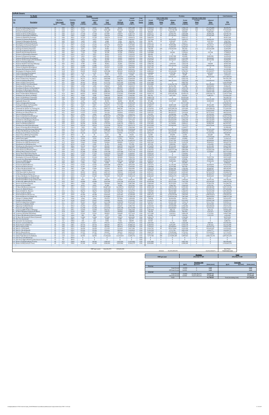| Link<br><b>Description</b><br>Prescott St (Bennington/Chelsea)<br>Chelsea St (Visconti/Prescott)<br>Prescott St (Chelsea/Bremen)<br>Chelsea St (Prescott/Bennigton<br>Chelsea St (Bennington/MobilGas)<br>Chelsea St (MobilGas/Saratoga)<br>Unamed St (Chelsea/Benington)<br>Unamed St (Benington/Bremen)<br>Bennington St (Chelsea/Unamed)<br>Bennington St (Unamed/Neptune)<br>Neptune Rd (Chelsea/Saratoga)<br>Saratoga St (Chelsea/Neptune)<br>Saratoga St (Neptune/Bremen)<br>Neptune Rd (Saratoga/Bremen)<br>Bremen St (Bennington/Neptune)<br>Bremen St (Neptune/Saratoga)<br>Neptune Rd (Bremen/Bennington)<br>Neptune Rd (Bennington/Rt1AOnRamp)<br>Route 1A Onramp (Neptune) | <b>Speed</b><br>25<br>25<br>25<br>25<br>25<br>25<br>25<br>25<br>25<br>25<br>25<br>25<br>25<br>25 | Roadway<br><b>Link Length</b><br>(miles)<br>0.02<br>0.46<br>0.04<br>0.06<br>0.06<br>0.06<br>0.03<br>0.02<br>0.07<br>0.11 | <b>Emission</b><br><b>Factor</b><br>(g/mi)<br>CO <sub>2</sub><br>295.2<br>295.2<br>307.2<br>311.0<br>328.9<br>303.5<br>328.9 | <b>AADT</b><br>(veh/day)<br>8,415<br>11.570<br>1,376<br>17,720 | Adjusted<br>ADT<br>(veh/day)<br>8,415<br>11,570 | <b>VMT</b><br>Peak<br>(veh-miles)<br>34,506 | <b>VMT</b><br><b>Off-Peak</b><br>(veh-miles) | Weekday<br><b>Trips</b><br>(veh/yr) | Period<br><b>Factor</b> | Period<br><b>Volume</b><br>(vehicles) | Average<br><b>Delay</b><br>(sec) | Adjusted<br><b>Delay</b><br>(veh-sec) | Period<br>Volume<br>(vehicles) | Average<br><b>Delay</b><br>(sec) | Adjusted<br>Delay<br>(veh-sec) | CO <sub>2</sub><br>(grams)     |
|----------------------------------------------------------------------------------------------------------------------------------------------------------------------------------------------------------------------------------------------------------------------------------------------------------------------------------------------------------------------------------------------------------------------------------------------------------------------------------------------------------------------------------------------------------------------------------------------------------------------------------------------------------------------------------------|--------------------------------------------------------------------------------------------------|--------------------------------------------------------------------------------------------------------------------------|------------------------------------------------------------------------------------------------------------------------------|----------------------------------------------------------------|-------------------------------------------------|---------------------------------------------|----------------------------------------------|-------------------------------------|-------------------------|---------------------------------------|----------------------------------|---------------------------------------|--------------------------------|----------------------------------|--------------------------------|--------------------------------|
|                                                                                                                                                                                                                                                                                                                                                                                                                                                                                                                                                                                                                                                                                        |                                                                                                  |                                                                                                                          |                                                                                                                              |                                                                |                                                 |                                             |                                              |                                     |                         |                                       |                                  |                                       |                                |                                  |                                |                                |
|                                                                                                                                                                                                                                                                                                                                                                                                                                                                                                                                                                                                                                                                                        |                                                                                                  |                                                                                                                          |                                                                                                                              |                                                                |                                                 |                                             | 26,922                                       | 3,071,428                           | 0.56                    | 1,725,313                             | 224                              | 386,470,106                           | 1,346,115                      | 202                              | 271,376,869                    | 18,135,372                     |
|                                                                                                                                                                                                                                                                                                                                                                                                                                                                                                                                                                                                                                                                                        |                                                                                                  |                                                                                                                          |                                                                                                                              |                                                                | 1,376                                           | 1,091,260<br>11.281                         | 851,418<br>8.802                             | 4.223.214<br>502.060                | 0.56<br>0.56            | 2.372.305<br>282.022                  | 514<br>21                        | 1,219,720,788<br>5,823,761            | 1.850.909<br>220.038           | 463<br>19                        | 856.480.241<br>4,089,408       | 573.529.353<br>6,170,172       |
|                                                                                                                                                                                                                                                                                                                                                                                                                                                                                                                                                                                                                                                                                        |                                                                                                  |                                                                                                                          |                                                                                                                              |                                                                | 17,720                                          | 217,987                                     | 170,077                                      | 6,467,719                           | 0.56                    | 3,633,111                             | 18                               | 63,942,753                            | 2,834,608                      | 16                               | 44,900,198                     | 120,705,755                    |
|                                                                                                                                                                                                                                                                                                                                                                                                                                                                                                                                                                                                                                                                                        |                                                                                                  |                                                                                                                          |                                                                                                                              | 12,865<br>12,703                                               | 12,865<br>12,703                                | 158,264<br>156,274                          | 123,480<br>121,927                           | 4,695,741<br>4,636,676              | 0.56<br>0.56            | 2,637,738<br>2,604,559                | $^{\rm 84}$<br>$\overline{0}$    | 221,965,661<br>$\mathbf{0}$           | 2.058.003<br>2,032,117         | 76<br>$\bf{0}$                   | 155,862,887<br>$\mathbf{0}$    | 92,668,117<br>84,421,346       |
|                                                                                                                                                                                                                                                                                                                                                                                                                                                                                                                                                                                                                                                                                        |                                                                                                  |                                                                                                                          | 319.9                                                                                                                        | 6,473<br>1.699                                                 | 6,473                                           | 39,815                                      | 31.064                                       | 2,362,637                           | 0.56<br>0.56            | 1,327,164<br>348,381                  | 22<br>18                         | 28,534,022                            | 1,035,473                      | 19<br>16                         | 20,036,410                     | 23,312,709                     |
|                                                                                                                                                                                                                                                                                                                                                                                                                                                                                                                                                                                                                                                                                        |                                                                                                  |                                                                                                                          | 309.0                                                                                                                        | 5,178                                                          | 1,699<br>5,178                                  | 6,968<br>74,321                             | 5,436<br>57,987                              | 620,192<br>1,890,110                | 0.56                    | 1,061,731                             | 1                                | 6,305,687<br>849.385                  | 271,812<br>828,379             | $\mathbf{1}$                     | 4,427,814<br>596,433           | 3,967,556<br>40,883,830        |
|                                                                                                                                                                                                                                                                                                                                                                                                                                                                                                                                                                                                                                                                                        |                                                                                                  | 0.02                                                                                                                     | 299.7<br>346.3                                                                                                               | 14.241<br>16.506                                               | 14.241<br>16.506                                | 321,174<br>67,685                           | 250,585<br>52,809                            | 5,197,802<br>6,024,725              | 0.56<br>0.56            | 2.919.760<br>3.384.268                | 34<br>$4\overline{ }$            | 99,855,806<br>11.844.937              | 2,278,041<br>2.640.457         | 31<br>3                          | 70,118,117<br>8.317.440        | 171,364,259<br>41,724,535      |
|                                                                                                                                                                                                                                                                                                                                                                                                                                                                                                                                                                                                                                                                                        |                                                                                                  | 0.04                                                                                                                     | 295.2                                                                                                                        | 3,641                                                          | 3,641                                           | 29,861                                      | 23,298                                       | 1,328,983                           | 0.56                    | 746,530                               | 239                              | 178,345,934                           | 582,454                        | 215                              | 125,233,389                    | 15,694,099                     |
|                                                                                                                                                                                                                                                                                                                                                                                                                                                                                                                                                                                                                                                                                        |                                                                                                  | 0.05<br>0.02                                                                                                             | 325.3<br>346.3                                                                                                               | 13.189<br>7,120                                                | 13,189<br>7,120                                 | 135,205<br>29,198                           | 105,489<br>22,780                            | 4,813,873<br>2,598,901              | 0.56<br>0.56            | 2,704,096<br>1,459,880                | $\overline{0}$<br>$\theta$       | $\mathbf{0}$<br>218,982               | 2,109,777<br>1,139,021         | $\mathbf{0}$<br>$\bf{0}$         | $\Omega$<br>153,768            | 78,293,312<br>17,998,819       |
|                                                                                                                                                                                                                                                                                                                                                                                                                                                                                                                                                                                                                                                                                        | 25                                                                                               | 0.03                                                                                                                     | 295.2                                                                                                                        | 3,075                                                          | 3,075                                           | 18,912                                      | 14,755                                       | 1,122,253                           | 0.56                    | 630,403                               | $\bf{0}$                         | $\bf{0}$                              | 491,850                        | $\bf{0}$                         | $\bf{0}$                       | 9,939,579                      |
|                                                                                                                                                                                                                                                                                                                                                                                                                                                                                                                                                                                                                                                                                        | 25<br>25                                                                                         | 0.05<br>0.02                                                                                                             | 314.4<br>295.2                                                                                                               | 2.832<br>7,201                                                 | 2.832<br>7,201                                  | 29.032<br>29,529                            | 22.651<br>23,039                             | 1.033.654<br>2,628,434              | 0.56<br>0.56            | 580.634<br>1,476,470                  | 21<br>35                         | 12.367.508<br>52,045,559              | 453.020<br>1,151,964           | 19<br>32                         | 8,684,386<br>36,546,063        | 16.249.658<br>15,519,694       |
|                                                                                                                                                                                                                                                                                                                                                                                                                                                                                                                                                                                                                                                                                        | 25                                                                                               | 0.02                                                                                                                     | 295.2                                                                                                                        | 16,263                                                         | 16,263                                          | 66,690                                      | 52,033                                       | 5,936,126                           | 0.56                    | 3,334,499                             | -9                               | 29,510,317                            | 2,601,627                      | 8                                | 20,721,958                     | 35,050,095                     |
| Neptune Rd (Rt1A Onramp/Offramp)                                                                                                                                                                                                                                                                                                                                                                                                                                                                                                                                                                                                                                                       | 30<br>25                                                                                         | 0.1<br>0.02                                                                                                              | 317.8<br>295.2                                                                                                               | 7,848<br>9,709                                                 | 7,848<br>9,709                                  | 160,919<br>39,815                           | 125,551<br>31,064                            | 2,864,698<br>3,543,956              | 0.56<br>0.56            | 1,609,186<br>1,990,746                | $\mathbf{0}$<br>$\mathbf{1}$     | $\mathbf{0}$<br>1,094,910             | 1,255,512<br>1,553,210         | $\mathbf{0}$<br>$\theta$         | $\mathbf{0}$<br>768,839        | 91,045,244<br>20,925,430       |
| Route 1A Offramp (Neptune)<br>Vienna St (Neptune/Bennington                                                                                                                                                                                                                                                                                                                                                                                                                                                                                                                                                                                                                            | 30<br>25                                                                                         | 0.1<br>0.07                                                                                                              | 224.2<br>309.0                                                                                                               | 11,085<br>10.033                                               | 11,085<br>10.033                                | 227,277<br>143.997                          | 177,325<br>112.349                           | 4,046,016<br>3.662.088              | 0.56<br>0.56            | 2,272,768<br>2,057,104                | 69<br>$\mathbf{0}$               | 156,139,165<br>$\Omega$               | 1,773,248<br>1.604.984         | 62<br>$\Omega$                   | 109,639,936<br>$\Omega$        | 90,692,259<br>79.212.420       |
| Neptune Rd (Vienna/Frankfort)                                                                                                                                                                                                                                                                                                                                                                                                                                                                                                                                                                                                                                                          | 25                                                                                               | 0.03                                                                                                                     | 398.5                                                                                                                        | 10,114                                                         | 10,114                                          | 62,211                                      | 48,538                                       | 3,691,621                           | 0.56                    | 2.073.693                             | 28                               | 58,892,895                            | 1,617,927                      | 26                               | 41,354,219                     | 44,132,586                     |
| Bennington St (Neptune/Swift)<br>Swift St (Saratoga/Bennington)                                                                                                                                                                                                                                                                                                                                                                                                                                                                                                                                                                                                                        | 30<br>25                                                                                         | 0.18<br>0.04                                                                                                             | 287.8<br>333.5                                                                                                               | 29,695<br>6,149                                                | 29,695<br>6,149                                 | 1,095,906<br>50,432                         | 855,042<br>39,348                            | 10,838,598<br>2,244,505             | 0.56<br>0.56            | 6,088,364<br>1.260.806                | 68<br>5                          | 415,226,428<br>5,799,706              | 4,750,234<br>983.700           | 61<br>$4^{\circ}$                | 291,569,377<br>4,072,517       | 561,552,069<br>29,937,439      |
| Swift St (Bennington/End)                                                                                                                                                                                                                                                                                                                                                                                                                                                                                                                                                                                                                                                              | 25                                                                                               | 0.06                                                                                                                     | 409.2                                                                                                                        | 162                                                            | 162                                             | 1.991                                       | 1.553                                        | 59,066                              | 0.56                    | 33,179                                | $\overline{4}$                   | 119.445                               | 25.887                         | 3                                | 83,873                         | 1,450,323                      |
| Bennington St (Swift/Boardman)<br>Route 1A SB (Curtis/Neptune)                                                                                                                                                                                                                                                                                                                                                                                                                                                                                                                                                                                                                         | 30<br>45                                                                                         | 0.88<br>0.29                                                                                                             | 268.4<br>271.5                                                                                                               | 27,510<br>34.711                                               | 27,510<br>34,711                                | 4,963,593<br>2,063,906                      | 3,872,671<br>1,610,29                        | 10,041,208<br>12.669.642            | 0.56<br>0.56            | 5,640,446<br>7,116,916                | 92<br>$\mathbf{0}$               | 520,331,167<br>$\Omega$               | 4,400,762<br>5,552,726         | 83<br>$\Omega$                   | 365,373,262<br>$\Omega$        | 2,371,683,261<br>997,591,190   |
| Curtis St (Chelsea/Route1A)<br>Route 1A SB (U-Turn/Curtis)                                                                                                                                                                                                                                                                                                                                                                                                                                                                                                                                                                                                                             | 25<br>45                                                                                         | 0.07<br>0.51                                                                                                             | 368.7<br>250.8                                                                                                               | 9,709<br>30.342                                                | 9,709<br>30,342                                 | 139,352<br>3,172,751                        | 108,725<br>2,475,429                         | 3,543,956<br>11,074,862             | 0.56<br>0.56            | 1.990.746                             | 225<br>$\theta$                  | 448,515,014<br>$\bf{0}$               | 1,553,210                      | 203<br>$\theta$                  | 314,944,413<br>$\mathbf{0}$    | 91.465.956<br>1,416,359,093    |
| Route 1A NB (U-Turn/Boardman                                                                                                                                                                                                                                                                                                                                                                                                                                                                                                                                                                                                                                                           | 45                                                                                               | 0.21                                                                                                                     | 250.0                                                                                                                        | 41,184                                                         | 41,184                                          | 1,773,257                                   | 1,383,522                                    | 15,032,279                          | 0.56                    | 6,221,080<br>8,444,080                | 145                              | 1,226,924,799                         | 4,853,782<br>6,588,200         | 131                              | 861,538,852                    | 789,213,596                    |
| Boardman St (End/Route 1A)<br>33 Boardman St (Route 1A/Bennington)                                                                                                                                                                                                                                                                                                                                                                                                                                                                                                                                                                                                                     | 25<br>25                                                                                         | 0.11<br>0.47                                                                                                             | 308.2<br>304.3                                                                                                               | 4.450<br>11,732                                                | 4.450<br>11,732                                 | 100.367<br>1,130,578                        | 78,308<br>882,094                            | 1.624.313<br>4,282,280              | 0.56<br>0.56            | 912.425<br>2,405,484                  | 51<br>414                        | 46.761.788<br>996,712,474             | 711,888<br>1,876,796           | 46<br>373                        | 32,835,832<br>699,885,210      | 55.066.491<br>612,434,582      |
| Boardman St (Bennington/Barnes)                                                                                                                                                                                                                                                                                                                                                                                                                                                                                                                                                                                                                                                        | 25                                                                                               | 0.09                                                                                                                     | 317.0                                                                                                                        | 26,216                                                         | 26,216                                          | 483,751                                     | 377,430                                      | 9,568,681                           | 0.56                    | 5,375,013                             | 67                               | 358,244,649                           | 4,193,667                      | 60                               | 251,557,132                    | 272,977,229                    |
| Bennignton St (Boardman/Crescent)<br>Route 1A (Boardman/Waldemar)                                                                                                                                                                                                                                                                                                                                                                                                                                                                                                                                                                                                                      | 25<br>45                                                                                         | 1.1<br>0.16                                                                                                              | 297.4<br>286.3                                                                                                               | 17,234<br>68.452                                               | 17,234<br>68.452                                | 3,886,931<br>2,245,561                      | 3,032,643<br>1,752,021                       | 6,290,522<br>24.984.889             | 0.56<br>0.56            | 3,533,574<br>14,034,757               | 53<br>142                        | 186,042,654<br>1,992,935,556          | 2,756,948<br>10,950,131        | 47<br>128                        | 130,637,978<br>1,399,426,772   | 2.058.202.074<br>1,144,377,865 |
| Waldemar Ave (Route 1A/Wally)                                                                                                                                                                                                                                                                                                                                                                                                                                                                                                                                                                                                                                                          | 25                                                                                               | 0.73                                                                                                                     | 302.2                                                                                                                        | 3,398                                                          | 3,398                                           | 508,636                                     | 396,845                                      | 1,240,385                           | 0.56                    | 696,761                               | 8                                | 5,817,954                             | 543,624                        | 8                                | 4,085,331                      | 273,656,104                    |
| Route 1A (Waldemar/Tomesello<br>Route 1A (Tomesello/Jughandle)                                                                                                                                                                                                                                                                                                                                                                                                                                                                                                                                                                                                                         | 45<br>45                                                                                         | 0.09<br>0.08                                                                                                             | 348.2<br>364.9                                                                                                               | 68.290<br>62,788                                               | 68.290<br>62,788                                | 1.260.142<br>1,029,879                      | 983.182<br>803,527                           | 24.925.823<br>22,917,581            | 0.56<br>0.56            | 14.001.578<br>12,873,489              | $\Omega$<br>12                   | $\Omega$<br>149,976,148               | 10.924.244<br>10,044,092       | $\Omega$<br>$10\,$               | $\Omega$<br>105,312,305        | 781,182,722<br>668,927,545     |
| Jughandle (Route 1A)                                                                                                                                                                                                                                                                                                                                                                                                                                                                                                                                                                                                                                                                   | 25<br>45                                                                                         | 0.1<br>0.49                                                                                                              | 295.2<br>232.2                                                                                                               | 2,427                                                          | 2,427                                           | 49,769                                      | 38.830<br>5.251.40                           | 885,989                             | 0.56<br>0.56            | 497,686                               | 31<br>$\overline{0}$             | 15,527,817<br>$\mathbf{0}$            | 388,303                        | 28                               | 10,903,535<br>$\Omega$         | 26,156,785                     |
| Route 1A (Jughandle/Furlong)<br>Furlong Dr (Route 1A/Tomesello)                                                                                                                                                                                                                                                                                                                                                                                                                                                                                                                                                                                                                        | 25                                                                                               | 0.47                                                                                                                     | 296.1                                                                                                                        | 66,995<br>9.467                                                | 66,995<br>9.467                                 | 6,730,711<br>912,259                        | 711,759                                      | 24,453,295<br>3,455,357             | 0.56                    | 13,736,146<br>1,940,977               | 35                               | 68.807.638                            | 10,717,150<br>1,514,380        | $\bf{0}$<br>32                   | 48,316,289                     | 2,781,831,311<br>480.909.649   |
| Route 1A (Furlong/BellCir)<br>Tomesello Dr (Route 1A/ Furlong Dr)                                                                                                                                                                                                                                                                                                                                                                                                                                                                                                                                                                                                                      | 30<br>25                                                                                         | 0.53<br>0.79                                                                                                             | 289.3<br>295.2                                                                                                               | 56,072<br>6,716                                                | 56,072<br>6,716                                 | 6,093,175<br>1,087,777                      | 4,753,988<br>848.700                         | 20,466,345<br>2.451.236             | 0.56<br>0.56            | 11,496,557<br>1,376,932               | 64<br>2,507                      | 736,354,452<br>3,452,589,316          | 8,969,788<br>1,074,304         | 58<br>2,257                      | 517,063,450<br>2,424,386,431   | 3,138,411,865<br>571,699,344   |
| 45 Tomesello Dr (Eurlong/Route145)                                                                                                                                                                                                                                                                                                                                                                                                                                                                                                                                                                                                                                                     | 25                                                                                               | 0.24                                                                                                                     | 295.2                                                                                                                        | 17,315                                                         | 17,315                                          | 852,039                                     | 664,774                                      | 6,320,055                           | 0.56                    | 3,550,163                             | 86                               | 304,781,513                           | 2,769,891                      | 77                               | 214,015,655                    | 447,804,316                    |
| Winthrop Ave (Beach/Route 16)<br>Harris St (Route16/Beach)                                                                                                                                                                                                                                                                                                                                                                                                                                                                                                                                                                                                                             | 25<br>25                                                                                         | 0.31<br>0.27                                                                                                             | 299.9<br>307.4                                                                                                               | 11,975<br>4.450                                                | 11,975<br>4.450                                 | 761,128<br>246.355                          | 593,844<br>192.210                           | 4,370,879<br>1,624,313              | 0.56<br>0.56            | 2,455,253<br>912,425                  | 155<br>49                        | 381,055,277<br>44.298.240             | 1,915,626<br>711.888           | 140<br>44                        | 267,574,611<br>31,105,945      | 406,332,632<br>134.803.693     |
| Route 16 (Garfield Ave/Winthrop)                                                                                                                                                                                                                                                                                                                                                                                                                                                                                                                                                                                                                                                       | 35                                                                                               | 1.42                                                                                                                     | 250.6                                                                                                                        | 63,273                                                         | 63,273                                          | 18,421,697                                  | 14,372,889                                   | 23,094,779                          | 0.56                    | 12,973,026                            | 62                               | 804,976,287                           | 10,121,753                     | 56                               | 565,249,269                    | 8,218,115,355                  |
| Route 16 (Washington/Garfield)<br>Garfield Ave (Washington/Route16)                                                                                                                                                                                                                                                                                                                                                                                                                                                                                                                                                                                                                    | 35<br>25                                                                                         | 0.32<br>0.36                                                                                                             | 287.2<br>302.3                                                                                                               | 50,732<br>12.541                                               | 50,732<br>12.541                                | 3,328,527<br>925.697                        | 2,596,967<br>722,243                         | 18,517,169<br>4,577,610             | 0.56<br>0.56            | 10,401,646<br>2,571,380               | 28<br>211                        | 287,085,443<br>542.818.299            | 8,115,523<br>2,006,230         | 25<br>190                        | 201.589.586<br>381.163.584     | 1,702,085,206<br>498,094,248   |
| Webster Ave (Rt16/Jefferson)                                                                                                                                                                                                                                                                                                                                                                                                                                                                                                                                                                                                                                                           | 30                                                                                               | 0.08<br>0.32                                                                                                             | 283.6                                                                                                                        | 21,523<br>26.296                                               | 21,523                                          | 353,026                                     | 275,436                                      | 7,855,769                           | 0.56<br>0.56            | 4,412,820                             | 221<br>17                        | 975,233,157                           | 3,442,949                      | 199<br>15                        | 684,802,569                    | 178,203,410                    |
| Route 16 (Winthrop/Bell Cir)<br>Winthrop Ave (Rt16/Rt1AOnramp)                                                                                                                                                                                                                                                                                                                                                                                                                                                                                                                                                                                                                         | 35<br>35                                                                                         | 0.12                                                                                                                     | 261.0<br>283.8                                                                                                               | 49.518                                                         | 26,296<br>49,518                                | 1,725,313<br>1.218.336                      | 1,346,115<br>950.565                         | 9,598,214<br>18,074,175             | 0.56                    | 5,391,603<br>10,152,803               | 94                               | 91,118,091<br>952,840,585             | 4,206,611<br>7,921,372         | 84                               | 63,982,549<br>669,078,646      | 801,497,877<br>615,624,496     |
| Route 1A Onramp (Rt1A/Winthrop)<br>Winthrop Ave (Rt1AOnramp/NShoreRd)                                                                                                                                                                                                                                                                                                                                                                                                                                                                                                                                                                                                                  | 30<br>40                                                                                         | 0.14<br>0.39                                                                                                             | 226.4<br>257.3                                                                                                               | 7,039<br>54,778                                                | 7,039<br>54,778                                 | 202,061<br>4,380,138                        | 157,651<br>3,417,451                         | 2,569,368<br>19,993,818             | 0.56<br>0.56            | 1,443,291<br>11,231,124               | $\overline{0}$<br>118            | $\mathbf{0}$<br>1,323,587,947         | 1,126,077<br>8.762.694         | $\mathbf{0}$<br>106              | $\mathbf{0}$<br>929,415,104    | 81,438,430<br>2,006,019,789    |
| N Shore Rd (Winthrop Ave/Beach St)                                                                                                                                                                                                                                                                                                                                                                                                                                                                                                                                                                                                                                                     | 30                                                                                               | 0.59                                                                                                                     | 274.9                                                                                                                        | 13,027                                                         | 13,027                                          | 1,575,841                                   | 1,229,495                                    | 4,754,807                           | 0.56                    | 2,670,917                             | 38                               | 101,628,399                           | 2.083.890                      | 34                               | 71,362,821                     | 771,172,757                    |
| Winthrop Ave (N Shore/Tomesello)<br>Shaws Drwy (Withrop/Tomesello)                                                                                                                                                                                                                                                                                                                                                                                                                                                                                                                                                                                                                     | 40<br>15                                                                                         | 0.05<br>0.07                                                                                                             | 239.2<br>387.0                                                                                                               | 43,126<br>81                                                   | 43,126<br>81                                    | 442,111<br>1,161                            | 344,942<br>906                               | 15,741,071<br>29,533                | 0.56<br>0.56            | 8,842,229<br>16.590                   | 23<br>23                         | 201,160,709<br>374,094                | 6,898,842<br>12,943            | 20<br>20                         | 141,253,781<br>262,687         | 188,289,967<br>799,980         |
| Withrop Ave (Tomesello/RBP)                                                                                                                                                                                                                                                                                                                                                                                                                                                                                                                                                                                                                                                            | 40                                                                                               | 0.16                                                                                                                     | 239.2                                                                                                                        | 45,634                                                         | 45,634                                          | 1,497,041                                   | 1,168,014                                    | 16,656,592                          | 0.56                    | 9,356,505                             | 48                               | 447,708,762                           | 7,300,087                      | 43                               | 314,378,268                    | 637, 572, 734                  |
| Shaws Drwy (RBP)<br>Revere Beach Pkwy (Withrop/State)                                                                                                                                                                                                                                                                                                                                                                                                                                                                                                                                                                                                                                  | 15<br>40                                                                                         | 0.05<br>0.3                                                                                                              | 387.0<br>242.4                                                                                                               | 1.618<br>31.960                                                | 1.618<br>31,960                                 | 16.590<br>1,965,861                         | 12,943<br>1,533,795                          | 590,659<br>11,665,521               | 0.56<br>0.56            | 331,791<br>6.552.871                  | 33<br>15                         | 11,048,639<br>97,637,784              | 258,868<br>5,112,650           | 30<br>13                         | 7.758.284<br>68.560.636        | 11.428.254<br>848.342.322      |
| Winthrop Ave (RBP/Beachmont Lot)                                                                                                                                                                                                                                                                                                                                                                                                                                                                                                                                                                                                                                                       | 25                                                                                               | 0.13                                                                                                                     | 303.0                                                                                                                        | 19,662                                                         | 19,662                                          | 524,064                                     | 408,883                                      | 7,176,511                           | 0.56                    | 4,031,260                             | 14                               | 55,631,390                            | 3,145,250                      | 12                               | 39,064,011                     | 282,649,742                    |
| Beachmont Lot (Winthrop Ave)<br>Winthrop Ave (Beachmont Lot/State Rd)                                                                                                                                                                                                                                                                                                                                                                                                                                                                                                                                                                                                                  | 15<br>25                                                                                         | 0.07<br>0.09                                                                                                             | 387.0<br>380.6                                                                                                               | 2.185<br>18.124                                                | 2,185<br>18,124                                 | 31,354<br>334,445                           | 24,463<br>260,939                            | 797,390<br>6,615,384                | 0.56<br>0.56            | 447,918<br>3,716,059                  | $\mathbf{R}$<br>24               | 3,583,342<br>87,513,183               | 349,472<br>2,899,326           | 7<br>21                          | 2,516,200<br>61,451,205        | 21,599,463<br>226,627,852      |
| State Rd (Winthrop/Ocean)<br>State Rd (Ocean/Wintrhop Pkwy)                                                                                                                                                                                                                                                                                                                                                                                                                                                                                                                                                                                                                            | 35<br>35                                                                                         | 0.26<br>0.09                                                                                                             | 270.3<br>248.6                                                                                                               | 6,311<br>30.018                                                | 6,311<br>30.018                                 | 336,436<br>553.925                          | 262,493<br>432.181                           | 2,303,571<br>10,956,730             | 0.56<br>0.56            | 1,293,985<br>6,154,722                | 38<br>167                        | 49,365,517<br>1,029,377,294           | 1,009,587<br>4,802,008         | 34<br>151                        | 34,664,155<br>722,822,240      | 161,906,751<br>245.109.722     |
| Withrop Pkwy (State/Leverett)                                                                                                                                                                                                                                                                                                                                                                                                                                                                                                                                                                                                                                                          | 30                                                                                               | 0.39                                                                                                                     | 271.3                                                                                                                        | 21,280                                                         | 21,280                                          | 1,701,590                                   | 1,327,606                                    | 7,767,170                           | 0.56                    | 4,363,051                             | $\overline{\mathbf{3}}$          | 11,562,085                            | 3,404,119                      | $\overline{c}$                   | 8,118,823                      | 821,712,228                    |
| Revere Beach Blvd (State/Beach)<br>Winthrop Ave (Bennington/Crescent)                                                                                                                                                                                                                                                                                                                                                                                                                                                                                                                                                                                                                  | 30<br>25                                                                                         | 0.43<br>0.18                                                                                                             | 266.2<br>369.6                                                                                                               | 17,315<br>6,392                                                | 17,315<br>6,392                                 | 1,526,570<br>235,903                        | 1,191,053<br>184,055                         | 6,320,055<br>2,333,104              | 0.56<br>0.56            | 3,550,163<br>1,310,574                | $\theta$<br>$\mathbf{0}$         | $\mathbf{0}$<br>$\mathbf{0}$          | 2,769,891<br>1.022.530         | $\bf{0}$<br>$\mathbf{0}$         | $\mathbf{0}$<br>$\Omega$       | 723,519,858<br>155,230,745     |
| Bennington St (Crescent/Withron)                                                                                                                                                                                                                                                                                                                                                                                                                                                                                                                                                                                                                                                       | 25                                                                                               | 0.06                                                                                                                     | 389.5                                                                                                                        | 21,442                                                         | 21,442                                          | 263,774                                     | 205,800                                      | 7,826,236                           | 0.56                    | 4,396,230                             | 25                               | 109,026,508                           | 3,430,006                      | 22                               | 76,557,726                     | 182,914,009                    |
| 71 Crescent Ave (Bennington/Winthrop)<br>Ocean Ave (RBP/Beach)                                                                                                                                                                                                                                                                                                                                                                                                                                                                                                                                                                                                                         | 25<br>30                                                                                         | 0.17<br>0.49                                                                                                             | 349.2<br>269.0                                                                                                               | 2,994<br>19.257                                                | 2,994<br>19.257                                 | 104,348<br>1.934.673                        | 81,414<br>1.509.46                           | 1,092,720<br>7.028.846              | 0.56<br>0.56            | 613,813<br>3.948.312                  | 8<br>14                          | 5,125,341<br>53.894.464               | 478,906<br>3.080.533           | 8<br>12                          | 3,598,982<br>37.844.352        | 64,862,859<br>926.493.252      |
| 73 Beach St (Ocean/RBP)                                                                                                                                                                                                                                                                                                                                                                                                                                                                                                                                                                                                                                                                | 25                                                                                               | 0.03                                                                                                                     | 295.2                                                                                                                        | 1,456                                                          | 1,456                                           | 8.958                                       | 6,989                                        | 531,593                             | 0.56                    | 298,612                               | $\mathbf{0}$                     | $\mathbf{0}$                          | 232,982                        | $\mathbf{0}$                     | $\Omega$                       | 4,708,221                      |
| Ocean Ave (beach/Revere)<br>Beach St (N Shore/Ocean)                                                                                                                                                                                                                                                                                                                                                                                                                                                                                                                                                                                                                                   | 25                                                                                               | 0.74<br>0.09                                                                                                             | 323.1                                                                                                                        | 13,351<br>6,149                                                | 13,351<br>6,149                                 | ,025,584<br>113,473                         | ,580,39<br>88.533                            | 4,872,939<br>2,244,505              | 0.56<br>0.56            | 2,737,275<br>1,260,806                | 22<br>18                         | 61,178,105<br>22,379,300              | 2,135,664<br>983,700           | 16                               | 42,958,87<br>15,714,603        | 74,719,378<br>65,273,133       |
| N Shore Rd (Beach/Butler Cir)<br>77 Beach St (VFW/N Shore)                                                                                                                                                                                                                                                                                                                                                                                                                                                                                                                                                                                                                             | 30<br>25                                                                                         | 0.24<br>0.32                                                                                                             | 290.7<br>318.4                                                                                                               | 11.004<br>7,687                                                | 11.004<br>7,687                                 | 541.483<br>504,322                          | 422.473<br>393,480                           | 4.016.483<br>2,805,632              | 0.56<br>0.56            | 2.256.179<br>1,576,007                | 28<br>35                         | 63.060.189<br>55,396,647              | 1.760.305<br>1,229,625         | 25<br>32                         | 44,280,467<br>38,899,176       | 280,185,047<br>285,868,623     |
| VFW Pkwy (Bell Cir/Beach St)                                                                                                                                                                                                                                                                                                                                                                                                                                                                                                                                                                                                                                                           | 35                                                                                               | 0.12                                                                                                                     | 252.5                                                                                                                        | 40.942                                                         | 40.942                                          | 1,007,317                                   | 785.924                                      | 14,943,680                          | 0.56                    | 8,394,311                             | 62                               | 523,805,018                           | 6,549,369                      | 56                               | 367,812,578                    | 452.806.970                    |
| VFW Pkwy (Beach/Butler Cir)<br>N Shore Rd (Butler Cir/Wnderld Lot)                                                                                                                                                                                                                                                                                                                                                                                                                                                                                                                                                                                                                     | 35<br>30                                                                                         | 0.32<br>0.09                                                                                                             | 292.9<br>265.5                                                                                                               | 33.659<br>41,265                                               | 33,659<br>41,265                                | 2,208,401<br>761,460                        | 1,723,028<br>594,103                         | 12,285,714<br>15,061,812            | 0.56<br>0.56            | 6,901,252<br>8,460,669                | 18<br>15                         | 123,877,471<br>128,602,175            | 5.384.462<br>6,601,143         | 16<br>14                         | 86,985,979<br>90,303,635       | 1,151,643,200<br>359,948,681   |
| Wonderland MBTA Lot (N Shore Rd)                                                                                                                                                                                                                                                                                                                                                                                                                                                                                                                                                                                                                                                       | 15                                                                                               | 0.11                                                                                                                     | 387.0                                                                                                                        | $\bf{0}$                                                       | $\bf{0}$                                        | $\bf{0}$                                    | $\bf{0}$                                     | $\bf{0}$                            | 0.56                    | $\bf{0}$                              | $\bf{0}$                         | $\bf{0}$                              | $\bf{0}$                       | $\bf{0}$                         | $\mathbf{0}$                   | $\mathbf{0}$                   |
| 82 Wonderland MBTA Garage (N Shore Rd)<br>83 N Shore Rd (MBTA/Revere St)                                                                                                                                                                                                                                                                                                                                                                                                                                                                                                                                                                                                               | 15<br>35                                                                                         | 0.11<br>0.35                                                                                                             | 387.0<br>259.7                                                                                                               | 9.062<br>49,680                                                | 9.062<br>49,680                                 | 204,383<br>3,565,094                        | 159,463<br>2,781,540                         | 3,307,692<br>18,133,241             | 0.56<br>0.56            | 1,858,029<br>10,185,982               | 34<br>33                         | 62,243,983<br>332,572,324             | 1,449,663<br>7,947,258         | 30<br>29                         | 43,707,332<br>233,530,187      | 140,796,542<br>1,648,315,234   |
| 84 Revere St (N Shore/Ocean)<br>Revere St (Ocean/RBP)                                                                                                                                                                                                                                                                                                                                                                                                                                                                                                                                                                                                                                  | 25<br>25                                                                                         | 0.17<br>0.04                                                                                                             | 309.3<br>346.3                                                                                                               | 7,363<br>8,253                                                 | 7,363<br>8,253                                  | 256,640<br>67.685                           | 200,235<br>52,809                            | 2,687,500<br>3,012,362              | 0.56<br>0.56            | 1,509,649<br>1,692,134                | 54<br>6                          | 81,973,933<br>9.306.736               | 1,177,851<br>1.320.229         | 49<br>5                          | 57,561,578<br>6.535.132        | 141,290,733<br>41.724.535      |
| N Shore Rd (Revere/Lynnway)                                                                                                                                                                                                                                                                                                                                                                                                                                                                                                                                                                                                                                                            | 35                                                                                               | 1.97                                                                                                                     | 251.1                                                                                                                        | 51,217                                                         | 51,217                                          | 20,687,332                                  | 16,140,571                                   | 18,694,367                          | 0.56                    | 10,501,184                            | 14                               | 148,591,750                           | 8,193,183                      | 13                               | 104,340,189                    | 9,247,131,334                  |
| Revere St (Rt60/N Shore)<br>Route 60 (Bell Cir / Revere)                                                                                                                                                                                                                                                                                                                                                                                                                                                                                                                                                                                                                               | 25<br>40                                                                                         | 0.7<br>0.51                                                                                                              | 297.4<br>256.2                                                                                                               | 11,813<br>38.676                                               | 11,813<br>38,676                                | 1,695,452<br>4,044,200                      | 1,322,817<br>3,155,346                       | 4,311,813<br>14,116,757             | 0.56<br>0.56            | 2,422,074<br>7,929,804                | 275<br>26                        | 665,707,033<br>206.967.880            | 1,889,739<br>6,186,954         | 247<br>23                        | 467,455,278<br>145.331.540     | 897,603,068<br>1,844,382,525   |
| Revere St (Rt107/Rt60)                                                                                                                                                                                                                                                                                                                                                                                                                                                                                                                                                                                                                                                                 | 25                                                                                               | 0.24                                                                                                                     | 313.3                                                                                                                        | 9,709                                                          | 9,709                                           | 477,779                                     | 372,770                                      | 3,543,956                           | 0.56                    | 1,990,746                             | 30                               | 60,618,208                            | 1,553,210                      | 27                               | 42,565,723                     | 266,460,834                    |
| Route 60 (Revere/Brown Cir)<br>Route 60 (Brown Cir/Charger St)                                                                                                                                                                                                                                                                                                                                                                                                                                                                                                                                                                                                                         | 35<br>35                                                                                         | 0.37<br>0.41                                                                                                             | 254.9<br>256.6                                                                                                               | 44,340<br>49,178                                               | 44,340<br>49,178                                | 3,363,697<br>4,134,082                      | 2,624,407<br>3,225,474                       | 16,184,065<br>17,950,136            | 0.56<br>0.56            | 9,091,072<br>10,083,127               | 235<br>133                       | 2,133,674,644<br>1,339,543,442        | 7,092,993<br>7,867,009         | 211<br>120                       | 1,498,252,871<br>940,618,952   | 1,526,662,247<br>1,888,767,204 |
| Charger St (Malden/Rt60)                                                                                                                                                                                                                                                                                                                                                                                                                                                                                                                                                                                                                                                               | 25                                                                                               | 0.4                                                                                                                      | 318.6                                                                                                                        | 3,560                                                          | 3,560                                           | 291,976                                     | 227,804                                      | 1,299,450                           | 0.56                    | 729,940                               | 63                               | 45,694,250                            | 569,510                        | 56                               | 32,086,214                     | 165,614,957                    |
| Charger St (Rt 60/Ward)<br>Route 60 (Sigourney/Charger)                                                                                                                                                                                                                                                                                                                                                                                                                                                                                                                                                                                                                                | 25<br>35                                                                                         | 0.13<br>0.17                                                                                                             | 313.8<br>289.9                                                                                                               | 15,697<br>46,363                                               | 15,697<br>46,363                                | 418,388<br>1,615,988                        | 326,433<br>1,260,818                         | 5,729,395<br>16,922,389             | 0.56<br>0.56            | 3,218,372<br>9,505,811                | 86<br>21                         | 276,136,341<br>201,047,900            | 2,511,023<br>7,416,578         | 77<br>19                         | 193,901,196<br>141,174,567     | 233,699,184<br>834,096,111     |
| 95 Sigourney St (Malden/Rt60)<br>Sigourney St (Rt60/Retail)                                                                                                                                                                                                                                                                                                                                                                                                                                                                                                                                                                                                                            | 25<br>15                                                                                         | 0.31<br>0.1                                                                                                              | 297.1<br>455.3                                                                                                               | 4.855<br>15,292                                                | 4.855<br>15,292                                 | 308.566<br>313,542                          | 240,748<br>244,631                           | 1,771,978<br>5,581,730              | 0.56<br>0.56            | 995,373<br>3,135,425                  | 43<br>102                        | 43,000,108<br>319,342,989             | 776,605<br>2,446,306           | 39<br>92                         | 30,194,404<br>224,240,632      | 163,197,040<br>254,151,252     |
| 97 Route 60 (Rt1/Sigourney)                                                                                                                                                                                                                                                                                                                                                                                                                                                                                                                                                                                                                                                            | 35                                                                                               | 0.22                                                                                                                     | 282.1                                                                                                                        | 51,298                                                         | 51,298                                          | 2,313,910                                   | 1,805,348                                    | 18,723,900                          | 0.56                    | 10,517,773                            | 10                               | 103,600,067                           | 8,206,127                      | 9                                | 72,747,313                     | 1,162,117,621                  |
| Lynnway (RBP/N Shore SB Ramp)<br>99 N Shore SB Ramp (Lynnway/N Shore)                                                                                                                                                                                                                                                                                                                                                                                                                                                                                                                                                                                                                  | 25<br>25                                                                                         | 0.25<br>0.18                                                                                                             | 299.1<br>311.0                                                                                                               | 13,593<br>3,641                                                | 13,593<br>3,641                                 | 696.761<br>134,375                          | 543.624<br>104,842                           | 4,961,538<br>1,328,983              | 0.56<br>0.56            | 2,787,044<br>746,530                  | $\overline{0}$<br>6              | 836.113<br>4,553,831                  | 2.174.494<br>582,454           | $\mathbf{0}$<br>5                | 587,113<br>3,197,671           | 370.951.405<br>74,407,521      |
| 100 Lynnway (SB Ramp/NB Ramps)                                                                                                                                                                                                                                                                                                                                                                                                                                                                                                                                                                                                                                                         | 25                                                                                               | 0.11                                                                                                                     | 295.2                                                                                                                        | 12,541                                                         | 12,541                                          | 282,852                                     | 220,685                                      | 4,577,610                           | 0.56                    | 2,571,380                             | $\mathbf{1}$                     | 2,442,811                             | 2,006,230                      | 1                                | 1,715,326                      | 148,657,866                    |
| 101 N Shore NB Offramp (N Shore/Lynnway)<br>102 N Shore NB Onramp (N Shore/Lynnway)                                                                                                                                                                                                                                                                                                                                                                                                                                                                                                                                                                                                    | 25<br>25                                                                                         | 0.03<br>0.07                                                                                                             | 184.6<br>323.6                                                                                                               | 809<br>11,004                                                  | 809<br>11,004                                   | 4,977<br>157,932                            | 3.883<br>123,221                             | 295,330<br>4,016,483                | 0.56<br>0.56            | 165.895<br>2,256,179                  | 11<br>$\theta$                   | 1,741,903<br>$\mathbf{0}$             | 129,434<br>1,760,305           | 9<br>$\bf{0}$                    | 1,223,153<br>$\mathbf{0}$      | 1.635.438<br>90,974,953        |
| 103 Rice Ave (Lynnway)                                                                                                                                                                                                                                                                                                                                                                                                                                                                                                                                                                                                                                                                 | 25                                                                                               | 0.06                                                                                                                     | 280.4                                                                                                                        | 728                                                            | 728                                             | 8,958                                       | 6,989                                        | 265,797                             | 0.56                    | 149,306                               | $\bf{0}$                         | $\bf{0}$                              | 116,491                        | $\bf{0}$                         | $\mathbf{0}$                   | 4,471,657                      |
| 104 Lancaster Ave (Lynnway)<br>105 Beach St (Central/Bell Cir)                                                                                                                                                                                                                                                                                                                                                                                                                                                                                                                                                                                                                         | 25<br>25                                                                                         | 0.2<br>0.34                                                                                                              | 298.0<br>303.8                                                                                                               | 243<br>13,917                                                  | 243<br>13,917                                   | 9,954<br>970,157                            | 7,766<br>756,931                             | 88,599<br>5,079,670                 | 0.56<br>0.56            | 49.769<br>2,853,402                   | $\overline{0}$<br>$\bf{0}$       | $\mathbf{0}$<br>713,351               | 38.830<br>2,226,268            | $\bf{0}$<br>$\bf 0$              | $\Omega$<br>500,910            | 5.280.724<br>524,704,502       |
| 106 Route 60 (Ctr of Bell Cir)                                                                                                                                                                                                                                                                                                                                                                                                                                                                                                                                                                                                                                                         | 40<br>25                                                                                         | 0.06<br>0.05                                                                                                             | 248.1                                                                                                                        | 29,776                                                         | 29,776                                          | 366,297                                     | 285,791                                      | 10,868,131                          | 0.56                    | 6,104,954                             | $\overline{1}$<br>45             | 8,241,687                             | 4,763,178                      | 1<br>40                          | 5,787,261                      | 161,751,483                    |
| 107 Bell Cir (Rt1A/VFW)<br>108 Bell Cir (VFW/Rt60)                                                                                                                                                                                                                                                                                                                                                                                                                                                                                                                                                                                                                                     | 25                                                                                               | 0.05                                                                                                                     | 295.2<br>295.2                                                                                                               | 35,359<br>26,458                                               | 35,359<br>26,458                                | 362,482<br>271,239                          | 282,814<br>211,625                           | 12,905,906<br>9,657,280             | 0.56<br>0.56            | 7,249,632<br>5,424,782                | 85                               | 322,608,641<br>459,479,046            | 5,656,273<br>4,232,498         | 76                               | 226,533,752<br>322,643,287     | 190,507,946<br>142,554,001     |
| 109 Bell Cir (Rt 60/Beach)<br>110 Bell Cir (Beach/Rt1A)                                                                                                                                                                                                                                                                                                                                                                                                                                                                                                                                                                                                                                | 25<br>25                                                                                         | 0.05<br>0.05                                                                                                             | 295.2<br>295.2                                                                                                               | 25,326<br>23.707                                               | 25,326<br>23,707                                | 259,626<br>243,037                          | 202,564<br>189,621                           | 9,243,818<br>8,653,159              | 0.56<br>0.56            | 5,192,528<br>4.860.738                | -1<br>37                         | 5,711,781<br>178.389.066              | 4,051,290<br>3.792.421         | $\mathbf{1}$<br>33               | 4,010,777<br>125,263,677       | 136,450,772<br>127.731.872     |
| 111 Broadway (Revere/Brown Cir)                                                                                                                                                                                                                                                                                                                                                                                                                                                                                                                                                                                                                                                        | 30                                                                                               | 0.33                                                                                                                     | 284.4                                                                                                                        | 17,380                                                         | 17,380                                          | 1,175,934                                   | 917.481                                      | 6,343,681                           | 0.56                    | 3,563,435                             | 284                              | 1,013,619,048                         | 2,780,246                      | 256                              | 711,756,899                    | 595,313,818                    |
| 112 Salem Tnpk (Brown Cir/Ballard)<br>113 Site Drwy Left (Winthrop)                                                                                                                                                                                                                                                                                                                                                                                                                                                                                                                                                                                                                    | 55<br>15                                                                                         | 2.29<br>0.5                                                                                                              | 223.4<br>387.0                                                                                                               | 36,945<br>$\bf{0}$                                             | 36,945<br>$\bf{0}$                              | 17,346,263<br>$\mathbf{0}$                  | 13,533,819<br>$\mathbf{0}$                   | 13,484,752<br>$\mathbf{0}$          | 0.56<br>0.56            | 7,574,788<br>$\mathbf{0}$             | 280<br>$\mathbf{0}$              | 2,119,804,289<br>$\Omega$             | 5,909,964<br>$\bf{0}$          | 252<br>$\mathbf{0}$              | 1,488,513,195<br>$\mathbf{0}$  | 6,897,841,695<br>$\Omega$      |
| 114 Site Drwy Right (Winthrop/Beachmont Parking)                                                                                                                                                                                                                                                                                                                                                                                                                                                                                                                                                                                                                                       | 15                                                                                               | 0.5                                                                                                                      | 387.0                                                                                                                        | $\bf{0}$                                                       | $\bf{0}$                                        | $\bf{0}$                                    | $\mathbf{0}$                                 | $\mathbf{0}$                        | 0.56                    | $\mathbf{0}$                          | $\theta$                         | $\mathbf{0}$                          | $\mathbf{0}$                   | $\bf{0}$                         | $\bf{0}$                       | $\mathbf{0}$                   |
| 115 Route 1A SB (Boardman/U-Turn)<br>116 Route 1A NB (Curtis/U-Turn)                                                                                                                                                                                                                                                                                                                                                                                                                                                                                                                                                                                                                   | 45<br>45                                                                                         | 0.21<br>0.51                                                                                                             | 250.8<br>250.0                                                                                                               | 30,342<br>41,184                                               | 30,342<br>41,184                                | 1,306,427<br>4,306,481                      | 1,019,294<br>3,359,982                       | 11,074,862<br>15,032,279            | 0.56<br>0.56            | 6,221,080<br>8,444,080                | $\bf{0}$<br>$\bf{0}$             | $\bf{0}$<br>$\Omega$                  | 4,853,782<br>6,588,200         | $\bf{0}$<br>$\bf{0}$             | $\bf{0}$<br>$\mathbf{0}$       | 583,206,685<br>1,916,661,591   |
|                                                                                                                                                                                                                                                                                                                                                                                                                                                                                                                                                                                                                                                                                        |                                                                                                  |                                                                                                                          |                                                                                                                              |                                                                |                                                 |                                             |                                              |                                     |                         |                                       |                                  |                                       |                                |                                  |                                |                                |

**VMT** per year

J.

|                 |        | <b>Weekday Idle</b> |             |                        | <b>Total Idle</b> |             |
|-----------------|--------|---------------------|-------------|------------------------|-------------------|-------------|
|                 | (g/s)  | (g/year)            | (tons/year) | (g/s)                  | (g/year)          | (tons/year) |
| Freeway         |        |                     |             |                        |                   |             |
| Peak Period     | 0.6903 |                     | 0.00        |                        |                   | 0.00        |
| Off-Peak Period | 0.6903 |                     | 0.00        |                        |                   | 0.00        |
| <b>Arterial</b> |        |                     |             |                        |                   |             |
| Peak Period     | 0.6903 | 22.269.186.472      | 24.547.16   |                        |                   | 24.547.16   |
| Off-Peak Period | 0.6903 | 15.637.282.216      | 17.236.86   |                        |                   | 17.236.86   |
| Total           |        |                     | 41.784.03   | Total (Including Link) |                   | 127.962.64  |

**Weekday**

**Total 295,918,717.89 295,918,717.89**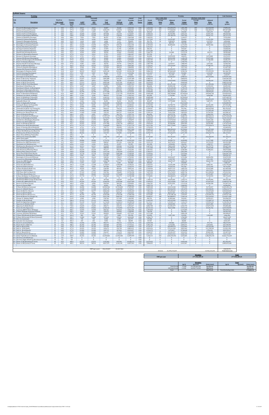| Existing                                                                                                               | <b>Suffolk Downs</b><br>Weekday |                               |                          |                          |                                      |                            |                            |                            |                |                        |                              |                               | Weekday                     |                                         |                               | <b>Link Emissions</b>         |
|------------------------------------------------------------------------------------------------------------------------|---------------------------------|-------------------------------|--------------------------|--------------------------|--------------------------------------|----------------------------|----------------------------|----------------------------|----------------|------------------------|------------------------------|-------------------------------|-----------------------------|-----------------------------------------|-------------------------------|-------------------------------|
| Link                                                                                                                   |                                 | Roadway                       | <b>Emission</b>          |                          | <b>Seasonally</b><br><b>Adiusted</b> | <b>VMT</b>                 | <b>VMT</b>                 | Annual<br>Weekday          | Peak<br>Period | Period                 | Peak Traffic Data<br>Average | Adjusted                      | Period                      | <b>Off-Peak Traffic Data</b><br>Average | <b>Adiusted</b>               |                               |
| $\underline{\textbf{No}}$<br><b>Description</b>                                                                        | <b>Type</b>                     | <b>Link Length</b><br>(miles) | <b>Factor</b><br>(g/mi)  | <b>AADT</b><br>(veh/day) | ADT<br>(veh/day)                     | Peak<br>(veh-miles)        | Off-Peak<br>(veh-miles)    | <b>Trips</b><br>(veh/yr)   | <b>Factor</b>  | Volume<br>(vehicles)   | <b>Delay</b><br>(sec)        | Delay<br>(veh-sec)            | <b>Volume</b><br>(vehicles) | <b>Delay</b><br>(sec)                   | Delay<br>(veh-sec)            | CO <sub>2</sub><br>(grams)    |
| Prescott St (Bennington/Chelsea)                                                                                       | 25                              | 0.02                          | CO <sub>2</sub><br>477.0 | 8,010                    | 8,010                                | 32,847                     | 25,628                     | 2,923,764                  | 0.56           | 1,642,365              | 228                          | 374,459,273                   | 1,281,398                   | 205                                     | 262,942,939                   | 27,895,220                    |
| Chelsea St (Visconti/Prescott)                                                                                         | 25                              | 0.46                          | 477.0                    | 11,085                   | 11,085                               | 1,045,473                  | 815,694                    | 4,046,016                  | 0.56           | 2,272,768              | 342                          | 777,968,503                   | 1,773,248                   | 308                                     | 546,284,574                   | 887,857,800                   |
| Prescott St (Chelsea/Bremen)                                                                                           | 25                              | 0.04                          | 496.1                    | 1.376                    | 1.376                                | 11.281                     | 8.802                      | 502,060                    | 0.56           | 282.022                | 20                           | 5,555,840                     | 220,038                     | 18                                      | 3,901,275                     | 9.962.084                     |
| Chelsea St (Prescott/Bennigton)                                                                                        | 25                              | 0.06                          | 502.1                    | 16,830                   | 16,830                               | 207.038                    | 161,534                    | 6,142,857                  | 0.56           | 3,450,626              | 14                           | 46,755,982                    | 2.692.231                   | 12                                      | 32,831,755                    | 185.044.965                   |
| Chelsea St (Bennington/MobilGas)                                                                                       | 25                              | 0.06                          | 530.0                    | 12,299                   | 12,299                               | 151,297                    | 118,044                    | 4,489,011                  | 0.56           | 2,521,611              | 53                           | 134,780,122                   | 1,967,399                   | 48                                      | 94,641,751                    | 142,757,279                   |
| Chelsea St (MobilGas/Saratoga)                                                                                         | 25                              | 0.06                          | 490.1<br>530.0           | 7,039                    | 7.039                                | 86.597                     | 67.565                     | 2.569.368                  | 0.56           | 1.443.291              | $\Omega$<br>19               | $\Omega$                      | 1,126,077                   | $\Omega$<br>17                          | $\Omega$                      | 75.552.009                    |
| Unamed St (Chelsea/Benington)<br>Unamed St (Benington/Bremen)                                                          | 25<br>25                        | 0.03<br>0.02                  | 515.9                    | 6,230<br>1,618           | 6,230<br>1,618                       | 38,322<br>6,636            | 29,899<br>5,177            | 2,274,038<br>590,659       | 0.56<br>0.56   | 1,277,395<br>331,791   | 18                           | 24,525,987<br>5,905,879       | 996,643<br>258,868          | 16                                      | 17,221,994<br>4,147,071       | 36,159,029<br>6,094,068       |
| Bennington St (Chelsea/Unamed)                                                                                         | 25                              | 0.07                          | 498.9                    | 4.936                    | 4.936                                | 70.837                     | 55.268                     | 1.801.511                  | 0.56           | 1,011,962              | 1                            | 809,570                       | 789.548                     | 27                                      | 568.475                       | 62.911.464                    |
| Bennington St (Unamed/Neptune)                                                                                         | 25                              | 0.11                          | 484.1                    | 13,593                   | 13,593                               | 306,575                    | 239,194                    | 4,961,538                  | 0.56           | 2,787,044              | 30                           | 83,890,025                    | 2,174,494                   |                                         | 58,907,046                    | 264,214,817                   |
| 11 Neptune Rd (Chelsea/Saratoga)<br>12.<br>Saratoga St (Chelsea/Neptune)                                               | 25<br>25                        | 0.02<br>0.04                  | 557.2<br>477.0           | 15,859<br>3.398          | 15,859<br>3.398                      | 65,031<br>27.870           | 50,738<br>21.745           | 5,788,461<br>1.240.385     | 0.56<br>0.56   | 3,251,551<br>696.761   | $\bf{0}$<br>$\Omega$         | $\bf{0}$<br>$\Omega$          | 2,536,910<br>543.624        | $\mathbf{0}$<br>$\Omega$                | $\bf{0}$<br>$\Omega$          | 64,506,034<br>23.668.646      |
| 13 Saratoga St (Neptune/Bremen)<br>14 Neptune Rd (Saratoga/Bremen)                                                     | 25                              | 0.05                          | 524.4                    | 12.541                   | 12.541                               | 128,569                    | 100,311                    | 4,577,610                  | 0.56<br>0.56   | 2,571,380              | $\Omega$                     | $\Omega$                      | 2,006,230                   | $\Omega$                                | $\Omega$                      | 120,025,382                   |
| 15 Bremen St (Bennington/Neptune)                                                                                      | 25<br>25                        | 0.02<br>0.03                  | 557.2<br>477.0           | 6,958<br>2,913           | 6,958<br>2,913                       | 28,534<br>17,917           | 22,263<br>13,979           | 2,539,835<br>1,063,187     | 0.56           | 1,426,701<br>597,224   | $\mathbf{0}$<br>$\Omega$     | 214,005<br>$\mathbf{0}$       | 1,113,134<br>465,963        | $\Omega$                                | 150,273<br>$\mathbf{0}$       | 28,303,668<br>15.215.585      |
| Bremen St (Neptune/Saratoga)                                                                                           | 25                              | 0.05                          | 507.4                    | 2,751                    | 2.751                                | 28,202                     | 22,004                     | 1,004,121                  | 0.56           | 564,045                | 21                           | 12,070,555                    | 440,076                     | 19                                      | 8,475,868                     | 25,472,537                    |
| Neptune Rd (Bremen/Bennington)                                                                                         | 25                              | 0.02                          | 477.0                    | 6,878                    | 6,878                                | 28,202                     | 22,004                     | 2,510,302                  | 0.56           | 1,410,112              | 36                           | 50,552,500                    | 1,100,190                   | 32                                      | 35,497,646                    | 23,950,441                    |
| 18<br>Neptune Rd (Bennington/Rt1AOnRamp)<br>19 Route 1A Onramp (Neptune)                                               | 25<br>30                        | 0.02<br>0.1                   | 477.0<br>510.4           | 15,616<br>7,444          | 15,616<br>7,444                      | 64,036<br>152,624          | 49.962<br>119,079          | 5.699.862<br>2,717,033     | 0.56<br>0.56   | 3,201,783<br>1,526,238 | 10<br>$\Omega$               | 30,737,114<br>$\overline{0}$  | 2.498.080<br>1,190,794      | $\mathbf{q}$<br>$\Omega$                | 21,583,408<br>$\overline{0}$  | 54.381.591<br>138,672,193     |
| 20<br>Neptune Rd (Rt1A Onramp/Offramp)                                                                                 | 25                              | 0.02                          | 477.0                    | 9.305                    | 9.305                                | 38,156                     | 29.770                     | 3,396,291                  | 0.56           | 1,907,798              | <sup>1</sup>                 | 2,670,917                     | 1.488.493                   |                                         | 1,875,501                     | 32.403.538                    |
| 21 Route 1A Offramp (Neptune)                                                                                          | 30                              | 0.1                           | 362.5                    | 10,519                   | 10,519                               | 215,664                    | 168,264                    | 3,839,285                  | 0.56           | 2,156,641              | 65                           | 139,534,687                   | 1,682,644                   | 58                                      | 97,980,376                    | 139,156,434                   |
| 22 Vienna St (Neptune/Bennington)                                                                                      | 25                              | 0.07                          | 498.9                    | 9,548                    | 9,548                                | 137,030                    | 106,913                    | 3,484,890                  | 0.56           | 1,957,567              | $\mathbf{0}$                 | $\bf{0}$                      | 1,527,323                   | $\Omega$                                | $\Omega$                      | 121,697,587                   |
| 23 Neptune Rd (Vienna/Frankfort)                                                                                       | 25                              | 0.03                          | 639.6                    | 9,629                    | 9,629                                | 59.225                     | 46.208                     | 3.514.423                  | 0.56           | 1,974,156              | 29                           | 56,559,575                    | 1.540.267                   | 26                                      | 39.715.777                    | 67.432.287                    |
| 24 Bennington St (Neptune/Swift)                                                                                       | 30                              | 0.18                          | 463.0                    | 28,319                   | 28,319                               | 1,045,142                  | 815,435                    | 10.336.538                 | 0.56           | 5.806.342              | 67                           | 387,863,628                   | 4.530.196                   | 60                                      | 272,355,392                   | 861,466,709                   |
| 25 Swift St (Saratoga/Bennington)                                                                                      | 25                              | 0.04                          | 537.1                    | 5.907                    | 5.907                                | 48.441                     | 37.795                     | 2,155,906                  | 0.56           | 1,211,037              | -5                           | 5.873.529                     | 944.869                     |                                         | 4,124,355                     | 46.320.298                    |
| Swift St (Bennington/End)                                                                                              | 25                              | 0.06                          | 656.6                    | 162                      | 162                                  | 1,991                      | 1,553                      | 59,066                     | 0.56           | 33,179                 | $\overline{4}$               | 121,104                       | 25.887                      | 3                                       | 85.038                        | 2,326,997                     |
| 27 Bennington St (Swift/Boardman)                                                                                      | 30                              | 0.88                          | 432.3                    | 24,435                   | 24,435                               | 4,408,838                  | 3,439,843                  | 8,918,956                  | 0.56           | 5,010,043              | 105                          | 526,806,067                   | 3,908,912                   | 95                                      | 369,919,896                   | 3,393,091,826                 |
| Route 1A SB (Curtis/Neptune)                                                                                           | 45                              | 0.29                          | 437.3                    | 31,637                   | 31.637                               | 1.881.089                  | 1,467,654                  | 11.547.389                 | 0.56           | 6.486.513              | $\mathbf{0}$                 | $\overline{0}$                | 5.060.876                   | $\Omega$                                | $\mathbf{0}$                  | 1.464.382.263                 |
| 29 Curtis St (Chelsea/Route1A)                                                                                         | 25                              | 0.07                          | 592.5                    | 8.819                    | 8,819                                | 126,578                    | 98.758                     | 3,219,093                  | 0.56           | 1.808.261              | 71                           | 129,019,402                   | 1,410,833                   | 64                                      | 90,596,610                    | 133,522,189                   |
| Route 1A SB (U-Turn/Curtis)                                                                                            | 45                              | 0.51                          | 404.2                    | 27,672                   | 27,672                               | 2,893,549                  | 2,257,591                  | 10,100,274                 | 0.56           | 5,673,625              | $\overline{0}$               | $\mathbf{0}$                  | 4,426,649                   | $\Omega$                                | $\mathbf{0}$                  | 2,082,316,378                 |
| 31 Route 1A NB (U-Turn/Boardman)                                                                                       | 45                              | 0.21                          | 403.1                    | 38,514                   | 38,514                               | 1,658,291                  | 1,293,824                  | 14,057,691                 | 0.56           | 7,896,625              | 83                           | 651,471,542                   | 6.161.067                   | 74                                      | 457,459,206                   | 1,189,873,695                 |
| 32 Boardman St (End/Route 1A)                                                                                          | 25                              | 0.11                          | 497.6                    | 4,207                    | 4,207                                | 94,892                     | 74.036                     | 1,535,714                  | 0.56           | 862,656                | 53                           | 45,505,130                    | 673.058                     | 47                                      | 31,953,415                    | 84.055.320                    |
| 33 Boardman St (Route 1A/Bennington                                                                                    | 25                              | 0.47                          | 491.4                    | 11,247                   | 11,247                               | 1,083,795                  | 845,593                    | 4,105,082                  | 0.56           | 2,305,947              | 831                          | 1,915,204,401                 | 1,799,135                   | 747                                     | 1,344,844,445                 | 948,093,337                   |
| 34 Boardman St (Bennington/Barnes)                                                                                     | 25                              | 0.09                          | 511.4                    | 25.487                   | 25.487                               | 470.314                    | 366.946                    | 9.302.884                  | 0.56           | 5.225.708              | 51                           | 264.943.373                   | 4.077.177                   | 46                                      | 186,041,565                   | 428.215.452                   |
| 35 Bennignton St (Boardman/Crescent                                                                                    | 25                              | $1.1\,$                       | 480.6                    | 16,749                   | 16,749                               | 3,777,440                  | 2,947,216                  | 6.113.324                  | 0.56           | 3.434.036              | 54                           | 186, 124, 773                 | 2.679.287                   | 49                                      | 130.695.641                   | 3,231,631,110                 |
| Route 1A (Boardman/Waldemar)                                                                                           | 45                              | 0.16                          | 460.5                    | 67,481                   | 67,481                               | 2,213,709                  | 1,727,170                  | 24,630,493                 | 0.56           | 13,835,683             | 17                           | 240,740,882                   | 10,794,810                  | 16                                      | 169,046,728                   | 1,814,824,013                 |
| 37 Waldemar Ave (Route 1A/Wally)                                                                                       | 25                              | 0.73                          | 488.1                    | 3,236                    | 3,236                                | 484,415                    | 377.948                    | 1,181,319                  | 0.56           | 663.582                | -9                           | 5,739,984                     | 517,737                     | $\mathbf{R}$                            | 4.030.580                     | 420,951,059                   |
| Route 1A (Waldemar/Tomesello)                                                                                          | 45                              | 0.09                          | 558.2                    | 67,481                   | 67,481                               | 1,245,211                  | 971,533                    | 24,630,493                 | 0.56           | 13,835,683             | $\Omega$                     | $\Omega$                      | 10,794,810                  | $\Omega$                                | $\Omega$                      | 1,237,445,737                 |
| 39 Route 1A (Tomesello/Jughandle)                                                                                      | 45                              | 0.08                          | 584.6                    | 62,464                   | 62,464                               | 1,024,570                  | 799,385                    | 22,799,449                 | 0.56           | 12,807,131             | 26                           | 330,423,977                   | 9,992,318                   | 23                                      | 232,021,632                   | 1,066,195,728                 |
| 40 Jughandle (Route 1A)                                                                                                | 25                              | 0.1                           | 477.0                    | 2.266                    | 2.266                                | 46.451                     | 36.242                     | 826.923                    | 0.56           | 464.507                | 30                           | 13.795.868                    | 362.416                     | 27                                      | 9.687.371                     | 39.447.784                    |
| 41 Route 1A (Jughandle/Furlong)                                                                                        | 45                              | 0.49                          | 374.7                    | 66,348                   | 66,348                               | 6,665,680                  | 5,200,665                  | 24,217,032                 | 0.56           | 13,603,429             | $\overline{0}$               | $\bf{0}$                      | 10,613,602                  | $\Omega$                                | $\Omega$                      | 4,446,803,929                 |
| 42 Furlong Dr (Route 1A/Tomesello)                                                                                     | 25                              | 0.47                          | 478.5                    | 8,496                    | 8,496                                | 818,694                    | 638,758                    | 3,100,961                  | 0.56           | 1,741,903              | 37                           | 64,798,774                    | 1,359,059                   | 33                                      | 45,501,290                    | 697,353,482                   |
| 43 Route 1A (Furlong/BellCir)                                                                                          | 30                              | 0.53                          | 465.3                    | 50.408                   | 50,408                               | 5,477,703                  | 4,273,787                  | 18,399,037                 | 0.56           | 10,335,288             | 56                           | 576,192,322                   | 8,063,749                   | 50                                      | 404,598,612                   | 4,537,570,760                 |
| 44 Tomesello Dr (Route 1A/ Furlong Dr)                                                                                 | 25                              | 0.79                          | 477.0                    | 5,826                    | 5.826                                | 943,613                    | 736.222                    | 2.126.374                  | 0.56           | 1,194,447              | 599                          | 715,832,352                   | 931,926                     | 539                                     | 502,652,960                   | 801.353.632                   |
| 45 Tomesello Dr (Furlong/Route145)                                                                                     | 25                              | 0.24                          | 477.0                    | 16,263                   | 16,263                               | 800.280                    | 624,390                    | 5,936,126                  | 0.56           | 3,334,499              | 73                           | 244,085,335                   | 2,601,627                   | 66                                      | 171,395,182                   | 679,627,072                   |
| 46 Winthrop Ave (Beach/Route 16)                                                                                       | 25                              | 0.31                          | 484.4                    | 11,409                   | 11,409                               | 725,129                    | 565,757                    | 4,164,148                  | 0.56           | 2,339,126              | 34                           | 79,413,336                    | 1,825,022                   | 31                                      | 55,763,543                    | 625,280,167                   |
| 47 Harris St (Route16/Beach)                                                                                           | 25                              | 0.27                          | 496.2                    | 4,207                    | 4,207                                | 232,917                    | 181,726                    | 1,535,714                  | 0.56           | 862.656                | 53                           | 45,375,731                    | 673,058                     | 47                                      | 31,862,552                    | 205.765.729                   |
| Route 16 (Garfield Ave/Winthrop)                                                                                       | 35                              | 1.42                          | 404.6                    | 60,441                   | 60,441                               | 17,597,197                 | 13.729.601                 | 22.061.125                 | 0.56           | 12,392,392             | 55                           | 687.158.148                   | 9.668.733                   | 50                                      | 482.518.115                   | 12.673.564.690                |
| Route 16 (Washington/Garfield)                                                                                         | 35                              | 0.32                          | 462.7                    | 48.386                   | 48.386                               | 3,174,576                  | 2,476,852                  | 17,660,713                 | 0.56           | 9,920,550              | 33                           | 324,401,971                   | 7,740,164                   | 29                                      | 227,793,017                   | 2,615,110,122                 |
| Garfield Ave (Washington/Route16)                                                                                      | 25                              | 0.36                          | 488.2                    | 11.975                   | 11.975                               | 883.891                    | 689.625                    | 4.370.879                  | 0.56           | 2,455,253              | 48                           | 117,974,910                   | 1.915.626                   | 43                                      | 82,841,238                    | 768,160,055                   |
| 51 Webster Ave (Rt16/Jefferson)                                                                                        | 30                              | 0.08                          | 456.2                    | 20,552                   | 20,552                               | 337,100                    | 263.010                    | 7,501,373                  | 0.56           | 4,213,745              | 39                           | 162,439,875                   | 3,287,628                   | 35                                      | 114,064,255                   | 273,782,873                   |
| Route 16 (Winthrop/Bell Cir)                                                                                           | 35                              | 0.32                          | 421.1                    | 24,355                   | 24,355                               | 1,597,905                  | 1,246,710                  | 8,889,423                  | 0.56           | 4,993,454              | 17                           | 83.390.680                    | 3,895,969                   | 15                                      | 58,556,409                    | 1,197,876,439                 |
| 53 Winthrop Ave (Rt16/Rt1AOnramp)                                                                                      | 35                              | 0.12                          | 457.4                    | 47,172                   | 47,172                               | 1.160.605                  | 905.521                    | 17,217,719                 | 0.56           | 9,671,706              | 84                           | 816,775,603                   | 7.546.012                   | 76                                      | 573,534,674                   | 944.997.969                   |
| Route 1A Onramp (Rt1A/Winthrop)                                                                                        | 30                              | 0.14                          | 366.0                    | 6,716                    | 6,716                                | 192,771                    | 150.403                    | 2,451,236                  | 0.56           | 1,376,932              | $\overline{0}$               | $\bf{0}$                      | 1,074,304                   |                                         | $\bf{0}$                      | 125,603,054                   |
| 55 Winthrop Ave (Rt1AOnramp/NShoreRd)                                                                                  | 40                              | 0.39                          | 414.9                    | 51,703                   | 51,703                               | 4,134,281                  | 3,225,629                  | 18,871,565                 | 0.56           | 10,600,721             | 84                           | 888,340,424                   | 8,270,844                   | 75                                      | 623,787,040                   | 3,053,268,473                 |
| N Shore Rd (Winthrop Ave/Beach St)                                                                                     | 30                              | 0.59                          | 442.5                    | 12,460                   | 12,460                               | 1,507,326                  | 1,176,039                  | 4.548.077                  | 0.56           | 2,554,790              | 37                           | 95,421,420                    | 1,993,286                   | 34                                      | 67.004.319                    | 1.187.425.587                 |
| 57 Winthrop Ave (N Shore/Tomesello)                                                                                    | 40                              | 0.05                          | 386.2                    | 40,456                   | 40,456                               | 414,739                    | 323,585                    | 14,766,483                 | 0.56           | 8,294,774              | 18                           | 147,646,975                   | 6,471,709                   | 16                                      | 103,676,774                   | 285,137,811                   |
| Shaws Drwy (Withrop/Tomesello)                                                                                         | 15                              | 0.07                          | 625.6                    | $\bf{0}$                 | $\mathbf{0}$                         | $\bf{0}$                   | $\bf{0}$                   | $\mathbf{0}$               | 0.56           | $\mathbf{0}$           | $\bf{0}$                     | $\overline{0}$                | $\bf{0}$                    | $\mathbf{0}$                            | $\bf{0}$                      | $\bf{0}$                      |
| 59 Withrop Ave (Tomesello/RBP)                                                                                         | 40                              | 0.16                          | 386.2                    | 42,883                   | 42,883                               | 1,406,794                  | 1,097,602                  | 15,652,472                 | 0.56           | 8,792,460              | 39                           | 345,543,691                   | 6,860,011                   | 35                                      | 242,638,599                   | 967,186,619                   |
| Shaws Drwy (RBP)<br>61 Revere Beach Pkwy (Withrop/State)                                                               | 15<br>40                        | 0.05<br>0.3                   | 625.6<br>391.2           | $\mathbf{0}$<br>28,886   | $\mathbf{0}$<br>28,886               | 1,776,741                  | $\mathbf{0}$<br>1,386,240  | $\mathbf{0}$<br>10,543,269 | 0.56<br>0.56   | 0<br>5,922,469         | $\mathbf{0}$<br>5            | $\mathbf{0}$<br>30,500,713    | $\mathbf{0}$<br>4,620,800   |                                         | $\bf{0}$<br>21,417,408        | $\mathbf{0}$<br>1,237,421,188 |
| 62 Winthrop Ave (RBP/Beachmont Lot)                                                                                    | 25                              | 0.13                          | 489.3                    | 19.095                   | 19.095                               | 508.967                    | 397.104                    | 6.969.780                  | 0.56           | 3.915.133              | 14                           | 56.573.676                    | 3.054.647                   | 13                                      | 39.725.678                    | 443.352.580                   |
| 63 Beachmont Lot (Winthrop Ave)                                                                                        | 15                              | 0.07                          | 625.6                    | 2.104                    | 2.104                                | 30.193                     | 23,557                     | 767,857                    | 0.56           | 431,328                | $\mathbf{R}$                 | 3,558,458                     | 336,529                     | $7\phantom{.0}$                         | 2,498,727                     | 33,625,075                    |
| Winthrop Ave (Beachmont Lot/State Rd)                                                                                  | 25                              | 0.09                          | 611.3                    | 16,911                   | 16,911                               | 312,049                    | 243,466                    | 6,172,390                  | 0.56           | 3,467,215              | 23                           | 78,012,349                    | 2,705,174                   | 20                                      | 54,779,779                    | 339,607,346                   |
| 65 State Rd (Winthrop/Ocean)                                                                                           | 35                              | 0.26                          | 436.0                    | 5,421                    | 5,421                                | 288,990                    | 225,474                    | 1,978,709                  | 0.56           | 1,111,500              | 30                           | 32,789,241                    | 867,209                     | 27                                      | 23,024,398                    | 224,288,611                   |
| State Rd (Ocean/Wintrhop Pkwy)                                                                                         | 35                              | 0.09                          | 401.4                    | 26,620                   | 26,620                               | 491,217                    | 383,255                    | 9,716,346                  | 0.56           | 5,457,961              | 11                           | 58,400,185                    | 4,258,384                   | 10                                      | 41,008,241                    | 350,973,838                   |
| 67 Withrop Pkwy (State/Leverett)                                                                                       | 30                              | 0.39                          | 436.8                    | 18,448                   | 18,448                               | 1,475,143                  | 1,150,929                  | 6,733,516                  | 0.56           | 3,782,417              | $\bf{0}$                     | $\bf 0$                       | 2,951,099                   | $\mathbf{0}$                            | $\bf{0}$                      | 1,147,054,550                 |
| Revere Beach Blvd (State/Beach)                                                                                        | 30                              | 0.43                          | 428.9                    | 15,778                   | 15,778                               | 1,391,034                  | 1,085,306                  | 5,758,928                  | 0.56           | 3.234.962              | $\Omega$                     | $\Omega$                      | 2.523.966                   | $\Omega$                                | $\Omega$                      | 1.062.067.318                 |
| 69 Winthrop Ave (Bennington/Crescent)                                                                                  | 25                              | 0.18                          | 594.0                    | 5,907                    | 5.907                                | 217,987                    | 170,077                    | 2,155,906                  | 0.56           | 1,211,037              | $\Omega$                     | $\mathbf{0}$                  | 944,869                     | $\Omega$                                | $\mathbf{0}$                  | 230.526.761                   |
| Bennington St (Crescent/Withrop)                                                                                       | 25                              | 0.06                          | 625.4                    | 18.610                   | 18.610                               | 228.936                    | 178.619                    | 6,792,582                  | 0.56           | 3,815,596              | 18                           | 69,634,627                    | 2.976.986                   | 16                                      | 48.896.996                    | 254.870.590                   |
| 71 Crescent Ave (Bennington/Winthrop                                                                                   | 25                              | 0.17                          | 561.6                    | 2.751                    | 2,751                                | 95,888                     | 74.813                     | 1,004,121                  | 0.56           | 564.045                | 7                            | 4,145,728                     | 440.076                     |                                         | 2.911.104                     | 95,872,853                    |
| 72 Ocean Ave (RBP/Beach)                                                                                               | 30                              | 0.49                          | 433.3                    | 15,535                   | 15,535                               | 1,560,745                  | 1,217,717                  | 5,670,329                  | 0.56           | 3,185,193              | 14                           | 43,637,147                    | 2,485,136                   | 12                                      | 30,641,729                    | 1,203,833,583                 |
| 73 Beach St (Ocean/RBP)                                                                                                | 25                              | 0.03                          | 477.0                    | 1.376                    | 1,376                                | 8.461                      | 6,601                      | 502.060                    | 0.56           | 282.022                | $\overline{0}$               | $\mathbf{0}$                  | 220.038                     |                                         | $\mathbf{0}$                  | 7.185.137                     |
| Ocean Ave (B)                                                                                                          |                                 | 0.74                          | 4353                     | 11328                    | 11329                                | 718.67                     | 340.93                     | 4134615                    | 0.56           | 322.533                |                              | 541,698                       | 1812078                     |                                         | 806.70                        | 1331792.60                    |
| 75 Beach St (N Shore/Ocean)                                                                                            | 25                              | 0.09                          | 521.1                    | 5.826                    | 5.826                                | 107.500                    | 83.873                     | 2.126.374                  | 0.56           | 1.194.447              | 16                           | 19.529.216                    | 931.926                     | 15                                      | 13.713.292                    | 99.716.282                    |
| N Shore Rd (Beach/Butler Cir)                                                                                          | 30                              | 0.24                          | 467.5                    | 10,535                   | 10.535                               | 518.390                    | 404.456                    | 3,845,192                  | 0.56           | 2,159,959              | 22                           | 46,871,113                    | 1.685.233                   | 20                                      | 32,912,600                    | 431.403.648                   |
| 77 Beach St (VFW/N Shore)                                                                                              | 25                              | 0.32                          | 513.6                    | 7,444                    | 7,444                                | 488,396                    | 381,054                    | 2,717,033                  | 0.56           | 1,526,238              | 35                           | 52,655,225                    | 1,190,794                   | 31                                      | 36,974,167                    | 446,593,249                   |
| VFW Pkwy (Bell Cir/Beach St)                                                                                           | 35                              | 0.12                          | 407.7                    | 37,543                   | 37.543                               | 923.706                    | 720.689                    | 13.703.296                 | 0.56           | 7,697,550              | 48                           | 372.176.551                   | 6.005.746                   | 44                                      | 261.340.026                   | 670.341.964                   |
| 79 VFW Pkwy (Beach/Butler Cir)                                                                                         | 35                              | 0.32                          | 471.6                    | 30,682                   | 30,682                               | 2,013,042                  | 1,570,606                  | 11,198,900                 | 0.56           | 6,290,757              | 16                           | 99,393,953                    | 4,908,144                   | 14                                      | 69,793,807                    | 1,689,947,712                 |
| 80 N Shore Rd (Butler Cir/Wnderld Lot)                                                                                 | 30                              | 0.09                          | 427.8                    | 37,770                   | 37,770                               | 696,960                    | 543,779                    | 13,785,988                 | 0.56           | 7,744,001              | 14                           | 106,480,013                   | 6,041,987                   | 12                                      | 74,769,593                    | 530,753,636                   |
| 81 Wonderland MBTA Lot (N Shore Rd)                                                                                    | 15                              | 0.11                          | 625.6                    | $\bf{0}$                 | $\Omega$                             | $\mathbf{0}$               | $\Omega$                   | $\mathbf{0}$               | 0.56           | $\Omega$               | $\Omega$                     | $\mathbf{0}$                  | $\Omega$                    | $\Omega$                                | $\mathbf{0}$                  | $\mathbf{0}$                  |
| 82 Wonderland MBTA Garage (N Shore Rd)                                                                                 | 15                              | 0.11                          | 625.6                    | 8.334                    | 8.334                                | 187,960                    | 146,649                    | 3,041,895                  | 0.56           | 1,708,723              | 36                           | 60,659,682                    | 1,333,172                   | 32                                      | 42,594,846                    | 209,325,304                   |
| 83 N Shore Rd (MBTA/Revere St)                                                                                         | 35                              | 0.35                          | 419.1                    | 45,554                   | 45,554                               | 3,268,970                  | 2,550,500                  | 16,627,059                 | 0.56           | 9,339,915              | 23                           | 216,219,042                   | 7,287,144                   | 21                                      | 151,827,647                   | 2,438,923,730                 |
| 84 Revere St (N Shore/Ocean)                                                                                           | 25                              | 0.17                          | 499.3                    | 6.958                    | 6.958                                | 242,539                    | 189.233                    | 2.539.835                  | 0.56           | 1,426,701              | 46                           | 65,913,591                    | 1.113.134                   | 42                                      | 46,284,108                    | 215.567.216                   |
| 85 Revere St (Ocean/RBP)                                                                                               | 25                              | 0.04                          | 557.2                    | 7,929                    | 7,929                                | 65,031                     | 50,738                     | 2,894,231                  | 0.56           | 1,625,776              | $\bf{0}$                     | $\overline{0}$                | 1.268.455                   | $\mathbf{0}$                            | $\overline{0}$                | 64,506,034                    |
| N Shore Rd (Revere/Lynnway)                                                                                            | 35                              | 1.97                          | 405.3                    | 46,848                   | 46,848                               | 18,922,536                 | 14,763,650                 | 17,099,587                 | 0.56           | 9,605,348              | 14                           | 133,514,340                   | 7,494,239                   | 13                                      | 93,752,927                    | 13,654,481,270                |
| 87 Revere St (Rt60/N Shore)                                                                                            | 25                              | 0.7                           | 480.5                    | 11,328                   | 11,328                               | 1,625,776                  | 1,268,455                  | 4,134,615                  | 0.56           | 2,322,537              | 165                          | 383,566,935                   | 1,812,078                   | 149                                     | 269,338,281                   | 1,390,615,774                 |
| Route 60 (Bell Cir /Revere)                                                                                            | 40                              | 0.51                          | 413.2                    | 36,977                   | 36.977                               | 3.866.526                  | 3.016.722                  | 13,496,565                 | 0.56           | 7,581,423              | 36                           | 275,205,667                   | 5.915.142                   | 33                                      | 193,247,683                   | 2,843,820,818                 |
| 89 Revere St (Rt107/Rt60)                                                                                              | 25                              | 0.24                          | 505.6                    | 9,386                    | 9,386                                | 461,853                    | 360,345                    | 3,425,824                  | 0.56           | 1,924,388              | 46                           | 88,521,827                    | 1,501,436                   | 41                                      | 62,159,468                    | 415,689,478                   |
| Route 60 (Revere/Brown Cir)                                                                                            | 35                              | 0.37                          | 411.5                    | 46,703                   | 46.703                               | 3,542,930                  | 2,764,248                  | 17,046,428                 | 0.56           | 9,575,487              | 183                          | 1.755.186.765                 | 7.470.941                   | 165                                     | 1.232.481.071                 | 2.595.557.346                 |
| 91 Route 60 (Brown Cir/Charger St)                                                                                     | 35                              | 0.41                          | 414.2                    | 47,010                   | 47,010                               | 3,951,796                  | 3,083,251                  | 17,158,653                 | 0.56           | 9,638,527              | 100                          | 962,888,875                   | 7,520,126                   | 90                                      | 676.134.492                   | 2,914,071,090                 |
| Charger St (Malden/Rt60)                                                                                               | 25                              | 0.4                           | 513.9                    | 3,398                    | 3,398                                | 278,704                    | 217,449                    | 1,240,385                  | 0.56           | 696,761                | 60                           | 41,805,660                    | 543,624                     | 54                                      | 29,355,671                    | 254,998,253                   |
| 93 Charger St (Rt 60/Ward)                                                                                             | 25                              | 0.13                          | 506.4                    | 15,131                   | 15,131                               | 403,292                    | 314,654                    | 5,522,665                  | 0.56           | 3,102,245              | 79                           | 245,232,502                   | 2,420,419                   | 71                                      | 172,200,715                   | 363,538,784                   |
| 94 Route 60 (Sigourney/Charger)                                                                                        | 35                              | 0.17                          | 466.9                    | 45,230                   | 45.230                               | 1,576,505                  | 1,230,013                  | 16,508,928                 | 0.56           | 9,273,557              | 18                           | 170.169.775                   | 7,235,370                   | 17                                      | 119,492,142                   | 1.310.396.116                 |
| 95 Sigourney St (Malden/Rt60)                                                                                          | 25                              | 0.31                          | 480.1                    | 4,612                    | 4,612                                | 293,137                    | 228,710                    | 1,683,379                  | 0.56           | 945,604                | 43                           | 40.660.982                    | 737,775                     | 39                                      | 28,551,885                    | 250,518,781                   |
| 96 Sigourney St (Rt60/Retail)                                                                                          | 15                              | 0.1                           | 733.5                    | 14,645                   | 14,645                               | 300,271                    | 234,276                    | 5,345,467                  | 0.56           | 3,002,708              | 104                          | 311,981,377                   | 2,342,759                   | 94                                      | 219,071,354                   | 392.085.688                   |
| 97 Route 60 (Rt1/Sigourney)                                                                                            | 35                              | 0.22                          | 454.6                    | 49,842                   | 49,842                               | 2,248,216                  | 1,754,092                  | 18.192.307                 | 0.56           | 10.219.161             | $10\,$                       | 98.614.908                    | 7,973,145                   | 9                                       | 69,246,766                    | 1,819,558,095                 |
| Lynnway (RBP/N Shore SB Ramp)                                                                                          | 25                              | 0.25                          | 483.1                    | 13,593                   | 13,593                               | 696,761                    | 543,624                    | 4,961,538                  | 0.56           | 2,787,044              | $\overline{0}$               | $\bf{0}$                      | 2,174,494                   |                                         | $\mathbf{0}$                  | 599,249,616                   |
| 99 N Shore SB Ramp (Lynnway/N Shore)                                                                                   | 25                              | 0.18                          | 502.1                    | 3,641                    | 3,641                                | 134,375                    | 104,842                    | 1,328,983                  | 0.56           | 746,530                | $\mathbf{0}$                 | $\bf{0}$                      | 582,454                     | $\bf{0}$                                | $\bf{0}$                      | 120,101,429                   |
| 100 Lynnway (SB Ramp/NB Ramps)                                                                                         | 25                              | 0.11                          | 477.0                    | 12.541                   | 12,541                               | 282.852                    | 220.685                    | 4.577.610                  | 0.56           | 2,571,380              | $\Omega$                     | $\theta$                      | 2,006,230                   | $\Omega$                                | $\Omega$                      | 240,208,697                   |
| 101 N Shore NB Offramp (N Shore/Lynnway)                                                                               | 25                              | 0.03                          | 301.0                    | 809                      | 809                                  | 4,977                      | 3,883                      | 295,330                    | 0.56           | 165,895                | 12                           | 2,057,104                     | 129,434                     | 11                                      | 1,444,485                     | 2,666,496                     |
| 102 N Shore NB Onramp (N Shore/Lynnway)                                                                                | 25                              | 0.07                          | 521.7                    | 11,004                   | 11,004                               | 157,932                    | 123,221                    | 4,016,483                  | 0.56           | 2,256,179              | $\mathbf{0}$                 | $\bf{0}$                      | 1,760,305                   | $\Omega$                                | $\bf{0}$                      | 146,671,935                   |
| 103 Rice Ave (Lynnway)                                                                                                 | 25                              | 0.06                          | 453.4                    | 728                      | 728                                  | 8.958                      | 6.989                      | 265,797                    | 0.56           | 149,306                | $\mathbf{0}$                 | $\mathbf{0}$                  | 116.491                     | $\Omega$                                | $\overline{0}$                | 7.231.238                     |
| 104 Lancaster Ave (Lynnway)                                                                                            | 25                              | 0.2                           | 481.5                    | 243                      | 243                                  | 9.954                      | 7,766                      | 88.599                     | 0.56           | 49,769                 | $\overline{0}$               | $\bf{0}$                      | 38,830                      | $\theta$                                | $\mathbf{0}$                  | 8.531.347                     |
| 105 Beach St (Central/Bell Cir)                                                                                        | 25                              | 0.34                          | 490.6                    | 12,946                   | 12,946                               | 902,471                    | 704,122                    | 4,725,274                  | 0.56           | 2,654,328              | $\bf{0}$                     | 530,866                       | 2,070,947                   | $\mathbf{0}$                            | 372,770                       | 788,274,997                   |
| 106 Route 60 (Ctr of Bell Cir)                                                                                         | 40                              | 0.06                          | 400.2                    | 26,782                   | 26,782                               | 329,468                    | 257.056                    | 9,775,412                  | 0.56           | 5,491,140              | $\overline{1}$               | 5,216,583                     | 4,284,271                   |                                         | 3.663.052                     | 234.748.695                   |
| 107 Bell Cir (Rt1A/VFW)                                                                                                | 25                              | 0.05                          | 477.0                    | 32,769                   | 32,769                               | 335,938                    | 262,104                    | 11,960,851                 | 0.56           | 6,718,767              | 52                           | 346,688,370                   | 5,242,084                   | 46                                      | 243,442,386                   | 285,291,413                   |
| 108 Bell Cir (VFW/Rt60)                                                                                                | 25                              | 0.05                          | 477.0                    | 24,355                   | 24,355                               | 249,673                    | 194,798                    | 8,889,423                  | 0.56           | 4,993,454              | 55                           | 273,141,928                   | 3,895,969                   | 49                                      | 191,798,538                   | 212,031,396                   |
| 109 Bell Cir (Rt 60/Beach)                                                                                             | 25                              | 0.05                          | 477.0                    | 23.384                   | 23.384                               | 239,719                    | 187,032                    | 8.535.027                  | 0.56           | 4,794,379              | 1                            | 5.273.817                     | 3.740.648                   | $\overline{1}$                          | 3,703,241                     | 203.578.317                   |
| 110 Bell Cir (Beach/Rt1A)                                                                                              | 25                              | 0.05                          | 477.0                    | 22,089                   | 22,089                               | 226,447                    | 176,678                    | 8,062,500                  | 0.56           | 4,528,947              | 27                           | 122,281,557                   | 3,533,553                   | 24                                      | 85,865,338                    | 192,307,545                   |
| 111 Broadway (Revere/Brown Cir)                                                                                        | 30                              | 0.33                          | 457.5                    | 16,668                   | 16,668                               | 1,127,757                  | 879,894                    | 6,083,791                  | 0.56           | 3,417,447              | 272                          | 929,032,925                   | 2,666,344                   | 245                                     | 652,361,058                   | 918,512,487                   |
| 112 Salem Tnpk (Brown Cir/Ballard)                                                                                     | 55<br>15                        | 2.29<br>0.5                   | 360.9<br>0.0             | 35,342<br>$\mathbf{0}$   | 35,342<br>$\mathbf{0}$               | 16,594,060<br>$\Omega$     | 12,946,938<br>$\mathbf{0}$ | 12,899,999                 | 0.56<br>0.56   | 7,246,314<br>$\bf{0}$  | 253<br>$\Omega$              | 1,832,592,932<br>$\mathbf{0}$ | 5,653,685<br>$\Omega$       | 228<br>$\Omega$                         | 1,286,835,193<br>$\mathbf{0}$ | 10,662,752,659<br>$\Omega$    |
|                                                                                                                        |                                 | 0.5                           | 0.0                      | $\mathbf{0}$             | $\mathbf{0}$                         | $\Omega$                   | $\overline{0}$             | $\mathbf{0}$               | 0.56<br>0.56   | $\bf{0}$               | $\bf{0}$                     | $\mathbf{0}$                  | $\mathbf{0}$                | $\mathbf{0}$                            | $\mathbf{0}$                  | $\Omega$                      |
| 113 Site Drwy Left (Winthrop)<br>114 Site Drwy Right (Winthrop/Beachmont Parking)<br>115 Route 1A SB (Boardman/U-Turn) | 15<br>45                        | 0.21                          | 404.2                    | 27,672                   | 27,672                               | 1,191,461                  | 929,596                    | 10,100,274                 |                | 5,673,625              | $\bf{0}$                     | $\bf{0}$                      | 4,426,649                   | $\mathbf{0}$                            | $\bf{0}$                      | 857,424,391                   |
| 116 Route 1A NB (Curtis/U-Turn)                                                                                        | 45                              | 0.51                          | 403.1                    | 38,514                   | 38.514                               | 4,027,279                  | 3.142.144                  | 14.057.691                 | 0.56           | 7.896.625              | $\mathbf{0}$                 | $\mathbf{0}$                  | 6,161,067                   | $\Omega$                                | $\bf{0}$                      | 2,889,693,260                 |
|                                                                                                                        |                                 |                               |                          |                          |                                      | VMT (per year) 156,133,027 | 121,817,362                |                            |                |                        |                              |                               |                             |                                         |                               | 130,530.78                    |

|                 |        |                |             |                        | .        |             |
|-----------------|--------|----------------|-------------|------------------------|----------|-------------|
|                 | (g/s)  | (g/year)       | (tons/year) | (g/s)                  | (g/year) | (tons/year) |
| Peak Period     | 1.1328 | 24.128.349.198 | 26.596.94   |                        |          | 26.596.94   |
| Off-Peak Period | 1.1328 | 16.942.774.550 | 18.676.21   |                        |          | 18.676.21   |
| Total           |        |                | 45.273.15   | Total (Including Link) |          | 175.803.93  |
|                 |        |                |             |                        |          |             |

**Total**

| <b>VMT</b><br>' per vear | 277.950.389.25                                                                                                          | 277.950.389.25                                                                                                                                                                                                                                             |
|--------------------------|-------------------------------------------------------------------------------------------------------------------------|------------------------------------------------------------------------------------------------------------------------------------------------------------------------------------------------------------------------------------------------------------|
|                          |                                                                                                                         |                                                                                                                                                                                                                                                            |
|                          |                                                                                                                         |                                                                                                                                                                                                                                                            |
|                          | Weekdav                                                                                                                 | Tota                                                                                                                                                                                                                                                       |
|                          | the state of the state of the<br>the contract of the contract of the<br>the contract of the contract of the contract of | the control of the control of the control of the control of the control of the control of the control of the control of the control of the control of the control of the control of the control of the control of the control<br>the state of the state of |

**Weekday**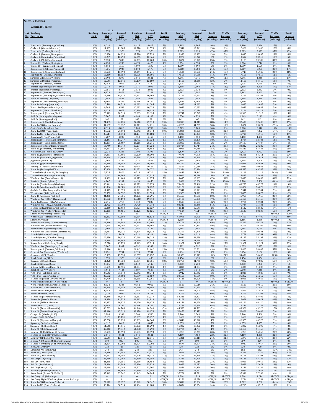|          | <b>Suffolk Downs</b>                                            |               |                  |                         |                 |                         |                               |                 |                         |                        |                        |                 |                         |                               |                        |
|----------|-----------------------------------------------------------------|---------------|------------------|-------------------------|-----------------|-------------------------|-------------------------------|-----------------|-------------------------|------------------------|------------------------|-----------------|-------------------------|-------------------------------|------------------------|
|          | <b>Weekday Traffic</b>                                          |               |                  |                         |                 |                         |                               |                 |                         |                        |                        |                 |                         |                               |                        |
|          | <b>Link Roadway</b>                                             | Roadway       | 2018<br>Roadway  | Seasonal                | Roadway         | 2040<br>Seasonal        | <b>Traffic</b>                | Roadway         | 2040<br>Seasonal        | <b>Traffic</b>         | <b>Traffic</b>         | Roadway         | 2040<br>Seasonal        | <b>Traffic</b>                | <b>Traffic</b>         |
|          | No. Description                                                 | <b>S.A.F.</b> | ADT<br>(veh/day) | <b>ADT</b><br>(veh/day) | ADT             | <b>ADT</b><br>(veh/day) | <b>Increase</b><br>(existing) | ADT             | <b>ADT</b><br>(veh/day) | Increase<br>(existing) | Increase<br>(no-build) | <b>ADT</b>      | <b>ADT</b><br>(veh/day) | <b>Increase</b><br>(existing) | Increase<br>(no-build) |
|          |                                                                 |               |                  |                         | (veh/day)       |                         |                               | (veh/day)       |                         |                        |                        | (veh/day)       |                         |                               |                        |
|          | Prescott St (Bennington/Chelsea)                                | 100%          | 8,010            | 8,010                   | 8,415           | 8,415                   | 5%                            | 9,305           | 9,305                   | 16%                    | 11%                    | 9,386           | 9,386                   | 17%                           | 12%                    |
|          | Chelsea St (Visconti/Prescott)                                  | 100%          | 11,085           | 11,085                  | 11,570          | 11,570                  | 4%                            | 12,541          | 12,541                  | 13%                    | 8%                     | 12,460          | 12,460                  | 12%                           | 8%                     |
|          | Prescott St (Chelsea/Bremen)                                    | 100%          | 1,376            | 1,376                   | 1,376           | 1.376                   | 0%                            | 2,023           | 2,023                   | 47%                    | 47%                    | 2,023           | 2,023                   | 47%                           | 47%                    |
|          | Chelsea St (Prescott/Bennigton)                                 | 100%          | 16,830           | 16,830                  | 17,720          | 17,720                  | 5%                            | 18,933          | 18,933                  | 13%                    | 7%                     | 19,095          | 19,095                  | 13%                           | 8%                     |
|          | Chelsea St (Bennington/MobilGas)                                | 100%          | 12,299           | 12,299                  | 12,865          | 12,865                  | 5%                            | 13,270          | 13,270                  | 8%                     | 3%                     | 13,512          | 13,512                  | 10%                           | 5%                     |
|          | Chelsea St (MobilGas/Saratoga)                                  | 100%          | 7,039            | 7,039                   | 12,703          | 12,703                  | 80%                           | 13,027          | 13,027                  | 85%                    | 3%                     | 13,189          | 13,189                  | 87%                           | 4%                     |
|          | Unamed St (Chelsea/Benington)                                   | 100%          | 6,230            | 6,230                   | 6,473           | 6,473                   | 4%                            | 6,554           | 6,554                   | 5%                     | 1%                     | 6,716           | 6,716                   | 8%                            | 4%                     |
|          | Unamed St (Benington/Bremen)                                    | 100%          | 1,618            | 1,618                   | 1,699           | 1,699                   | 5%                            | 1,699           | 1,699                   | 5%                     | 0%                     | 1,699           | 1,699                   | 5%                            | 0%                     |
| 10       | Bennington St (Chelsea/Unamed)                                  | 100%          | 4,936            | 4,936                   | 5,178           | 5,178                   | 5%                            | 5,988           | 5,988                   | 21%                    | 16%                    | 5,907           | 5,907                   | 20%                           | 14%                    |
|          | Bennington St (Unamed/Neptune)                                  | 100%          | 13,593           | 13,593                  | 14,241          | 14,241                  | 5%                            | 16,506          | 16,506                  | 21%                    | 16%                    | 16,749          | 16,749                  | 23%                           | 18%                    |
| 11<br>12 | Neptune Rd (Chelsea/Saratoga)                                   | 100%          | 15,859<br>3,398  | 15,859                  | 16,506<br>3,641 | 16,506                  | 4%<br>7%                      | 17,558          | 17,558                  | 11%                    | 6%                     | 17,558          | 17,558                  | 11%<br>19%                    | 6%<br>11%              |
| 13       | Saratoga St (Chelsea/Neptune)<br>Saratoga St (Neptune/Bremen)   | 100%<br>100%  | 12,541           | 3,398<br>12,541         | 13,189          | 3,641<br>13,189         | 5%                            | 4,046<br>14,160 | 4,046<br>14,160         | 19%<br>13%             | 11%<br>7%              | 4,046<br>14,160 | 4,046<br>14,160         | 13%                           | 7%                     |
| 14       | Neptune Rd (Saratoga/Bremen)                                    | 100%          | 6,958            | 6,958                   | 7,120           | 7,120                   | 2%                            | 7,525           | 7,525                   | 8%                     | 6%                     | 7,525           | 7,525                   | 8%                            | 6%                     |
| 15       | Bremen St (Bennington/Neptune)                                  | 100%          | 2,913            | 2,913                   | 3,075           | 3,075                   | 6%                            | 3,398           | 3,398                   | 17%                    | 11%                    | 3,398           | 3,398                   | 17%                           | 11%                    |
| 16       | Bremen St (Neptune/Saratoga)                                    | 100%          | 2,751            | 2,751                   | 2,832           | 2,832                   | 3%                            | 2,832           | 2,832                   | 3%                     | 0%                     | 2,832           | 2,832                   | 3%                            | 0%                     |
| 17       | Neptune Rd (Bremen/Bennington)                                  | 100%          | 6,878            | 6.878                   | 7,201           | 7,201                   | 5%                            | 7,282           | 7,282                   | 6%                     | 1%                     | 7,363           | 7,363                   | 7%                            | 2%                     |
| 18       | Neptune Rd (Bennington/Rt1AOnRamp)                              | 100%          | 15,616           | 15,616                  | 16,263          | 16,263                  | 4%                            | 16,263          | 16,263                  | 4%                     | 0%                     | 16,263          | 16,263                  | 4%                            | 0%                     |
| 19       | Route 1A Onramp (Neptune)                                       | 100%<br>100%  | 7,444<br>9,305   | 7,444<br>9,305          | 7,848<br>9,709  | 7,848<br>9,709          | 5%<br>4%                      | 7,848<br>9,709  | 7,848<br>9,709          | 5%<br>4%               | 0%<br>0%               | 7,848<br>9,709  | 7,848<br>9,709          | 5%<br>4%                      | 0%                     |
| 20<br>21 | Neptune Rd (Rt1A Onramp/Offramp)<br>Route 1A Offramp (Neptune)  | 100%          | 10,519           | 10,519                  | 11,085          | 11,085                  | 5%                            | 11,085          | 11,085                  | 5%                     | 0%                     | 11,085          | 11,085                  | 5%                            | 0%<br>0%               |
| 22       | Vienna St (Neptune/Bennington)                                  | 100%          | 9,548            | 9,548                   | 10,033          | 10,033                  | 5%                            | 10,033          | 10,033                  | 5%                     | 0%                     | 10,033          | 10,033                  | 5%                            | 0%                     |
| 23       |                                                                 | 100%          | 9,629            | 9,629                   | 10,114          | 10,114                  | 5%                            | 10,114          | 10,114                  | 5%                     | 0%                     | 10,114          | 10,114                  | 5%                            | 0%                     |
| 24       | Neptune Rd (Vienna/Frankfort)<br>Bennington St (Neptune/Swift)  | 100%          | 28,319           | 28.319                  | 29,695          | 29,695                  | 5%                            | 30,747          | 30,747                  | 9%                     | 4%                     | 31,313          | 31,313                  | 11%                           | 5%                     |
| 25       | Swift St (Saratoga/Bennington)                                  | 100%          | 5,907            | 5,907                   | 6,149           | 6,149                   | 4%                            | 6,230           | 6,230                   | 5%                     | 1%                     | 6,149           | 6,149                   | 4%                            | 0%                     |
| 26       | Swift St (Bennington/End)                                       | 100%          | 162              | 162                     | 162             | 162                     | 0%                            | 162             | 162                     | 0%                     | 0%                     | 162             | 162                     | 0%                            | 0%                     |
| 27       | Bennington St (Swift/Boardman)                                  | 100%          | 24,435           | 24,435                  | 27,510          | 27,510                  | 13%                           | 31,313          | 31,313                  | 28%                    | 14%                    | 32,608          | 32,608                  | 33%                           | 19%                    |
| 28       | Route 1A SB (Curtis/Neptune)                                    | 100%          | 31.637           | 31.637                  | 34,711          | 34,711                  | 10%                           | 41,265          | 41.265                  | 30%                    | 19%                    | 13,027          | 13.027                  | $-59%$                        | $-62%$                 |
| 29       | Curtis St (Chelsea/Route1A)                                     | 100%          | 8,819            | 8,819                   | 9,709           | 9,709                   | 10%                           | 9,709           | 9,709                   | 10%                    | 0%                     | 8,010           | 8,010                   | $-9%$                         | $-18%$                 |
| 30<br>31 | Route 1A SB (U-Turn/Curtis)                                     | 100%          | 27,672           | 27,672                  | 30,342          | 30,342                  | 10%                           | 36,896          | 36,896                  | 33%                    | 22%                    | 7,282           | 7,282                   | $-74%$                        | $-76%$                 |
| 32       | Route 1A NB (U-Turn/Boardman)                                   | 100%          | 38,514           | 38,514                  | 41,184          | 41,184                  | 7%                            | 43,207          | 43,207                  | 12%                    | 5%                     | 45,715          | 45,715                  | 19%                           | 11%                    |
|          | Boardman St (End/Route 1A)                                      | 100%          | 4.207            | 4.207                   | 4,450           | 4.450                   | 6%                            | 4.450           | 4.450                   | 6%                     | 0%                     | 4.450           | 4.450                   | 6%                            | 0%                     |
| 33       | Boardman St (Route 1A/Bennington)                               | 100%          | 11,247           | 11,247                  | 11,732          | 11,732                  | 4%                            | 13,270          | 13,270                  | 18%                    | 13%                    | 12,784          | 12,784                  | 14%                           | 9%                     |
| 34       | Boardman St (Bennington/Barnes)                                 | 100%          | 25,487           | 25,487                  | 26,216          | 26,216                  | 3%                            | 26,863          | 26,863                  | 5%                     | 2%                     | 27,187          | 27,187                  | 7%                            | 4%                     |
| 35       | Bennignton St (Boardman/Crescent)                               | 100%          | 16,749           | 16,749                  | 17,234          | 17,234                  | 3%                            | 20,714          | 20,714                  | 24%                    | 20%                    | 23,222          | 23,222                  | 39%                           | 35%                    |
| 36       | Route 1A (Boardman/Waldemar)                                    | 100%          | 67,481           | 67,481                  | 68,452          | 68,452                  | 1%                            | 77,918          | 77,918                  | 15%                    | 14%                    | 85,443          | 85,443                  | 27%                           | 25%                    |
| 37       | Waldemar Ave (Route 1A/Wally)                                   | 100%          | 3,236            | 3.236                   | 3,398           | 3,398                   | 5%                            | 3,479           | 3,479                   | 8%                     | 2%                     | 3,722           | 3,722                   | 15%                           | 10%                    |
| 38       | Route 1A (Waldemar/Tomesello)                                   | 100%          | 67,481           | 67,481                  | 68,290          | 68,290                  | 1%                            | 77,676          | 77,676                  | 15%                    | 14%                    | 84,311          | 84,311                  | 25%                           | 23%                    |
| 39       | Route 1A (Tomesello/Jughandle)                                  | 100%          | 62,464           | 62,464                  | 62,788          | 62,788                  | 1%                            | 85,848          | 85,848                  | 37%                    | 37%                    | 82,611          | 82,611                  | 32%                           | 32%                    |
| 40       | Jughandle (Route 1A)                                            | 100%          | 2,266            | 2,266                   | 2,427           | 2,427                   | 7%                            | 2,508           | 2,508                   | 11%                    | 3%                     | 2,508           | 2,508                   | 11%                           | 3%                     |
| 41       | Route 1A (Jughandle/Furlong)<br>Furlong Dr (Route 1A/Tomesello) | 100%          | 66,348           | 66,348                  | 66,995          | 66,995                  | 1%                            | 90,217          | 90,217                  | 36%                    | 35%                    | 86,981          | 86,981                  | 31%                           | 30%                    |
| 42       | Route 1A (Furlong/BellCir)                                      | 100%          | 8,496            | 8,496                   | 9,467           | 9,467                   | 11%                           | 10,519          | 10,519                  | 24%                    | 11%                    | 10,033          | 10,033                  | 18%                           | 6%                     |
| 43       |                                                                 | 100%          | 50,408           | 50,408                  | 56,072          | 56,072                  | 11%                           | 70,394          | 70,394                  | 40%                    | 26%                    | 69,585          | 69,585                  | 38%                           | 24%                    |
| 44       | Tomesello Dr (Route 1A/Furlong Dr)                              | 100%          | 5,826            | 5,826                   | 6,716           | 6,716                   | 15%                           | 21,442          | 21,442                  | 268%                   | 219%                   | 21,118          | 21,118                  | 263%                          | 214%                   |
| 45       | Tomesello Dr (Furlong/Route145)                                 | 100%          | 16,263           | 16,263                  | 17,315          | 17,315                  | 6%                            | 47,010          | 47,010                  | 189%                   | 171%                   | 25,487          | 25,487                  | 57%                           | 47%                    |
| 46       | Winthrop Ave (Beach/Route 16)                                   | 100%          | 11,409           | 11,409                  | 11,975          | 11,975                  | 5%                            | 19,095          | 19,095                  | 67%                    | 59%                    | 20,633          | 20,633                  | 81%                           | 72%                    |
| 47       | Harris St (Route16/Beach)                                       | 100%          | 4,207            | 4,207                   | 4,450           | 4,450                   | 6%                            | 10,600          | 10,600                  | 152%                   | 138%                   | 2,508           | 2,508                   | $-40%$                        | $-44%$                 |
| 48       | Route 16 (Garfield Ave/Winthrop)                                | 100%          | 60,441           | 60,441                  | 63,273          | 63,273                  | 5%                            | 73,468          | 73,468                  | 22%                    | 16%                    | 68,775          | 68,775                  | 14%                           | 9%                     |
| 49       | Route 16 (Washington/Garfield)                                  | 100%          | 48,386           | 48.386                  | 50.732          | 50.732                  | 5%                            | 58,176          | 58,176                  | 20%                    | 15%                    | 56.072          | 56.072                  | 16%                           | 11%                    |
| 50       | Garfield Ave (Washington/Route16)                               | 100%          | 11,975           | 11,975                  | 12,541          | 12,541                  | 5%                            | 12,541          | 12,541                  | 5%                     | 0%                     | 12,541          | 12,541                  | 5%                            | 0%                     |
| 51       | Webster Ave (Rt16/Jefferson)                                    | 100%          | 20,552           | 20,552                  | 21,523          | 21,523                  | 5%                            | 21,523          | 21,523                  | 5%                     | 0%                     | 20,875          | 20,875                  | 2%                            | $-3%$                  |
| 52       | Route 16 (Winthrop/Bell Cir)                                    | 100%          | 24,355           | 24,355                  | 26,296          | 26,296                  | 8%                            | 36,653          | 36,653                  | 50%                    | 39%                    | 45,958          | 45,958                  | 89%                           | 75%                    |
| 53       | Winthrop Ave (Rt16/Rt1AOnramp)                                  | 100%          | 47,172           | 47,172                  | 49,518          | 49.518                  | 5%                            | 69,180          | 69,180                  | 47%                    | 40%                    | 65,458          | 65,458                  | 39%                           | 32%                    |
| 54       | Route 1A Onramp (Rt1A/Winthrop)                                 | 100%          | 6,716            | 6,716                   | 7,039           | 7,039                   | 5%                            | 13,593          | 13,593                  | 102%                   | 93%                    | 12,784          | 12,784                  | 90%                           | 82%                    |
| 55       | Winthrop Ave (Rt1AOnramp/NShoreRd)                              | 100%          | 51,703           | 51,703                  | 54,778          | 54,778                  | 6%                            | 83,340          | 83,340                  | 61%                    | 52%                    | 75,734          | 75,734                  | 46%                           | 38%                    |
| 56       | N Shore Rd (Winthrop Ave/Beach St)                              | 100%          | 12,460           | 12,460                  | 13,027          | 13.027                  | 5%                            | 12,541          | 12,541                  | 1%                     | $-4%$                  | 12,622          | 12,622                  | 1%                            | $-3%$                  |
| 57       | Winthrop Ave (N Shore/Tomesello)                                | 100%          | 40,456           | 40,456                  | 43,126          | 43,126                  | 7%                            | 77,514          | 77,514                  | 92%                    | 80%                    | 68,533          | 68,533                  | 69%                           | 59%                    |
| 58       | Shaws Drwy (Withrop/Tomesello)                                  | 100%          | $\boldsymbol{0}$ | 0                       | 81              | 81                      | #DIV/0!                       | 81              | 81                      | #DIV/0!                | 0%                     | $\bf{0}$        | $\bf{0}$                | #DIV/0!                       | $-100%$                |
| 59       | Withrop Ave (Tomesello/RBP)                                     | 100%          | 42,883           | 42,883                  | 45,634          | 45,634                  | 6%                            | 66,995          | 66,995                  | 56%                    | 47%                    | 67,400          | 67,400                  | 57%                           | 48%                    |
| 60       | Shaws Drwy (RBP)                                                | 100%          | $\pmb{0}$        | 0                       | 1,618           | 1,618                   | #DIV/0!                       | 1,618           | 1,618                   | #DIV/0!                | 0%                     | 1,456           | 1,456                   | #DIV/0!                       | $-10%$                 |
| 61       | Revere Beach Pkwy (Withrop/State)                               | 100%          | 28,886           | 28,886                  | 31,960          | 31,960                  | 11%                           | 48,709          | 48,709                  | 69%                    | 52%                    | 50,327          | 50,327                  | 74%                           | 57%                    |
| 62       | Winthrop Ave (RBP/Beachmont Lot)                                | 100%          | 19,095           | 19,095                  | 19,662          | 19,662                  | 3%                            | 30,423          | 30,423                  | 59%                    | 55%                    | 29,209          | 29,209                  | 53%                           | 49%                    |
| 63       | Beachmont Lot (Winthrop Ave)                                    | 100%          | 2,104            | 2,104                   | 2,185           | 2,185                   | 4%                            | 2,185           | 2,185                   | 4%                     | 0%                     | 2,185           | 2,185                   | 4%                            | 0%                     |
| 64       | Winthrop Ave (Beachmont Lot/State Rd)                           | 100%          | 16,911           | 16,911                  | 18,124          | 18,124                  | 7%                            | 20,309          | 20,309                  | 20%                    | 12%                    | 19,581          | 19,581                  | 16%                           | 8%                     |
| 65       | State Rd (Winthrop/Ocean)                                       | 100%          | 5,421            | 5,421                   | 6,311           | 6,311                   | 16%                           | 8,010           | 8,010                   | 48%                    | 27%                    | 10,761          | 10,761                  | 99%                           | 71%                    |
| 66       | State Rd (Ocean/Wintrhop Pkwy)                                  | 100%          | 26.620           | 26.620                  | 30.018          | 30.018                  | 13%                           | 34.630          | 34.630                  | 30%                    | 15%                    | 35.197          | 35,197                  | 32%                           | 17%                    |
| 67       | Withrop Pkwy (State/Leverett)                                   | 100%          | 18,448           | 18,448                  | 21,280          | 21,280                  | 15%                           | 21,280          | 21,280                  | 15%                    | 0%                     | 21,846          | 21,846                  | 18%                           | 3%                     |
| 68       | Revere Beach Blvd (State/Beach)                                 | 100%          | 15,778           | 15,778                  | 17,315          | 17,315                  | 10%                           | 21,927          | 21,927                  | 39%                    | 27%                    | 21,927          | 21,927                  | 39%                           | 27%                    |
| 69       | Winthrop Ave (Bennington/Crescent)                              | 100%          | 5,907            | 5,907                   | 6,392           | 6,392                   | 8%                            | 6,392           | 6,392                   | 8%                     | 0%                     | 6,635           | 6,635                   | 12%                           | 4%                     |
| 70       | Bennington St (Crescent/Withrop)                                | 100%          | 18,610           | 18,610                  | 21.442          | 21.442                  | 15%                           | 26,701          | 26.701                  | 43%                    | 25%                    | 28,805          | 28,805                  | 55%                           | 34%                    |
| 72       | Crescent Ave (Bennington/Winthror<br>Ocean Ave (RBP/Beach)      | 100%<br>100%  | 2.751<br>15,535  | 2.751<br>15,535         | 2.994<br>19,257 | 2.994<br>19,257         | 9%<br>24%                     | 2.994<br>33,579 | 2.994<br>33,579         | 9%<br>116%             | 0%<br>74%              | 3.156<br>34,630 | 3.156<br>34,630         | 123%                          | 5%<br>80%              |
| 73       | Beach St (Ocean/RBP)                                            | 100%          | 1,376            | 1,376                   | 1,456           | 1,456                   | 6%                            | 1,456           | 1,456                   | 6%                     | 0%                     | 1,456           | 1,456                   | 6%                            | 0%                     |
| 74       | Ocean Ave (Beach/Revere)                                        | 100%          | 11,328           | 11,328                  | 13,351          | 13,351                  | 18%                           | 21,765          | 21,765                  | 92%                    | 63%                    | 17,882          | 17,882                  | 58%                           | 34%                    |
| 75       | Beach St (N Shore/Ocean)                                        | 100%          | 5,826            | 5,826                   | 6,149           | 6,149                   | 6%                            | 6,230           | 6,230                   | 7%                     | 1%                     | 6,230           | 6,230                   | 7%                            | 1%                     |
| 76       | N Shore Rd (Beach/Butler Cir)                                   | 100%          | 10,535           | 10,535                  | 11,004          | 11,004                  | 4%                            | 11,894          | 11,894                  | 13%                    | 8%                     | 11,036          | 11,036                  | 5%                            | 0%                     |
| 77       | Beach St (VFW/N Shore)                                          | 100%          | 7,444            | 7,444                   | 7,687           | 7,687                   | 3%                            | 7,848           | 7,848                   | 5%                     | 2%                     | 7,848           | 7,848                   | 5%                            | 2%                     |
| 78       | VFW Pkwy (Bell Cir/Beach St)                                    | 100%          | 37,543           | 37,543                  | 40,942          | 40,942                  | 9%                            | 40,942          | 40,942                  | 9%                     | 0%                     | 44,825          | 44,825                  | 19%                           | 9%                     |
| 79       | VFW Pkwy (Beach/Butler Cir)                                     | 100%          | 30,682           | 30,682                  | 33,659          | 33,659                  | 10%                           | 33,659          | 33,659                  | 10%                    | 0%                     | 35,262          | 35,262                  | 15%                           | 5%                     |
| 80       | N Shore Rd (Butler Cir/Wnderld Lot)                             | 100%          | 37,770           | 37,770                  | 41,265          | 41,265                  | 9%                            | 43,126          | 43,126                  | 14%                    | 5%                     | 44,065          | 44,065                  | 17%                           | 7%                     |
| 81       | Wonderland MBTA Lot (N Shore Rd)                                | 100%          | $\bf{0}$         | $\bf{0}$                | $\bf{0}$        | $\bf{0}$                | #DIV/0!                       | $\mathbf{0}$    | $\bf{0}$                | #DIV/0!                | #DIV/0!                | $\mathbf{0}$    | $\mathbf{0}$            | #DIV/0!                       | #DIV/0                 |
| 82       | Wonderland MBTA Garage (N Shore Rd)                             | 100%          | 8,334            | 8,334                   | 9,062           | 9,062                   | 9%                            | 10,519          | 10,519                  | 26%                    | 16%                    | 10,519          | 10,519                  | 26%                           | 16%                    |
| 83       | N Shore Rd (MBTA/Revere St)                                     | 100%          | 45,554           | 45,554                  | 49,680          | 49,680                  | 9%                            | 50,975          | 50,975                  | 12%                    | 3%                     | 51,460          | 51,460                  | 13%                           | 4%                     |
| 84       | Revere St (N Shore/Ocean)                                       | 100%          | 6,958            | 6,958                   | 7,363           | 7,363                   | 6%                            | 11,004          | 11,004                  | 58%                    | 49%                    | 11,813          | 11,813                  | 70%                           | 60%                    |
| 85       | Revere St (Ocean/RBP)                                           | 100%          | 7,929            | 7,929                   | 8,253           | 8,253                   | 4%                            | 12,703          | 12,703                  | 60%                    | 54%                    | 12,703          | 12,703                  | 60%                           | 54%                    |
| 86       | N Shore Rd (Revere/Lynnway)                                     | 100%          | 46,848           | 46,848                  | 51,217          | 51,217                  | 9%                            | 53,321          | 53,321                  | 14%                    | 4%                     | 53,402          | 53,402                  | 14%                           | 4%                     |
| 87       | Revere St (Rt60/N Shore)<br>Route 60 (Bell Cir / Revere)        | 100%          | 11,328           | 11,328                  | 11,813          | 11,813                  | 4%                            | 13,108          | 13,108                  | 16%                    | 11%                    | 16,021          | 16,021                  | 41%                           | 36%                    |
| 88       | Revere St (Rt107/Rt60)                                          | 100%          | 36,977           | 36,977                  | 38,676          | 38,676                  | 5%                            | 44,259          | 44,259                  | 20%                    | 14%                    | 46,120          | 46,120                  | 25%                           | 19%                    |
| 89       |                                                                 | 100%          | 9,386            | 9,386                   | 9,709           | 9,709                   | 3%                            | 15,778          | 15,778                  | 68%                    | 63%                    | 17,234          | 17,234                  | 84%                           | 78%                    |
| 90       | Route 60 (Revere/Brown Cir)                                     | 100%          | 46,703           | 46,703                  | 44,340          | 44,340                  | $-5%$                         | 44,583          | 44,583                  | $-5%$                  | 1%                     | 43,320          | 43,320                  | $-7%$                         | $-2%$                  |
| 91       | Route 60 (Brown Cir/Charger St)                                 | 100%          | 47,010           | 47,010                  | 49,178          | 49,178                  | 5%                            | 50,473          | 50,473                  | 7%                     | 3%                     | 50,408          | 50,408                  | 7%                            | 3%                     |
| 92       | Charger St (Malden/Rt60)                                        | 100%          | 3,398            | 3,398                   | 3,560           | 3,560                   | 5%                            | 3,560           | 3,560                   | 5%                     | 0%                     | 3,560           | 3,560                   | 5%                            | 0%                     |
| 93       | Charger St (Rt 60/Ward)                                         | 100%          | 15,131           | 15,131                  | 15,697          | 15,697                  | 4%                            | 16,668          | 16,668                  | 10%                    | 6%                     | 16,668          | 16,668                  | 10%                           | 6%                     |
| 94       | Route 60 (Sigourney/Charger)                                    | 100%          | 45,230           | 45,230                  | 46,363          | 46,363                  | 3%                            | 46,848          | 46,848                  | 4%                     | 1%                     | 46,525          | 46,525                  | 3%                            | 0%                     |
| 95       | Sigourney St (Malden/Rt60)                                      | 100%          | 4,612            | 4,612                   | 4,855           | 4,855                   | 5%                            | 4,855           | 4,855                   | 5%                     | 0%                     | 4,855           | 4,855                   | 5%                            | $0\%$                  |
| 96       | Sigourney St (Rt60/Retail)                                      | 100%          | 14,645           | 14,645                  | 15,292          | 15,292                  | 4%                            | 15,292          | 15,292                  | 4%                     | 0%                     | 15,292          | 15,292                  | 4%                            | 0%                     |
| 97       | Route 60 (Rt1/Sigourney)                                        | 100%          | 49,842           | 49,842                  | 51,298          | 51,298                  | 3%                            | 51,784          | 51,784                  | 4%                     | 1%                     | 51,460          | 51,460                  | 3%                            | 0%                     |
| 98       | Lynnway (RBP/N Shore SB Ramp)                                   | 100%          | 13,593           | 13,593                  | 13,593          | 13,593                  | 0%                            | 16,263          | 16,263                  | 20%                    | 20%                    | 16,263          | 16,263                  | 20%                           | 20%                    |
| 99       | N Shore SB Ramp (Lynnway/N Shore)                               | 100%          | 3.641            | 3.641                   | 3.641           | 3.641                   | 0%                            | 4,450           | 4,450                   | 22%                    | 22%                    | 4,450           | 4.450                   | 22%                           | 22%                    |
| 100      | Lynnway (SB Ramp/NB Ramps)                                      | 100%          | 12,541           | 12,541                  | 12,541          | 12,541                  | 0%                            | 15,211          | 15,211                  | 21%                    | 21%                    | 15,373          | 15,373                  | 23%                           | 23%                    |
| 101      | N Shore NB Offramp (N Shore/Lynnway)                            | 100%          | 809              | 809                     | 809             | 809                     | 0%                            | 809             | 809                     | 0%                     | 0%                     | 809             | 809                     | 0%                            | 0%                     |
|          | 102 N Shore NB Onramp (N Shore/Lynnway)                         | 100%          | 11,004           | 11,004                  | 11,004          | 11,004                  | 0%                            | 13,674          | 13,674                  | 24%                    | 24%                    | 13,917          | 13,917                  | 26%                           | 26%                    |
|          | 103 Rice Ave (Lynnway)                                          | 100%          | 728              | 728                     | 728             | 728                     | 0%                            | 728             | 728                     | 0%                     | 0%                     | 728             | 728                     | 0%                            | 0%                     |
|          | 104 Lancaster Ave (Lynnway)                                     | 100%          | 243              | 243                     | 243             | 243                     | 0%                            | 243             | 243                     | 0%                     | 0%                     | 162             | 162                     | $-33%$                        | $-33%$                 |
|          | 105 Beach St (Central/Bell Cir)                                 | 100%          | 12,946           | 12,946                  | 13,917          | 13,917                  | 8%                            | 16,668          | 16,668                  | 29%                    | 20%                    | 25,326          | 25,326                  | 96%                           | 82%                    |
|          | 106 Route 60 (Ctr of Bell Cir)                                  | 100%          | 26,782           | 26,782                  | 29,776          | 29,776                  | 11%                           | 35,359          | 35,359                  | 32%                    | 19%                    | 38,191          | 38,191                  | 43%                           | 28%                    |
|          | 107 Bell Cir (Rt1A/VFW)                                         | 100%          | 32,769           | 32,769                  | 35,359          | 35,359                  | 8%                            | 39,728          | 39,728                  | 21%                    | 12%                    | 43,126          | 43,126                  | 32%                           | 22%                    |
|          | 108 Bell Cir (VFW/Rt60)                                         | 100%          | 24,355           | 24,355                  | 26,458          | 26,458                  | 9%                            | 30,018          | 30,018                  | 23%                    | 13%                    | 30,018          | 30,018                  | 23%                           | 13%                    |
|          | 109 Bell Cir (Rt 60/Beach)                                      | 100%          | 23,384           | 23,384                  | 25,326          | 25,326                  | 8%                            | 28,077          | 28,077                  | 20%                    | 11%                    | 27,672          | 27,672                  | 18%                           | 9%                     |
|          | 110 Bell Cir (Beach/Rt1A)                                       | 100%          | 22,089           | 22,089                  | 23,707          | 23,707                  | 7%                            | 26,458          | 26,458                  | 20%                    | 12%                    | 28,238          | 28,238                  | 28%                           | 19%                    |
|          | 111 Broadway (Revere/Brown Cir)                                 | 100%          | 16,668           | 16,668                  | 17,380          | 17,380                  | 4%                            | 17,687          | 17,687                  | 6%                     | 2%                     | 17,072          | 17,072                  | 2%                            | $-2%$                  |
|          | 112 Salem Tnpk (Brown Cir/Ballard)                              | 100%          | 35,342           | 35,342                  | 36,945          | 36,945                  | 5%                            | 37,721          | 37,721                  | 7%                     | 2%                     | 37,398          | 37,398                  | 6%                            | 1%                     |
|          | 113 Site Drwy Left (Winthrop)                                   | 100%          | $\pmb{0}$        | $\bf{0}$                | $\bf{0}$        | $\bf{0}$                | #DIV/0!                       | 1,214           | 1,214                   | #DIV/0!                | #DIV/0!                | 1,214           | 1,214                   | #DIV/0!                       | #DIV/0!                |
|          | 114 Site Drwy Right (Winthrop/Beachmont Parking)                | 100%          | $\boldsymbol{0}$ | $\bf{0}$                | $\bf{0}$        | $\bf{0}$                | #DIV/0!                       | 13,270          | 13,270                  | #DIV/0!                | #DIV/0!                | 12,784          | 12,784                  | #DIV/0!                       | #DIV/0!                |
|          | 115 Route 1A SB (Boardman/U-Turn)                               | 100%          | 27,672           | 27,672                  | 30,342          | 30,342                  | 10%                           | 36,896          | 36,896                  | 33%                    | 22%                    | 7,282           | 7,282                   | $-74%$                        | $-76%$                 |
|          | 116 Route 1A NB (Curtis/U-Turn)                                 | 100%          | 38,514           | 38,514                  | 41,184          | 41,184                  | 7%                            | 43,854          | 43,854                  | 14%                    | 6%                     | 45,715          | 45,715                  | 19%                           | 11%                    |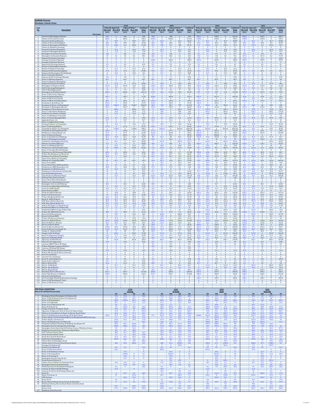|                                           | <b>Suffolk Downs</b><br>Weekday Vehicle Delay                                                                                                                                      |                                      |                                 |                                          |                                                |                                                           |                             |                                |                                                  |                                   |                                  |                                  |                                     |                                         |                                                       |                                  |                                           |                                     |                                        |                                            |                                    |
|-------------------------------------------|------------------------------------------------------------------------------------------------------------------------------------------------------------------------------------|--------------------------------------|---------------------------------|------------------------------------------|------------------------------------------------|-----------------------------------------------------------|-----------------------------|--------------------------------|--------------------------------------------------|-----------------------------------|----------------------------------|----------------------------------|-------------------------------------|-----------------------------------------|-------------------------------------------------------|----------------------------------|-------------------------------------------|-------------------------------------|----------------------------------------|--------------------------------------------|------------------------------------|
|                                           |                                                                                                                                                                                    |                                      | <b>Delay By Approach</b>        | 2018<br><b>Adjusted Delay</b>            |                                                | Combine                                                   |                             | <b>Delay By Approach</b>       | 2040<br>Adjusted Delay                           |                                   | Combine                          |                                  | <b>Delay By Approach</b>            | 2040<br>Adjusted Delay                  |                                                       | Combinee                         |                                           | <b>Delay By Approach</b>            | 2040                                   | Adjusted Delay                             | Combine                            |
| No.                                       | Description                                                                                                                                                                        | NB or EB<br>(sec)                    | SB or WB<br>(sec)               | ${\bf NB}$ or ${\bf EB}$<br>(sec)        | SB or WB<br>(sec)                              | Delay<br>(sec)                                            | NB or EB<br>(sec)           | SB or WB<br>(sec)              | (sec)                                            | NB or EB SB or WB<br>(sec)        | Delay<br>(sec)                   | (sec)                            | NB or EB SB or WB<br>(sec)          | NB or EB<br>(sec)                       | SB or WB<br>(sec)                                     | Delay<br>(sec)                   | (sec)                                     | NB or EB SB or WB<br>(sec)          | (sec)                                  | NB or EB SB or WB<br>(sec)                 | Delay<br>(sec)                     |
| $\overline{\mathbf{z}}$                   | Direction<br>1 Prescott St (Bennington/Chelsea)<br>Chelsea St (Visconti/Prescott)                                                                                                  | 456<br>684.6                         |                                 | 456<br>684.6                             | $\mathbf{0}$                                   | 228<br>342.3                                              | 448<br>1028.3               |                                | 448<br>1028.3                                    | $\bf{0}$                          | 224<br>514.15                    | 1180.6                           |                                     | 530.5<br>1180.6                         |                                                       | 265.25<br>590.3                  | 1180.6                                    |                                     | 568.2<br>1180.6                        | $\bf{0}$                                   | 284.1<br>590.3                     |
| $\overline{\mathbf{3}}$<br>4              | Prescott St (Chelsea/Bremen)<br>Chelsea St (Prescott/Bennigton)                                                                                                                    | 18.5                                 | 39.4<br>8.6                     | $\frac{0}{18.5}$                         | 39.4<br>8.6                                    | $\frac{19.7}{13.55}$                                      | 26.4                        | 41.3<br>8.8                    | $\frac{0}{26.4}$                                 | 41.3<br>8.8                       | 20.65<br>17.6                    | 35.3                             | 41.7<br>8.9                         | $\frac{0}{35.3}$                        | 41.7<br>8.9                                           | 20.85<br>22.1                    | 39.6                                      | 8.9                                 | $\frac{0}{39.6}$                       | 41.7<br>8.9                                | 20.85<br>24.25                     |
| 5 <sub>z</sub><br>$\overline{6}$          | Chelsea St (Bennington/MobilGas)<br>Chelsea St (MobilGas/Saratoga)                                                                                                                 | 0.3<br>o                             | 106.6<br>$\overline{0}$         | $0.3\,$<br>$\overline{0}$                | 106.6<br>$\overline{0}$                        | 53.45<br>$\theta$                                         | 0.3<br>$\pmb{0}$            | 168<br>$\mathbf{0}$            | $0.3\,$<br>$\overline{0}$                        | 168<br>$\overline{0}$             | 84.15<br>$\Omega$                | 0.3                              | 192.5<br>$\Omega$                   | 0.3<br>$\bf{0}$                         | 192.5<br>$\theta$                                     | 96.4<br>$\Omega$                 | 0.3<br>$\bf{0}$                           | 192.5<br>$\mathbf{0}$               | 0.3<br>$\overline{0}$                  | 192.5<br>$\overline{0}$                    | 96.4<br>$\,$ 0 $\,$                |
| $7\phantom{.}$<br>$\overline{\mathbf{g}}$ | Unamed St (Chelsea/Benington)<br>Unamed St (Benington/Bremen)                                                                                                                      | $\overline{0}$<br>$\circ$            | 19.2<br>17.8                    | $\theta$<br>$\theta$                     | 19.2<br>17.8                                   | 19.2<br>17.8                                              | $\mathbf{0}$<br>$\bf{0}$    | 21.5<br>18.1                   | $\,0\,$<br>$\bf{0}$                              | 21.5<br>18.1                      | 21.5<br>18.1                     | $\mathbf{0}$                     | 23.2<br>19.5                        | $\theta$<br>$\bf{0}$                    | 23.2<br>19.5                                          | 23.2<br>19.5                     | $\overline{0}$<br>$\mathbf{0}$            | 23.5<br>19.7                        | $\overline{0}$<br>$\theta$             | 23.5<br>19.7                               | 23.5<br>19.7                       |
| 9<br>$10\,$                               | Bennington St (Chelsea/Unamed)<br>Bennington St (Unamed/Neptune)                                                                                                                   | $0.8\,$<br>60                        | $\overline{\mathbf{0}}$<br>0.2  | 0.8<br>60                                | $\overline{0}$<br>0.2                          | 0.8<br>30.1                                               | 0.8<br>68.2                 | $\bf{0}$<br>0.2                | 0.8<br>68.2                                      | $\,0\,$<br>0.2                    | 0.8<br>34.2                      | 0.7<br>152                       | $\bf{0}$<br>0.2                     | 0.7<br>152                              | $\overline{0}$<br>0.2                                 | 0.7<br>76.1                      | $0.8\,$<br>147.3                          | $\bf{0}$<br>0.2                     | $_{\rm 0.8}$<br>147.3                  | $\mathbf 0$<br>0.2                         | $\rm 0.8$<br>73.75                 |
| $\frac{11}{12}$                           | Neptune Rd (Chelsea/Saratoga)<br>Saratoga St (Chelsea/Neptune)                                                                                                                     | $\overline{0}$                       |                                 | $\pmb{0}$                                | $\overline{0}$                                 | $\begin{array}{c} 0 \\ 0 \end{array}$                     | 238.9                       | $\mathbf{0}$                   | 238.9                                            | $\theta$                          | 3.5<br>238.9                     | $\frac{7.2}{469.6}$              | $\mathbf{0}$                        | $\frac{7.2}{469.6}$                     | $\theta$                                              | $\frac{3.6}{469.6}$              | $\frac{7.3}{399.9}$                       | $\bf{0}$                            | $\frac{7.3}{399.9}$                    | $\bf{0}$                                   | 3.65<br>399.9                      |
| $13\,$<br>14                              | Saratoga St (Neptune/Bremen<br>Neptune Rd (Saratoga/Bremen)                                                                                                                        | 0.3                                  | $\theta$                        | $\boldsymbol{0}$<br>0.3                  | $\theta$<br>$\overline{0}$                     | $\overline{0}$<br>0.15                                    | 0.3                         | $\mathbf{0}$                   | $\boldsymbol{0}$<br>0.3                          | $\theta$<br>$\theta$              | $\boldsymbol{0}$<br>0.15         | $\overline{0}$<br>0.2            | $\overline{0}$                      | $\,0\,$<br>0.2                          | $\epsilon$<br>$\theta$                                | $\,$ 0 $\,$<br>0.1               | 0.2                                       | $\theta$                            | $\,$ 0<br>0.2                          | $\theta$<br>$\theta$                       | $\,0\,$<br>0.1                     |
| 15<br>16<br>17                            | Bremen St (Bennington/Neptune)<br>Bremen St (Neptune/Saratoga)<br>Neptune Rd (Bremen/Bennington)                                                                                   | $\bf{0}$<br>71.4                     | $\bf{0}$<br>21.4<br>0.3         | $\bf{0}$<br>$\overline{0}$<br>71.4       | $\overline{0}$<br>21.4<br>$0.3\,$              | $\bf{0}$<br>21.4<br>35.85                                 | $\bf{0}$<br>70.2            | 21.3<br>0.3                    | $\bf{0}$<br>$\overline{\mathbf{0}}$<br>70.2      | $\theta$<br>21.3                  | $\bf{0}$<br>21.3<br>35.25        | $\mathbf{0}$<br>70.2             | 22.3<br>0.3                         | $\bf{0}$<br>70.2                        | $\overline{0}$<br>22.3<br>0.3                         | $\overline{0}$<br>22.3<br>35.25  | $\bf{0}$<br>69.1                          | $\bf{0}$<br>0.3                     | $\bf{0}$<br>69.1                       | $\mathbf{0}$<br>$0.3\,$                    | $\bf{0}$<br>$\overline{0}$<br>34.7 |
| 18<br>19                                  | Neptune Rd (Bennington/Rt1A0nRamp)<br>Route 1A Onramp (Neptune)                                                                                                                    | $\circ$<br>$\overline{\mathbf{0}}$   | 19.2<br>$\bf{0}$                | $\bf{0}$<br>$\bf{0}$                     | 19.2<br>$\bf{0}$                               | 9.6<br>$\bf{0}$                                           | $\bf{0}$<br>$\bf{0}$        | 17.7<br>$\bf{0}$               | $\mathbf{0}$<br>$\bf{0}$                         | $0.3\,$<br>17.7<br>$\bf{0}$       | 8.85                             | $\mathbf{0}$                     | 17.7<br>$\mathbf{0}$                | $\,0\,$<br>$\bf{0}$                     | 17.7<br>$\bf{0}$                                      | 8.85<br>$\bf{0}$                 | $\overline{\mathbf{0}}$<br>$\bf{0}$       | 18<br>$\bf{0}$                      | $\theta$<br>$\bf{0}$                   | 18<br>$\bf{0}$                             | 9                                  |
| 20<br>21                                  | Neptune Rd (Rt1A Onramp/Offra<br>Route 1A Offramp (Neptune)                                                                                                                        | 28<br>64.7                           | $\mathbf{0}$                    | 78<br>64.7                               | $\overline{0}$<br>$\overline{0}$               | 1.4<br>64.7                                               | 1.1<br>68.7                 | $\mathbf{0}$                   | 1.1<br>68.7                                      | $\overline{0}$<br>$\theta$        | $\frac{0}{0.55}$<br>68.7         | $\overline{11}$<br>68.7          | $\overline{0}$                      | 1.1<br>68.7                             | 7<br>$\overline{0}$                                   | 0.55<br>68.7                     | 1.1<br>68                                 | $\bf{0}$                            | 1.1<br>68                              | $\theta$                                   | $\frac{0}{0.55}$<br>68             |
| 22<br>$23\,$                              | Vienna St (Neptune/Bennington)<br>Neptune Rd (Vienna/Frankfort)                                                                                                                    | 0                                    | $\theta$<br>57.3                | $\bf{0}$                                 | $\mathbf{0}$<br>57.3                           | $\mathbf{0}$<br>28.65                                     | $\bf{0}$                    | o<br>56.8                      | $\bf{0}$                                         | $\bf{0}$<br>56.8                  | $\bf{0}$<br>28.4                 | 0                                | 0<br>56.8                           | $\bf{0}$                                | $\theta$<br>56.8                                      | $\mathbf{0}$<br>28.4             | $\mathbf{0}$                              | 0<br>57.2                           | $\bf{0}$                               | $\bf{0}$<br>57.2                           | $\,0\,$<br>28.6                    |
| 24<br>25                                  | Bennington St (Neptune/Swift)<br>Swift St (Saratoga/Bennington)                                                                                                                    | 107.8<br>$\overline{0}$              | 25.8<br>9.7                     | 107.8<br>$\theta$                        | 25.8<br>9.7                                    | 66.8<br>4.85                                              | 108.2<br>$\overline{0}$     | 28.2<br>9.2                    | 108.2<br>$\overline{0}$                          | 28.2<br>9.2                       | 68.2<br>4.6                      | 166.6<br>$\overline{\mathbf{0}}$ | 34.6<br>9.3                         | 166.6<br>$\mathbf{0}$                   | 34.6<br>9.3                                           | 100.6<br>4.65                    | 193.9<br>$\mathbf{0}$                     | 34<br>9.6                           | 193.9<br>$\overline{0}$                | 34<br>9.6                                  | 113.95<br>4.8                      |
| 26<br>$27\,$                              | Swift St (Bennington/End)<br>Bennington St (Swift/Boardman)                                                                                                                        | 7.3<br>200.2                         | $\bf{0}$<br>10.1                | 7.3<br>200.2                             | $\bf{0}$<br>10.1                               | 3.65<br>105.15                                            | 174.2                       | o<br>10.3                      | 7.2<br>174.2                                     | $\bf{0}$<br>10.3                  | 3.6<br>92.25                     | 7.2<br>297                       | 0<br>11.5                           | 7.2<br>297                              | $\theta$<br>11.5                                      | 3.6<br>154.25                    | 107.2                                     | 12.6                                | 7.2<br>107.2                           | $\bf{0}$<br>12.6                           | 3.6<br>59.9                        |
| $\frac{28}{29}$                           | Route 1A SB (Curtis/Neptune)<br>Curtis St (Chelsea/Route1A)<br>Route 1A SB (U-Turn/Curtis)                                                                                         | $\frac{0}{142.7}$<br>ō               |                                 | $\theta$<br>142.7<br>$\overline{0}$      | $\bf{0}$                                       | $\frac{0}{71.35}$                                         | $\frac{0}{450.6}$           |                                | $\frac{0}{450.6}$<br>$\overline{0}$              | $\theta$                          | $\frac{0}{225.3}$                | 815.3                            | $\mathbf{0}$                        | 815.3                                   | $\overline{0}$                                        | 407.65                           | $\frac{0}{47.8}$                          |                                     | $\frac{0}{47.8}$<br>$\overline{0}$     | $\mathbf{0}$<br>$\bf{0}$                   | $\frac{0}{23.9}$                   |
| 30<br>$31\,$<br>32                        | Route 1A NB (U-Turn/Boardman)<br>Boardman St (End/Route 1A)                                                                                                                        | 82.5<br>105.5                        | $\theta$                        | 82.5<br>105.5                            | $\theta$<br>$\bf 0$<br>$\mathbf 0$             | $\theta$<br>82.5<br>52.75                                 | 0<br>145.3<br>102.5         | o<br>$\mathbf{0}$              | 145.3<br>102.5                                   | $\bf{0}$<br>$\pmb{0}$<br>$\theta$ | $\bf{0}$<br>145.3<br>51.25       | 162.7<br>102.5                   | $\mathbf{0}$<br>$\theta$            | $\bf{0}$<br>162.7<br>102.5              | O                                                     | 162.7<br>51.25                   | 176.1<br>$\theta$                         | 15.1<br>$\bf{0}$                    | 176.1<br>$\theta$                      | 15.1<br>$\bf 0$<br>$\theta$                | 15.1<br>176.1<br>$\mathbf{0}$      |
| 33<br>34                                  | Boardman St (Route 1A/Bennington<br>Boardman St (Bennington/Barnes)                                                                                                                | 40.9<br>101.4                        | 1620.7                          | 40.9<br>101.4                            | 1620.2<br>$\overline{0}$                       | 830.55<br>50.7                                            | 38.7<br>133.3               | 790<br>o                       | 38.7<br>133.3                                    | 790<br>$\boldsymbol{0}$           | 414.35<br>66.65                  | 43<br>161.8                      | 784.2                               | 43<br>161.8                             | 784.2<br>c                                            | 413.6<br>80.9                    | 32<br>167.6                               | 634                                 | 32<br>167.6                            | 634<br>$\bf{0}$                            | 333<br>83.8                        |
| 35                                        | Bennignton St (Boardman/Crescent)<br>Route 1A (Boardman/Waldemar)                                                                                                                  |                                      | 108.4                           | $\overline{0}$<br>$\theta$               | 108.4                                          | 54.2<br>17.4                                              | $\bf{0}$                    | 105.3                          | $\overline{\mathbf{0}}$<br>$\mathbf{0}$          | 105.3<br>284                      | 52.65                            |                                  | 105.3<br>403.2                      | $\bf{0}$<br>$\theta$                    | 105.3<br>403.2                                        | 52.65<br>201.6                   |                                           | 73.8                                | $\overline{0}$<br>$\theta$             | 73.8<br>359.1                              | 36.9<br>179.55                     |
| $rac{36}{37}$<br>$38\,$                   | Waldemar Ave (Route 1A/Wally)<br>Route 1A (Waldemar/Tomesello)                                                                                                                     |                                      | $\frac{34.8}{17.3}$<br>$\bf{0}$ | $\bf{0}$<br>$\bf 0$                      | $\frac{34.8}{17.3}$<br>$\overline{\mathbf{0}}$ | 8.65<br>$\,0\,$                                           | $\bf{0}$                    | $\frac{284}{16.7}$<br>0        | $\bf{0}$<br>$\mathbf 0$                          | 16.7<br>$\boldsymbol{0}$          | $\frac{142}{8.35}$<br>$\theta$   |                                  | 16.6<br>$\overline{\mathbf{0}}$     | $\bf{0}$<br>$\theta$                    | 16.6<br>$\overline{0}$                                | 8.3<br>$\mathbf 0$               | 12.4                                      | $\frac{359.1}{12.7}$<br>$\pmb{0}$   | 12.4                                   | 12.7<br>$\overline{0}$                     | 6.35<br>$\frac{6.2}{18.7}$         |
| 39<br>40                                  | Route 1A (Tomesello/Jughandle)<br>Jughandle (Route 1A)                                                                                                                             | 51.5<br>29.7                         | 0.1<br>$\bf{0}$                 | 51.5<br>29.7                             | 0.1<br>$\bf{0}$                                | 25.8<br>29.7                                              | 23.2<br>31.2                | 0.1<br>o                       | 23.2<br>31.2                                     | 0.1<br>$\bf{0}$                   | 11.65<br>31.2                    | 154.1<br>31.3                    | 38<br>0                             | 154.1<br>31.3                           | 38<br>0                                               | 96.05<br>31.3                    | 7.8<br>41                                 | 29.6<br>$\bf{0}$                    | 7.8<br>41                              | 29.6<br>$\bf{0}$                           | 41                                 |
| 41<br>42                                  | Route 1A (Jughandle/Furlong)<br>Furlong Dr (Route 1A/Tomesello)                                                                                                                    | $\overline{\phantom{a}}$<br>$\Omega$ | 74.4                            | $\overline{0}$<br>$\overline{0}$         | 74.4                                           | $\overline{0}$<br>37.2                                    | $\bf{0}$<br>$\overline{0}$  | 70.9                           | $\,$ 0<br>$\overline{0}$                         | 70.9                              | $\overline{0}$<br>35.45          | $\bf{0}$                         | 70.9                                | $\,0\,$<br>$\Omega$                     | 70.9                                                  | 35.45                            | $\overline{\mathbf{0}}$<br>$\theta$       | 70.9                                | $\overline{0}$<br>$\overline{0}$       | $\mathbf 0$<br>70.9                        | $\,0\,$<br>35.45                   |
| 43<br>44<br>45                            | Route 1A (Furlong/BellCir)<br>Tomesello Dr (Route 1A/ Furlong Dr)<br>Tomesello Dr (Furlong/Route145)                                                                               | 111.5<br>146.4                       | $\mathbf{0}$<br>1198.6          | 111.5<br>$\bf{0}$<br>146.4               | $\overline{0}$<br>1198.6                       | 55.75<br>599.3<br>73.2                                    | 128.1<br>$\frac{0}{171.7}$  | $\mathbf{0}$<br>5014.9         | 128.1<br>$\bf{0}$<br>171.7                       | $\theta$<br>5014.9                | 64.05<br>2507.45<br>85.85        | 134.8<br>0<br>305.1              | $\mathbf{0}$<br>5014.9              | 134.8<br>$\bf{0}$<br>305.1              | $\overline{0}$<br>5014.9                              | 67.4<br>2507.45<br>152.55        | 52.4<br>$\mathbf{0}$<br>53.6              | $\mathbf{0}$<br>78.7                | 52.4<br>$\bf{0}$<br>53.6               | $\,0\,$<br>78.7                            | 26.2<br>39.35<br>26.8              |
| 46<br>$47\,$                              | Winthrop Ave (Beach/Route 16)<br>Harris St (Route16/Beach)                                                                                                                         | 67.9<br>105.2                        | $\theta$<br>$\mathbf{0}$        | 67.9<br>105.2                            | $\overline{0}$<br>$\bf{0}$                     | 33.95<br>52.6                                             | 310.4<br>97.1               | $\mathbf 0$<br>$\bf{0}$        | 310.4<br>97.1                                    | $\theta$<br>$\bf{0}$              | 155.2<br>48.55                   | 841.8<br>1008.6                  | $\mathbf{0}$<br>$\bf{0}$            | 841.8<br>1008.6                         | $\theta$<br>$\overline{0}$                            | 420.9<br>504.3                   | 507.9<br>$\bf{0}$                         | $\theta$                            | 507.9<br>$\,0\,$                       | $\theta$<br>$\bf{0}$                       | 253.95<br>$\,0\,$                  |
| 48<br>49                                  | Route 16 (Garfield Ave/Winthrop)<br>Route 16 (Washington/Garfield)                                                                                                                 | 66.1<br>65.4                         | 44.8                            | 66.1<br>65.4                             | 44.8<br>$\overline{0}$                         | 55.45<br>32.7                                             | 80<br>55.2                  | 44.1<br>O                      | 80<br>55.2                                       | 44.1<br>$\bf{0}$                  | 62.05<br>27.6                    | 254.8<br>78                      | 43.6                                | 254.8<br>$78\,$                         | 43.6<br>$\mathbf{0}$                                  | 149.2<br>39                      | 178.2                                     | 47.3                                | 62.1<br>178.2                          | 47.3<br>$\mathbf 0$                        | 54.7<br>89.1                       |
| 50<br>51                                  | Garfield Ave (Washington/Route16)<br>Webster Ave (Rt16/Jefferson)                                                                                                                  | $\mathbf{0}$<br>77.1                 | 96.1<br>$\bf{0}$                | $\theta$<br>77.1                         | 96.1<br>$\bf{0}$                               | 48.05<br>38.55                                            | $\theta$<br>442             | 422.2<br>$\bf{0}$              | $\overline{0}$<br>442                            | 422.2<br>$\bf{0}$                 | 211.1<br>221                     | $\mathbf{0}$<br>450.7            | 424.4<br>$\mathbf{0}$               | $\theta$<br>450.7                       | 424.4<br>$\bf{0}$                                     | 212.2<br>225.35                  | $\overline{0}$<br>118.7                   | 129.3<br>$\bf{0}$                   | $\theta$<br>118.7                      | 129.3<br>$\bf{0}$                          | 64.65<br>59.35                     |
| 52<br>$\frac{53}{54}$                     | Route 16 (Winthrop/Bell Cir)<br>Winthrop Ave (Rt16/Rt1A0nramp)                                                                                                                     | o<br>9.4                             | 33.4<br>159.5                   | $\boldsymbol{0}$<br>9.4                  | 33.4<br>159.5                                  | 16.7<br>84.45                                             | 11.6                        | 33.8<br>176.1                  | $\,0\,$<br>11.6                                  | 33.8<br>176.1                     | 16.9<br>93.85                    | 95.1                             | 39.6<br>403.4                       | $\overline{0}$<br>95.1                  | 39.6<br>403.4                                         | 19.8<br>249.25                   | $\overline{\mathbf{0}}$<br>14.7           | 44<br>124.2                         | $\theta$<br>14.7                       | 44<br>124.2                                | $22\,$<br>69.45                    |
| 55                                        | Route 1A Onramp (Rt1A/Winthrop)<br>Winthrop Ave (Rt1A0nramp/NShoreF                                                                                                                | ю<br>165.1                           | $\bf{0}$<br>2.5                 | $\bf{0}$<br>165.1                        | $\bf{0}$<br>2.5                                | $\theta$<br>83.8                                          | 0<br>233                    | $\overline{\mathbf{0}}$<br>2.7 | $\mathbf{0}$<br>233                              | $\bf{0}$<br>2.7                   | $\bf{0}$<br>117.85               | 700.6                            | 0<br>62.8                           | $\mathbf{0}$<br>700.6                   | 0<br>62.8                                             | 381.7                            | - 0<br>40.2                               | 0<br>$21.2$                         | $\overline{0}$<br>40.2                 | $\theta$<br>21.2                           | $\mathbf{0}$<br>30.7               |
| 56<br>57<br>58                            | N Shore Rd (Winthrop Ave/Beach St)<br>Winthrop Ave (N Shore/Tomesello)<br>Shaws Drwy (Withrop/Tomesello)                                                                           | 20.3<br>34.6                         | 54.4<br>$\theta$                | 20.3<br>34.6                             | 54.4<br>1<br>$\mathbf{0}$                      | 37.35<br>17.8<br>$\overline{0}$                           | 20.7<br>43.7                | 55.4<br>1.8<br>45.1            | 20.7<br>43.7                                     | 55.4<br>$1.8\,$<br>45.1           | 38.05<br>22.75<br>22.55          | 21.9<br>237.9<br>$\mathbf{0}$    | 56.3<br>38.9                        | 21.9<br>237.9<br>$\mathbf{0}$           | 56.3<br>38.9                                          | 39.1<br>138.4<br>23              | 21.9<br>6.8                               | $21.5$<br>101.9                     | 21.9<br>6.8                            | 21.5<br>101.9                              | 21.7<br>54.35<br>$\,0\,$           |
| 59<br>60                                  | Withrop Ave (Tomesello/RBP)                                                                                                                                                        | $\bullet$<br>8.9                     | 69.7                            | $\bf{0}$<br>8.9<br>$\boldsymbol{0}$      | 69.7<br>$\boldsymbol{0}$                       | 39.3<br>$\theta$                                          | $\bf{0}$<br>14.5            | $81.2\,$                       | $\bf{0}$<br>14.5<br>$\theta$                     | 81.2                              | 47.85<br>33.3                    | 16.9                             | 46<br>290.6<br>36.4                 | 16.9<br>$\bf{0}$                        | 46<br>290.6<br>36.4                                   | 153.75<br>36.4                   | $\mathbf{0}$<br>50.9                      | $\bf{0}$<br>753.6<br>73.6           | $\bf{0}$<br>50.9<br>$\theta$           | $\bf{0}$<br>753.6<br>73.6                  | 402.25                             |
| $\frac{61}{62}$                           | Shaws Drwy (RBP)<br>Revere Beach Pkwy (Withrop/State)<br>Winthrop Ave (RBP/Beachmont Lot)                                                                                          | 3.6<br>28.8                          | 6.7                             | 3.6<br>28.8                              | $\frac{6.7}{0.1}$                              | $\frac{5.15}{14.45}$                                      | $\frac{4.1}{27.5}$          | 33.3<br>25.7                   | $\frac{4.1}{27.5}$                               | 33.3<br>25.7<br>0.1               | $\frac{14.9}{13.8}$              | 9.2<br>104                       | 29.3                                | 9.2<br>104                              | $\frac{29.3}{0.1}$                                    | 19.25<br>52.05                   | 9.4<br>64.3                               | 40.6                                | 9.4<br>64.3                            | 40.6<br>33                                 | 73.6<br>$\frac{25}{48.65}$         |
| $63\,$<br>64                              | Beachmont Lot (Winthrop Ave)<br>Winthrop Ave (Beachmont Lot/State Rd)                                                                                                              | $\overline{0}$<br>45                 | 16.5<br>$\theta$                | $\boldsymbol{0}$<br>45                   | 16.5<br>$\overline{0}$                         | 8.25<br>22.5                                              | 47.1                        | 16<br>$\bullet$                | $\boldsymbol{0}$<br>47.1                         | $16\,$<br>$\overline{0}$          | $\overline{\mathbf{8}}$<br>23.55 | 51.7                             | 33.6<br>4.9                         | $\bf{0}$<br>51.7                        | 33.6<br>4.9                                           | 16.8<br>28.3                     | 48.9                                      | 16.2<br>16.6                        | $\overline{0}$<br>48.9                 | 16.2<br>16.6                               | $8.1\,$<br>32.75                   |
| 65<br>66                                  | State Rd (Winthrop/Ocean)<br>State Rd (Ocean/Wintrhop Pkwy)                                                                                                                        | $\bf{0}$                             | 59<br>21.4                      | $\bf{0}$<br>$\overline{0}$               | 59<br>21.4                                     | 29.5<br>10.7                                              | $\bf{0}$<br>310.7           | 76.3<br>23.8                   | $\bf{0}$<br>310.7                                | 76.3<br>23.8                      | 38.15<br>167.25                  | $\bf{0}$<br>556                  | 178.6<br>33.3                       | $\bf{0}$<br>556                         | 178.6<br>33.3                                         | 89.3<br>294.65                   | $\bf{0}$<br>556                           | 477.3<br>34.1                       | $\bf{0}$<br>556                        | 477.3<br>34.1                              | 238.65<br>295.05                   |
| 67<br>68                                  | Withrop Pkwy (State/Leverett)                                                                                                                                                      |                                      |                                 | $\pmb{0}$<br>$\bf{0}$                    | $\theta$<br>$\theta$                           | $\bf{0}$<br>$\theta$                                      | 5.3<br>$\bf{0}$             |                                | 5.3<br>$\,$ 0                                    | $\bf 0$<br>$\theta$               | 2.65<br>$\bf{0}$                 | 5.3                              | $\theta$                            | $5.3\,$<br>$\,0\,$                      | $\theta$<br>$\theta$                                  | 2.65<br>$\mathbf{0}$             | 5.6<br>$\theta$                           |                                     | $5.6\,$<br>$\overline{0}$              | $\bf{0}$<br>$\theta$                       | $2.8\,$<br>$\theta$                |
| $\frac{69}{70}$                           | Revere Beach Blvd (State/Beach)<br>Winthrop Ave (Bennington/Crescent)<br>Bennington St (Crescent/Withrop)                                                                          | 36.5                                 |                                 | 36.5                                     | $\overline{0}$                                 | 18.25                                                     | $\bf{0}$<br>49.6            |                                | $\bf{0}$<br>49.6                                 | $\bf{0}$<br>$\overline{0}$        | $\bf{0}$<br>24.8                 | 92.7                             | $\bf{0}$                            | 92.7                                    | r                                                     | 46.35                            | $\mathbf{0}$<br>48.1                      | $\bf{0}$                            | 48.1                                   | $\bf{0}$<br>$\overline{0}$                 | $\bf{0}$<br>24.05                  |
|                                           | 71 Crescent Ave (Bennington/Winthrop)<br>72 Ocean Ave (RBP/Beach)                                                                                                                  | $\overline{0}$<br>10.2               | 14.7<br>17.2                    | $\bf{0}$<br>10.2                         | 14.7<br>17.2                                   | 7.35<br>13.7                                              | $\mathbf{0}$<br>10.3        | 16.7<br>17                     | $\overline{0}$<br>10.3                           | 16.7<br>17                        | 8.35<br>13.65                    | $\mathbf{0}$<br>11.9             | 22.5<br>20.8                        | $\bf{0}$<br>11.9                        | 22.5<br>20.8                                          | 11.25<br>16.35                   | $\overline{0}$<br>12.3                    | 21.9<br>21.5                        | $\bf{0}$<br>12.3                       | 21.9<br>21.5                               | 10.95<br>16.9                      |
| $73\,$<br>74                              | Beach St (Ocean/RBP)<br>Ocean Ave (Beach/Revere)                                                                                                                                   | $\bf{0}$<br>$\Omega$<br><b>12</b>    | 10.8<br>20.7                    | $\boldsymbol{0}$<br>$\overline{0}$<br>12 | $\theta$<br>10.8<br>20.7                       | $\bf{0}$<br>5.4<br>16.35                                  | $\bf{0}$<br>33.7<br>14.4    | $\overline{11}$<br>21.1        | $\bf{0}$<br>33.7<br>14.4                         | $\bf 0$<br>11<br>21.1             | $\,0\,$<br>22.35<br>17.75        | 242.1<br>25.7                    | 10.4<br>21.7                        | 242.1<br>25.7                           | $\theta$<br>10.4<br>21.7                              | 126.25<br>23.7                   | 291.2<br>25.9                             | $11.1$<br>21.7                      | $\bf{0}$<br>291.2<br>25.9              | $\bf{0}$<br>11.1<br>21.7                   | $\bf{0}$<br>151.15<br>23.8         |
| 75<br>76<br>77                            | Beach St (N Shore/Ocean)<br>N Shore Rd (Beach/Butler Cir)<br>Beach St (VFW/N Shore)                                                                                                | 26.6<br>21.9                         | 16.8<br>47.1                    | 26.6<br>21.9                             | 16.8<br>47.1                                   | 21.7<br>34.5                                              | 40<br>22                    | 15.9<br>48.3                   | 40<br>22                                         | 15.9<br>48.3                      | 27.95<br>35.15                   | 40<br>22.5                       | 16.9<br>52.1                        | 40<br>22.5                              | 16.9<br>52.1                                          | 28.45<br>37.3                    | 31.2<br>22.5                              | 16.9<br>41.2                        | 31.2<br>22.5                           | 16.9<br>41.2                               | 24.05<br>31.85                     |
| $\frac{78}{79}$                           | VFW Pkwy (Bell Cir/Beach St)<br>VFW Pkwy (Beach/Butler Cir)                                                                                                                        | $\frac{48.4}{14.7}$                  | $\frac{48.3}{16.9}$             | $\frac{48.4}{14.7}$                      | 48.3<br>16.9                                   | 48.35<br>15.8                                             | $\frac{59.6}{18.6}$         | $\frac{65.2}{17.3}$            | $\frac{59.6}{18.6}$                              | $\frac{65.2}{17.3}$               | $\frac{62.4}{17.95}$             | $\frac{59.6}{19.3}$              | $\frac{162.4}{17.3}$                | $\frac{59.6}{19.3}$                     | $\frac{162.4}{17.3}$                                  | $\frac{111}{18.3}$               | $\frac{57.3}{24.5}$                       | $\frac{393.5}{12}$                  | $\frac{57.3}{24.5}$                    | $\begin{array}{r} 393.5 \\ 12 \end{array}$ | 225.4<br>18.25                     |
| 80<br>$\bf 81$                            | N Shore Rd (Butler Cir/Wnderld Lot)<br>Wonderland MBTA Lot (N Shore Rd)                                                                                                            | 14.2                                 | 13.3                            | 14.2<br>$\bf{0}$                         | 13.3<br>$\,0\,$                                | 13.75<br>$\bf{0}$                                         | 14.7                        | 15.7                           | 14.7<br>$\bf 0$                                  | 15.7<br>$\bf{0}$                  | 15.2<br>$\theta$                 | 15.4                             | 18.4                                | 15.4<br>$\bf{0}$                        | 18.4<br>$\theta$                                      | 16.9<br>$\overline{0}$           | 15.5                                      | 19.2                                | 15.5<br>$\boldsymbol{0}$               | 19.2<br>$\theta$                           | 17.35<br>$\boldsymbol{0}$          |
| 82                                        | Wonderland MBTA Garage (N Shore Rd)<br>83 N Shore Rd (MBTA/Revere St)                                                                                                              | $\mathbf{0}$<br>38.9                 | 71<br>7.4                       | $\theta$<br>38.9                         | 71<br>7.4                                      | 35.5<br>23.15                                             | $\bf{0}$<br>57.9            | 67<br>7.4                      | $\mathbf{0}$<br>57.9                             | 67<br>7.4                         | 33.5<br>32.65                    | 63.8                             | 145.6<br>7.4                        | $\theta$<br>63.8                        | 145.6<br>7.4                                          | 72.8<br>35.6                     | $\mathbf{0}$<br>150.6                     | 145.6<br>7.4                        | $\theta$<br>150.6                      | 145.6<br>7.4                               | 72.8<br>79                         |
| 84<br>85                                  | Revere St (N Shore/Ocean)<br>Revere St (Ocean/RBP)                                                                                                                                 | o                                    | 92.4                            | $\overline{0}$                           | 92.4<br>$\overline{0}$                         | 46.2<br>$\boldsymbol{0}$                                  | 0                           | 108.6                          | $\boldsymbol{0}$<br>$\theta$                     | 108.6<br>$5.5\,$                  | 54.3<br>$5.5\,$                  |                                  | 389.3<br>6.4                        | $\bf{0}$                                | 389.3<br>$6.4\,$                                      | 194.65<br>6.4                    |                                           | 255.9                               | $\boldsymbol{0}$<br>$\overline{0}$     | 255.9<br>6.5                               | 127.95<br>$6.5\,$                  |
| $\frac{86}{87}$<br>88                     | N Shore Rd (Revere/Lynnway)<br>Revere St (Rt60/N Shore)                                                                                                                            | 164.4                                | $\frac{27.8}{165.9}$            | $\theta$<br>164.4                        | 27.8<br>165.9                                  | 13.9<br>165.15                                            | $\bf{0}$<br>179.4           | 28.3<br>370.3                  | $\mathbf{0}$<br>179.4                            | 28.3<br>370.3                     | 14.15<br>274.85                  | 214.2                            | 26.9<br>1269.3                      | 214.2                                   | 26.9<br>1269.3                                        | 13.45<br>741.75                  | 233.8                                     | $\frac{44}{90.9}$                   | $\theta$<br>233.8                      | 44<br>90.9                                 | $\frac{22}{162.35}$                |
| 89<br>90                                  | Route 60 (Bell Cir / Revere)<br>Revere St (Rt107/Rt60)<br>Route 60 (Revere/Brown Cir)                                                                                              | 44.1<br>92<br>335.8                  | 28.5<br>$\mathbf{0}$<br>30.8    | 44.1<br>92<br>335.8                      | 28.5<br>$\overline{0}$<br>30.8                 | 36.3<br>46<br>183.3                                       | 28.3<br>60.9<br>442.1       | 23.9<br>$\bullet$<br>27.3      | 28.3<br>60.9<br>442.1                            | 23.9<br>$\theta$<br>27.3          | 26.1<br>30.45<br>234.7           | 27.5<br>248.4<br>442.6           | 32.1<br>$\Omega$<br>37.5            | 27.5<br>248.4<br>442.6                  | 32.1<br>$\overline{0}$<br>37.5                        | 29.8<br>124.2<br>240.05          | 134.8<br>42.1<br>452.2                    | 17.9<br>$\bf{0}$<br>57.2            | 134.8<br>42.1<br>452.2                 | 17.9<br>$\theta$<br>57.2                   | 76.35<br>21.05<br>254.7            |
| 91<br>92                                  | Route 60 (Brown Cir/Charger St)<br>Charger St (Malden/Rt60)                                                                                                                        | 173.3<br>60                          | 26.5<br>$\theta$                | 173.3<br>60                              | 26.5<br>$\overline{0}$                         | 99.9<br>60                                                | 238.4<br>62.6               | 27.3<br>$\mathbf{0}$           | 238.4<br>62.6                                    | 27.3<br>$\bf 0$                   | 132.85<br>62.6                   | 289.1<br>62.6                    | 28.7<br>$\overline{0}$              | 289.1<br>62.6                           | 28.7<br>$\overline{0}$                                | 158.9<br>62.6                    | 284.7<br>62.6                             | 28.7<br>$\mathbf{a}$                | 284.7<br>62.6                          | 28.7<br>$\overline{0}$                     | 156.7<br>62.6                      |
| 93<br>94                                  | Charger St (Rt 60/Ward)<br>Route 60 (Sigourney/Charger)                                                                                                                            | $\overline{0}$<br>19.6               | 158.1<br>17.1                   | $\boldsymbol{0}$<br>19.6                 | 158.1<br>17.1                                  | 79.05<br>18.35                                            | $\mathbf{0}$<br>19.7        | 171.6<br>22.6                  | $\bf{0}$<br>19.7                                 | 171.6<br>22.6                     | 85.8<br>21.15                    | $\overline{0}$<br>20.6           | 212.5<br>21.2                       | $\bf{0}$<br>20.6                        | 212.5<br>21.2                                         | 106.25<br>20.9                   | $\overline{0}$<br>20.6                    | 212.5<br>21.2                       | $\overline{0}$<br>20.6                 | 212.5<br>21.2                              | 106.25<br>20.9                     |
| 95<br>96                                  | Sigourney St (Malden/Rt60)<br>Sigourney St (Rt60/Retail)                                                                                                                           | 43<br>$\mathbf 0$                    | 207.8                           | 43<br>$\theta$                           | 207.8                                          | 43<br>103.9                                               | 43.2<br>$\bf{0}$            | 203.7                          | 43.2<br>$\mathbf{0}$                             | 203.7                             | 43.2<br>101.85                   | 43.2                             | 203.7                               | 43.2<br>$\mathbf{0}$                    | 203.7                                                 | 43.2<br>101.85                   | 43.2<br>$\theta$                          | 203.7                               | 43.2<br>$\overline{0}$                 | $\theta$<br>203.7                          | 43.2<br>101.85                     |
| 97<br>98                                  | Route 60 (Rt1/Sigourney)<br>Lynnway (RBP/N Shore SB Ramp)                                                                                                                          | 19.3                                 | $\bf{0}$                        | 19.3<br>$\bf{0}$                         | $\bf{0}$                                       | 9.65<br>0                                                 | 19.7<br>0.6                 | $\bf{0}$                       | 19.7<br>0.6                                      | $\bf{0}$                          | 9.85<br>0.3                      | 19.8<br>0.6                      | $\overline{\mathbf{0}}$             | 19.8<br>0.6                             | $\bf{0}$                                              | 9.9<br>0.3                       | 19.7<br>0.6                               | $\bf{0}$                            | 19.7<br>0.6                            | $\bf{0}$                                   | 9.85<br>0.3                        |
| 99<br>100                                 | N Shore SB Ramp (Lynnway/N Shore)<br>Lynnway (SB Ramp/NB Ramps)                                                                                                                    | $\overline{0}$<br>$\mathbf{0}$       | $\theta$                        | $\overline{0}$<br>$\theta$               | $\Omega$<br>$\overline{0}$                     | $\overline{0}$<br>$\theta$                                | 12.2<br>$\theta$            | 1.9                            | 12.2<br>$\mathbf{0}$                             | $\bf{0}$<br>1.9                   | $6.1\,$<br>0.95                  | 14 <sub>1</sub><br>$\Omega$      |                                     | $14\,$<br>$\theta$                      | $\epsilon$                                            | $\overline{7}$                   | 14<br>$\theta$                            |                                     | $14\,$<br>$\theta$                     | $\bf{0}$                                   | $\overline{7}$<br>$\mathbf{1}$     |
|                                           | 101 N Shore NB Offramp (N Shore/Lynnway)<br>102 N Shore NB Onramp (N Shore/Lynnway                                                                                                 | 12.4                                 |                                 | 12.4                                     | 0                                              | 12.4                                                      | 10.5                        | o                              | 10.5                                             | $\theta$                          | 10.5<br>$\bf{0}$                 | 11.4                             |                                     | 11.4                                    |                                                       | 11.4                             | 11.4                                      |                                     | 11.4                                   |                                            | 11.4                               |
|                                           | 103 Rice Ave (Lynnway)<br>104 Lancaster Ave (Lynnway)<br>105 Beach St (Central/Bell Cir)                                                                                           | ю<br>0.4                             |                                 | $\bf{0}$<br>$\bf{0}$<br>0.4              | $\overline{0}$                                 | $\mathbf{0}$<br>0.2                                       | 0.5                         | ۰                              | $\boldsymbol{0}$<br>0<br>0.5                     | $\bf{0}$<br>$\bf 0$               | $\Omega$<br>0.25                 | 0.8                              | $\bf{0}$                            | $\theta$<br>0.8                         | 0                                                     | $\mathbf{0}$<br>0.4              | 319                                       | 0                                   | $\overline{0}$<br>$\theta$<br>319      | $\bf{0}$<br>$\overline{0}$                 | $\theta$<br>$\theta$<br>159.5      |
| 106                                       | Route 60 (Ctr of Bell Cir)<br>107 Bell Cir (Rt1A/VFW)                                                                                                                              | 0.9<br>51.6                          |                                 | 09<br>51.6                               | $\overline{0}$                                 | 0.95<br>51.6                                              | 1.6<br>44.5                 | 1.1<br>$\bf{0}$                | 1.6<br>44.5                                      | 1.1<br>$\theta$                   | 1.35<br>44.5                     | 2.6<br>65.7                      | 1.2<br>$\mathbf{0}$                 | 76<br>65.7                              | 1.2<br>$\overline{0}$                                 | 19<br>65.7                       | 1.9<br>4.2                                | 1.7<br>$\mathbf{0}$                 | 1.9<br>4.2                             | 1.7<br>$\theta$                            | 1.8<br>4.2                         |
|                                           | 108 Bell Cir (VFW/Rt60)<br>109 Bell Cir (Rt 60/Beach)                                                                                                                              | $\mathbf{0}$<br>$\bf{0}$             | 54.7<br>1.1                     | $\bf{0}$<br>$\bf 0$                      | 54.7<br>1.1                                    | 54.7<br>1.1                                               | $\bullet$<br>$\overline{0}$ | 84.7<br>$1.1\,$                | $\bf{0}$                                         | 84.7<br>$1.1\,$                   | 84.7<br>$1.1\,$                  | 0<br>$\bf{0}$                    | 115.3<br>0.9                        | $\bf{0}$                                | 115.3<br>0.9                                          | 115.3<br>0.9                     | $\mathbf{0}$<br>$\bullet$                 | 285.5<br>19.4                       | $\bf{0}$                               | 285.5<br>19.4                              | 285.5<br>19.4                      |
|                                           | 110 Bell Cir (Beach/Rt1A)<br>111 Broadway (Revere/Brown Cir)<br>112 Salem Tnpk (Brown Cir/Ballard)                                                                                 | 27<br>543.7                          | $\bf{0}$                        | 27<br>543.7                              | $\theta$<br>$\overline{0}$                     | 27<br>$\frac{271.85}{252.9}$                              | 36.7<br>568.9<br>559.7      |                                | 36.7<br>568.9                                    | $\boldsymbol{0}$<br>$\mathbf{0}$  | 36.7<br>284.45                   | 120.1<br>569.3                   | $\mathbf{0}$<br>$\mathbf{0}$        | 120.1<br>569.3                          | $\theta$<br>$\theta$                                  | 120.1<br>284.65                  | 833.5<br>$\frac{490.2}{548.5}$            | $\mathbf{0}$<br>$\bf{0}$            | 833.5<br>490.2                         | $\theta$<br>$\mathbf{0}$                   | 833.5<br>$\frac{245.1}{274.25}$    |
|                                           | 113 Site Drwy Left (Winthrop)<br>114 Site Drwy Right (Winthrop/Beachmont Parking)                                                                                                  | $\bf{0}$<br>$\mathbf{0}$             | $\theta$                        | 505.8<br>$\,$ 0 $\,$<br>$\theta$         | $\Omega$<br>$\overline{0}$                     | $\,0\,$<br>$\mathbf{0}$                                   | $\pmb{0}$<br>$\theta$       | $\mathbf{0}$                   | 559.7<br>$\boldsymbol{0}$<br>$\mathbf{0}$        | $\theta$                          | 279.85<br>$\,0\,$<br>$\theta$    | 589.6<br>$\frac{0}{120.7}$       | $\theta$                            | 589.6<br>$\mathbf{0}$<br>120.7          | $\mathbf 0$                                           | 294.8<br>$\overline{0}$<br>60.35 | 120.7                                     | $\theta$                            | 548.5<br>$\overline{0}$<br>120.7       | $\theta$<br>$\theta$                       | $\,0\,$<br>60.35                   |
|                                           | 115 Route 1A SB (Boardman/U-Turn)<br>116 Route 1A NB (Curtis/U-Turn)                                                                                                               | $\bf{0}$<br>o                        | $\bf{0}$<br>$\theta$            | $\bf{0}$<br>$\boldsymbol{0}$             | $\bf{0}$<br>$\overline{0}$                     | $\bf{0}$<br>$\overline{0}$                                | $\bf{0}$                    | $\bf{0}$<br>$\overline{0}$     | $\bf{0}$<br>$\overline{0}$                       | $\bf{0}$<br>$\overline{0}$        | $\bf{0}$<br>$\overline{0}$       | $\overline{\mathbf{0}}$          | $\bf{0}$<br>$\overline{\mathbf{0}}$ | $\bf{0}$<br>$\overline{0}$              | $\bf{0}$<br>$\overline{0}$                            | $\bf{0}$<br>$\overline{0}$       | $\overline{\mathbf{0}}$<br>$\overline{0}$ | $\bf{0}$<br>$\overline{\mathbf{0}}$ | $\bf{0}$<br>$\overline{0}$             | $\bf{0}$<br>$\bf{0}$                       | $\bf{0}$<br>$\overline{0}$         |
|                                           |                                                                                                                                                                                    |                                      |                                 |                                          |                                                |                                                           |                             |                                |                                                  |                                   |                                  |                                  |                                     |                                         |                                                       |                                  |                                           |                                     |                                        |                                            |                                    |
|                                           | <b>PM PEAK CONDITION</b><br><b>DELAY BY APPROACH (seconds)</b>                                                                                                                     |                                      |                                 |                                          | 2018<br>Existing                               |                                                           |                             |                                |                                                  | 2040<br>No Build                  |                                  |                                  |                                     |                                         | 2040<br><b>Build</b>                                  |                                  |                                           |                                     |                                        | 2040<br><b>Build-Mit</b>                   |                                    |
|                                           | 3 Bennington Street/Bennington St & Neptune Rd                                                                                                                                     |                                      | EB<br>71.4                      | <b>WB</b><br>$\frac{19.2}{57.3}$         | NB<br>- 60                                     | <b>SB</b><br>25.8                                         |                             | <b>EB</b><br>70.2              | <b>WB</b><br>$\frac{17.7}{56.8}$                 | NB<br>68.2                        | <b>SB</b><br>28.2                |                                  | EB<br>70.2                          | <b>WB</b><br>$\frac{17.7}{56.8}$        | NB<br>$\frac{152}{68.7}$                              | <b>SB</b><br>34.6                |                                           | EB<br>69.1                          | <b>WR</b><br>$\frac{18}{57.2}$         | N <sub>B</sub><br>147.3                    | $\mathbf S\mathbf B$<br>34         |
| 6                                         | Route 1A NB Off Ramp/Vienna St & Neptune Rd<br>Route 1A & Boardman St                                                                                                              |                                      | 2.8<br>105.5                    | 1620.2                                   | 64.7<br>82.5                                   | 34.8                                                      |                             | $\overline{1.1}$<br>102.5      | 790                                              | 68.7<br>145.3                     | $\overline{\mathbf{0}}$<br>284   |                                  | $\overline{1.1}$<br>102.5           | 784.2                                   | 162.7                                                 | $\overline{\mathbf{0}}$<br>403.2 |                                           | 122.5                               | 634                                    | 68<br>176.1                                | 359.1                              |
| -9<br>17                                  | Route 1A & Jughandle<br>11 Route 1A on-ramp & Route 145                                                                                                                            |                                      | 29.7<br>9.4<br>92               | $\theta$<br>2.5<br>165.9                 | 51.5<br>$\mathbf{0}$<br>44.1                   | 12.4<br>30.8                                              |                             | 31.2<br>11.6<br>60.9           | $\bullet$<br>$\frac{2.7}{370.3}$                 | 23.2<br>$\mathbf{0}$              | 10.6<br>27.3                     |                                  | 31.3<br>95.1<br>248.4               | $\theta$<br>62.8<br>1269.3              | 154.1<br>$\frac{0}{27.5}$                             | 77.9<br>$\overline{375}$         |                                           | 41<br>14.7<br>42.1                  | $\theta$<br>21.2<br>on a               | 7.8<br>$\bf{0}$<br>134.8                   | 24.3<br>57.2                       |
| 23                                        | Route 60 & Revere St<br>22 Charger St & Route 60 (Squire Road)<br>Sigourney St/Sigourney Street & Route 60 (Squire Road)                                                           |                                      | 19.6<br>19.3                    | 26.5<br>17.1                             | 60<br>43                                       | 158.1<br>207.8                                            |                             | 19.7<br>19.7                   | 27.3<br>22.6                                     | 28.3<br>62.6<br>43.2              | 171.6<br>203.7                   |                                  | 20.6<br>19.8                        | 28.7<br>21.2                            | 62.6<br>43.2                                          | 212.5<br>203.                    |                                           | 20.6<br>19.7                        | 28.7<br>21.2                           | 62.6<br>43.2                               | 212.5<br>203.7                     |
| 31                                        | 29 Webster Ave/Garfield Ave & Route 16 (Revere Beach Pkwy)                                                                                                                         | 105.2                                | 65.4<br>67.9                    | 44.8<br>159.5                            | 77.1<br>66.1                                   | 96.1<br>33.4                                              | 97.1                        | 55.2<br>310.4                  | 44.1<br>176.1                                    | 442                               | 422.2<br>33.8                    | 1008.6                           | 841.8                               | 43.6<br>403.4                           | 450.7<br>254.8                                        | 424.4                            |                                           | 178.2<br>507.9                      | 47.3<br>124.2                          | 118.7                                      | 129.3<br>44                        |
| 37                                        | Route 16 & Winthrop Avenue/Route 145 & Harris Street<br>36 N Shore Rd/Rt.1A & Wonderland MBTA Lot/Wonderland MBTA Driveway<br>N Shore Rd/Rt.1A & Revere St                         |                                      | $\theta$<br>164.4               | 71<br>92.4                               | 14.2<br>38.9                                   | 7.4<br>27.8                                               |                             | $\overline{0}$<br>179.4        | 67<br>108.6                                      | 80.0<br>14.7<br>57.9              | 7.4                              |                                  | $\mathbf{0}$<br>214.2               | 145.6<br>389.3                          | 15.4<br>63.8                                          | 39.6<br>7.4                      |                                           | $\overline{0}$<br>233.8             | 145.6<br>255.9                         | $\frac{62.1}{15.5}$<br>150.6               | $7.4 -$<br>44                      |
|                                           | 38 Route 145/Winthrop Ave & N Shore Rd<br>Tomasello Dr/Shaws Driveway & Winthrop Ave/Route 145                                                                                     |                                      | 165.1<br>34.6                   | $\mathbf{1}$                             |                                                | 54.4                                                      |                             | 233                            | $1.8\,$                                          |                                   | 28.3<br>55.4                     |                                  | 700.6<br>237.9                      | 38.9                                    |                                                       | $\frac{26.9}{56.3}$              |                                           | 40.2                                | 101.9                                  |                                            | $21.5\,$                           |
| 46                                        | <b>39</b> Tomasello Dr/Shaws Driveway & Winthrop Av<br><b>Bennington Street &amp; Saratoga Street/Saratoga</b><br>Bennington Street/State Road & Winthrop Avenue / Winthrop Avenue |                                      | 200.2<br>$\overline{45}$        | $\frac{69.7}{108.4}$<br>$\overline{0}$   | $\frac{146.4}{101.4}$<br>36.5                  | $\frac{0}{40.9}$<br>59                                    |                             | $\frac{43.7}{174.2}$<br>47.1   | $\frac{81.2}{105.3}$<br>$\overline{\phantom{a}}$ | $\frac{171.7}{133.3}$<br>49.6     | $\frac{45.1}{38.7}$<br>76.3      |                                  | 297<br>51.7                         | $\frac{290.6}{105.3}$<br>$\overline{0}$ | $\begin{array}{c} 305.1 \\ 161.8 \end{array}$<br>92.7 | $\frac{46}{43}$<br>178.          |                                           | $\frac{6.8}{107.2}$<br>48.9         | $\frac{753.6}{73.8}$<br>$\overline{0}$ | $\frac{53.6}{167.6}$<br>48.1               | 32<br>477.3                        |
| 48                                        | Winthrop Avenue & Route 145/Revere Beach Pkwy<br>49 VFW Parkway & Beach Street                                                                                                     |                                      | 8.9<br>28.2                     | 6.7<br>47.1                              | 28.8<br>48.4                                   | 16.9                                                      |                             | 14.5<br>28.2                   | 25.7<br>48.3                                     | 27.5<br>59.6                      | 33.3<br>17.3                     |                                  | 16.9<br>28.2                        | 29.3<br>52.1                            | 104<br>59.6                                           | 36.4<br>17.3                     |                                           | 50.9<br>31.7                        | 40.6<br>41.2                           | 64.3<br>57.3                               | 73.6<br>12                         |
| 52                                        | 51 Ocean Avenue & Beach Street<br>North Shore Road & Beach Street                                                                                                                  |                                      | <b>12</b><br>21.9               | $\bf{0}$<br>20.7                         | 10.2<br>20.3                                   | 10.8<br>16.8                                              |                             | 14.4<br>22                     | $\bf{0}$<br>21.1                                 | 10.3<br>20.7                      | 11<br>15.9                       |                                  | 25.7<br>22.5                        | $\mathbf{0}$<br>21.7                    | 11.9<br>21.9                                          | 10.4<br>16.9                     |                                           | 25.9<br>22.5                        | $\bf{0}$<br>21.7                       | 12.3<br>21.9                               | $11.1$<br>16.9                     |
|                                           | 54 Swift Street & Bennington St<br>$\begin{tabular}{ll} 57 & Chelsea Street & Bennington Street \\ 58 & Chelsea Street & Present Street) Present Street \\ \end{tabular}$          |                                      | 107.8<br>456                    | $10.1\,$<br>$\frac{0}{39.4}$             | 7.3<br>$\frac{18.5}{684.6}$                    | 9.7<br>$\begin{array}{r} 106.6 \\ \hline 8.6 \end{array}$ |                             | 108.2<br>448                   | 10.3<br>$\frac{0}{41.3}$                         | 7.2<br>$\frac{26.4}{1028.3}$      | 9.2<br>$\frac{168}{8.8}$         |                                  | 166.6<br>530.5                      | $11.5\,$<br>41.7                        | 7.2<br>$\frac{35.3}{1180.6}$                          | 9.3<br>$\frac{192.5}{8.9}$       |                                           | 193.9<br>568.2                      | 12.6<br>$\theta$<br>41.7               | 7.2<br>$\frac{39.6}{1180.6}$               | 9.6<br>$\frac{192.5}{8.9}$         |
| $\overline{1}$<br><b>2</b>                | Saratoga St & Neptune Rd<br>Bremen St & Neptune Rd                                                                                                                                 |                                      | 0.3                             | 0.3                                      |                                                | 21.4                                                      |                             | 7<br>0.3                       | $\bf{0}$<br>0.3                                  | 238.9                             | 21.3                             |                                  | 7.2<br>0.2                          | $\mathbf{0}$<br>0.3                     | 469.6                                                 | 22.3                             |                                           | 7.3<br>0.2                          | $\bf{0}$<br>0.3                        | 399.9                                      | $21.2$                             |
| $\frac{5}{7}$                             | Route 1A SB & Curtis Street<br>Route 1A & Waldemar Aven                                                                                                                            |                                      | 142.7                           | 17.3                                     |                                                | $\mathbf{0}$<br>$\overline{\mathbf{0}}$                   |                             | 450.6                          | 16.7                                             | $\bullet$                         | $\bf{0}$<br>$\overline{0}$       |                                  | 815.3                               | 16.6                                    | $\bullet$                                             | $\mathbf{0}$<br>$\bullet$        |                                           | 47.8                                | 12.7                                   | $\bf{0}$                                   | $\mathbf{0}$<br>$\pmb{0}$          |
| $\overline{R}$                            | Route 1A & Tomasello Dr<br>10 Route 1A & Furlong St                                                                                                                                |                                      |                                 | 1198.6<br>74.4                           | $\mathbf{0}$<br>$\overline{0}$                 | $0.1\,$<br>$\overline{0}$                                 |                             |                                | 5014.9<br>70.9                                   | $\Omega$<br>$\overline{0}$        | 0.1<br>$\bullet$                 |                                  |                                     | 5014.9<br>70.9                          | $\theta$<br>$\overline{0}$                            | 38<br>$\overline{0}$             |                                           |                                     | 787<br>70.9                            | 12.4<br>$\mathbf{0}$                       | 29.6<br>$\bullet$                  |
|                                           | 45 Bennington Street & Crescent Ave<br>50 Ocean Avenue & Revere St                                                                                                                 |                                      |                                 | 14.7                                     | $\mathbf{0}$                                   | $\mathbf{0}$                                              |                             |                                | 16.7<br>5.5                                      | $\theta$<br>33.7                  | $\mathbf{0}$                     |                                  |                                     | 22.5<br>64                              | $\mathbf{0}$<br>242.1                                 | $\mathbf{0}$                     |                                           |                                     | 21.9<br>6.5                            | $\bf{0}$<br>291.2                          | $\mathbf{0}$                       |
| 55<br>56                                  | Chelsea Street & Mobil Gas/Unnamed Street<br>Bennington Street & Unnamed Street                                                                                                    |                                      | 16.5                            | 19.2<br>17.8                             | 0.3<br>0.8                                     | $\overline{0}$<br>0.2                                     |                             | 17.6                           | 21.5<br>18.1                                     | 0.3<br>$0.8\,$                    | $\overline{0}$<br>0.2            |                                  | 18.1                                | 23.2<br>19.5                            | 0.3<br>0.7                                            | $\bullet$<br>0.2                 |                                           | 18.7                                | 23.5<br>19.7                           | 0.3<br>0.8                                 | $\overline{\mathbf{0}}$<br>0.2     |
| 59                                        | Winthrop Avenue & Beachmont Parking Lot<br>531 Lynnway & N Shore Rd NB Off Ramp                                                                                                    |                                      | 0.1<br>12.4                     | $\mathbf{0}$                             |                                                | 16.5                                                      |                             | 0.1<br>10.5                    | $\mathbf{0}$                                     |                                   | 16                               |                                  | 0.1<br>$11.4\,$                     | 4.9                                     | 120.7<br>$\mathbf{0}$                                 | 33.6                             |                                           | 33<br>11.4                          | 16.6                                   | 120.7<br>$\bf{0}$                          | 16.2                               |
|                                           | Lynnway & N Shore Rd SB Ramp/Delano Ave<br>$\begin{tabular}{c} 532 \quad Lynnway \\ 12 \quad \quad \text{Route 60} \end{tabular}$                                                  |                                      | $\bf{0}$                        | 54.7                                     | 0.9                                            | 28.5                                                      |                             | 12.2<br>$\overline{0}$         | 84.7                                             | $\frac{0.6}{1.6}$                 | $\frac{1.9}{23.9}$               |                                  | 14                                  | 115.3                                   | 0.6<br>2.6                                            | 32.1                             |                                           | $\frac{14}{1}$                      | 285.5                                  | 0.6<br>1.9 <sup>°</sup>                    | 17.9                               |
| 13<br>15                                  | Route 1A & Route 16<br><b>VFW Parkway</b>                                                                                                                                          |                                      | $\overline{27}$                 | 48.3                                     | 111.5<br>51.6                                  | $\mathbf{1}$<br>$\bf{0}$                                  |                             | 36.7                           | 65.2                                             | 128.1<br>44.5                     | $1.1\,$                          |                                  | 120.1                               | $\bullet$<br>162.4                      | 134.8<br>65.7                                         | $1.2\,$                          |                                           | 833.5                               | 393.5                                  | 52.4<br>4.2                                | $1.7\,$<br>$\pmb{0}$               |
|                                           | 16 Beach Street<br>40 Revere Beach Parkway/Ocean Avenue & State Road                                                                                                               |                                      | 0.4<br>$\bf{0}$                 | 21.4                                     | $\overline{0}$<br>3.6                          | 1.1<br>17.2                                               |                             | 0.5<br>$\bf{0}$                | 23.8                                             | $\mathbf{0}$<br>4.1               | 1.1<br>17                        |                                  | 0.8<br>$\mathbf{0}$                 | 33.3                                    | $\bullet$<br>9.2                                      | 0.9<br>20.8                      |                                           | 319<br>$\bullet$                    | 34.1                                   | $\theta$<br>9.4                            | 19.4<br>$21.5$                     |
|                                           | 43 Winthrop Parkway/Revere Beach Boulevard & State Road<br><b>Butler</b> Circle<br><b>Brown Circle</b>                                                                             |                                      | 14.7                            |                                          | 26.6                                           | 13.3                                                      |                             | 310.7<br>18.6                  |                                                  | 5.3                               | 15.7                             |                                  | 556<br>19.3                         |                                         | 5.3                                                   | 18.4                             |                                           | 556<br>24.5                         |                                        | 5.6<br>31.2                                | 19.2                               |
|                                           | 127 Winthrop at Site Drwy Left                                                                                                                                                     |                                      | 173.3                           | 335.8                                    | 543.7                                          | 505.8                                                     |                             | 238.4                          | 442.1                                            | 568.9                             | 559.7                            |                                  | 289.1                               | 442.6                                   | 569.3                                                 | 589.6                            |                                           | 284.7                               | 452.2                                  | 490.2                                      | 548.5                              |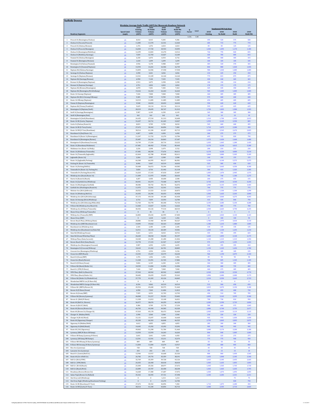|                                   | <b>Suffolk Downs</b>                                                          |                             |                            |                   |                       |                                                                   |              |                       |                                  |                                  |                       |
|-----------------------------------|-------------------------------------------------------------------------------|-----------------------------|----------------------------|-------------------|-----------------------|-------------------------------------------------------------------|--------------|-----------------------|----------------------------------|----------------------------------|-----------------------|
|                                   |                                                                               |                             |                            |                   |                       | Weekday Average Daily Traffic (ADT) for Mesoscale Roadway Network |              |                       |                                  |                                  |                       |
|                                   |                                                                               |                             | 2018<br>Existing           | 2040<br>No-Build  | 2040<br><b>Build</b>  | 2040<br><b>Build-Mit</b>                                          | K<br>S.A.F.  |                       | <b>Unadjusted PM Peak Hour</b>   |                                  |                       |
|                                   | <b>Roadway Segments</b>                                                       | <b>Speed Limit</b><br>(mph) | Volume<br>(ADT)            | Volume<br>(ADT)   | Volume<br>(ADT)       | Volume<br>(ADT)                                                   | Factor       | 2018<br>Existin       | 2040<br>No-Build                 | 2040<br>Build                    | 2040<br>Build-Mi      |
| $\mathbf{1}$                      | Prescott St (Bennington/Chelsea)                                              | 25                          | 8.010                      | 8.415             | 9.305                 | 9.386                                                             | 6.2%<br>1.00 | 495                   | 520                              | 575                              | 580                   |
| $\mathbf{Z}% _{T}=\mathbf{Z}_{T}$ | Chelsea St (Visconti/Prescott)                                                | 25                          | 11,085                     | 11,570            | 12,541                | 12,460                                                            |              | 685                   | 715                              | 775                              | 770                   |
| 3<br>$\boldsymbol{4}$             | Prescott St (Chelsea/Bremen)<br>Chelsea St (Prescott/Bennigton)               | 25<br>25                    | 1,376<br>16,830            | 1,376<br>17,720   | 2,023<br>18,933       | 2,023<br>19,095                                                   |              | 85<br>1,040           | 85<br>1,095                      | 125<br>1,170                     | 125<br>1,180          |
| 5                                 | Chelsea St (Bennington/MobilGas)                                              | 25                          | 12,299                     | 12,865            | 13,270                | 13,512                                                            |              | 760                   | 795                              | 820                              | 835                   |
| 6<br>7                            | Chelsea St (MobilGas/Saratoga)<br>Unamed St (Chelsea/Benington)               | 25<br>25                    | 7,039<br>6.230             | 12,703<br>6.473   | 13,027<br>6.554       | 13,189<br>6.716                                                   |              | 435<br>385            | 785<br>400                       | 805<br>405                       | 815<br>415            |
| 8                                 | Unamed St (Benington/Bremen)                                                  | 25                          | 1.618                      | 1.699             | 1.699                 | 1.699                                                             |              | 100                   | 105                              | 105                              | 105                   |
| 9<br>10                           | Bennington St (Chelsea/Unamed)<br>Bennington St (Unamed/Neptune)              | 25<br>25                    | 4,936<br>13,593            | 5,178<br>14,241   | 5,988<br>16,506       | 5,907<br>16,749                                                   |              | 305<br>840            | 320<br>880                       | 370<br>1,020                     | 365<br>1,035          |
| 11                                | Neptune Rd (Chelsea/Saratoga)                                                 | 25                          | 15,859                     | 16,506            | 17,558                | 17,558                                                            |              | 980                   | 1,020                            | 1,085                            | 1,085                 |
| 12<br>13                          | Saratoga St (Chelsea/Neptune)                                                 | 25                          | 3,398<br>12.541            | 3,641<br>13.189   | 4,046<br>14.160       | 4,046<br>14.160                                                   |              | 210<br>775            | 225<br>815                       | 250<br>875                       | 250<br>875            |
| 14                                | Saratoga St (Neptune/Bremen)<br>Neptune Rd (Saratoga/Bremen)                  | 25<br>$25\phantom{.0}$      | 6.958                      | 7,120             | 7,525                 | 7,525                                                             |              | 430                   | 440                              | 465                              | 465                   |
| 15                                | Bremen St (Bennington/Neptune)                                                | 25                          | 2,913                      | 3,075             | 3,398                 | 3,398                                                             |              | 180                   | 190                              | 210                              | 210                   |
| $16\,$<br>17                      | Bremen St (Neptune/Saratoga)<br>Neptune Rd (Bremen/Bennington)                | 25<br>25                    | 2,751<br>6,878             | 2,832<br>7,201    | 2,832<br>7,282        | 2,832<br>7,363                                                    |              | 170<br>425            | 175<br>445                       | 175<br>450                       | 175<br>455            |
| $18\,$                            | Neptune Rd (Bennington/Rt1AOnRamp)                                            | 25                          | 15,616                     | 16,263            | 16,263                | 16,263                                                            |              | 965                   | 1,005                            | 1,005                            | 1,005                 |
| 19<br>20                          | Route 1A Onramp (Neptune)<br>Neptune Rd (Rt1A Onramp/Offramp)                 | 30<br>25                    | 7,444<br>9.305             | 7.848<br>9.709    | 7.848<br>9.709        | 7,848<br>9,709                                                    |              | 460<br>575            | 485<br>600                       | 485<br>600                       | 485<br>600            |
| 21                                | Route 1A Offramp (Neptune)                                                    | 30                          | 10,519                     | 11,085            | 11,085                | 11,085                                                            |              | 650                   | 685                              | 685                              | 685                   |
| 22<br>23                          | Vienna St (Neptune/Bennington)<br>Neptune Rd (Vienna/Frankfort)               | 25<br>25                    | 9,548<br>9,629             | 10,033<br>10,114  | 10,033<br>10,114      | 10,033<br>10,114                                                  |              | 590<br>595            | 620<br>625                       | 620<br>625                       | 620<br>625            |
| 24                                | Bennington St (Neptune/Swift)                                                 | 30                          | 28,319                     | 29,695            | 30,747                | 31,313                                                            |              | 1,750                 | 1,835                            | 1,900                            | 1,935                 |
| 25<br>26                          | Swift St (Saratoga/Bennington)                                                | 25                          | 5,907<br>162               | 6,149<br>162      | 6,230<br>162          | 6,149<br>162                                                      |              | 365<br>10             | 380<br>10                        | 385<br>10                        | 380<br>10             |
| 27                                | Swift St (Bennington/End)<br>Bennington St (Swift/Boardman)                   | 25<br>30                    | 24,435                     | 27,510            | 31,313                | 32,608                                                            |              | 1,510                 | 1,700                            | 1,935                            | 2,015                 |
| 28                                | Route 1A SB (Curtis/Neptune)                                                  | 45                          | 31,637                     | 34,711            | 41,265                | 13,027                                                            |              | 1,955                 | 2,145                            | 2,550                            | 805                   |
| 29<br>30                          | Curtis St (Chelsea/Route1A)<br>Route 1A SB (U-Turn/Curtis)                    | 25<br>45                    | 8,819<br>27,672            | 9,709<br>30,342   | 9,709<br>36,896       | 8,010<br>7,282                                                    |              | 545<br>1,710          | 600<br>1,875                     | 600<br>2,280                     | 495<br>450            |
| 31                                | Route 1A NB (U-Turn/Boardman)                                                 | 45                          | 38,514                     | 41.184            | 43.207                | 45.715                                                            |              | 2.380                 | 2.545                            | 2.670                            | 2.825                 |
| 32<br>33                          | Boardman St (End/Route 1A)<br><b>Boardman St (Route 1A/Bennington)</b>        | 25<br>25                    | 4.207<br>11.247            | 4.450<br>11.732   | 4.450<br>13,270       | 4.450<br>12,784                                                   |              | 260<br>695            | 275<br>725                       | 275<br>820                       | 275<br>790            |
| $3\,4$                            | Boardman St (Bennington/Barnes)                                               | 25                          | 25,487                     | 26,216            | 26,863                | 27,187                                                            |              | 1,575                 | 1,620                            | 1,660                            | 1,680                 |
| 35<br>36                          | Bennignton St (Boardman/Crescent)<br>Route 1A (Boardman/Waldemar)             | 25                          | 16,749<br>67,481           | 17,234<br>68,452  | 20,714<br>77,918      | 23,222<br>85,443                                                  |              | 1,035<br>4,170        | 1,065<br>4,230                   | 1,280<br>4,815                   | 1,435<br>5,280        |
| 37                                | Waldemar Ave (Route 1A/Wally)                                                 | 45<br>25                    | 3,236                      | 3.398             | 3,479                 | 3,722                                                             |              | 200                   | 210                              | 215                              | 230                   |
| 38                                | Route 1A (Waldemar/Tomesello)<br>Route 1A (Tomesello/lughandle)               | 45                          | 67,481                     | 68.290            | 77,676                | 84,311<br>82.611                                                  |              | 4,170<br>3.860        | 4,220<br>3,880                   | 4,800                            | 5,210                 |
| 39<br>$40\,$                      | lughandle (Route 1A)                                                          | 45<br>$25\phantom{.0}$      | 62.464<br>2,266            | 62,788<br>2,427   | 85,848<br>2,508       | 2,508                                                             |              | 140                   | 150                              | 5.305<br>155                     | 5.105<br>155          |
| 41                                | Route 1A (Jughandle/Furlong)                                                  | 45                          | 66,348                     | 66,995            | 90,217                | 86,981                                                            |              | 4,100                 | 4,140                            | 5,575                            | 5,375                 |
| 42<br>43                          | Furlong Dr (Route 1A/Tomesello)<br>Route 1A (Furlong/BellCir)                 | 25<br>30                    | 8,496<br>50,408            | 9,467<br>56,072   | 10,519<br>70,394      | 10,033<br>69,585                                                  |              | 525<br>3.115          | 585<br>3,465                     | 650<br>4.350                     | 620<br>4.300          |
| 44                                | Tomesello Dr (Route 1A/Furlong Dr)                                            | ${\bf 25}$                  | 5,826                      | 6,716             | 21,442                | 21,118                                                            |              | 360                   | 415                              | 1,325                            | 1,305                 |
| 45<br>46                          | Tomesello Dr (Furlong/Route145)<br>Winthrop Ave (Beach/Route 16)              | 25<br>25                    | 16.263<br>11,409           | 17.315<br>11,975  | 47.010<br>19,095      | 25.487<br>20,633                                                  |              | 1.005<br>705          | 1.070<br>740                     | 2.905<br>1,180                   | 1.575<br>1,275        |
| 47                                | Harris St (Route16/Beach)                                                     | 25                          | 4,207                      | 4,450             | 10,600                | 2,508                                                             |              | 260                   | 275                              | 655                              | 155                   |
| 48<br>49                          | Route 16 (Garfield Ave/Winthrop)<br>Route 16 (Washington/Garfield)            | 35                          | 60,441<br>48,386           | 63,273<br>50,732  | 73,468<br>58,176      | 68,775<br>56,072                                                  |              | 3,735<br>2,990        | 3,910<br>3,135                   | 4,540<br>3,595                   | 4,250<br>3,465        |
| 50                                | Garfield Ave (Washington/Route16)                                             | 35<br>25                    | 11,975                     | 12,541            | 12,541                | 12,541                                                            |              | 740                   | 775                              | 775                              | 775                   |
| 51<br>52                          | Webster Ave (Rt16/Jefferson)                                                  | 30                          | 20.552<br>24,355           | 21.523<br>26,296  | 21.523<br>36,653      | 20.875<br>45,958                                                  |              | 1.270<br>1,505        | 1.330<br>1,625                   | 1.330<br>2,265                   | 1.290<br>2,840        |
| 53                                | Route 16 (Winthrop/Bell Cir)<br>Winthrop Ave (Rt16/Rt1A0nramp)                | 35<br>35                    | 47,172                     | 49,518            | 69,180                | 65,458                                                            |              | 2,915                 | 3,060                            | 4,275                            | 4,045                 |
| 54                                | Route 1A Onramp (Rt1A/Winthrop)                                               | 30                          | 6,716                      | 7,039             | 13,593                | 12,784                                                            |              | 415                   | 435                              | 840                              | 790                   |
| 55<br>56                          | Winthrop Ave (Rt1A0nramp/NShoreRd)<br>N Shore Rd (Winthrop Ave/Beach St)      | 40<br>30                    | 51,703<br>12,460           | 54,778<br>13,027  | 83,340<br>12,541      | 75,734<br>12,622                                                  |              | 3,195<br>770          | 3,385<br>805                     | 5,150<br>775                     | 4,680<br>780          |
| 57                                | Winthrop Ave (N Shore/Tomesello)                                              | 40                          | 40.456                     | 43.126            | 77.514                | 68,533                                                            |              | 2.500                 | 2.665                            | 4.790                            | 4.235                 |
| 58<br>59                          | Shaws Drwy (Withrop/Tomesello)<br>Withrop Ave (Tomesello/RBP)                 | 15<br>40                    | $\bf{0}$<br>42,883         | 81<br>45,634      | 81<br>66,995          | $\overline{0}$<br>67,400                                          |              | $\mathbf{0}$<br>2,650 | $\overline{\mathbf{5}}$<br>2,820 | $\overline{\mathbf{s}}$<br>4,140 | $\mathbf{0}$<br>4,165 |
| 60                                | Shaws Drwy (RBP)                                                              | 15                          | $\boldsymbol{0}$           | 1,618             | 1,618                 | 1,456                                                             |              | $\pmb{0}$             | 100                              | 100                              | 90                    |
| 61<br>62                          | Revere Beach Pkwy (Withrop/State)<br>Winthrop Ave (RBP/Beachmont Lot)         | 40                          | 28,886<br>19,095           | 31,960<br>19,662  | 48,709<br>30,423      | 50,327<br>29,209                                                  |              | 1,785<br>1,180        | 1,975<br>1,215                   | 3,010<br>1,880                   | 3,110<br>1,805        |
| 63                                | Beachmont Lot (Winthrop Ave)                                                  | 25<br>15                    | 2.104                      | 2.185             | 2.185                 | 2.185                                                             |              | 130                   | 135                              | 135                              | 135                   |
| 64<br>65                          | Winthrop Ave (Beachmont Lot/State Rd)<br>State Rd (Winthrop/Ocean)            | $25\phantom{.0}$            | 16,911<br>5,421            | 18,124<br>6,311   | 20,309<br>8,010       | 19.581<br>10,761                                                  |              | 1,045<br>335          | 1,120<br>390                     | 1,255<br>495                     | 1,210<br>665          |
| 66                                | State Rd (Ocean/Wintrhop Pkwy)                                                | 35<br>35                    | 26,620                     | 30,018            | 34,630                | 35,197                                                            |              | 1,645                 | 1,855                            | 2,140                            | 2,175                 |
| 67                                | Withrop Pkwy (State/Leverett)                                                 | 30                          | 18,448                     | 21,280            | 21,280                | 21,846                                                            |              | 1,140                 | 1,315                            | 1,315                            | 1,350                 |
| 68<br>69                          | Revere Beach Blvd (State/Beach)<br>Winthrop Ave (Bennington/Crescent)         | 30<br>25                    | 15,778<br>5,907            | 17,315<br>6,392   | 21,927<br>6,392       | 21,927<br>6,635                                                   |              | 975<br>365            | 1,070<br>395                     | 1,355<br>395                     | 1,355<br>410          |
| 70                                | Bennington St (Crescent/Withrop)                                              | 25                          | 18,610                     | 21,442            | 26,701                | 28,805                                                            |              | 1.150                 | 1.325                            | 1.650                            | 1,780                 |
| 71<br>$72\,$                      | Crescent Ave (Bennington/Winthrop)<br>Ocean Ave (RBP/Beach)                   | 25                          | 2,751<br>15,535            | 2,994<br>19,257   | 2,994<br>33,579       | 3,156<br>34,630                                                   |              | 170<br>960            | 185<br>1,190                     | 185<br>2,075                     | 195<br>2,140          |
| 73                                | Beach St (Ocean/RBP)                                                          | 30<br>25                    | 1,376                      | 1,456             | 1,456                 | 1,456                                                             |              | 85                    | 90                               | 90                               | 90                    |
| 74<br>75                          | Ocean Ave (Beach/Revere)<br>Beach St (N Shore/Ocean)                          | 30                          | 11,328<br>5,826            | 13,351<br>6,149   | 21,765<br>6,230       | 17,882<br>6,230                                                   |              | 700<br>360            | 825<br>380                       | 1,345<br>385                     | 1,105<br>385          |
| 76                                | N Shore Rd (Beach/Butler Cir)                                                 | 25<br>30                    | 10,535                     | 11.004            | 11.894                | 11.036                                                            |              | 651                   | 680                              | 735                              | 682                   |
| 77                                | Beach St (VFW/N Shore)                                                        | 25                          | 7,444                      | 7,687             | 7,848                 | 7,848                                                             |              | 460                   | 475                              | 485                              | 485                   |
| 78<br>79                          | VFW Pkwy (Bell Cir/Beach St)<br>VFW Pkwy (Beach/Butler Cir)                   | 35<br>35                    | 37,543<br>30,682           | 40,942<br>33,659  | 40,942<br>33,659      | 44,825<br>35,262                                                  |              | 2,320<br>1,896        | 2,530<br>2,080                   | 2,530<br>2,080                   | 2,770<br>2,179        |
| 80                                | N Shore Rd (Butler Cir/Wnderld Lot)                                           | 30                          | 37,770                     | 41,265            | 43,126                | 44,065                                                            |              | 2,334                 | 2,550                            | 2,665                            | 2,723                 |
| 81<br>82                          | Wonderland MBTA Lot (N Shore Rd)<br>Wonderland MBTA Garage (N Shore Rd)       | 15<br>15                    | $\mathbf{0}$<br>8.334      | $\theta$<br>9.062 | $\mathbf 0$<br>10.519 | $\mathbf{0}$<br>10.519                                            |              | $\Omega$<br>515       | $\Omega$<br>560                  | $\sqrt{2}$<br>650                | $\mathbf{a}$<br>650   |
| 83                                | N Shore Rd (MBTA/Revere St)                                                   | 35                          | 45.554                     | 49.680            | 50.975                | 51.460                                                            |              | 2.815                 | 3.070                            | 3.150                            | 3.180                 |
| 84<br>85                          | Revere St (N Shore/Ocean)<br>Revere St (Ocean/RBP)                            | 25<br>25                    | 6,958<br>7,929             | 7,363<br>8,253    | 11,004<br>12,703      | 11,813<br>12,703                                                  |              | 430<br>490            | 455<br>510                       | 680<br>785                       | 730<br>785            |
| 86                                | N Shore Rd (Revere/Lynnway)                                                   | 35                          | 46,848                     | 51,217            | 53,321                | 53,402                                                            |              | 2,895                 | 3,165                            | 3,295                            | 3,300                 |
| 87<br>88                          | Revere St (Rt60/N Shore)<br>Route 60 (Bell Cir / Revere)                      | 25                          | 11.328<br>36,977           | 11,813<br>38,676  | 13,108<br>44,259      | 16,021<br>46.120                                                  |              | 700<br>2,285          | 730<br>2,390                     | 810<br>2,735                     | 990<br>2,850          |
| 89                                | Revere St (Rt107/Rt60)                                                        | 40<br>25                    | 9.386                      | 9.709             | 15.778                | 17.234                                                            |              | 580                   | 600                              | 975                              | 1.065                 |
| 90                                | Route 60 (Revere/Brown Cir)                                                   | 35                          | 46,703                     | 44,340            | 44,583                | 43,320                                                            |              | 2,886                 | 2,740                            | 2,755                            | 2,677                 |
| 91<br>92                          | Route 60 (Brown Cir/Charger St)<br>Charger St (Malden/Rt60)                   | 35<br>25                    | 47,010<br>3,398            | 49,178<br>3,560   | 50,473<br>3,560       | 50,408<br>3,560                                                   |              | 2,905<br>210          | 3,039<br>220                     | 3,119<br>220                     | 3,115<br>220          |
| 93                                | Charger St (Rt 60/Ward)                                                       | 25                          | 15,131                     | 15,697            | 16,668                | 16,668                                                            |              | 935                   | 970                              | 1,030                            | 1,030                 |
| 94<br>95                          | Route 60 (Sigourney/Charger)<br>Sigourney St (Malden/Rt60)                    | 35                          | 45,230<br>4.612            | 46,363<br>4.855   | 46,848<br>4.855       | 46,525<br>4.855                                                   |              | 2,795<br>285          | 2,865<br>300                     | 2,895<br>300                     | 2,875<br>300          |
| 96                                | Sigourney St (Rt60/Retail)                                                    | 25<br>$15\,$                | 14,645                     | 15,292            | 15,292                | 15,292                                                            |              | 905                   | 945                              | 945                              | 945                   |
| 97                                | Route 60 (Rt1/Sigourney)                                                      | 35                          | 49,842                     | 51,298            | 51,784                | 51,460                                                            |              | 3,080                 | 3,170                            | 3,200                            | 3,180                 |
| 98<br>99                          | Lynnway (RBP/N Shore SB Ramp)<br>N Shore SB Ramp (Lynnway/N Shore)            | 25<br>25                    | 13,593<br>3,641            | 13,593<br>3,641   | 16,263<br>4,450       | 16,263<br>4,450                                                   |              | 840<br>225            | 840<br>225                       | 1,005<br>275                     | 1,005<br>275          |
| 100                               | Lynnway (SB Ramp/NB Ramps)                                                    | 25                          | 12,541                     | 12,541            | 15,211                | 15,373                                                            |              | 775                   | 775                              | 940                              | 950                   |
| 101<br>102                        | N Shore NB Offramp (N Shore/Lynnway)<br>N Shore NB Onramp (N Shore/Lynnway)   | 25                          | 809<br>11,004              | 809<br>11,004     | 809<br>13,674         | 809<br>13,917                                                     |              | 50<br>680             | 50<br>680                        | 50<br>845                        | 50<br>860             |
| 103                               | Rice Ave (Lynnway)                                                            | 25<br>25                    | 728                        | 728               | 728                   | 728                                                               |              | 45                    | 45                               | 45                               | 45                    |
| 104                               | Lancaster Ave (Lynnway)                                                       | 25                          | 243                        | $243\,$           | 243                   | 162                                                               |              | $15\,$                | 15                               | 15                               | 10                    |
| 105<br>106                        | Beach St (Central/Bell Cir)<br>Route 60 (Ctr of Bell Cir)                     | 25<br>40                    | 12,946<br>26,782           | 13,917<br>29,776  | 16,668<br>35,359      | 25,326<br>38,191                                                  |              | 800<br>1,655          | 860<br>1,840                     | 1,030<br>2,185                   | 1,565<br>2,360        |
| 107                               | Bell Cir (Rt1A/VFW)                                                           | 25                          | 32.769                     | 35.359            | 39.728                | 43.126                                                            |              | 2.025                 | 2.185                            | 2.455                            | 2.665                 |
| 108<br>109                        | Bell Cir (VFW/Rt60)<br>Bell Cir (Rt 60/Beach)                                 | 25<br>25                    | 24,355<br>23,384           | 26.458<br>25,326  | 30,018<br>28,077      | 30.018<br>27,672                                                  |              | 1.505<br>1,445        | 1,635<br>1,565                   | 1.855<br>1,735                   | 1.855<br>1,710        |
| 110                               | Bell Cir (Beach/Rt1A)                                                         | 25                          | 22,089                     | 23,707            | 26,458                | 28,238                                                            |              | 1,365                 | 1,465                            | 1,635                            | 1,745                 |
| 111<br>112                        | Broadway (Revere/Brown Cir)<br>Salem Tnpk (Brown Cir/Ballard)                 | 30                          | 16,668<br>35,342           | 17,380<br>36,945  | 17,687<br>37,721      | 17,072<br>37,398                                                  |              | 1,030<br>2,184        | 1,074<br>2,283                   | 1,093<br>2,331                   | 1,055<br>2,311        |
| 113                               | Site Drwy Left (Winthrop)                                                     | 55<br>15                    | $\bf 0$                    | $\theta$          | 1.214                 | 1.214                                                             |              |                       |                                  | 75                               | 75                    |
| 114<br>115                        | Site Drwy Right (Winthrop/Beachmont Parking)<br>Route 1A SB (Boardman/U-Turn) | $15\,$                      | $\boldsymbol{0}$<br>27,672 | $\bf 0$<br>30,342 | 13,270<br>36,896      | 12.784<br>7,282                                                   |              | 1,710                 | 1,875                            | 820<br>2,280                     | 790<br>450            |
| 116                               | Route 1A NB (Curtis/U-Turn)                                                   | 45<br>45                    | 38,514                     | 41,184            | 43,854                | 45,715                                                            |              | 2,380                 | 2,545                            | 2,710                            | 2,825                 |

 $1118.2019$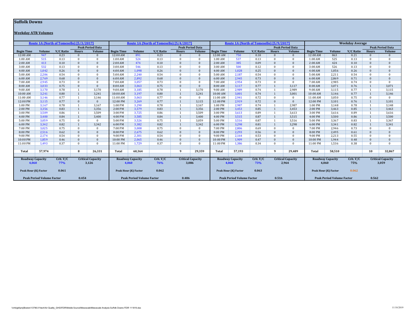#### **Suffolk Downs**

#### **Weekday ATR Volumes**

|                         |                                  | Route 1A (North of Tomesello) [5/3/2017] |              |                          |                   |                                  | Route 1A (North of Tomesello) [5/4/2017] |              |                          |                   | Route 1A (North of Tomesello) [5/9/2017] |                  |                |                          |                   |                                  | <b>Weekday Average</b> |              |                          |
|-------------------------|----------------------------------|------------------------------------------|--------------|--------------------------|-------------------|----------------------------------|------------------------------------------|--------------|--------------------------|-------------------|------------------------------------------|------------------|----------------|--------------------------|-------------------|----------------------------------|------------------------|--------------|--------------------------|
|                         |                                  |                                          |              | <b>Peak Period Data</b>  |                   |                                  |                                          |              | <b>Peak Period Data</b>  |                   |                                          |                  |                | <b>Peak Period Data</b>  |                   |                                  |                        |              | <b>Peak Period Data</b>  |
| <b>Begin Time</b>       | <b>Volume</b>                    | <b>V/C Ratio</b>                         | <b>Hours</b> | Volume                   | <b>Begin Time</b> | <b>Volume</b>                    | <b>V/C Ratio</b>                         | <b>Hours</b> | Volume                   | <b>Begin Time</b> | <b>Volume</b>                            | <b>V/C Ratio</b> | <b>Hours</b>   | <b>Volume</b>            | <b>Begin Time</b> | <b>Volume</b>                    | V/C Ratio              | Hours        | <b>Volume</b>            |
| 12:00 AM                | 947                              | 0.23                                     | $\Omega$     | $\mathbf{0}$             | 12:00 AM          | 891                              | 0.23                                     | $\mathbf{0}$ | $\Omega$                 | 12:00 AM          | 750                                      | 0.18             | $\mathbf{0}$   | $\Omega$                 | 12:00 AM          | 863                              | 0.21                   | $\Omega$     | $\mathbf{0}$             |
| $1:00$ AM               | 515                              | 0.13                                     | $\Omega$     | $\Omega$                 | 1:00 AM           | 524                              | 0.13                                     | $\Omega$     | $\Omega$                 | 1:00 AM           | 537                                      | 0.13             | $\Omega$       | $\Omega$                 | $1:00$ AM         | 525                              | 0.13                   | $\Omega$     | $\Omega$                 |
| 2:00 AM                 | 413                              | 0.10                                     | $\Omega$     | $\mathbf{0}$             | 2:00 AM           | 474                              | 0.10                                     | $\mathbf{0}$ | $\Omega$                 | 2:00 AM           | 385                                      | 0.09             | $\mathbf{0}$   | $\Omega$                 | 2:00 AM           | 424                              | 0.10                   | $\Omega$     | $\Omega$                 |
| 3:00 AM                 | 532                              | 0.13                                     | $\Omega$     | $\Omega$                 | 3:00 AM           | 546                              | 0.13                                     | $\Omega$     | $\Omega$                 | 3:00 AM           | 500                                      | 0.12             | $\Omega$       | $\Omega$                 | 3:00 AM           | 526                              | 0.13                   | $\Omega$     | $\Omega$                 |
| 4:00 AM                 | 1,042                            | 0.26                                     | $\Omega$     | $\Omega$                 | 4:00 AM           | 1,098                            | 0.26                                     | $\mathbf{0}$ | $\Omega$                 | 4:00 AM           | 1,028                                    | 0.25             | $\Omega$       | $\Omega$                 | 4:00 AM           | 1,056                            | 0.26                   | $\Omega$     | $\Omega$                 |
| 5:00 AM                 | 2,206                            | 0.54                                     | $\Omega$     | $\Omega$                 | 5:00 AM           | 2,240                            | 0.54                                     | $\mathbf{0}$ | $\Omega$                 | 5:00 AM           | 2,187                                    | 0.54             | $\Omega$       | $\Omega$                 | 5:00 AM           | 2,211                            | 0.54                   | $\Omega$     | $\Omega$                 |
| 6:00 AM                 | 2,769                            | 0.68                                     | $\Omega$     | $\Omega$                 | 6:00 AM           | 2,892                            | 0.68                                     | $\mathbf{0}$ | $\Omega$                 | 6:00 AM           | 2,945                                    | 0.73             | $\Omega$       | $\Omega$                 | 6:00 AM           | 2,869                            | 0.71                   | $\Omega$     | $\Omega$                 |
| 7:00 AM                 | 2,945                            | 0.73                                     | $\Omega$     | $\Omega$                 | 7:00 AM           | 3,057                            | 0.73                                     | $\Omega$     | $\Omega$                 | 7:00 AM           | 2,954                                    | 0.73             | $\Omega$       | $\Omega$                 | 7:00 AM           | 2,985                            | 0.74                   | $\Omega$     | $\Omega$                 |
| 8:00 AM                 | 3,033                            | 0.75                                     | $\Omega$     | $\Omega$                 | 8:00 AM           | 3,063                            | 0.75                                     | $\mathbf{0}$ | $\Omega$                 | 8:00 AM           | 3,117                                    | 0.77             | $\mathbf{1}$   | 3.117                    | 8:00 AM           | 3,071                            | 0.76                   |              | 3,071                    |
| 9:00 AM                 | 3.170                            | 0.78                                     |              | 3.170                    | 9:00 AM           | 3.185                            | 0.78                                     |              | 3.170                    | 9:00 AM           | 2.989                                    | 0.74             | $\overline{1}$ | 2.989                    | 9:00 AM           | 3,115                            | 0.77                   |              | 3,115                    |
| 10:00 AM                | 3,241                            | 0.80                                     |              | 3.241                    | 10:00 AM          | 3,197                            | 0.80                                     |              | 3.241                    | 10:00 AM          | 3.001                                    | 0.74             | 1              | 3,001                    | 10:00 AM          | 3,146                            | 0.77                   | $\mathbf{1}$ | 3,146                    |
| 11:00 AM                | 3.146                            | 0.77                                     |              | 3.146                    | 11:00 AM          | 3.063                            | 0.77                                     | $\Omega$     | $\Omega$                 | 11:00 AM          | 2.941                                    | 0.72             | $\Omega$       | $\Omega$                 | 11:00 AM          | 3,050                            | 0.75                   | $\Omega$     | $\Omega$                 |
| 12:00 PM                | 3,115                            | 0.77                                     | $\Omega$     | $\mathbf{0}$             | 12:00 PM          | 3,269                            | 0.77                                     |              | 3,115                    | 12:00 PM          | 2,919                                    | 0.72             | $\Omega$       | $\Omega$                 | 12:00 PM          | 3,101                            | 0.76                   |              | 3,101                    |
| 1:00 PM                 | 3,167                            | 0.78                                     |              | 3,167                    | 1:00 PM           | 3,290                            | 0.78                                     |              | 3.167                    | 1:00 PM           | 2.987                                    | 0.74             | $\overline{1}$ | 2,987                    | 1:00 PM           | 3,148                            | 0.78                   |              | 3,148                    |
| 2:00 PM                 | 3,356                            | 0.83                                     |              | 3,356                    | $2:00$ PM         | 3,579                            | 0.83                                     |              | 3,356                    | 2:00 PM           | 3,453                                    | 0.85             | $\overline{1}$ | 3,453                    | 2:00 PM           | 3,463                            | 0.85                   | $\mathbf{1}$ | 3,463                    |
| 3:00 PM                 | 3,509                            | 0.86                                     |              | 3.509                    | 3:00 PM           | 3,725                            | 0.86                                     |              | 3.509                    | 3:00 PM           | 3.613                                    | 0.89             | $\mathbf{1}$   | 3,613                    | 3:00 PM           | 3,616                            | 0.89                   | $\mathbf{1}$ | 3,616                    |
| 4:00 PM                 | 3,400                            | 0.84                                     |              | 3,400                    | 4:00 PM           | 3,585                            | 0.84                                     |              | 3,400                    | 4:00 PM           | 3,515                                    | 0.87             | $\mathbf{1}$   | 3,515                    | 4:00 PM           | 3,500                            | 0.86                   | $\mathbf{1}$ | 3,500                    |
| 5:00 PM                 | 3,059                            | 0.75                                     | $\Omega$     | $\Omega$                 | 5:00 PM           | 3,526                            | 0.75                                     |              | 3.059                    | 5:00 PM           | 3,516                                    | 0.87             | $\overline{1}$ | 3,516                    | 5:00 PM           | 3,367                            | 0.83                   |              | 3,367                    |
| 6:00 PM                 | 3,342                            | 0.82                                     |              | 3.342                    | 6:00 PM           | 3,382                            | 0.82                                     |              | 3.342                    | 6:00 PM           | 3.298                                    | 0.81             | $\overline{1}$ | 3.298                    | 6:00 PM           | 3,341                            | 0.82                   |              | 3,341                    |
| 7:00 PM                 | 3.025                            | 0.75                                     | $\Omega$     | $\overline{0}$           | 7:00 PM           | 3.008                            | 0.75                                     | $\Omega$     | $\Omega$                 | 7:00 PM           | 2.806                                    | 0.69             | $\Omega$       | $\Omega$                 | 7:00 PM           | 2.946                            | 0.73                   | $\Omega$     | $\bf{0}$                 |
| 8:00 PM                 | 2,516                            | 0.62                                     | $\Omega$     | $\mathbf{0}$             | 8:00 PM           | 2,675                            | 0.62                                     | $\mathbf{0}$ | $\Omega$                 | 8:00 PM           | 2.293                                    | 0.56             | $\mathbf{0}$   | $\Omega$                 | 8:00 PM           | 2,495                            | 0.61                   | $\Omega$     | $\mathbf{0}$             |
| 9:00 PM                 | 2.174                            | 0.54                                     | $\Omega$     | $\Omega$                 | 9:00 PM           | 2.301                            | 0.54                                     | $\Omega$     | $\Omega$                 | 9:00 PM           | 2.164                                    | 0.53             | $\Omega$       | $\Omega$                 | 9:00 PM           | 2,213                            | 0.55                   | $\Omega$     | $\Omega$                 |
| 10:00 PM                | 1.859                            | 0.46                                     | $\Omega$     | $\mathbf{0}$             | 10:00 PM          | 2,065                            | 0.46                                     | $\mathbf{0}$ | $\Omega$                 | 10:00 PM          | 1,909                                    | 0.47             | $\mathbf{0}$   | $\Omega$                 | 10:00 PM          | 1,944                            | 0.48                   | $\Omega$     | $\mathbf{0}$             |
| 11:00 PM                | 1.493                            | 0.37                                     |              | $\Omega$                 | 11:00 PM          | 1.729                            | 0.37                                     | $\Omega$     | $\Omega$                 | 11:00 PM          | 1.386                                    | 0.34             | $\Omega$       | $\Omega$                 | 11:00 PM          | 1.536                            | 0.38                   | $\Omega$     | $\Omega$                 |
|                         |                                  |                                          |              |                          |                   |                                  |                                          |              |                          |                   |                                          |                  |                |                          |                   |                                  |                        |              |                          |
| Total                   | 57,974                           |                                          | 8            | 26,331                   | Total             | 60,364                           |                                          | -9           | 29,359                   | Total             | 57,193                                   |                  | -9             | 29.489                   | Total             | 58.510                           |                        | 10           | 32,867                   |
|                         |                                  |                                          |              |                          |                   |                                  |                                          |              |                          |                   |                                          |                  |                |                          |                   |                                  |                        |              |                          |
| <b>Roadway Capacity</b> |                                  | Crit. V/C                                |              | <b>Critical Capacity</b> |                   | <b>Roadway Capacity</b>          | Crit. V/C                                |              | <b>Critical Capacity</b> |                   | <b>Roadway Capacity</b>                  | Crit. V/C        |                | <b>Critical Capacity</b> |                   | <b>Roadway Capacity</b>          | Crit. V/C              |              | <b>Critical Capacity</b> |
| 4,060                   |                                  | 77%                                      |              | 3,126                    | 4,060             |                                  | 76%                                      | 3,086        |                          |                   | 4,060                                    | 73%              |                | 2,964                    | 4,060             |                                  | 75%                    |              | 3,059                    |
| Peak Hour (K) Factor    |                                  | 0.061                                    |              |                          |                   | Peak Hour (K) Factor             | 0.062                                    |              |                          |                   | Peak Hour (K) Factor                     | 0.063            |                |                          |                   | Peak Hour (K) Factor             | 0.062                  |              |                          |
|                         |                                  |                                          |              |                          |                   |                                  |                                          |              |                          |                   |                                          |                  |                |                          |                   |                                  |                        |              |                          |
|                         | <b>Peak Period Volume Factor</b> |                                          | 0.454        |                          |                   | <b>Peak Period Volume Factor</b> |                                          | 0.486        |                          |                   | <b>Peak Period Volume Factor</b>         |                  | 0.516          |                          |                   | <b>Peak Period Volume Factor</b> |                        | 0.562        |                          |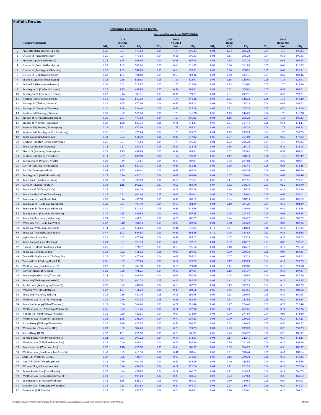|                 |                                                                      |                         |                               | <b>Emissions Factors By Link (g/mi)</b> |              |                                                 |                           |                         |                    |                           |              |                    |                           |
|-----------------|----------------------------------------------------------------------|-------------------------|-------------------------------|-----------------------------------------|--------------|-------------------------------------------------|---------------------------|-------------------------|--------------------|---------------------------|--------------|--------------------|---------------------------|
|                 |                                                                      |                         | 2018                          |                                         |              | <b>Emission Factors From MOVES2014a</b><br>2040 |                           |                         | 2040               |                           |              | 2040               |                           |
|                 | <b>Roadway Segments</b>                                              |                         | <b>Existing</b><br><b>VOC</b> |                                         | $NO_x$       | <b>No Build</b>                                 |                           |                         | <b>Build</b>       |                           | $NO_x$       | <b>Build-Mit</b>   |                           |
| $\overline{1}$  | Prescott St (Bennington/Chelsea)                                     | NO <sub>x</sub><br>0.26 | 3.81                          | CO <sub>2</sub><br>477.04               | 0.04         | <b>VOC</b><br>1.73                              | CO <sub>2</sub><br>295.23 | NO <sub>x</sub><br>0.04 | <b>VOC</b><br>1.73 | CO <sub>2</sub><br>295.23 | 0.04         | <b>VOC</b><br>1.73 | CO <sub>2</sub><br>295.23 |
| 2               | Chelsea St (Visconti/Prescott)                                       | 0.26                    | 0.24                          | 477.04                                  | 0.04         | 0.11                                            | 295.23                    | 0.04                    | 0.11               | 295.23                    | 0.04         | 0.11               | 295.23                    |
| 3               | Prescott St (Chelsea/Bremen)                                         | 0.28                    | 1.95                          | 496.06                                  | 0.04         | 0.88                                            | 307.24                    | 0.04                    | 0.88               | 307.24                    | 0.04         | 0.88               | 307.24                    |
| $\overline{4}$  | Chelsea St (Prescott/Bennigton)                                      | 0.29                    | 1.33                          | 502.06                                  | 0.05         | 0.60                                            | 311.05                    | 0.05                    | 0.60               | 311.05                    | 0.05         | 0.60               | 311.05                    |
| 5<br>6          | Chelsea St (Bennington/MobilGas)<br>Chelsea St (MobilGas/Saratoga)   | 0.32<br>0.28            | 1.33<br>1.33                  | 530.03<br>490.08                        | 0.05<br>0.04 | 0.60<br>0.60                                    | 328.91<br>303.46          | 0.05<br>0.04            | 0.60<br>0.60       | 328.91<br>303.46          | 0.05<br>0.04 | 0.60<br>0.60       | 328.91<br>303.46          |
| $7\phantom{.0}$ | Unamed St (Chelsea/Benington)                                        | 0.32                    | 2.58                          | 530.03                                  | 0.05         | 1.16                                            | 328.91                    | 0.05                    | 1.16               | 328.91                    | 0.05         | 1.16               | 328.91                    |
| 8               | Unamed St (Benington/Bremen)                                         | 0.30                    | 3.82                          | 515.87                                  | 0.05         | 1.73                                            | 319.86                    | 0.05                    | 1.73               | 319.86                    | 0.05         | 1.73               | 319.86                    |
| 9               | Bennington St (Chelsea/Unamed)                                       | 0.28                    | 1.15                          | 498.88                                  | 0.05         | 0.52                                            | 309.01                    | 0.05                    | 0.52               | 309.01                    | 0.05         | 0.52               | 309.01                    |
| 10              | Bennington St (Unamed/Neptune)                                       | 0.27                    | 0.76                          | 484.11                                  | 0.04         | 0.34                                            | 299.71                    | 0.04                    | 0.34               | 299.71                    | 0.04         | 0.34               | 299.71                    |
| 11<br>12        | Neptune Rd (Chelsea/Saratoga)<br>Saratoga St (Chelsea/Neptune)       | 0.35<br>0.26            | 3.82<br>1.95                  | 557.20<br>477.04                        | 0.06<br>0.04 | 1.73<br>0.88                                    | 346.28<br>295.23          | 0.06<br>0.04            | 1.73<br>0.88       | 346.28<br>295.23          | 0.06<br>0.04 | 1.73<br>0.88       | 346.28<br>295.23          |
| 13              | Saratoga St (Neptune/Bremen)                                         | 0.31                    | 1.58                          | 524.40                                  | 0.05         | 0.71                                            | 325.28                    | 0.05                    | 0.71               | 325.28                    | 0.05         | 0.71               | 325.28                    |
| 14              | Neptune Rd (Saratoga/Bremen)                                         | 0.35                    | 3.82                          | 557.20                                  | 0.06         | 1.73                                            | 346.28                    | 0.06                    | 1.73               | 346.28                    | 0.06         | 1.73               | 346.28                    |
| 15              | Bremen St (Bennington/Neptune)                                       | 0.26                    | 2.57                          | 477.04                                  | 0.04         | 1.16                                            | 295.23                    | 0.04                    | 1.16               | 295.23                    | 0.04         | 1.16               | 295.23                    |
| 16              | Bremen St (Neptune/Saratoga)                                         | 0.29                    | 1.58                          | 507.36                                  | 0.05<br>0.04 | 0.71<br>1.73                                    | 314.41                    | 0.05                    | 0.71               | 314.41                    | 0.05<br>0.04 | 0.71<br>1.73       | 314.41                    |
| 17<br>18        | Neptune Rd (Bremen/Bennington)<br>Neptune Rd (Bennington/Rt1AOnRamp) | 0.26<br>0.26            | 3.81<br>3.81                  | 477.04<br>477.04                        | 0.04         | 1.73                                            | 295.23<br>295.23          | 0.04<br>0.04            | 1.73<br>1.73       | 295.23<br>295.23          | 0.04         | 1.73               | 295.23<br>295.23          |
| 19              | Route 1A Onramp (Neptune)                                            | 0.33                    | 0.83                          | 510.38                                  | 0.06         | 0.37                                            | 317.82                    | 0.06                    | 0.37               | 317.82                    | 0.06         | 0.37               | 317.82                    |
| 20              | Neptune Rd (Rt1A Onramp/Offramp)                                     | 0.26                    | 3.81                          | 477.04                                  | 0.04         | 1.73                                            | 295.23                    | 0.04                    | 1.73               | 295.23                    | 0.04         | 1.73               | 295.23                    |
| 21              | Route 1A Offramp (Neptune)                                           | 0.18                    | 0.81                          | 362.45                                  | 0.03         | 0.36                                            | 224.15                    | 0.03                    | 0.36               | 224.15                    | 0.03         | 0.36               | 224.15                    |
| 22              | Vienna St (Neptune/Bennington)                                       | 0.28                    | 1.15                          | 498.88                                  | 0.05         | 0.52                                            | 309.01                    | 0.05                    | 0.52               | 309.01                    | 0.05         | 0.52               | 309.01                    |
| 23<br>24        | Neptune Rd (Vienna/Frankfort)<br>Bennington St (Neptune/Swift)       | 0.43<br>0.28            | 2.59<br>0.49                  | 639.58<br>463.01                        | 0.08<br>0.05 | 1.17<br>0.22                                    | 398.49<br>287.84          | 0.08<br>0.05            | 1.17<br>0.22       | 398.49<br>287.84          | 0.08<br>0.05 | 1.17<br>0.22       | 398.49<br>287.84          |
| 25              | Swift St (Saratoga/Bennington)                                       | 0.33                    | 1.96                          | 537.13                                  | 0.06         | 0.88                                            | 333.45                    | 0.06                    | 0.88               | 333.45                    | 0.06         | 0.88               | 333.45                    |
| 26              | Swift St (Bennington/End)                                            | 0.45                    | 1.35                          | 656.61                                  | 0.09         | 0.61                                            | 409.24                    | 0.09                    | 0.61               | 409.24                    | 0.09         | 0.61               | 409.24                    |
| 27              | Bennington St (Swift/Boardman)                                       | 0.25                    | 0.16                          | 432.31                                  | 0.04         | 0.07                                            | 268.40                    | 0.04                    | 0.07               | 268.40                    | 0.04         | 0.07               | 268.40                    |
| 28              | Route 1A SB (Curtis/Neptune)                                         | 0.30                    | 0.32                          | 437.29                                  | 0.06         | 0.14                                            | 271.51                    | 0.06                    | 0.14               | 271.51                    | 0.06         | 0.14               | 271.51                    |
| 29<br>30        | Curtis St (Chelsea/Route1A)<br>Route 1A SB (U-Turn/Curtis)           | 0.38<br>0.26            | 1.16<br>0.41                  | 592.55<br>404.24                        | 0.07<br>0.05 | 0.52<br>0.18                                    | 368.70<br>250.76          | 0.07<br>0.05            | 0.52<br>0.18       | 368.70<br>250.76          | 0.07<br>0.05 | 0.52<br>0.18       | 368.70<br>250.76          |
| 31              | Route 1A NB (U-Turn/Boardman)                                        | 0.26                    | 0.21                          | 403.06                                  | 0.05         | 0.09                                            | 250.01                    | 0.05                    | 0.09               | 250.01                    | 0.05         | 0.09               | 250.01                    |
| 32              | Boardman St (End/Route 1A)                                           | 0.28                    | 0.76                          | 497.58                                  | 0.05         | 0.34                                            | 308.19                    | 0.05                    | 0.34               | 308.19                    | 0.05         | 0.34               | 308.19                    |
| 33              | Boardman St (Route 1A/Bennington)                                    | 0.28                    | 0.24                          | 491.40                                  | 0.04         | 0.10                                            | 304.29                    | 0.04                    | 0.10               | 304.29                    | 0.04         | 0.10               | 304.29                    |
| 34              | Boardman St (Bennington/Barnes)                                      | 0.30                    | 0.91                          | 511.45                                  | 0.05         | 0.41                                            | 316.98                    | 0.05                    | 0.41               | 316.98                    | 0.05         | 0.41               | 316.98                    |
| 35<br>36        | Bennignton St (Boardman/Crescent)<br>Route 1A (Boardman/Waldemar)    | 0.27<br>0.33            | 0.15<br>0.53                  | 480.56<br>460.51                        | 0.04<br>0.07 | 0.06<br>0.24                                    | 297.45<br>286.27          | 0.04<br>0.07            | 0.06<br>0.24       | 297.45<br>286.27          | 0.04<br>0.07 | 0.06<br>0.24       | 297.45<br>286.27          |
| 37              | Waldemar Ave (Route 1A/Wally)                                        | 0.27                    | 0.18                          | 488.14                                  | 0.04         | 0.08                                            | 302.22                    | 0.04                    | 0.08               | 302.22                    | 0.04         | 0.08               | 302.22                    |
| 38              | Route 1A (Waldemar/Tomesello)                                        | 0.44                    | 0.92                          | 558.23                                  | 0.10         | 0.41                                            | 348.23                    | 0.10                    | 0.41               | 348.23                    | 0.10         | 0.41               | 348.23                    |
| 39              | Route 1A (Tomesello/Jughandle)                                       | 0.47                    | 1.03                          | 584.55                                  | 0.11         | 0.46                                            | 364.86                    | 0.11                    | 0.46               | 364.86                    | 0.11         | 0.46               | 364.86                    |
| 40<br>41        | Jughandle (Route 1A)<br>Route 1A (Jughandle/Furlong)                 | 0.26<br>0.23            | 0.83<br>0.21                  | 477.04<br>374.74                        | 0.04<br>0.04 | 0.37<br>0.09                                    | 295.23<br>232.17          | 0.04<br>0.04            | 0.37<br>0.09       | 295.23<br>232.17          | 0.04<br>0.04 | 0.37<br>0.09       | 295.23<br>232.17          |
| 42              | Furlong Dr (Route 1A/Tomesello)                                      | 0.26                    | 0.24                          | 478.47                                  | 0.04         | 0.10                                            | 296.12                    | 0.04                    | 0.10               | 296.12                    | 0.04         | 0.10               | 296.12                    |
| 43              | Route 1A (Furlong/BellCir)                                           | 0.28                    | 0.22                          | 465.32                                  | 0.05         | 0.09                                            | 289.33                    | 0.05                    | 0.09               | 289.33                    | 0.05         | 0.09               | 289.33                    |
|                 | Tomesello Dr (Route 1A/Furlong Dr)                                   | 0.26                    | 0.17                          | 477.04                                  | 0.04         | 0.07                                            | 295.23                    | 0.04                    | 0.07               | 295.23                    | 0.04         | 0.07               | 295.23                    |
| 45              | Tomesello Dr (Furlong/Route145)                                      | 0.26                    | 0.39                          | 477.04                                  | 0.04         | 0.17                                            | 295.23                    | 0.04                    | 0.17               | 295.23                    | 0.04         | 0.17               | 295.23                    |
| 46<br>47        | Winthrop Ave (Beach/Route 16)<br>Harris St (Route16/Beach)           | 0.27<br>0.28            | 0.32<br>0.36                  | 484.38<br>496.25                        | 0.04<br>0.04 | 0.14<br>0.16                                    | 299.88<br>307.37          | 0.04<br>0.04            | 0.14<br>0.16       | 299.88<br>307.37          | 0.04<br>0.04 | 0.14<br>0.16       | 299.88<br>307.37          |
| 48              | Route 16 (Garfield Ave/Winthrop)                                     | 0.24                    | 0.12                          | 404.56                                  | 0.04         | 0.05                                            | 250.59                    | 0.04                    | 0.05               | 250.59                    | 0.04         | 0.05               | 250.59                    |
| 49              | Route 16 (Washington/Garfield)                                       | 0.30                    | 0.31                          | 462.73                                  | 0.05         | 0.13                                            | 287.25                    | 0.05                    | 0.13               | 287.25                    | 0.05         | 0.13               | 287.25                    |
| 50              | Garfield Ave (Washington/Route16)                                    | 0.27                    | 0.29                          | 488.18                                  | 0.04         | 0.13                                            | 302.25                    | 0.04                    | 0.13               | 302.25                    | 0.04         | 0.13               | 302.25                    |
| 51              | Webster Ave (Rt16/Jefferson)                                         | 0.27                    | $1.01$                        | 456.22                                  | 0.05         | 0.45                                            | 283.56                    | 0.05                    | 0.45               | 283.56                    | 0.05         | 0.45               | 283.56                    |
| 52<br>53        | Route 16 (Winthrop/Bell Cir)<br>Winthrop Ave (Rt16/Rt1A0nramp)       | 0.25<br>0.29            | 0.30<br>0.69                  | 421.10<br>457.38                        | 0.05<br>0.05 | 0.13<br>0.31                                    | 260.95<br>283.84          | 0.05<br>0.05            | 0.13<br>0.31       | 260.95<br>283.84          | 0.05<br>0.05 | 0.13<br>0.31       | 260.95<br>283.84          |
| 54              | Route 1A Onramp (Rt1A/Winthrop)                                      | 0.19                    | 0.60                          | 366.00                                  | 0.03         | 0.27                                            | 226.40                    | 0.03                    | 0.27               | 226.40                    | 0.03         | 0.27               | 226.40                    |
| 55              | Winthrop Ave (Rt1AOnramp/NShoreRd)                                   | 0.26                    | 0.25                          | 414.85                                  | 0.05         | 0.11                                            | 257.26                    | 0.05                    | 0.11               | 257.26                    | 0.05         | 0.11               | 257.26                    |
| 56              | N Shore Rd (Winthrop Ave/Beach St)                                   | 0.26                    | 0.20                          | 442.51                                  | 0.04         | 0.09                                            | 274.89                    | 0.04                    | 0.09               | 274.89                    | 0.04         | 0.09               | 274.89                    |
| 57              | Winthrop Ave (N Shore/Tomesello)                                     | 0.23                    | 1.55                          | 386.20                                  | 0.04         | 0.70                                            | 239.23                    | 0.04                    | 0.70               | 239.23                    | 0.04         | 0.70               | 239.23                    |
| 58<br>59        | Shaws Drwy (Withrop/Tomesello)<br>Withrop Ave (Tomesello/RBP)        | 0.32<br>0.23            | 1.18<br>0.52                  | 625.58<br>386.20                        | 0.05<br>0.04 | 0.53<br>0.23                                    | 386.97<br>239.23          | 0.05<br>0.04            | 0.53<br>0.23       | 386.97<br>239.23          | 0.05<br>0.04 | 0.53<br>0.23       | 386.97<br>239.23          |
| 60              | Shaws Drwy (RBP)                                                     | 0.32                    | 1.61                          | 625.58                                  | 0.05         | 0.73                                            | 386.97                    | 0.05                    | 0.73               | 386.97                    | 0.05         | 0.73               | 386.97                    |
| 61              | Revere Beach Pkwy (Withrop/State)                                    | 0.24                    | 0.31                          | 391.22                                  | 0.04         | 0.14                                            | 242.41                    | 0.04                    | 0.14               | 242.41                    | 0.04         | 0.14               | 242.41                    |
| 62              | Winthrop Ave (RBP/Beachmont Lot)                                     | 0.28                    | 0.66                          | 489.31                                  | 0.04         | 0.29                                            | 302.96                    | 0.04                    | 0.29               | 302.96                    | 0.04         | 0.29               | 302.96                    |
| 63              | Beachmont Lot (Winthrop Ave)                                         | 0.32                    | 1.18                          | 625.58                                  | 0.05         | 0.53                                            | 386.97                    | 0.05                    | 0.53               | 386.97                    | 0.05         | 0.53               | 386.97                    |
| 64              | Winthrop Ave (Beachmont Lot/State Rd)                                | 0.40<br>0.27            | 0.93<br>0.36                  | 611.34<br>435.97                        | 0.07<br>0.05 | 0.41<br>0.16                                    | 380.64                    | 0.07<br>0.05            | 0.41<br>0.16       | 380.64<br>270.33          | 0.07<br>0.05 | 0.41<br>0.16       | 380.64                    |
| 65<br>66        | State Rd (Winthrop/Ocean)<br>State Rd (Ocean/Wintrhop Pkwy)          | 0.23                    | 0.89                          | 401.36                                  | 0.04         | 0.40                                            | 270.33<br>248.56          | 0.04                    | 0.40               | 248.56                    | 0.04         | 0.40               | 270.33<br>248.56          |
| 67              | Withrop Pkwy (State/Leverett)                                        | 0.25                    | 0.26                          | 436.79                                  | 0.04         | 0.11                                            | 271.26                    | 0.04                    | 0.11               | 271.26                    | 0.04         | 0.11               | 271.26                    |
| 68              | Revere Beach Blvd (State/Beach)                                      | 0.25                    | 0.24                          | 428.89                                  | 0.04         | 0.11                                            | 266.23                    | 0.04                    | 0.11               | 266.23                    | 0.04         | 0.11               | 266.23                    |
| 69              | Winthrop Ave (Bennington/Crescent)                                   | 0.39                    | 0.51                          | 594.04                                  | 0.07         | 0.23                                            | 369.63                    | 0.07                    | 0.23               | 369.63                    | 0.07         | 0.23               | 369.63                    |
| 70              | Bennington St (Crescent/Withrop)                                     | 0.42                    | 1.35                          | 625.37                                  | 0.08         | 0.60                                            | 389.53                    | 0.08                    | 0.60               | 389.53                    | 0.08         | 0.60               | 389.53                    |
| 71<br>72        | Crescent Ave (Bennington/Winthrop)<br>Ocean Ave (RBP/Beach)          | 0.35<br>0.25            | 0.53<br>0.22                  | 561.64<br>433.27                        | 0.06<br>0.04 | 0.24<br>0.10                                    | 349.17<br>269.01          | 0.06<br>0.04            | 0.24<br>0.10       | 349.17<br>269.01          | 0.06<br>0.04 | 0.24<br>0.10       | 349.17<br>269.01          |
|                 |                                                                      |                         |                               |                                         |              |                                                 |                           |                         |                    |                           |              |                    |                           |

**Suffolk Downs**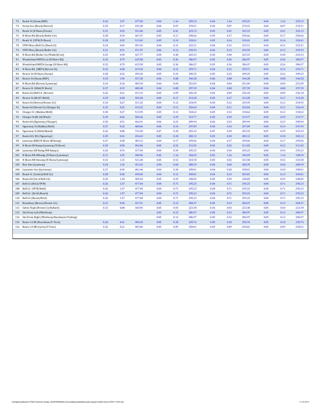| 73  | Beach St (Ocean/RBP)                             | 0.26 | 2.57 | 477.04 | 0.04 | 1.16 | 295.23 | 0.04 | 1.16 | 295.23 | 0.04 | 1.16 | 295.23 |
|-----|--------------------------------------------------|------|------|--------|------|------|--------|------|------|--------|------|------|--------|
| 74  | Ocean Ave (Beach/Revere)                         | 0.25 | 0.17 | 435.28 | 0.04 | 0.07 | 270.31 | 0.04 | 0.07 | 270.31 | 0.04 | 0.07 | 270.31 |
| 75  | Beach St (N Shore/Ocean)                         | 0.31 | 0.92 | 521.06 | 0.05 | 0.41 | 323.13 | 0.05 | 0.41 | 323.13 | 0.05 | 0.41 | 323.13 |
| 76  | N Shore Rd (Beach/Butler Cir)                    | 0.28 | 0.39 | 467.47 | 0.05 | 0.17 | 290.66 | 0.05 | 0.17 | 290.66 | 0.05 | 0.17 | 290.66 |
| 77  | Beach St (VFW/N Shore)                           | 0.30 | 0.32 | 513.65 | 0.05 | 0.14 | 318.41 | 0.05 | 0.14 | 318.41 | 0.05 | 0.14 | 318.41 |
| 78  | VFW Pkwy (Bell Cir/Beach St)                     | 0.24 | 0.69 | 407.65 | 0.04 | 0.31 | 252.51 | 0.04 | 0.31 | 252.51 | 0.04 | 0.31 | 252.51 |
| 79  | VFW Pkwy (Beach/Butler Cir)                      | 0.31 | 0.31 | 471.57 | 0.06 | 0.13 | 292.93 | 0.06 | 0.13 | 292.93 | 0.06 | 0.13 | 292.93 |
| 80  | N Shore Rd (Butler Cir/Wnderld Lot)              | 0.25 | 0.90 | 427.77 | 0.04 | 0.40 | 265.53 | 0.04 | 0.40 | 265.53 | 0.04 | 0.40 | 265.53 |
| 81  | Wonderland MBTA Lot (N Shore Rd)                 | 0.32 | 0.79 | 625.58 | 0.05 | 0.36 | 386.97 | 0.05 | 0.36 | 386.97 | 0.05 | 0.36 | 386.97 |
| 82  | Wonderland MBTA Garage (N Shore Rd)              | 0.32 | 0.79 | 625.58 | 0.05 | 0.36 | 386.97 | 0.05 | 0.36 | 386.97 | 0.05 | 0.36 | 386.97 |
| 83  | N Shore Rd (MBTA/Revere St)                      | 0.25 | 0.28 | 419.10 | 0.04 | 0.12 | 259.71 | 0.04 | 0.12 | 259.71 | 0.04 | 0.12 | 259.71 |
| 84  | Revere St (N Shore/Ocean)                        | 0.28 | 0.52 | 499.26 | 0.05 | 0.23 | 309.25 | 0.05 | 0.23 | 309.25 | 0.05 | 0.23 | 309.25 |
| 85  | Revere St (Ocean/RBP)                            | 0.35 | 1.96 | 557.20 | 0.06 | 0.88 | 346.28 | 0.06 | 0.88 | 346.28 | 0.06 | 0.88 | 346.28 |
| 86  | N Shore Rd (Revere/Lynnway)                      | 0.24 | 0.10 | 405.34 | 0.04 | 0.04 | 251.09 | 0.04 | 0.04 | 251.09 | 0.04 | 0.04 | 251.09 |
| 87  | Revere St (Rt60/N Shore)                         | 0.27 | 0.19 | 480.48 | 0.04 | 0.08 | 297.39 | 0.04 | 0.08 | 297.39 | 0.04 | 0.08 | 297.39 |
| 88  | Route 60 (Bell Cir / Revere)                     | 0.26 | 0.21 | 413.15 | 0.05 | 0.09 | 256.18 | 0.05 | 0.09 | 256.18 | 0.05 | 0.09 | 256.18 |
| 89  | Revere St (Rt107/Rt60)                           | 0.29 | 0.40 | 505.58 | 0.05 | 0.17 | 313.28 | 0.05 | 0.17 | 313.28 | 0.05 | 0.17 | 313.28 |
| 90  | Route 60 (Revere/Brown Cir)                      | 0.24 | 0.27 | 411.52 | 0.04 | 0.12 | 254.95 | 0.04 | 0.12 | 254.95 | 0.04 | 0.12 | 254.95 |
| 91  | Route 60 (Brown Cir/Charger St)                  | 0.25 | 0.25 | 414.22 | 0.04 | 0.11 | 256.64 | 0.04 | 0.11 | 256.64 | 0.04 | 0.11 | 256.64 |
| 92  | Charger St (Malden/Rt60)                         | 0.30 | 0.27 | 513.95 | 0.05 | 0.12 | 318.62 | 0.05 | 0.12 | 318.62 | 0.05 | 0.12 | 318.62 |
| 93  | Charger St (Rt 60/Ward)                          | 0.29 | 0.66 | 506.36 | 0.05 | 0.29 | 313.77 | 0.05 | 0.29 | 313.77 | 0.05 | 0.29 | 313.77 |
| 94  | Route 60 (Sigourney/Charger)                     | 0.30 | 0.51 | 466.91 | 0.06 | 0.23 | 289.94 | 0.06 | 0.23 | 289.94 | 0.06 | 0.23 | 289.94 |
| 95  | Sigourney St (Malden/Rt60)                       | 0.27 | 0.32 | 480.06 | 0.04 | 0.14 | 297.09 | 0.04 | 0.14 | 297.09 | 0.04 | 0.14 | 297.09 |
| 96  | Sigourney St (Rt60/Retail)                       | 0.42 | 0.88 | 733.49 | 0.07 | 0.39 | 455.33 | 0.07 | 0.39 | 455.33 | 0.07 | 0.39 | 455.33 |
| 97  | Route 60 (Rt1/Sigourney)                         | 0.29 | 0.41 | 454.63 | 0.05 | 0.18 | 282.12 | 0.05 | 0.18 | 282.12 | 0.05 | 0.18 | 282.12 |
| 98  | Lynnway (RBP/N Shore SB Ramp)                    | 0.27 | 0.38 | 483.12 | 0.04 | 0.17 | 299.06 | 0.04 | 0.17 | 299.06 | 0.04 | 0.17 | 299.06 |
| 99  | N Shore SB Ramp (Lynnway/N Shore)                | 0.29 | 0.50 | 502.06 | 0.05 | 0.22 | 311.05 | 0.05 | 0.22 | 311.05 | 0.05 | 0.22 | 311.05 |
| 100 | Lynnway (SB Ramp/NB Ramps)                       | 0.26 | 0.76 | 477.04 | 0.04 | 0.34 | 295.23 | 0.04 | 0.34 | 295.23 | 0.04 | 0.34 | 295.23 |
| 101 | N Shore NB Offramp (N Shore/Lynnway)             | 0.11 | 2.55 | 300.96 | 0.02 | 1.16 | 184.59 | 0.02 | 1.16 | 184.59 | 0.02 | 1.16 | 184.59 |
| 102 | N Shore NB Onramp (N Shore/Lynnway)              | 0.31 | 1.15 | 521.68 | 0.05 | 0.52 | 323.58 | 0.05 | 0.52 | 323.58 | 0.05 | 0.52 | 323.58 |
|     | 103 Rice Ave (Lynnway)                           | 0.24 | 1.32 | 453.43 | 0.04 | 0.60 | 280.39 | 0.04 | 0.60 | 280.39 | 0.04 | 0.60 | 280.39 |
| 104 | Lancaster Ave (Lynnway)                          | 0.27 | 0.45 | 481.46 | 0.04 | 0.20 | 298.01 | 0.04 | 0.20 | 298.01 | 0.04 | 0.20 | 298.01 |
| 105 | Beach St (Central/Bell Cir)                      | 0.28 | 0.30 | 490.65 | 0.04 | 0.13 | 303.81 | 0.04 | 0.13 | 303.81 | 0.04 | 0.13 | 303.81 |
| 106 | Route 60 (Ctr of Bell Cir)                       | 0.25 | 1.30 | 400.24 | 0.05 | 0.59 | 248.05 | 0.05 | 0.59 | 248.05 | 0.05 | 0.59 | 248.05 |
| 107 | Bell Cir (Rt1A/VFW)                              | 0.26 | 1.57 | 477.04 | 0.04 | 0.71 | 295.23 | 0.04 | 0.71 | 295.23 | 0.04 | 0.71 | 295.23 |
| 108 | Bell Cir (VFW/Rt60)                              | 0.26 | 1.57 | 477.04 | 0.04 | 0.71 | 295.23 | 0.04 | 0.71 | 295.23 | 0.04 | 0.71 | 295.23 |
| 109 | Bell Cir (Rt 60/Beach)                           | 0.26 | 1.57 | 477.04 | 0.04 | 0.71 | 295.23 | 0.04 | 0.71 | 295.23 | 0.04 | 0.71 | 295.23 |
| 110 | Bell Cir (Beach/Rt1A)                            | 0.26 | 1.57 | 477.04 | 0.04 | 0.71 | 295.23 | 0.04 | 0.71 | 295.23 | 0.04 | 0.71 | 295.23 |
| 111 | Broadway (Revere/Brown Cir)                      | 0.27 | 0.30 | 457.51 | 0.05 | 0.13 | 284.37 | 0.05 | 0.13 | 284.37 | 0.05 | 0.13 | 284.37 |
| 112 | Salem Tnpk (Brown Cir/Ballard)                   | 0.23 | 0.08 | 360.95 | 0.05 | 0.03 | 223.38 | 0.05 | 0.03 | 223.38 | 0.05 | 0.03 | 223.38 |
| 113 | Site Drwy Left (Winthrop)                        |      |      |        | 0.05 | 0.12 | 386.97 | 0.05 | 0.12 | 386.97 | 0.05 | 0.12 | 386.97 |
|     | 114 Site Drwy Right (Winthrop/Beachmont Parking) |      |      |        | 0.05 | 0.12 | 386.97 | 0.05 | 0.12 | 386.97 | 0.05 | 0.12 | 386.97 |
|     | 115 Route 1A SB (Boardman/U-Turn)                | 0.26 | 0.41 | 404.24 | 0.05 | 0.18 | 250.76 | 0.05 | 0.18 | 250.76 | 0.05 | 0.18 | 250.76 |
| 116 | Route 1A NB (Curtis/U-Turn)                      | 0.26 | 0.21 | 403.06 | 0.05 | 0.09 | 250.01 | 0.05 | 0.09 | 250.01 | 0.05 | 0.09 | 250.01 |
|     |                                                  |      |      |        |      |      |        |      |      |        |      |      |        |
|     |                                                  |      |      |        |      |      |        |      |      |        |      |      |        |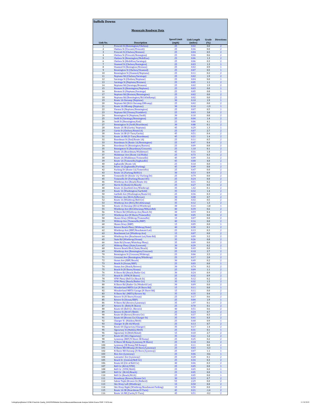| Link No.       | Description                                                                   | <b>Speed Limit</b><br>(mph) | <b>Link Length</b><br>(miles) | Grade<br>(%)  | <b>Directions</b>            |
|----------------|-------------------------------------------------------------------------------|-----------------------------|-------------------------------|---------------|------------------------------|
| $1\,$          | <b>Prescott St (Bennington/Chelsea)</b>                                       | 25                          | 0.02                          | 0.0           | $\overline{2}$               |
| 2              | Chelsea St (Visconti/Prescott)                                                | 25                          | 0.46                          | 0.0           | 2                            |
| 3              | Prescott St (Chelsea/Bremen)                                                  | 25                          | 0.04                          | 0.5           | $\overline{\mathbf{2}}$      |
| $\overline{4}$ | Chelsea St (Prescott/Bennigton)                                               | 25                          | 0.06                          | 0.6           | $\overline{2}$               |
| 5              | Chelsea St (Bennington/MobilGas)                                              | 25                          | 0.06                          | 1.3           | $\overline{\mathbf{2}}$      |
| 6              | Chelsea St (MobilGas/Saratoga)                                                | 25                          | 0.06                          | 0.3           | 2                            |
| 7              | <b>Unamed St (Chelsea/Benington)</b>                                          | 25                          | 0.03                          | 1.3           | 1                            |
| 8              | <b>Unamed St (Benington/Bremen)</b>                                           | 25                          | 0.02                          | 0.9           | 1                            |
| 9              | <b>Bennington St (Chelsea/Unamed)</b>                                         | 25                          | 0.07                          | 0.5           | 1                            |
| 10             | <b>Bennington St (Unamed/Neptune)</b>                                         | 25                          | 0.11                          | 0.2           | $\overline{\mathbf{2}}$      |
| 11             | Neptune Rd (Chelsea/Saratoga)                                                 | 25                          | 0.02                          | 1.9           | $\overline{2}$               |
| 12             | Saratoga St (Chelsea/Neptune)                                                 | 25                          | 0.04                          | 0.0           | 1                            |
| 13             |                                                                               | 25                          | 0.05                          | 1.1           | $\overline{\mathbf{2}}$      |
| 14             | Saratoga St (Neptune/Bremen)<br>Neptune Rd (Saratoga/Bremen)                  | 25                          | 0.02                          | 1.9           | 2                            |
| 15             | <b>Bremen St (Bennington/Neptune)</b>                                         | 25                          | 0.03                          | 0.0           | $\mathbf{1}$                 |
| 16             | <b>Bremen St (Neptune/Saratoga)</b>                                           | 25                          | 0.05                          | 0.8           | 1                            |
| 17             | Neptune Rd (Bremen/Bennington)                                                | 25                          | 0.02                          | 0.0           | $\overline{2}$               |
| 18             | Neptune Rd (Bennington/Rt1AOnRamp)                                            | 25                          | 0.02                          | 0.0           | 2                            |
| 19             | Route 1A Onramp (Neptune)                                                     | 30<br>25                    | 0.10                          | 1.9           | 1<br>2                       |
| 20<br>21       | Neptune Rd (Rt1A Onramp/Offramp)<br>Route 1A Offramp (Neptune)                | 30                          | 0.02<br>0.10                  | 0.0<br>$-1.9$ | 1                            |
| 22             | Vienna St (Neptune/Bennington)                                                | 25                          | 0.07                          | 0.5           | $\mathbf{1}$                 |
| 23             | Neptune Rd (Vienna/Frankfort)                                                 | 25                          | 0.03                          | 3.8           | $\overline{\mathbf{z}}$      |
| 24             | Bennington St (Neptune/Swift)                                                 | 30                          | 0.18                          | 0.8           | $\overline{\mathbf{2}}$      |
| 25             | <b>Swift St (Saratoga/Bennington)</b>                                         | 25                          | 0.04                          | 1.4           | $\overline{2}$               |
| 26             | <b>Swift St (Bennington/End)</b>                                              | 25                          | 0.06                          | 4.1           | $\overline{\mathbf{z}}$      |
| 27             | Bennington St (Swift/Boardman)                                                | 30                          | 0.88                          | 0.1           | $\overline{\mathbf{2}}$      |
| 28             | Route 1A SB (Curtis/Neptune)                                                  | 45                          | 0.29                          | 1.3           | 1                            |
| 29             | Curtis St (Chelsea/Route1A)                                                   | 25                          | 0.07                          | 2.7           | $\overline{\mathbf{2}}$      |
| 30             | Route 1A SB (U-Turn/Curtis)                                                   | 45                          | 0.51                          | 0.4           | 2                            |
| 31<br>32       | Route 1A NB (U-Turn/Boardman)                                                 | 45<br>25                    | 0.21                          | 1.4           | $\overline{\mathbf{2}}$<br>2 |
| 33             | Boardman St (End/Route 1A)<br>Boardman St (Route 1A/Bennington)               | 25                          | 0.11<br>0.47                  | 0.5<br>0.4    | $\overline{\mathbf{z}}$      |
| 34             | <b>Boardman St (Bennington/Barnes)</b>                                        | 25                          | 0.09                          | 0.8           | $\overline{\mathbf{z}}$      |
| 35             | <b>Bennignton St (Boardman/Crescent)</b>                                      | 25                          | 1.10                          | 0.1           | $\overline{2}$               |
| 36             | Route 1A (Boardman/Waldemar)                                                  | 45                          | 0.16                          | 1.8           | $\overline{\mathbf{2}}$      |
| 37             | <b>Waldemar Ave (Route 1A/Wally)</b>                                          | 25                          | 0.73                          | 0.3           | $\overline{2}$               |
| 38             | Route 1A (Waldemar/Tomesello)                                                 | 45                          | 0.09                          | 3.6           | $\overline{\mathbf{z}}$      |
| 39             | Route 1A (Tomesello/Jughandle)                                                | 45                          | 0.08                          | 4.0           | $\overline{\mathbf{2}}$      |
| 40             | Jughandle (Route 1A)                                                          | 25                          | 0.10                          | 0.0           | 1                            |
| 41             | Route 1A (Jughandle/Furlong)                                                  | 45                          | 0.49                          | 0.0           | $\overline{\mathbf{2}}$      |
| 42             | <b>Furlong Dr (Route 1A/Tomesello)</b>                                        | 25                          | 0.47                          | 0.0           | 2                            |
| 43             | Route 1A (Furlong/BellCir)                                                    | 30                          | 0.53                          | 0.9           | $\overline{\mathbf{2}}$      |
| 44             |                                                                               | 25                          | 0.79                          | 0.0           | $\overline{\mathbf{z}}$      |
| 45             | Tomesello Dr (Route 1A/ Furlong Dr)<br><b>Tomesello Dr (Furlong/Route145)</b> | 25                          | 0.24                          | 0.0           | 2                            |
| 46             | Winthrop Ave (Beach/Route 16)                                                 | 25                          | 0.31                          | 0.2           | $\overline{\mathbf{z}}$      |
| 47             | Harris St (Route16/Beach)                                                     | 25                          | 0.27                          | 0.5           | $\overline{\mathbf{2}}$      |
| 48             | Route 16 (Garfield Ave/Winthrop)                                              | 35                          | 1.42                          | 0.1           | $\overline{\mathbf{2}}$      |
| 49             | Route 16 (Washington/Garfield)                                                | 35                          | 0.32                          | 1.4           | $\overline{2}$               |
| 50             | Garfield Ave (Washington/Route16)                                             | 25                          | 0.36                          | 0.3           | $\overline{\mathbf{2}}$      |
| 51             | Webster Ave (Rt16/Jefferson)                                                  | 30                          | 0.08                          | 0.7           | $\overline{2}$               |
| 52             | Route 16 (Winthrop/Bell Cir)                                                  | 35                          | 0.32                          | 0.5           | 2                            |
| 53             | Winthrop Ave (Rt16/Rt1A0nramp)                                                | 35                          | 0.12                          | 1.3           | $\overline{\mathbf{2}}$      |
| 54             | Route 1A Onramp (Rt1A/Winthrop)                                               | 30                          | 0.14                          | $-1.8$        | 1                            |
| 55             | Winthrop Ave (Rt1AOnramp/NShoreRd)                                            | 40                          | 0.39                          | 0.6           | $\overline{\mathbf{2}}$      |
| 56             |                                                                               | 30                          | 0.59                          | 0.4           | 2                            |
| 57             | N Shore Rd (Winthrop Ave/Beach St)<br><b>Winthrop Ave (N Shore/Tomesello)</b> | 40                          | 0.05                          | 0.0           | $\overline{2}$               |
| 58             | Shaws Drwy (Withrop/Tomesello)                                                | 15                          | 0.07                          | 0.0           | $\overline{\mathbf{z}}$      |
| 59             | <b>Withrop Ave (Tomesello/RBP)</b>                                            | 40                          | 0.16                          | 0.0           | $\overline{\mathbf{z}}$      |
| 60             | <b>Shaws Drwy (RBP)</b>                                                       | 15                          | 0.05                          | 0.0           | 1                            |
| 61             | Revere Beach Pkwy (Withrop/State)                                             | 40                          | 0.30                          | 0.1           | $\overline{2}$               |
| 62             | Winthrop Ave (RBP/Beachmont Lot)                                              | 25                          | 0.13                          | 0.3           | $\overline{\mathbf{2}}$      |
| 63             | <b>Beachmont Lot (Winthrop Ave)</b>                                           | 15                          | 0.07                          | 0.0           | $\overline{2}$               |
| 64             | Winthrop Ave (Beachmont Lot/State Rd)                                         | 25                          | 0.09                          | 3.2           | $\overline{\mathbf{z}}$      |
| 65             | State Rd (Winthrop/Ocean)                                                     | 35                          | 0.26                          | 0.8           | $\overline{\mathbf{2}}$      |
| 66             | State Rd (Ocean/Wintrhop Pkwy)                                                | 35                          | 0.09                          | 0.0           | 2                            |
| 67             | Withrop Pkwy (State/Leverett)                                                 | 30                          | 0.39                          | 0.2           | $\overline{\mathbf{2}}$      |
| 68             | Revere Beach Blvd (State/Beach)                                               | 30                          | 0.43                          | 0.0           | 1                            |
| 69             | Winthrop Ave (Bennington/Crescent)                                            | 25                          | 0.18                          | 2.7           | 2                            |
| 70             | <b>Bennington St (Crescent/Withrop)</b>                                       | 25                          | 0.06                          | 3.5           | 2                            |
| 71             | <b>Crescent Ave (Bennington/Winthrop)</b>                                     | 25                          | 0.17                          | 2.0           | $\overline{2}$               |
| 72             | Ocean Ave (RBP/Beach)                                                         | 30                          | 0.49                          | 0.2           | $\overline{\mathbf{z}}$      |
| 73             |                                                                               | 25                          | 0.03                          | 0.0           | $\mathbf{1}$                 |
| 74             | <b>Beach St (Ocean/RBP)</b><br>Ocean Ave (Beach/Revere)                       | 30                          | 0.74                          | 0.2           | $\overline{\mathbf{2}}$      |
| 75             | Beach St (N Shore/Ocean)                                                      | 25                          | 0.09                          | 1.1           | $\overline{2}$               |
| 76             | N Shore Rd (Beach/Butler Cir)                                                 | 30                          | 0.24                          | 0.9           | $\overline{2}$               |
| 77             | Beach St (VFW/N Shore)                                                        | 25                          | 0.32                          | 0.9           | $\overline{2}$               |
| 78             | VFW Pkwy (Bell Cir/Beach St)                                                  | 35                          | 0.12                          | 0.2           | 2                            |
| 79             | VFW Pkwy (Beach/Butler Cir)                                                   | 35                          | 0.32                          | 1.5           | $\overline{\mathbf{2}}$      |
| 80             | N Shore Rd (Butler Cir/Wnderld Lot)                                           | 30                          | 0.09                          | 0.0           | $\overline{\mathbf{2}}$      |
| 81             | <b>Wonderland MBTA Lot (N Shore Rd)</b>                                       | 15                          | 0.11                          | 0.0           | $\mathbf{1}$                 |
| 82             | <b>Wonderland MBTA Garage (N Shore Rd)</b>                                    | 15                          | 0.11                          | 0.0           | 2                            |
| 83             | N Shore Rd (MBTA/Revere St)                                                   | 35                          | 0.35                          | 0.4           | $\overline{2}$               |
| 84             | Revere St (N Shore/Ocean)                                                     | 25                          | 0.17                          | 0.6           | $\overline{\mathbf{z}}$      |
| 85             |                                                                               | 25                          | 0.04                          | 1.9           | 1                            |
| 86             | <b>Revere St (Ocean/RBP)</b><br>N Shore Rd (Revere/Lynnway)                   | 35                          | 1.97                          | 0.1           | $\overline{\mathbf{2}}$      |
| 87             | Revere St (Rt60/N Shore)                                                      | 25                          | 0.70                          | 0.1           | $\overline{2}$               |
| 88             | Route 60 (Bell Cir / Revere)                                                  | 40                          | 0.51                          | 0.6           | $\overline{\mathbf{2}}$      |
| 89             | Revere St (Rt107/Rt60)                                                        | 25                          | 0.24                          | 0.7           | 2                            |
| 90             | Route 60 (Revere/Brown Cir)                                                   | 35                          | 0.37                          | 0.3           | 2                            |
| 91             | Route 60 (Brown Cir/Charger St)                                               | 35                          | 0.41                          | 0.3           | $\overline{\mathbf{c}}$      |
| 92             | Charger St (Malden/Rt60)                                                      | 25                          | 0.40                          | 0.9           | 1                            |
| 93             | Charger St (Rt 60/Ward)                                                       | 25                          | 0.13                          | 0.7           | $\overline{\mathbf{2}}$      |
| 94             | Route 60 (Sigourney/Charger)                                                  | 35                          | 0.17                          | 1.4           | 2                            |
| 95             | Sigourney St (Malden/Rt60)                                                    | 25                          | 0.31                          | 0.1           | $\mathbf{1}$                 |
| 96             | Sigourney St (Rt60/Retail)                                                    | 15                          | 0.10                          | 2.7           | 2<br>$\overline{\mathbf{z}}$ |
| 97             | Route 60 (Rt1/Sigourney)                                                      | 35                          | 0.22                          | 1.2           | $\overline{\mathbf{2}}$      |
| 98             | Lynnway (RBP/N Shore SB Ramp)                                                 | 25                          | 0.25                          | 0.2           |                              |
| 99             | N Shore SB Ramp (Lynnway/N Shore)                                             | 25                          | 0.18                          | 0.6           | $\overline{\mathbf{2}}$      |
| 100            | Lynnway (SB Ramp/NB Ramps)                                                    | 25                          | 0.11                          | 0.0           | $\overline{2}$               |
| 101            | N Shore NB Offramp (N Shore/Lynnway)                                          | 25                          | 0.03                          | $-6.3$        | $\mathbf{1}$<br>1            |
| 102            | N Shore NB Onramp (N Shore/Lynnway)                                           | 25                          | 0.07                          | 1.1           | 1                            |
| 103            | Rice Ave (Lynnway)                                                            | 25                          | 0.06                          | $-0.6$        |                              |
| 104            | Lancaster Ave (Lynnway)                                                       | 25                          | 0.20                          | 0.1           | $\overline{\mathbf{2}}$      |
| 105            | <b>Beach St (Central/Bell Cir)</b>                                            | 25                          | 0.34                          | 0.3           | $\overline{2}$               |
| 106            | Route 60 (Ctr of Bell Cir)                                                    | 40                          | 0.06                          | 0.3           | 2                            |
| 107            |                                                                               | 25                          | 0.05                          | 0.0           | 1                            |
| 108            | Bell Cir (Rt1A/VFW)<br>Bell Cir (VFW/Rt60)                                    | 25                          | 0.05                          | 0.0           | 1                            |
| 109            | Bell Cir (Rt 60/Beach)                                                        | 25                          | 0.05                          | 0.0           | 1                            |
| 110            | Bell Cir (Beach/Rt1A)                                                         | 25                          | 0.05                          | 0.0           | 1                            |
| 111            | <b>Broadway (Revere/Brown Cir)</b>                                            | 30                          | 0.33                          | 0.7           | $\overline{2}$               |
| 112            | Salem Tnpk (Brown Cir/Ballard)                                                | 55                          | 2.29                          | 0.0           | $\overline{\mathbf{2}}$      |
| 113            | Site Drwy Left (Winthrop)                                                     | 15                          | 0.50                          | 0.0           | $\overline{2}$               |
| 114            | Site Drwy Right (Winthrop/Beachmont Parking)                                  | 15                          | 0.50                          | 0.0           | $\overline{2}$               |